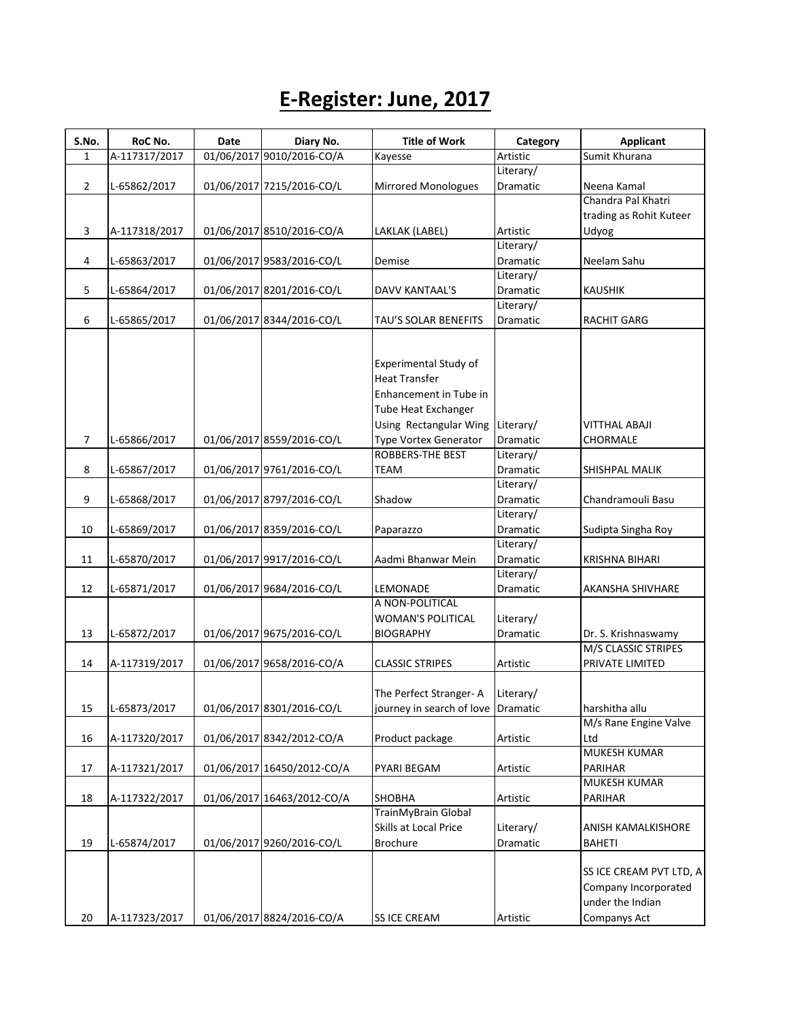## **E-Register: June, 2017**

| S.No.          | RoC No.       | <b>Date</b> | Diary No.                  | <b>Title of Work</b>                | Category        | <b>Applicant</b>        |
|----------------|---------------|-------------|----------------------------|-------------------------------------|-----------------|-------------------------|
| $\mathbf{1}$   | A-117317/2017 |             | 01/06/2017 9010/2016-CO/A  | Kayesse                             | Artistic        | Sumit Khurana           |
|                |               |             |                            |                                     | Literary/       |                         |
| $\overline{2}$ | L-65862/2017  |             | 01/06/2017 7215/2016-CO/L  | <b>Mirrored Monologues</b>          | Dramatic        | Neena Kamal             |
|                |               |             |                            |                                     |                 | Chandra Pal Khatri      |
|                |               |             |                            |                                     |                 | trading as Rohit Kuteer |
| 3              | A-117318/2017 |             | 01/06/2017 8510/2016-CO/A  | LAKLAK (LABEL)                      | Artistic        | Udyog                   |
|                |               |             |                            |                                     | Literary/       |                         |
| 4              | L-65863/2017  |             | 01/06/2017 9583/2016-CO/L  | Demise                              | Dramatic        | Neelam Sahu             |
|                |               |             |                            |                                     | Literary/       |                         |
| 5              | L-65864/2017  |             | 01/06/2017 8201/2016-CO/L  | DAVV KANTAAL'S                      | Dramatic        | <b>KAUSHIK</b>          |
|                |               |             |                            |                                     | Literary/       |                         |
| 6              | L-65865/2017  |             | 01/06/2017 8344/2016-CO/L  | TAU'S SOLAR BENEFITS                | Dramatic        | <b>RACHIT GARG</b>      |
|                |               |             |                            |                                     |                 |                         |
|                |               |             |                            |                                     |                 |                         |
|                |               |             |                            | Experimental Study of               |                 |                         |
|                |               |             |                            | <b>Heat Transfer</b>                |                 |                         |
|                |               |             |                            | Enhancement in Tube in              |                 |                         |
|                |               |             |                            | Tube Heat Exchanger                 |                 |                         |
|                |               |             |                            | Using Rectangular Wing              | Literary/       | VITTHAL ABAJI           |
| $\overline{7}$ | L-65866/2017  |             | 01/06/2017 8559/2016-CO/L  | <b>Type Vortex Generator</b>        | Dramatic        | CHORMALE                |
|                |               |             |                            | <b>ROBBERS-THE BEST</b>             | Literary/       |                         |
|                |               |             | 01/06/2017 9761/2016-CO/L  |                                     | Dramatic        |                         |
| 8              | L-65867/2017  |             |                            | <b>TEAM</b>                         |                 | SHISHPAL MALIK          |
|                |               |             |                            |                                     | Literary/       |                         |
| 9              | L-65868/2017  |             | 01/06/2017 8797/2016-CO/L  | Shadow                              | Dramatic        | Chandramouli Basu       |
|                |               |             |                            |                                     | Literary/       |                         |
| 10             | L-65869/2017  |             | 01/06/2017 8359/2016-CO/L  | Paparazzo                           | Dramatic        | Sudipta Singha Roy      |
|                |               |             |                            |                                     | Literary/       |                         |
| 11             | L-65870/2017  |             | 01/06/2017 9917/2016-CO/L  | Aadmi Bhanwar Mein                  | Dramatic        | KRISHNA BIHARI          |
|                |               |             |                            |                                     | Literary/       |                         |
| 12             | L-65871/2017  |             | 01/06/2017 9684/2016-CO/L  | LEMONADE                            | Dramatic        | AKANSHA SHIVHARE        |
|                |               |             |                            | A NON-POLITICAL                     |                 |                         |
|                |               |             |                            | <b>WOMAN'S POLITICAL</b>            | Literary/       |                         |
| 13             | L-65872/2017  |             | 01/06/2017 9675/2016-CO/L  | <b>BIOGRAPHY</b>                    | <b>Dramatic</b> | Dr. S. Krishnaswamy     |
|                |               |             |                            |                                     |                 | M/S CLASSIC STRIPES     |
| 14             | A-117319/2017 |             | 01/06/2017 9658/2016-CO/A  | <b>CLASSIC STRIPES</b>              | Artistic        | PRIVATE LIMITED         |
|                |               |             |                            |                                     |                 |                         |
|                |               |             |                            | The Perfect Stranger-A              | Literary/       |                         |
| 15             | L-65873/2017  |             | 01/06/2017 8301/2016-CO/L  | journey in search of love  Dramatic |                 | harshitha allu          |
|                |               |             |                            |                                     |                 | M/s Rane Engine Valve   |
| 16             | A-117320/2017 |             | 01/06/2017 8342/2012-CO/A  | Product package                     | Artistic        | Ltd                     |
|                |               |             |                            |                                     |                 | <b>MUKESH KUMAR</b>     |
| 17             | A-117321/2017 |             | 01/06/2017 16450/2012-CO/A | PYARI BEGAM                         | Artistic        | PARIHAR                 |
|                |               |             |                            |                                     |                 | MUKESH KUMAR            |
| 18             | A-117322/2017 |             | 01/06/2017 16463/2012-CO/A | <b>SHOBHA</b>                       | Artistic        | <b>PARIHAR</b>          |
|                |               |             |                            | TrainMyBrain Global                 |                 |                         |
|                |               |             |                            | Skills at Local Price               | Literary/       | ANISH KAMALKISHORE      |
| 19             | L-65874/2017  |             | 01/06/2017 9260/2016-CO/L  | <b>Brochure</b>                     | Dramatic        | <b>BAHETI</b>           |
|                |               |             |                            |                                     |                 |                         |
|                |               |             |                            |                                     |                 | SS ICE CREAM PVT LTD, A |
|                |               |             |                            |                                     |                 | Company Incorporated    |
|                |               |             |                            |                                     |                 | under the Indian        |
| 20             | A-117323/2017 |             | 01/06/2017 8824/2016-CO/A  | <b>SS ICE CREAM</b>                 | Artistic        | Companys Act            |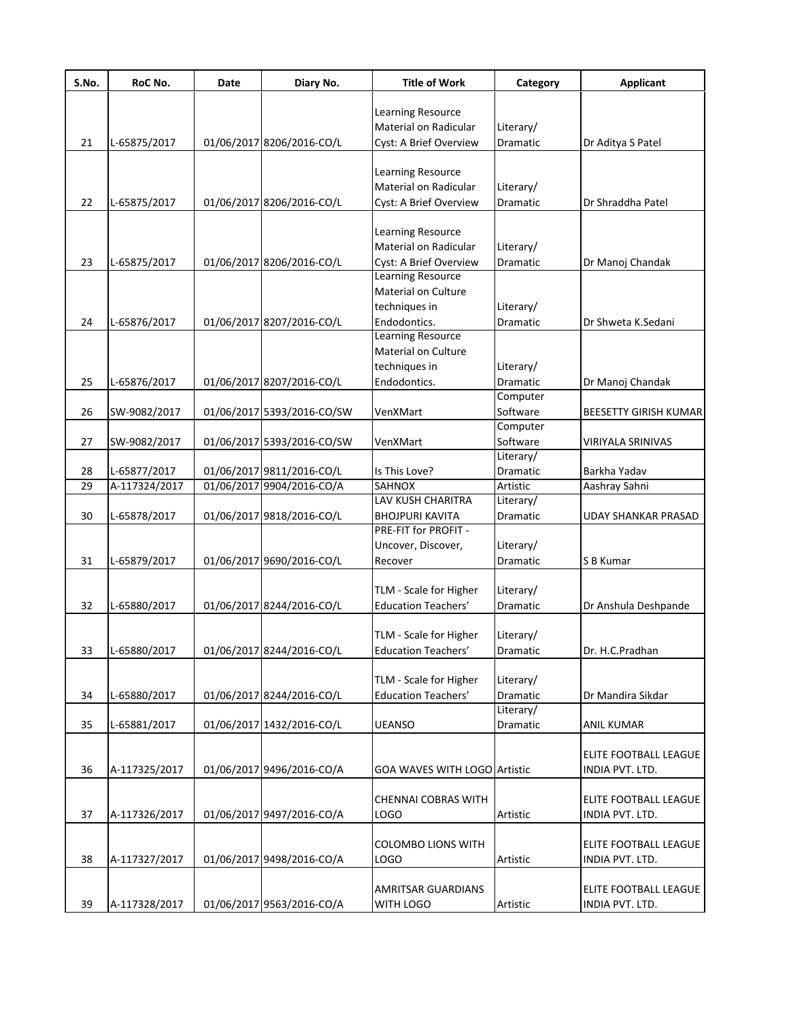| S.No. | RoC No.       | Date | Diary No.                  | <b>Title of Work</b>         | Category        | <b>Applicant</b>             |
|-------|---------------|------|----------------------------|------------------------------|-----------------|------------------------------|
|       |               |      |                            | Learning Resource            |                 |                              |
|       |               |      |                            | Material on Radicular        | Literary/       |                              |
| 21    | L-65875/2017  |      | 01/06/2017 8206/2016-CO/L  | Cyst: A Brief Overview       | Dramatic        | Dr Aditya S Patel            |
|       |               |      |                            |                              |                 |                              |
|       |               |      |                            | Learning Resource            |                 |                              |
|       |               |      |                            | Material on Radicular        | Literary/       |                              |
| 22    | L-65875/2017  |      | 01/06/2017 8206/2016-CO/L  | Cyst: A Brief Overview       | Dramatic        | Dr Shraddha Patel            |
|       |               |      |                            |                              |                 |                              |
|       |               |      |                            | Learning Resource            |                 |                              |
|       |               |      |                            | Material on Radicular        | Literary/       |                              |
| 23    | L-65875/2017  |      | 01/06/2017 8206/2016-CO/L  | Cyst: A Brief Overview       | Dramatic        | Dr Manoj Chandak             |
|       |               |      |                            | <b>Learning Resource</b>     |                 |                              |
|       |               |      |                            | Material on Culture          |                 |                              |
|       |               |      |                            | techniques in                | Literary/       |                              |
| 24    | L-65876/2017  |      | 01/06/2017 8207/2016-CO/L  | Endodontics.                 | Dramatic        | Dr Shweta K.Sedani           |
|       |               |      |                            | <b>Learning Resource</b>     |                 |                              |
|       |               |      |                            | Material on Culture          |                 |                              |
|       |               |      |                            | techniques in                | Literary/       |                              |
| 25    | L-65876/2017  |      | 01/06/2017 8207/2016-CO/L  | Endodontics.                 | Dramatic        | Dr Manoj Chandak             |
|       |               |      |                            |                              | Computer        |                              |
| 26    | SW-9082/2017  |      | 01/06/2017 5393/2016-CO/SW | VenXMart                     | Software        | <b>BEESETTY GIRISH KUMAR</b> |
|       |               |      |                            |                              | Computer        |                              |
| 27    | SW-9082/2017  |      | 01/06/2017 5393/2016-CO/SW | VenXMart                     | Software        | VIRIYALA SRINIVAS            |
|       |               |      |                            |                              | Literary/       |                              |
| 28    | L-65877/2017  |      | 01/06/2017 9811/2016-CO/L  | Is This Love?                | Dramatic        | Barkha Yadav                 |
| 29    | A-117324/2017 |      | 01/06/2017 9904/2016-CO/A  | SAHNOX                       | Artistic        | Aashray Sahni                |
|       |               |      |                            | LAV KUSH CHARITRA            | Literary/       |                              |
| 30    | L-65878/2017  |      | 01/06/2017 9818/2016-CO/L  | <b>BHOJPURI KAVITA</b>       | Dramatic        | <b>UDAY SHANKAR PRASAD</b>   |
|       |               |      |                            | PRE-FIT for PROFIT -         |                 |                              |
|       |               |      |                            | Uncover, Discover,           | Literary/       |                              |
| 31    | L-65879/2017  |      | 01/06/2017 9690/2016-CO/L  | Recover                      | Dramatic        | S B Kumar                    |
|       |               |      |                            |                              |                 |                              |
|       |               |      |                            | TLM - Scale for Higher       | Literary/       |                              |
| 32    | L-65880/2017  |      | 01/06/2017 8244/2016-CO/L  | <b>Education Teachers'</b>   | <b>Dramatic</b> | Dr Anshula Deshpande         |
|       |               |      |                            |                              |                 |                              |
|       |               |      |                            | TLM - Scale for Higher       | Literary/       |                              |
| 33    | L-65880/2017  |      | 01/06/2017 8244/2016-CO/L  | <b>Education Teachers'</b>   | Dramatic        | Dr. H.C.Pradhan              |
|       |               |      |                            |                              |                 |                              |
|       |               |      |                            | TLM - Scale for Higher       | Literary/       |                              |
| 34    | L-65880/2017  |      | 01/06/2017 8244/2016-CO/L  | <b>Education Teachers'</b>   | Dramatic        | Dr Mandira Sikdar            |
|       |               |      |                            |                              | Literary/       |                              |
| 35    | L-65881/2017  |      | 01/06/2017 1432/2016-CO/L  | <b>UEANSO</b>                | Dramatic        | <b>ANIL KUMAR</b>            |
|       |               |      |                            |                              |                 |                              |
|       |               |      |                            |                              |                 | ELITE FOOTBALL LEAGUE        |
| 36    | A-117325/2017 |      | 01/06/2017 9496/2016-CO/A  | GOA WAVES WITH LOGO Artistic |                 | INDIA PVT. LTD.              |
|       |               |      |                            |                              |                 |                              |
|       |               |      |                            | <b>CHENNAI COBRAS WITH</b>   |                 | ELITE FOOTBALL LEAGUE        |
| 37    | A-117326/2017 |      | 01/06/2017 9497/2016-CO/A  | LOGO                         | Artistic        | INDIA PVT. LTD.              |
|       |               |      |                            |                              |                 |                              |
|       |               |      |                            | <b>COLOMBO LIONS WITH</b>    |                 | ELITE FOOTBALL LEAGUE        |
| 38    | A-117327/2017 |      | 01/06/2017 9498/2016-CO/A  | LOGO                         | Artistic        | INDIA PVT. LTD.              |
|       |               |      |                            |                              |                 |                              |
|       |               |      |                            | <b>AMRITSAR GUARDIANS</b>    |                 | ELITE FOOTBALL LEAGUE        |
| 39    | A-117328/2017 |      | 01/06/2017 9563/2016-CO/A  | WITH LOGO                    | Artistic        | INDIA PVT. LTD.              |
|       |               |      |                            |                              |                 |                              |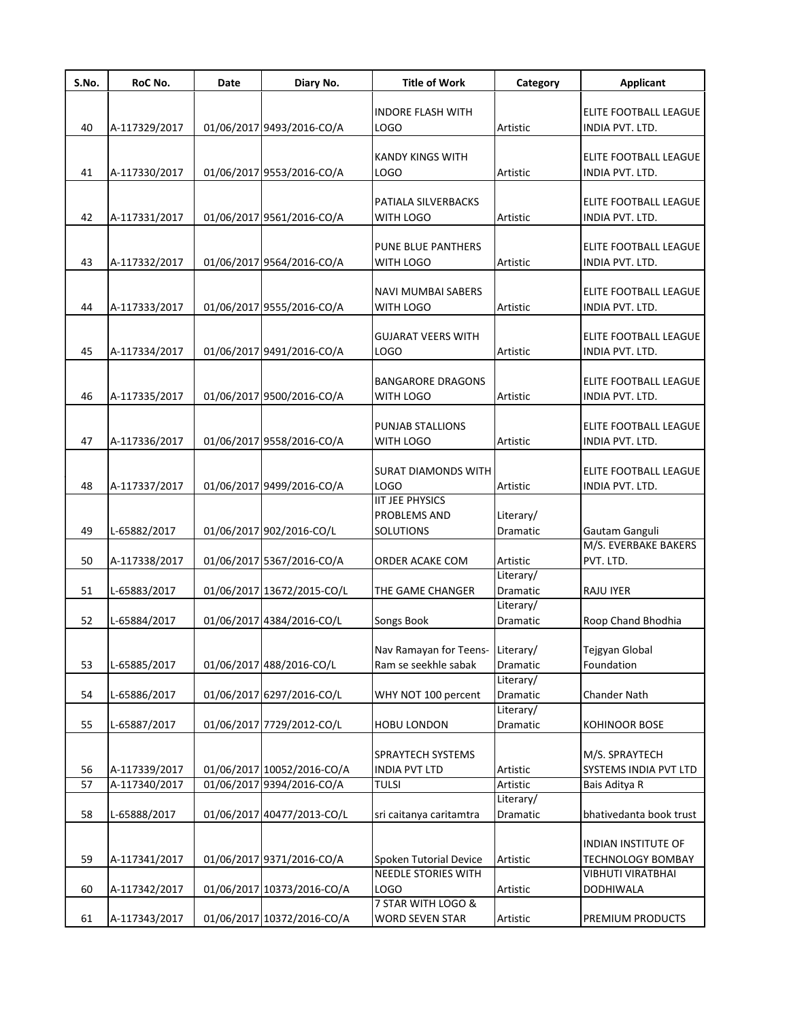| S.No. | RoC No.       | Date | Diary No.                  | <b>Title of Work</b>                                     | Category              | <b>Applicant</b>                         |
|-------|---------------|------|----------------------------|----------------------------------------------------------|-----------------------|------------------------------------------|
| 40    | A-117329/2017 |      | 01/06/2017 9493/2016-CO/A  | <b>INDORE FLASH WITH</b><br>LOGO                         | Artistic              | ELITE FOOTBALL LEAGUE<br>INDIA PVT. LTD. |
| 41    | A-117330/2017 |      | 01/06/2017 9553/2016-CO/A  | KANDY KINGS WITH<br><b>LOGO</b>                          | Artistic              | ELITE FOOTBALL LEAGUE<br>INDIA PVT. LTD. |
| 42    | A-117331/2017 |      | 01/06/2017 9561/2016-CO/A  | PATIALA SILVERBACKS<br>WITH LOGO                         | Artistic              | ELITE FOOTBALL LEAGUE<br>INDIA PVT. LTD. |
| 43    | A-117332/2017 |      | 01/06/2017 9564/2016-CO/A  | <b>PUNE BLUE PANTHERS</b><br>WITH LOGO                   | Artistic              | ELITE FOOTBALL LEAGUE<br>INDIA PVT. LTD. |
| 44    | A-117333/2017 |      | 01/06/2017 9555/2016-CO/A  | <b>NAVI MUMBAI SABERS</b><br>WITH LOGO                   | Artistic              | ELITE FOOTBALL LEAGUE<br>INDIA PVT. LTD. |
| 45    | A-117334/2017 |      | 01/06/2017 9491/2016-CO/A  | <b>GUJARAT VEERS WITH</b><br><b>LOGO</b>                 | Artistic              | ELITE FOOTBALL LEAGUE<br>INDIA PVT. LTD. |
| 46    | A-117335/2017 |      | 01/06/2017 9500/2016-CO/A  | <b>BANGARORE DRAGONS</b><br>WITH LOGO                    | Artistic              | ELITE FOOTBALL LEAGUE<br>INDIA PVT. LTD. |
| 47    | A-117336/2017 |      | 01/06/2017 9558/2016-CO/A  | PUNJAB STALLIONS<br>WITH LOGO                            | Artistic              | ELITE FOOTBALL LEAGUE<br>INDIA PVT. LTD. |
| 48    | A-117337/2017 |      | 01/06/2017 9499/2016-CO/A  | <b>SURAT DIAMONDS WITH</b><br>LOGO                       | Artistic              | ELITE FOOTBALL LEAGUE<br>INDIA PVT. LTD. |
| 49    | L-65882/2017  |      | 01/06/2017 902/2016-CO/L   | <b>IIT JEE PHYSICS</b><br>PROBLEMS AND<br>SOLUTIONS      | Literary/<br>Dramatic | Gautam Ganguli                           |
| 50    | A-117338/2017 |      | 01/06/2017 5367/2016-CO/A  | ORDER ACAKE COM                                          | Artistic              | M/S. EVERBAKE BAKERS<br>PVT. LTD.        |
| 51    | L-65883/2017  |      | 01/06/2017 13672/2015-CO/L | THE GAME CHANGER                                         | Literary/<br>Dramatic | <b>RAJU IYER</b>                         |
| 52    | L-65884/2017  |      | 01/06/2017 4384/2016-CO/L  | Songs Book                                               | Literary/<br>Dramatic | Roop Chand Bhodhia                       |
| 53    | L-65885/2017  |      | 01/06/2017 488/2016-CO/L   | Nav Ramayan for Teens- Literary/<br>Ram se seekhle sabak | Dramatic              | Tejgyan Global<br>Foundation             |
| 54    | L-65886/2017  |      | 01/06/2017 6297/2016-CO/L  | WHY NOT 100 percent                                      | Literary/<br>Dramatic | <b>Chander Nath</b>                      |
| 55    | L-65887/2017  |      | 01/06/2017 7729/2012-CO/L  | <b>HOBU LONDON</b>                                       | Literary/<br>Dramatic | <b>KOHINOOR BOSE</b>                     |
| 56    | A-117339/2017 |      | 01/06/2017 10052/2016-CO/A | SPRAYTECH SYSTEMS<br><b>INDIA PVT LTD</b>                | Artistic              | M/S. SPRAYTECH<br>SYSTEMS INDIA PVT LTD  |
| 57    | A-117340/2017 |      | 01/06/2017 9394/2016-CO/A  | <b>TULSI</b>                                             | Artistic              | Bais Aditya R                            |
| 58    | L-65888/2017  |      | 01/06/2017 40477/2013-CO/L | sri caitanya caritamtra                                  | Literary/<br>Dramatic | bhativedanta book trust                  |
| 59    | A-117341/2017 |      | 01/06/2017 9371/2016-CO/A  | Spoken Tutorial Device                                   | Artistic              | INDIAN INSTITUTE OF<br>TECHNOLOGY BOMBAY |
| 60    | A-117342/2017 |      | 01/06/2017 10373/2016-CO/A | <b>NEEDLE STORIES WITH</b><br><b>LOGO</b>                | Artistic              | VIBHUTI VIRATBHAI<br>DODHIWALA           |
| 61    | A-117343/2017 |      | 01/06/2017 10372/2016-CO/A | 7 STAR WITH LOGO &<br><b>WORD SEVEN STAR</b>             | Artistic              | PREMIUM PRODUCTS                         |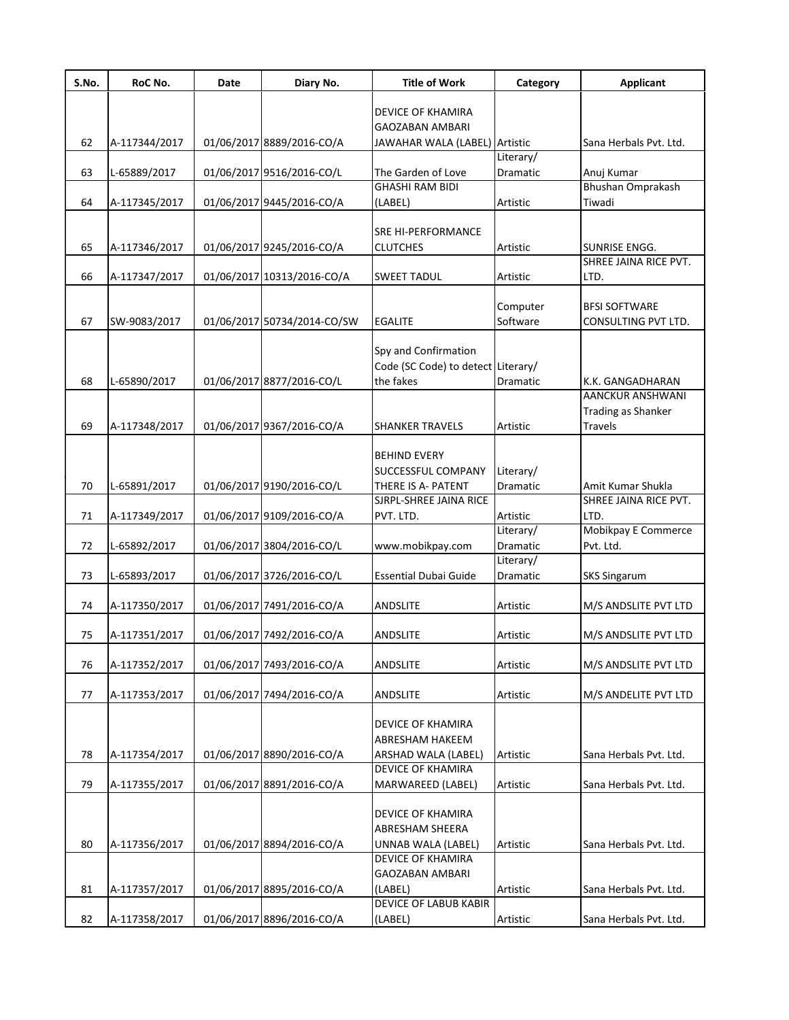| S.No. | RoC No.       | Date | Diary No.                   | <b>Title of Work</b>                    | Category             | <b>Applicant</b>                            |
|-------|---------------|------|-----------------------------|-----------------------------------------|----------------------|---------------------------------------------|
|       |               |      |                             | DEVICE OF KHAMIRA                       |                      |                                             |
|       |               |      |                             | <b>GAOZABAN AMBARI</b>                  |                      |                                             |
| 62    | A-117344/2017 |      | 01/06/2017 8889/2016-CO/A   | JAWAHAR WALA (LABEL) Artistic           |                      | Sana Herbals Pvt. Ltd.                      |
|       |               |      |                             |                                         | Literary/            |                                             |
| 63    | L-65889/2017  |      | 01/06/2017 9516/2016-CO/L   | The Garden of Love                      | Dramatic             | Anuj Kumar                                  |
|       |               |      |                             | <b>GHASHI RAM BIDI</b>                  |                      | Bhushan Omprakash                           |
| 64    | A-117345/2017 |      | 01/06/2017 9445/2016-CO/A   | (LABEL)                                 | Artistic             | Tiwadi                                      |
|       |               |      |                             |                                         |                      |                                             |
|       |               |      |                             | SRE HI-PERFORMANCE                      |                      |                                             |
| 65    | A-117346/2017 |      | 01/06/2017 9245/2016-CO/A   | <b>CLUTCHES</b>                         | Artistic             | SUNRISE ENGG.                               |
|       |               |      |                             |                                         |                      | SHREE JAINA RICE PVT.                       |
| 66    | A-117347/2017 |      | 01/06/2017 10313/2016-CO/A  | <b>SWEET TADUL</b>                      | Artistic             | LTD.                                        |
|       |               |      |                             |                                         |                      |                                             |
| 67    | SW-9083/2017  |      | 01/06/2017 50734/2014-CO/SW | <b>EGALITE</b>                          | Computer<br>Software | <b>BFSI SOFTWARE</b><br>CONSULTING PVT LTD. |
|       |               |      |                             |                                         |                      |                                             |
|       |               |      |                             | Spy and Confirmation                    |                      |                                             |
|       |               |      |                             | Code (SC Code) to detect Literary/      |                      |                                             |
| 68    | L-65890/2017  |      | 01/06/2017 8877/2016-CO/L   | the fakes                               | Dramatic             | K.K. GANGADHARAN                            |
|       |               |      |                             |                                         |                      | AANCKUR ANSHWANI                            |
|       |               |      |                             |                                         |                      | <b>Trading as Shanker</b>                   |
| 69    | A-117348/2017 |      | 01/06/2017 9367/2016-CO/A   | <b>SHANKER TRAVELS</b>                  | Artistic             | Travels                                     |
|       |               |      |                             |                                         |                      |                                             |
|       |               |      |                             | <b>BEHIND EVERY</b>                     |                      |                                             |
|       |               |      |                             | SUCCESSFUL COMPANY                      | Literary/            |                                             |
| 70    | L-65891/2017  |      | 01/06/2017 9190/2016-CO/L   | THERE IS A- PATENT                      | Dramatic             | Amit Kumar Shukla                           |
|       |               |      |                             | SJRPL-SHREE JAINA RICE                  |                      | SHREE JAINA RICE PVT.                       |
| 71    | A-117349/2017 |      | 01/06/2017 9109/2016-CO/A   | PVT. LTD.                               | Artistic             | LTD.                                        |
|       |               |      |                             |                                         | Literary/            | Mobikpay E Commerce                         |
| 72    | L-65892/2017  |      | 01/06/2017 3804/2016-CO/L   | www.mobikpay.com                        | Dramatic             | Pvt. Ltd.                                   |
|       |               |      | 01/06/2017 3726/2016-CO/L   |                                         | Literary/            |                                             |
| 73    | L-65893/2017  |      |                             | <b>Essential Dubai Guide</b>            | Dramatic             | <b>SKS Singarum</b>                         |
| 74    | A-117350/2017 |      | 01/06/2017 7491/2016-CO/A   | <b>ANDSLITE</b>                         | Artistic             | M/S ANDSLITE PVT LTD                        |
|       |               |      |                             |                                         |                      |                                             |
| 75    | A-117351/2017 |      | 01/06/2017 7492/2016-CO/A   | <b>ANDSLITE</b>                         | Artistic             | M/S ANDSLITE PVT LTD                        |
|       |               |      |                             |                                         |                      |                                             |
| 76    | A-117352/2017 |      | 01/06/2017 7493/2016-CO/A   | <b>ANDSLITE</b>                         | Artistic             | M/S ANDSLITE PVT LTD                        |
|       |               |      |                             |                                         |                      |                                             |
| 77    | A-117353/2017 |      | 01/06/2017 7494/2016-CO/A   | ANDSLITE                                | Artistic             | M/S ANDELITE PVT LTD                        |
|       |               |      |                             |                                         |                      |                                             |
|       |               |      |                             | DEVICE OF KHAMIRA                       |                      |                                             |
|       |               |      |                             | ABRESHAM HAKEEM                         |                      |                                             |
| 78    | A-117354/2017 |      | 01/06/2017 8890/2016-CO/A   | ARSHAD WALA (LABEL)                     | Artistic             | Sana Herbals Pvt. Ltd.                      |
|       |               |      |                             | <b>DEVICE OF KHAMIRA</b>                |                      |                                             |
| 79    | A-117355/2017 |      | 01/06/2017 8891/2016-CO/A   | MARWAREED (LABEL)                       | Artistic             | Sana Herbals Pvt. Ltd.                      |
|       |               |      |                             |                                         |                      |                                             |
|       |               |      |                             | DEVICE OF KHAMIRA                       |                      |                                             |
| 80    |               |      |                             | ABRESHAM SHEERA                         |                      |                                             |
|       | A-117356/2017 |      | 01/06/2017 8894/2016-CO/A   | UNNAB WALA (LABEL)<br>DEVICE OF KHAMIRA | Artistic             | Sana Herbals Pvt. Ltd.                      |
|       |               |      |                             | <b>GAOZABAN AMBARI</b>                  |                      |                                             |
| 81    | A-117357/2017 |      | 01/06/2017 8895/2016-CO/A   | (LABEL)                                 | Artistic             | Sana Herbals Pvt. Ltd.                      |
|       |               |      |                             | DEVICE OF LABUB KABIR                   |                      |                                             |
| 82    | A-117358/2017 |      | 01/06/2017 8896/2016-CO/A   | (LABEL)                                 | Artistic             | Sana Herbals Pvt. Ltd.                      |
|       |               |      |                             |                                         |                      |                                             |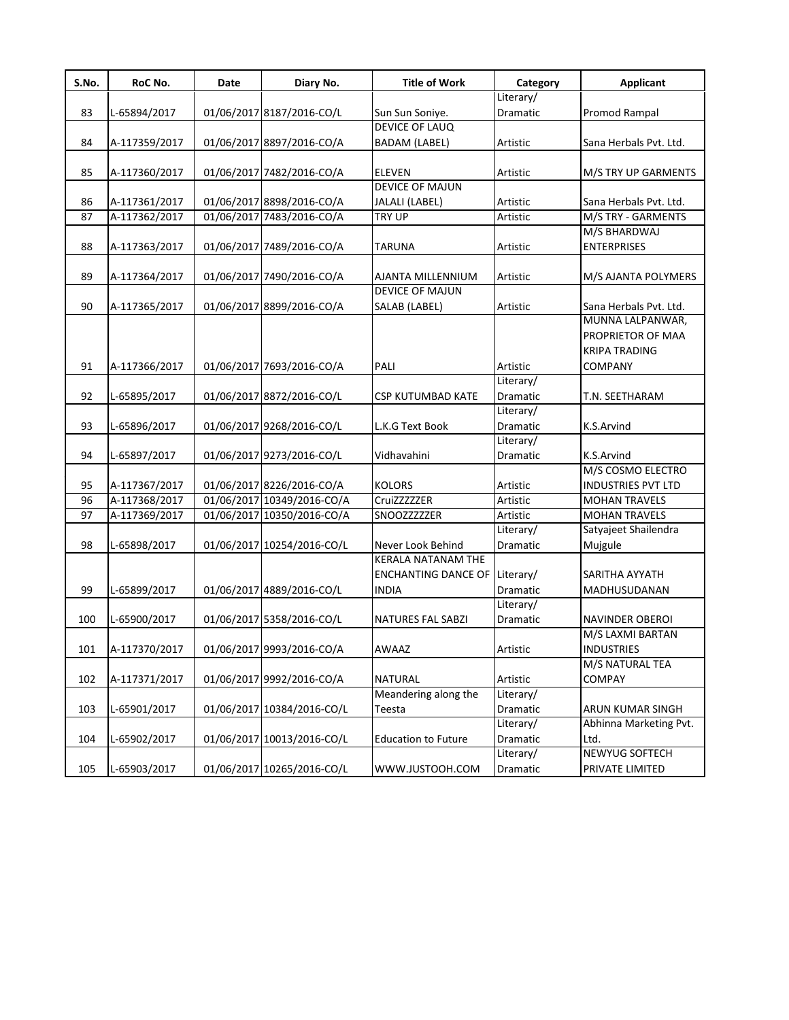| S.No. | RoC No.       | Date | Diary No.                  | <b>Title of Work</b>                 | Category        | <b>Applicant</b>          |
|-------|---------------|------|----------------------------|--------------------------------------|-----------------|---------------------------|
|       |               |      |                            |                                      | Literary/       |                           |
| 83    | L-65894/2017  |      | 01/06/2017 8187/2016-CO/L  | Sun Sun Soniye.                      | Dramatic        | Promod Rampal             |
|       |               |      |                            | <b>DEVICE OF LAUQ</b>                |                 |                           |
| 84    | A-117359/2017 |      | 01/06/2017 8897/2016-CO/A  | <b>BADAM (LABEL)</b>                 | Artistic        | Sana Herbals Pvt. Ltd.    |
|       |               |      |                            |                                      |                 |                           |
| 85    | A-117360/2017 |      | 01/06/2017 7482/2016-CO/A  | <b>ELEVEN</b>                        | Artistic        | M/S TRY UP GARMENTS       |
|       |               |      |                            | <b>DEVICE OF MAJUN</b>               |                 |                           |
| 86    | A-117361/2017 |      | 01/06/2017 8898/2016-CO/A  | JALALI (LABEL)                       | Artistic        | Sana Herbals Pvt. Ltd.    |
| 87    | A-117362/2017 |      | 01/06/2017 7483/2016-CO/A  | <b>TRY UP</b>                        | Artistic        | M/S TRY - GARMENTS        |
|       |               |      |                            |                                      |                 | M/S BHARDWAJ              |
| 88    | A-117363/2017 |      | 01/06/2017 7489/2016-CO/A  | <b>TARUNA</b>                        | Artistic        | <b>ENTERPRISES</b>        |
|       |               |      |                            |                                      |                 |                           |
| 89    | A-117364/2017 |      | 01/06/2017 7490/2016-CO/A  | AJANTA MILLENNIUM                    | Artistic        | M/S AJANTA POLYMERS       |
|       |               |      |                            | <b>DEVICE OF MAJUN</b>               |                 |                           |
| 90    | A-117365/2017 |      | 01/06/2017 8899/2016-CO/A  | SALAB (LABEL)                        | Artistic        | Sana Herbals Pvt. Ltd.    |
|       |               |      |                            |                                      |                 | MUNNA LALPANWAR,          |
|       |               |      |                            |                                      |                 | PROPRIETOR OF MAA         |
|       |               |      |                            |                                      |                 | <b>KRIPA TRADING</b>      |
| 91    | A-117366/2017 |      | 01/06/2017 7693/2016-CO/A  | PALI                                 | Artistic        | <b>COMPANY</b>            |
|       |               |      |                            |                                      | Literary/       |                           |
| 92    | L-65895/2017  |      | 01/06/2017 8872/2016-CO/L  | <b>CSP KUTUMBAD KATE</b>             | Dramatic        | T.N. SEETHARAM            |
|       |               |      |                            |                                      | Literary/       |                           |
| 93    |               |      |                            | L.K.G Text Book                      | Dramatic        | K.S.Arvind                |
|       | L-65896/2017  |      | 01/06/2017 9268/2016-CO/L  |                                      | Literary/       |                           |
|       |               |      |                            |                                      |                 |                           |
| 94    | L-65897/2017  |      | 01/06/2017 9273/2016-CO/L  | Vidhavahini                          | Dramatic        | K.S.Arvind                |
|       |               |      |                            |                                      |                 | M/S COSMO ELECTRO         |
| 95    | A-117367/2017 |      | 01/06/2017 8226/2016-CO/A  | <b>KOLORS</b>                        | Artistic        | <b>INDUSTRIES PVT LTD</b> |
| 96    | A-117368/2017 |      | 01/06/2017 10349/2016-CO/A | CruiZZZZZER                          | Artistic        | <b>MOHAN TRAVELS</b>      |
| 97    | A-117369/2017 |      | 01/06/2017 10350/2016-CO/A | SNOOZZZZZER                          | Artistic        | <b>MOHAN TRAVELS</b>      |
|       |               |      |                            |                                      | Literary/       | Satyajeet Shailendra      |
| 98    | L-65898/2017  |      | 01/06/2017 10254/2016-CO/L | Never Look Behind                    | Dramatic        | Mujgule                   |
|       |               |      |                            | <b>KERALA NATANAM THE</b>            |                 |                           |
|       |               |      |                            | <b>ENCHANTING DANCE OF Literary/</b> |                 | SARITHA AYYATH            |
| 99    | L-65899/2017  |      | 01/06/2017 4889/2016-CO/L  | <b>INDIA</b>                         | <b>Dramatic</b> | MADHUSUDANAN              |
|       |               |      |                            |                                      | Literary/       |                           |
| 100   | L-65900/2017  |      | 01/06/2017 5358/2016-CO/L  | NATURES FAL SABZI                    | <b>Dramatic</b> | <b>NAVINDER OBEROI</b>    |
|       |               |      |                            |                                      |                 | M/S LAXMI BARTAN          |
| 101   | A-117370/2017 |      | 01/06/2017 9993/2016-CO/A  | <b>AWAAZ</b>                         | Artistic        | <b>INDUSTRIES</b>         |
|       |               |      |                            |                                      |                 | M/S NATURAL TEA           |
| 102   | A-117371/2017 |      | 01/06/2017 9992/2016-CO/A  | <b>NATURAL</b>                       | Artistic        | COMPAY                    |
|       |               |      |                            | Meandering along the                 | Literary/       |                           |
| 103   | L-65901/2017  |      | 01/06/2017 10384/2016-CO/L | Teesta                               | Dramatic        | ARUN KUMAR SINGH          |
|       |               |      |                            |                                      | Literary/       | Abhinna Marketing Pvt.    |
| 104   | L-65902/2017  |      | 01/06/2017 10013/2016-CO/L | <b>Education to Future</b>           | Dramatic        | Ltd.                      |
|       |               |      |                            |                                      | Literary/       | NEWYUG SOFTECH            |
| 105   | L-65903/2017  |      | 01/06/2017 10265/2016-CO/L | WWW.JUSTOOH.COM                      | Dramatic        | PRIVATE LIMITED           |
|       |               |      |                            |                                      |                 |                           |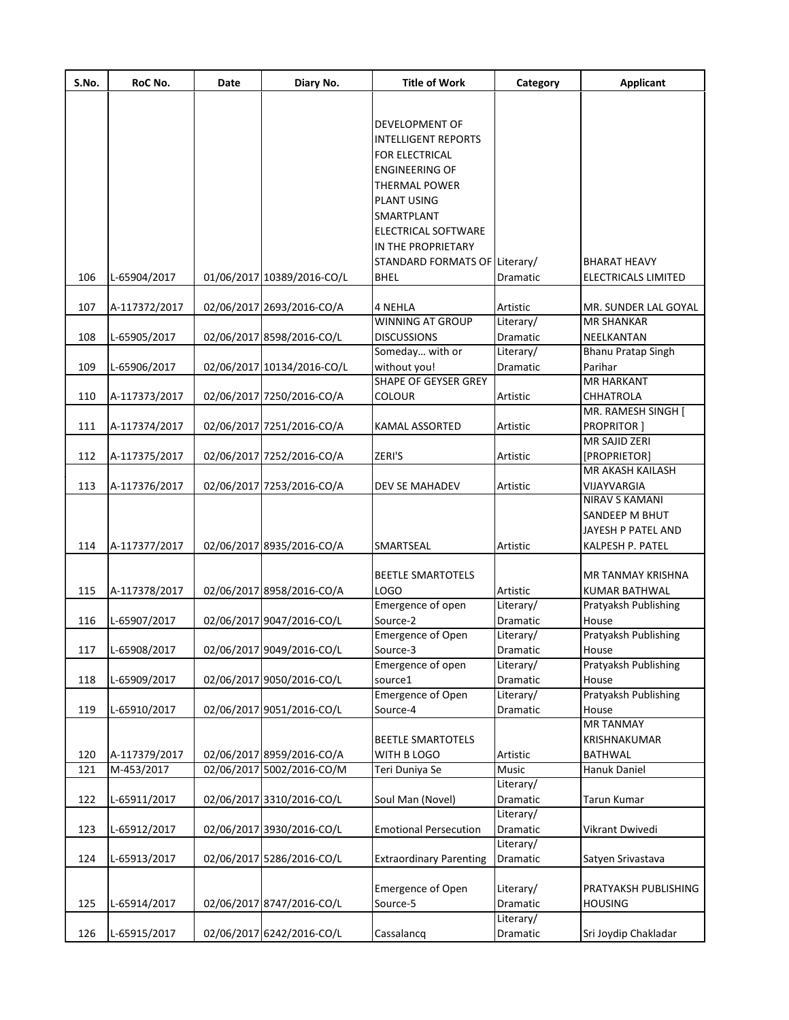| S.No. | RoC No.       | Date | Diary No.                  | <b>Title of Work</b>           | Category        | <b>Applicant</b>     |
|-------|---------------|------|----------------------------|--------------------------------|-----------------|----------------------|
|       |               |      |                            |                                |                 |                      |
|       |               |      |                            | DEVELOPMENT OF                 |                 |                      |
|       |               |      |                            | <b>INTELLIGENT REPORTS</b>     |                 |                      |
|       |               |      |                            | <b>FOR ELECTRICAL</b>          |                 |                      |
|       |               |      |                            | <b>ENGINEERING OF</b>          |                 |                      |
|       |               |      |                            |                                |                 |                      |
|       |               |      |                            | <b>THERMAL POWER</b>           |                 |                      |
|       |               |      |                            | <b>PLANT USING</b>             |                 |                      |
|       |               |      |                            | SMARTPLANT                     |                 |                      |
|       |               |      |                            | ELECTRICAL SOFTWARE            |                 |                      |
|       |               |      |                            | IN THE PROPRIETARY             |                 |                      |
|       |               |      |                            | STANDARD FORMATS OF Literary/  |                 | <b>BHARAT HEAVY</b>  |
| 106   | L-65904/2017  |      | 01/06/2017 10389/2016-CO/L | <b>BHEL</b>                    | Dramatic        | ELECTRICALS LIMITED  |
| 107   | A-117372/2017 |      | 02/06/2017 2693/2016-CO/A  | 4 NEHLA                        | Artistic        | MR. SUNDER LAL GOYAL |
|       |               |      |                            | WINNING AT GROUP               | Literary/       | <b>MR SHANKAR</b>    |
| 108   | L-65905/2017  |      | 02/06/2017 8598/2016-CO/L  | <b>DISCUSSIONS</b>             | <b>Dramatic</b> | NEELKANTAN           |
|       |               |      |                            | Someday with or                | Literary/       | Bhanu Pratap Singh   |
| 109   | L-65906/2017  |      | 02/06/2017 10134/2016-CO/L | without you!                   | <b>Dramatic</b> | Parihar              |
|       |               |      |                            | <b>SHAPE OF GEYSER GREY</b>    |                 | <b>MR HARKANT</b>    |
| 110   | A-117373/2017 |      | 02/06/2017 7250/2016-CO/A  | <b>COLOUR</b>                  | Artistic        | <b>CHHATROLA</b>     |
|       |               |      |                            |                                |                 | MR. RAMESH SINGH [   |
| 111   | A-117374/2017 |      | 02/06/2017 7251/2016-CO/A  | KAMAL ASSORTED                 | Artistic        | <b>PROPRITOR</b> 1   |
|       |               |      |                            |                                |                 | MR SAJID ZERI        |
| 112   | A-117375/2017 |      | 02/06/2017 7252/2016-CO/A  | ZERI'S                         | Artistic        | [PROPRIETOR]         |
|       |               |      |                            |                                |                 | MR AKASH KAILASH     |
| 113   | A-117376/2017 |      | 02/06/2017 7253/2016-CO/A  | DEV SE MAHADEV                 | Artistic        | VIJAYVARGIA          |
|       |               |      |                            |                                |                 | NIRAV S KAMANI       |
|       |               |      |                            |                                |                 | SANDEEP M BHUT       |
|       |               |      |                            |                                |                 | JAYESH P PATEL AND   |
| 114   | A-117377/2017 |      | 02/06/2017 8935/2016-CO/A  | SMARTSEAL                      | Artistic        | KALPESH P. PATEL     |
|       |               |      |                            |                                |                 |                      |
|       |               |      |                            | <b>BEETLE SMARTOTELS</b>       |                 | MR TANMAY KRISHNA    |
| 115   | A-117378/2017 |      | 02/06/2017 8958/2016-CO/A  | LOGO                           | Artistic        | <b>KUMAR BATHWAL</b> |
|       |               |      |                            | Emergence of open              | Literary/       | Pratyaksh Publishing |
| 116   | L-65907/2017  |      | 02/06/2017 9047/2016-CO/L  | Source-2                       | Dramatic        | House                |
|       |               |      |                            | Emergence of Open              | Literary/       | Pratyaksh Publishing |
| 117   | L-65908/2017  |      | 02/06/2017 9049/2016-CO/L  | Source-3                       | Dramatic        | House                |
|       |               |      |                            | Emergence of open              | Literary/       | Pratyaksh Publishing |
| 118   | L-65909/2017  |      | 02/06/2017 9050/2016-CO/L  | source1                        | Dramatic        | House                |
|       |               |      |                            | <b>Emergence of Open</b>       | Literary/       | Pratyaksh Publishing |
| 119   | L-65910/2017  |      | 02/06/2017 9051/2016-CO/L  | Source-4                       | Dramatic        | House                |
|       |               |      |                            |                                |                 | <b>MR TANMAY</b>     |
|       |               |      |                            | BEETLE SMARTOTELS              |                 | KRISHNAKUMAR         |
| 120   | A-117379/2017 |      | 02/06/2017 8959/2016-CO/A  | WITH B LOGO                    | Artistic        | BATHWAL              |
| 121   | M-453/2017    |      | 02/06/2017 5002/2016-CO/M  | Teri Duniya Se                 | Music           | Hanuk Daniel         |
|       |               |      |                            |                                | Literary/       |                      |
| 122   | L-65911/2017  |      | 02/06/2017 3310/2016-CO/L  | Soul Man (Novel)               | Dramatic        | Tarun Kumar          |
|       |               |      |                            |                                | Literary/       |                      |
| 123   | L-65912/2017  |      | 02/06/2017 3930/2016-CO/L  | <b>Emotional Persecution</b>   | Dramatic        | Vikrant Dwivedi      |
|       |               |      |                            |                                | Literary/       |                      |
| 124   | L-65913/2017  |      | 02/06/2017 5286/2016-CO/L  | <b>Extraordinary Parenting</b> | Dramatic        | Satyen Srivastava    |
|       |               |      |                            |                                |                 |                      |
|       |               |      |                            | <b>Emergence of Open</b>       | Literary/       | PRATYAKSH PUBLISHING |
| 125   | L-65914/2017  |      | 02/06/2017 8747/2016-CO/L  | Source-5                       | Dramatic        | <b>HOUSING</b>       |
|       |               |      |                            |                                | Literary/       |                      |
| 126   | L-65915/2017  |      | 02/06/2017 6242/2016-CO/L  | Cassalancq                     | Dramatic        | Sri Joydip Chakladar |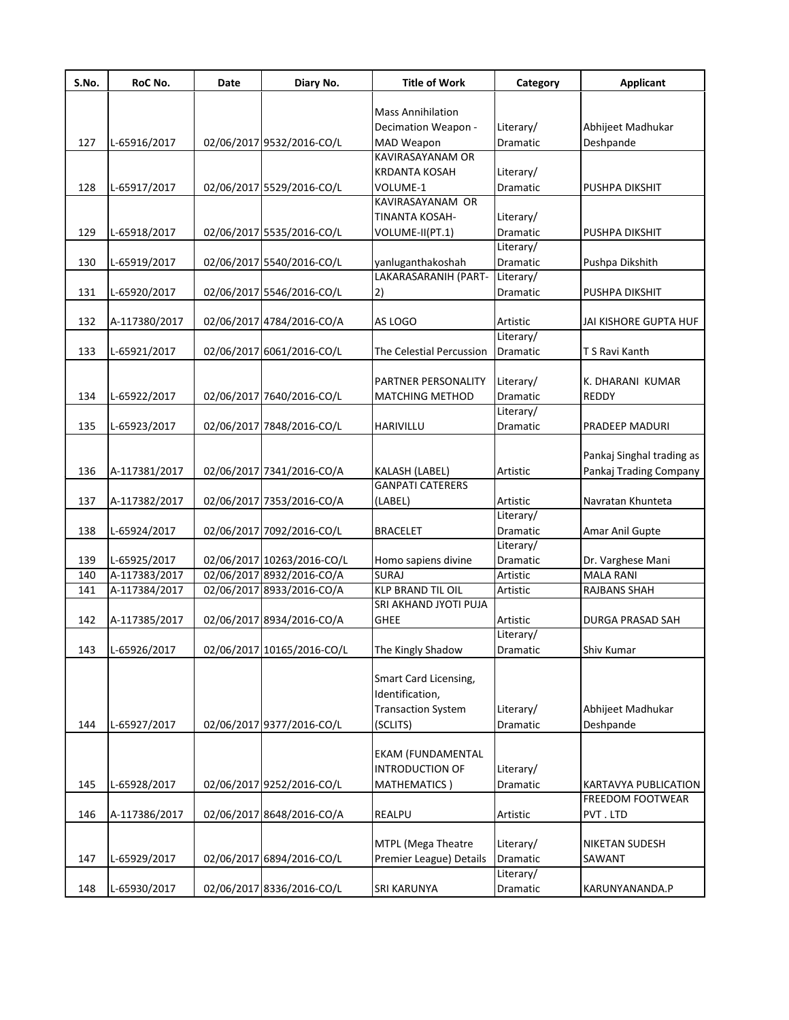| S.No. | RoC No.       | Date | Diary No.                  | <b>Title of Work</b>      | Category        | Applicant                   |
|-------|---------------|------|----------------------------|---------------------------|-----------------|-----------------------------|
|       |               |      |                            |                           |                 |                             |
|       |               |      |                            | <b>Mass Annihilation</b>  |                 |                             |
|       |               |      |                            | Decimation Weapon -       | Literary/       | Abhijeet Madhukar           |
| 127   | L-65916/2017  |      | 02/06/2017 9532/2016-CO/L  | MAD Weapon                | Dramatic        | Deshpande                   |
|       |               |      |                            | KAVIRASAYANAM OR          |                 |                             |
|       |               |      |                            | <b>KRDANTA KOSAH</b>      | Literary/       |                             |
| 128   | L-65917/2017  |      | 02/06/2017 5529/2016-CO/L  | VOLUME-1                  | Dramatic        | <b>PUSHPA DIKSHIT</b>       |
|       |               |      |                            | KAVIRASAYANAM OR          |                 |                             |
|       |               |      |                            | TINANTA KOSAH-            | Literary/       |                             |
| 129   | L-65918/2017  |      | 02/06/2017 5535/2016-CO/L  | VOLUME-II(PT.1)           | Dramatic        | PUSHPA DIKSHIT              |
|       |               |      |                            |                           | Literary/       |                             |
| 130   | L-65919/2017  |      | 02/06/2017 5540/2016-CO/L  | yanluganthakoshah         | Dramatic        | Pushpa Dikshith             |
|       |               |      |                            | LAKARASARANIH (PART-      | Literary/       |                             |
| 131   | L-65920/2017  |      | 02/06/2017 5546/2016-CO/L  | 2)                        | Dramatic        | PUSHPA DIKSHIT              |
|       |               |      |                            |                           |                 |                             |
| 132   | A-117380/2017 |      | 02/06/2017 4784/2016-CO/A  | AS LOGO                   | Artistic        | JAI KISHORE GUPTA HUF       |
|       |               |      |                            |                           | Literary/       |                             |
| 133   | L-65921/2017  |      | 02/06/2017 6061/2016-CO/L  | The Celestial Percussion  | Dramatic        | T S Ravi Kanth              |
|       |               |      |                            |                           |                 |                             |
|       |               |      |                            | PARTNER PERSONALITY       | Literary/       | K. DHARANI KUMAR            |
| 134   | L-65922/2017  |      | 02/06/2017 7640/2016-CO/L  | <b>MATCHING METHOD</b>    | <b>Dramatic</b> | <b>REDDY</b>                |
|       |               |      |                            |                           | Literary/       |                             |
| 135   | L-65923/2017  |      | 02/06/2017 7848/2016-CO/L  | HARIVILLU                 | Dramatic        | PRADEEP MADURI              |
|       |               |      |                            |                           |                 |                             |
|       |               |      |                            |                           |                 | Pankaj Singhal trading as   |
| 136   | A-117381/2017 |      | 02/06/2017 7341/2016-CO/A  | KALASH (LABEL)            | Artistic        | Pankaj Trading Company      |
|       |               |      |                            | <b>GANPATI CATERERS</b>   |                 |                             |
| 137   | A-117382/2017 |      | 02/06/2017 7353/2016-CO/A  | (LABEL)                   | Artistic        | Navratan Khunteta           |
|       |               |      |                            |                           | Literary/       |                             |
| 138   | L-65924/2017  |      | 02/06/2017 7092/2016-CO/L  | <b>BRACELET</b>           | Dramatic        | Amar Anil Gupte             |
|       |               |      |                            |                           | Literary/       |                             |
| 139   | L-65925/2017  |      | 02/06/2017 10263/2016-CO/L | Homo sapiens divine       | Dramatic        | Dr. Varghese Mani           |
| 140   | A-117383/2017 |      | 02/06/2017 8932/2016-CO/A  | <b>SURAJ</b>              | Artistic        | <b>MALA RANI</b>            |
| 141   | A-117384/2017 |      | 02/06/2017 8933/2016-CO/A  | <b>KLP BRAND TIL OIL</b>  | Artistic        | RAJBANS SHAH                |
|       |               |      |                            | SRI AKHAND JYOTI PUJA     |                 |                             |
| 142   | A-117385/2017 |      | 02/06/2017 8934/2016-CO/A  | <b>GHEE</b>               | Artistic        | DURGA PRASAD SAH            |
|       |               |      |                            |                           | Literary/       |                             |
| 143   | L-65926/2017  |      | 02/06/2017 10165/2016-CO/L | The Kingly Shadow         | Dramatic        | Shiv Kumar                  |
|       |               |      |                            |                           |                 |                             |
|       |               |      |                            | Smart Card Licensing,     |                 |                             |
|       |               |      |                            | Identification,           |                 |                             |
|       |               |      |                            | <b>Transaction System</b> | Literary/       | Abhijeet Madhukar           |
| 144   | L-65927/2017  |      | 02/06/2017 9377/2016-CO/L  | (SCLITS)                  | Dramatic        | Deshpande                   |
|       |               |      |                            |                           |                 |                             |
|       |               |      |                            | <b>EKAM (FUNDAMENTAL</b>  |                 |                             |
|       |               |      |                            | INTRODUCTION OF           | Literary/       |                             |
| 145   | L-65928/2017  |      | 02/06/2017 9252/2016-CO/L  | <b>MATHEMATICS</b> )      | Dramatic        | <b>KARTAVYA PUBLICATION</b> |
|       |               |      |                            |                           |                 | FREEDOM FOOTWEAR            |
| 146   | A-117386/2017 |      | 02/06/2017 8648/2016-CO/A  | <b>REALPU</b>             | Artistic        | PVT.LTD                     |
|       |               |      |                            |                           |                 |                             |
|       |               |      |                            | MTPL (Mega Theatre        | Literary/       | NIKETAN SUDESH              |
| 147   | L-65929/2017  |      | 02/06/2017 6894/2016-CO/L  | Premier League) Details   | Dramatic        | SAWANT                      |
|       |               |      |                            |                           | Literary/       |                             |
| 148   | L-65930/2017  |      | 02/06/2017 8336/2016-CO/L  | SRI KARUNYA               | Dramatic        | KARUNYANANDA.P              |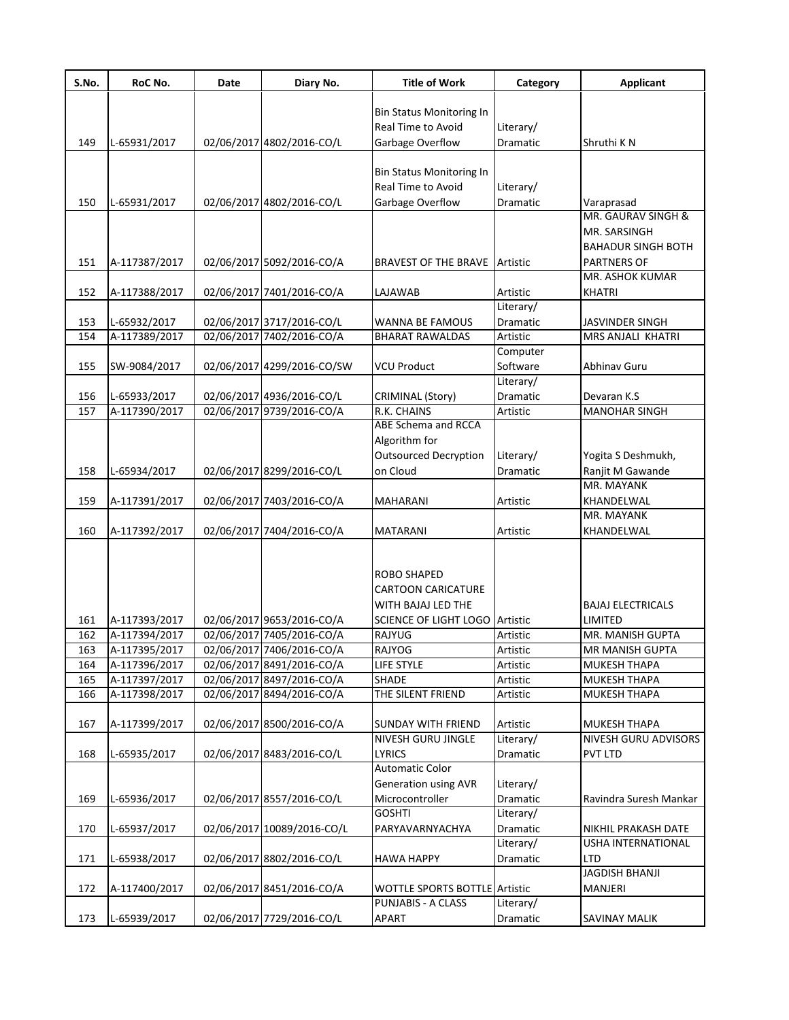| S.No.      | RoC No.                        | Date | Diary No.                                              | <b>Title of Work</b>                   | Category                     | <b>Applicant</b>                        |
|------------|--------------------------------|------|--------------------------------------------------------|----------------------------------------|------------------------------|-----------------------------------------|
|            |                                |      |                                                        |                                        |                              |                                         |
|            |                                |      |                                                        | Bin Status Monitoring In               |                              |                                         |
| 149        | L-65931/2017                   |      | 02/06/2017 4802/2016-CO/L                              | Real Time to Avoid<br>Garbage Overflow | Literary/<br><b>Dramatic</b> | Shruthi K N                             |
|            |                                |      |                                                        |                                        |                              |                                         |
|            |                                |      |                                                        | Bin Status Monitoring In               |                              |                                         |
|            |                                |      |                                                        | Real Time to Avoid                     | Literary/                    |                                         |
| 150        | L-65931/2017                   |      | 02/06/2017 4802/2016-CO/L                              | Garbage Overflow                       | Dramatic                     | Varaprasad                              |
|            |                                |      |                                                        |                                        |                              | MR. GAURAV SINGH &                      |
|            |                                |      |                                                        |                                        |                              | MR. SARSINGH                            |
|            |                                |      |                                                        |                                        |                              | <b>BAHADUR SINGH BOTH</b>               |
| 151        | A-117387/2017                  |      | 02/06/2017 5092/2016-CO/A                              | BRAVEST OF THE BRAVE                   | Artistic                     | <b>PARTNERS OF</b>                      |
|            |                                |      |                                                        |                                        |                              | MR. ASHOK KUMAR                         |
| 152        | A-117388/2017                  |      | 02/06/2017 7401/2016-CO/A                              | LAJAWAB                                | Artistic                     | <b>KHATRI</b>                           |
|            |                                |      |                                                        |                                        | Literary/                    |                                         |
| 153        | L-65932/2017                   |      | 02/06/2017 3717/2016-CO/L                              | WANNA BE FAMOUS                        | Dramatic                     | <b>JASVINDER SINGH</b>                  |
| 154        | A-117389/2017                  |      | 02/06/2017 7402/2016-CO/A                              | <b>BHARAT RAWALDAS</b>                 | Artistic                     | MRS ANJALI KHATRI                       |
|            |                                |      |                                                        |                                        | Computer                     |                                         |
| 155        | SW-9084/2017                   |      | 02/06/2017 4299/2016-CO/SW                             | <b>VCU Product</b>                     | Software                     | <b>Abhinav Guru</b>                     |
|            |                                |      |                                                        |                                        | Literary/                    |                                         |
| 156        | L-65933/2017                   |      | 02/06/2017 4936/2016-CO/L                              | CRIMINAL (Story)                       | Dramatic                     | Devaran K.S                             |
| 157        | A-117390/2017                  |      | 02/06/2017 9739/2016-CO/A                              | R.K. CHAINS                            | Artistic                     | <b>MANOHAR SINGH</b>                    |
|            |                                |      |                                                        | <b>ABE Schema and RCCA</b>             |                              |                                         |
|            |                                |      |                                                        | Algorithm for                          |                              |                                         |
|            |                                |      |                                                        | <b>Outsourced Decryption</b>           | Literary/                    | Yogita S Deshmukh,                      |
| 158        | L-65934/2017                   |      | 02/06/2017 8299/2016-CO/L                              | on Cloud                               | Dramatic                     | Ranjit M Gawande                        |
|            |                                |      |                                                        |                                        |                              | MR. MAYANK                              |
| 159        | A-117391/2017                  |      | 02/06/2017 7403/2016-CO/A                              | MAHARANI                               | Artistic                     | KHANDELWAL                              |
|            |                                |      |                                                        |                                        |                              | MR. MAYANK                              |
| 160        | A-117392/2017                  |      | 02/06/2017 7404/2016-CO/A                              | <b>MATARANI</b>                        | Artistic                     | KHANDELWAL                              |
|            |                                |      |                                                        |                                        |                              |                                         |
|            |                                |      |                                                        |                                        |                              |                                         |
|            |                                |      |                                                        | ROBO SHAPED                            |                              |                                         |
|            |                                |      |                                                        | <b>CARTOON CARICATURE</b>              |                              |                                         |
|            |                                |      |                                                        | WITH BAJAJ LED THE                     |                              | <b>BAJAJ ELECTRICALS</b>                |
| 161        | A-117393/2017                  |      | 02/06/2017 9653/2016-CO/A                              | <b>SCIENCE OF LIGHT LOGO Artistic</b>  |                              | LIMITED<br>MR. MANISH GUPTA             |
| 162        | A-117394/2017                  |      | 02/06/2017 7405/2016-CO/A                              | RAJYUG                                 | Artistic                     |                                         |
| 163<br>164 | A-117395/2017<br>A-117396/2017 |      | 02/06/2017 7406/2016-CO/A<br>02/06/2017 8491/2016-CO/A | RAJYOG<br>LIFE STYLE                   | Artistic<br>Artistic         | IMR MANISH GUPTA<br><b>MUKESH THAPA</b> |
| 165        | A-117397/2017                  |      | 02/06/2017 8497/2016-CO/A                              | SHADE                                  | Artistic                     | <b>MUKESH THAPA</b>                     |
| 166        | A-117398/2017                  |      | 02/06/2017 8494/2016-CO/A                              | THE SILENT FRIEND                      | Artistic                     | <b>MUKESH THAPA</b>                     |
|            |                                |      |                                                        |                                        |                              |                                         |
| 167        | A-117399/2017                  |      | 02/06/2017 8500/2016-CO/A                              | <b>SUNDAY WITH FRIEND</b>              | Artistic                     | <b>MUKESH THAPA</b>                     |
|            |                                |      |                                                        | <b>NIVESH GURU JINGLE</b>              | Literary/                    | NIVESH GURU ADVISORS                    |
| 168        | L-65935/2017                   |      | 02/06/2017 8483/2016-CO/L                              | <b>LYRICS</b>                          | Dramatic                     | <b>PVT LTD</b>                          |
|            |                                |      |                                                        | <b>Automatic Color</b>                 |                              |                                         |
|            |                                |      |                                                        | <b>Generation using AVR</b>            | Literary/                    |                                         |
| 169        | L-65936/2017                   |      | 02/06/2017 8557/2016-CO/L                              | Microcontroller                        | Dramatic                     | Ravindra Suresh Mankar                  |
|            |                                |      |                                                        | <b>GOSHTI</b>                          | Literary/                    |                                         |
| 170        | L-65937/2017                   |      | 02/06/2017 10089/2016-CO/L                             | PARYAVARNYACHYA                        | Dramatic                     | NIKHIL PRAKASH DATE                     |
|            |                                |      |                                                        |                                        | Literary/                    | USHA INTERNATIONAL                      |
| 171        | L-65938/2017                   |      | 02/06/2017 8802/2016-CO/L                              | <b>HAWA HAPPY</b>                      | Dramatic                     | <b>LTD</b>                              |
|            |                                |      |                                                        |                                        |                              | <b>JAGDISH BHANJI</b>                   |
| 172        | A-117400/2017                  |      | 02/06/2017 8451/2016-CO/A                              | WOTTLE SPORTS BOTTLE Artistic          |                              | MANJERI                                 |
|            |                                |      |                                                        | <b>PUNJABIS - A CLASS</b>              | Literary/                    |                                         |
| 173        | L-65939/2017                   |      | 02/06/2017 7729/2016-CO/L                              | <b>APART</b>                           | Dramatic                     | <b>SAVINAY MALIK</b>                    |
|            |                                |      |                                                        |                                        |                              |                                         |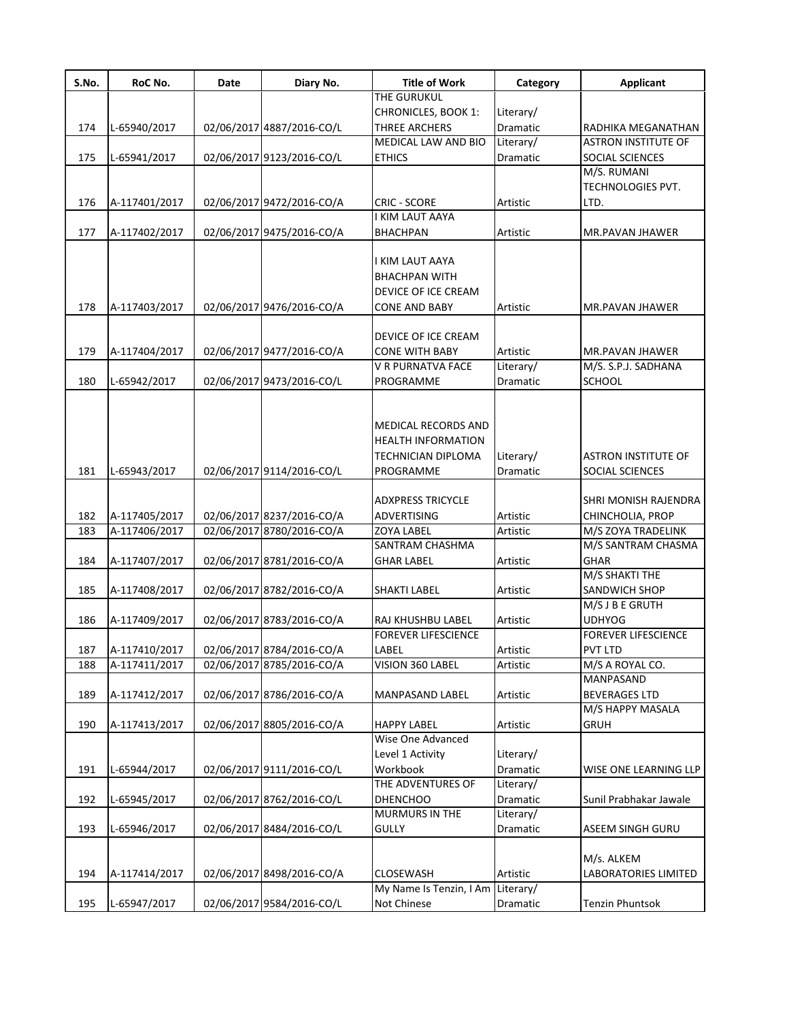| S.No. | RoC No.       | Date | Diary No.                 | <b>Title of Work</b>       | Category        | Applicant                  |
|-------|---------------|------|---------------------------|----------------------------|-----------------|----------------------------|
|       |               |      |                           | THE GURUKUL                |                 |                            |
|       |               |      |                           | <b>CHRONICLES, BOOK 1:</b> | Literary/       |                            |
| 174   | L-65940/2017  |      | 02/06/2017 4887/2016-CO/L | <b>THREE ARCHERS</b>       | Dramatic        | RADHIKA MEGANATHAN         |
|       |               |      |                           | MEDICAL LAW AND BIO        | Literary/       | <b>ASTRON INSTITUTE OF</b> |
| 175   | L-65941/2017  |      | 02/06/2017 9123/2016-CO/L | <b>ETHICS</b>              | <b>Dramatic</b> | SOCIAL SCIENCES            |
|       |               |      |                           |                            |                 | M/S. RUMANI                |
|       |               |      |                           |                            |                 | <b>TECHNOLOGIES PVT.</b>   |
| 176   | A-117401/2017 |      | 02/06/2017 9472/2016-CO/A | <b>CRIC - SCORE</b>        | Artistic        | LTD.                       |
|       |               |      |                           | I KIM LAUT AAYA            |                 |                            |
| 177   | A-117402/2017 |      | 02/06/2017 9475/2016-CO/A | <b>BHACHPAN</b>            | Artistic        | MR.PAVAN JHAWER            |
|       |               |      |                           |                            |                 |                            |
|       |               |      |                           | I KIM LAUT AAYA            |                 |                            |
|       |               |      |                           | <b>BHACHPAN WITH</b>       |                 |                            |
|       |               |      |                           | DEVICE OF ICE CREAM        |                 |                            |
| 178   | A-117403/2017 |      | 02/06/2017 9476/2016-CO/A | <b>CONE AND BABY</b>       | Artistic        | MR.PAVAN JHAWER            |
|       |               |      |                           |                            |                 |                            |
|       |               |      |                           | DEVICE OF ICE CREAM        |                 |                            |
| 179   | A-117404/2017 |      | 02/06/2017 9477/2016-CO/A | <b>CONE WITH BABY</b>      | Artistic        | MR.PAVAN JHAWER            |
|       |               |      |                           | V R PURNATVA FACE          | Literary/       | M/S. S.P.J. SADHANA        |
| 180   | L-65942/2017  |      | 02/06/2017 9473/2016-CO/L | PROGRAMME                  | Dramatic        | <b>SCHOOL</b>              |
|       |               |      |                           |                            |                 |                            |
|       |               |      |                           |                            |                 |                            |
|       |               |      |                           | <b>MEDICAL RECORDS AND</b> |                 |                            |
|       |               |      |                           | <b>HEALTH INFORMATION</b>  |                 |                            |
|       |               |      |                           | <b>TECHNICIAN DIPLOMA</b>  | Literary/       | <b>ASTRON INSTITUTE OF</b> |
| 181   | L-65943/2017  |      | 02/06/2017 9114/2016-CO/L | PROGRAMME                  | Dramatic        | SOCIAL SCIENCES            |
|       |               |      |                           |                            |                 |                            |
|       |               |      |                           | <b>ADXPRESS TRICYCLE</b>   |                 | SHRI MONISH RAJENDRA       |
| 182   | A-117405/2017 |      | 02/06/2017 8237/2016-CO/A | ADVERTISING                | Artistic        | CHINCHOLIA, PROP           |
| 183   | A-117406/2017 |      | 02/06/2017 8780/2016-CO/A | <b>ZOYA LABEL</b>          | Artistic        | M/S ZOYA TRADELINK         |
|       |               |      |                           | SANTRAM CHASHMA            |                 | M/S SANTRAM CHASMA         |
| 184   | A-117407/2017 |      | 02/06/2017 8781/2016-CO/A | <b>GHAR LABEL</b>          | Artistic        | <b>GHAR</b>                |
|       |               |      |                           |                            |                 | M/S SHAKTI THE             |
| 185   | A-117408/2017 |      | 02/06/2017 8782/2016-CO/A | <b>SHAKTI LABEL</b>        | Artistic        | SANDWICH SHOP              |
|       |               |      |                           |                            |                 | M/S J B E GRUTH            |
| 186   | A-117409/2017 |      | 02/06/2017 8783/2016-CO/A | RAJ KHUSHBU LABEL          | Artistic        | <b>UDHYOG</b>              |
|       |               |      |                           | <b>FOREVER LIFESCIENCE</b> |                 | <b>FOREVER LIFESCIENCE</b> |
| 187   | A-117410/2017 |      | 02/06/2017 8784/2016-CO/A | LABEL                      | Artistic        | PVT LTD                    |
| 188   | A-117411/2017 |      | 02/06/2017 8785/2016-CO/A | VISION 360 LABEL           | Artistic        | M/S A ROYAL CO.            |
|       |               |      |                           |                            |                 | MANPASAND                  |
| 189   | A-117412/2017 |      | 02/06/2017 8786/2016-CO/A | MANPASAND LABEL            | Artistic        | <b>BEVERAGES LTD</b>       |
|       |               |      |                           |                            |                 | M/S HAPPY MASALA           |
| 190   | A-117413/2017 |      | 02/06/2017 8805/2016-CO/A | <b>HAPPY LABEL</b>         | Artistic        | <b>GRUH</b>                |
|       |               |      |                           | Wise One Advanced          |                 |                            |
|       |               |      |                           | Level 1 Activity           | Literary/       |                            |
| 191   | L-65944/2017  |      | 02/06/2017 9111/2016-CO/L | Workbook                   | Dramatic        | WISE ONE LEARNING LLP      |
|       |               |      |                           | THE ADVENTURES OF          | Literary/       |                            |
| 192   | L-65945/2017  |      | 02/06/2017 8762/2016-CO/L | <b>DHENCHOO</b>            | Dramatic        | Sunil Prabhakar Jawale     |
|       |               |      |                           | <b>MURMURS IN THE</b>      | Literary/       |                            |
| 193   | L-65946/2017  |      | 02/06/2017 8484/2016-CO/L | <b>GULLY</b>               | Dramatic        | ASEEM SINGH GURU           |
|       |               |      |                           |                            |                 |                            |
|       |               |      |                           |                            |                 | M/s. ALKEM                 |
| 194   | A-117414/2017 |      | 02/06/2017 8498/2016-CO/A | <b>CLOSEWASH</b>           | Artistic        | LABORATORIES LIMITED       |
|       |               |      |                           | My Name Is Tenzin, I Am    | Literary/       |                            |
| 195   | L-65947/2017  |      | 02/06/2017 9584/2016-CO/L | Not Chinese                | Dramatic        | Tenzin Phuntsok            |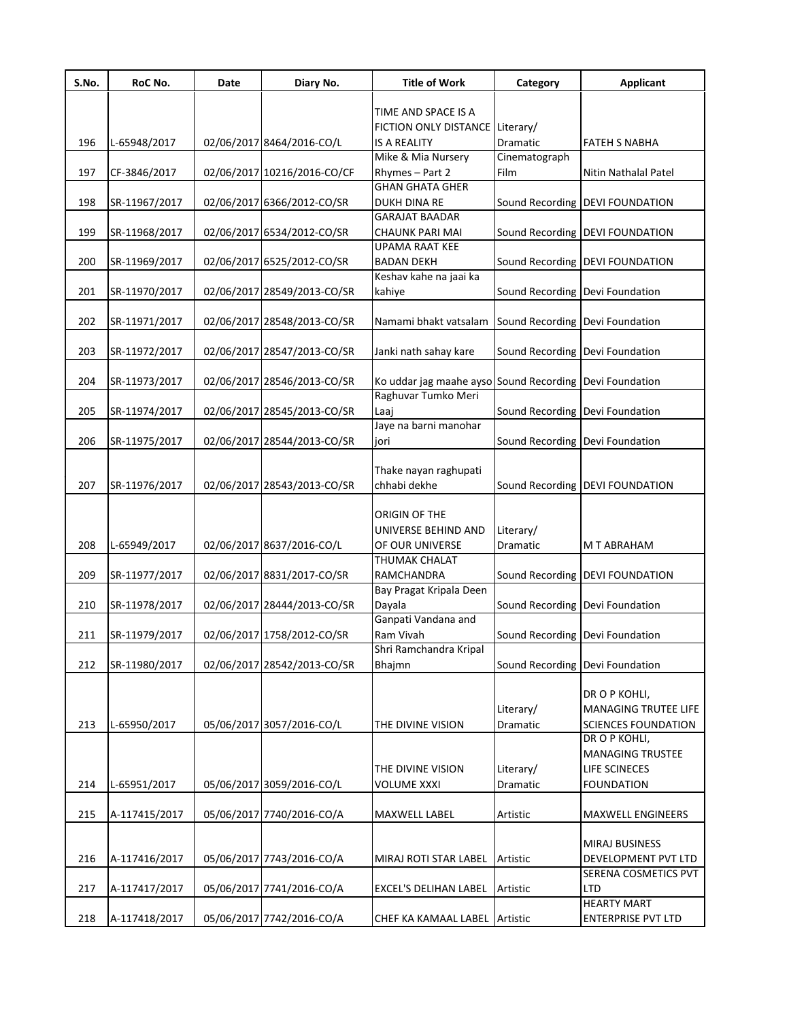| S.No. | RoC No.       | Date | Diary No.                   | <b>Title of Work</b>                                    | Category                        | <b>Applicant</b>                  |
|-------|---------------|------|-----------------------------|---------------------------------------------------------|---------------------------------|-----------------------------------|
|       |               |      |                             | TIME AND SPACE IS A                                     |                                 |                                   |
|       |               |      |                             | FICTION ONLY DISTANCE Literary/                         |                                 |                                   |
| 196   | L-65948/2017  |      | 02/06/2017 8464/2016-CO/L   | <b>IS A REALITY</b>                                     | Dramatic                        | <b>FATEH S NABHA</b>              |
|       |               |      |                             | Mike & Mia Nursery                                      | Cinematograph                   |                                   |
| 197   | CF-3846/2017  |      | 02/06/2017 10216/2016-CO/CF | Rhymes - Part 2                                         | Film                            | Nitin Nathalal Patel              |
|       |               |      |                             | <b>GHAN GHATA GHER</b>                                  |                                 |                                   |
| 198   | SR-11967/2017 |      | 02/06/2017 6366/2012-CO/SR  | DUKH DINA RE                                            |                                 | Sound Recording   DEVI FOUNDATION |
|       |               |      |                             | <b>GARAJAT BAADAR</b>                                   |                                 |                                   |
| 199   | SR-11968/2017 |      | 02/06/2017 6534/2012-CO/SR  | <b>CHAUNK PARI MAI</b>                                  |                                 | Sound Recording   DEVI FOUNDATION |
|       |               |      |                             | <b>UPAMA RAAT KEE</b>                                   |                                 |                                   |
| 200   | SR-11969/2017 |      | 02/06/2017 6525/2012-CO/SR  | <b>BADAN DEKH</b>                                       |                                 | Sound Recording   DEVI FOUNDATION |
| 201   | SR-11970/2017 |      | 02/06/2017 28549/2013-CO/SR | Keshav kahe na jaai ka<br>kahiye                        | Sound Recording Devi Foundation |                                   |
|       |               |      |                             |                                                         |                                 |                                   |
| 202   | SR-11971/2017 |      | 02/06/2017 28548/2013-CO/SR | Namami bhakt vatsalam                                   | Sound Recording Devi Foundation |                                   |
|       |               |      |                             |                                                         |                                 |                                   |
| 203   | SR-11972/2017 |      | 02/06/2017 28547/2013-CO/SR | Janki nath sahay kare                                   | Sound Recording Devi Foundation |                                   |
|       |               |      |                             |                                                         |                                 |                                   |
| 204   | SR-11973/2017 |      | 02/06/2017 28546/2013-CO/SR | Ko uddar jag maahe ayso Sound Recording Devi Foundation |                                 |                                   |
|       |               |      |                             | Raghuvar Tumko Meri                                     |                                 |                                   |
| 205   | SR-11974/2017 |      | 02/06/2017 28545/2013-CO/SR | Laaj                                                    | Sound Recording Devi Foundation |                                   |
|       |               |      |                             | Jaye na barni manohar                                   |                                 |                                   |
| 206   | SR-11975/2017 |      | 02/06/2017 28544/2013-CO/SR | jori                                                    | Sound Recording Devi Foundation |                                   |
|       |               |      |                             |                                                         |                                 |                                   |
| 207   | SR-11976/2017 |      | 02/06/2017 28543/2013-CO/SR | Thake nayan raghupati<br>chhabi dekhe                   |                                 | Sound Recording   DEVI FOUNDATION |
|       |               |      |                             |                                                         |                                 |                                   |
|       |               |      |                             | ORIGIN OF THE                                           |                                 |                                   |
|       |               |      |                             | UNIVERSE BEHIND AND                                     | Literary/                       |                                   |
| 208   | L-65949/2017  |      | 02/06/2017 8637/2016-CO/L   | OF OUR UNIVERSE                                         | Dramatic                        | M T ABRAHAM                       |
|       |               |      |                             | THUMAK CHALAT                                           |                                 |                                   |
| 209   | SR-11977/2017 |      | 02/06/2017 8831/2017-CO/SR  | RAMCHANDRA                                              |                                 | Sound Recording DEVI FOUNDATION   |
|       |               |      |                             | Bay Pragat Kripala Deen                                 |                                 |                                   |
| 210   | SR-11978/2017 |      | 02/06/2017 28444/2013-CO/SR | Dayala                                                  | Sound Recording Devi Foundation |                                   |
|       |               |      |                             | Ganpati Vandana and                                     |                                 |                                   |
| 211   | SR-11979/2017 |      | 02/06/2017 1758/2012-CO/SR  | Ram Vivah                                               | Sound Recording Devi Foundation |                                   |
|       |               |      |                             | Shri Ramchandra Kripal                                  |                                 |                                   |
| 212   | SR-11980/2017 |      | 02/06/2017 28542/2013-CO/SR | Bhajmn                                                  | Sound Recording Devi Foundation |                                   |
|       |               |      |                             |                                                         |                                 | DR O P KOHLI,                     |
|       |               |      |                             |                                                         | Literary/                       | MANAGING TRUTEE LIFE              |
| 213   | L-65950/2017  |      | 05/06/2017 3057/2016-CO/L   | THE DIVINE VISION                                       | Dramatic                        | <b>SCIENCES FOUNDATION</b>        |
|       |               |      |                             |                                                         |                                 | DR O P KOHLI,                     |
|       |               |      |                             |                                                         |                                 | <b>MANAGING TRUSTEE</b>           |
|       |               |      |                             | THE DIVINE VISION                                       | Literary/                       | LIFE SCINECES                     |
| 214   | L-65951/2017  |      | 05/06/2017 3059/2016-CO/L   | <b>VOLUME XXXI</b>                                      | Dramatic                        | <b>FOUNDATION</b>                 |
|       |               |      |                             |                                                         |                                 |                                   |
| 215   | A-117415/2017 |      | 05/06/2017 7740/2016-CO/A   | MAXWELL LABEL                                           | Artistic                        | MAXWELL ENGINEERS                 |
|       |               |      |                             |                                                         |                                 |                                   |
|       |               |      |                             |                                                         |                                 | MIRAJ BUSINESS                    |
| 216   | A-117416/2017 |      | 05/06/2017 7743/2016-CO/A   | MIRAJ ROTI STAR LABEL                                   | Artistic                        | DEVELOPMENT PVT LTD               |
|       |               |      |                             |                                                         |                                 | SERENA COSMETICS PVT              |
| 217   | A-117417/2017 |      | 05/06/2017 7741/2016-CO/A   | EXCEL'S DELIHAN LABEL                                   | Artistic                        | <b>LTD</b>                        |
|       |               |      |                             |                                                         |                                 | <b>HEARTY MART</b>                |
| 218   | A-117418/2017 |      | 05/06/2017 7742/2016-CO/A   | CHEF KA KAMAAL LABEL Artistic                           |                                 | ENTERPRISE PVT LTD                |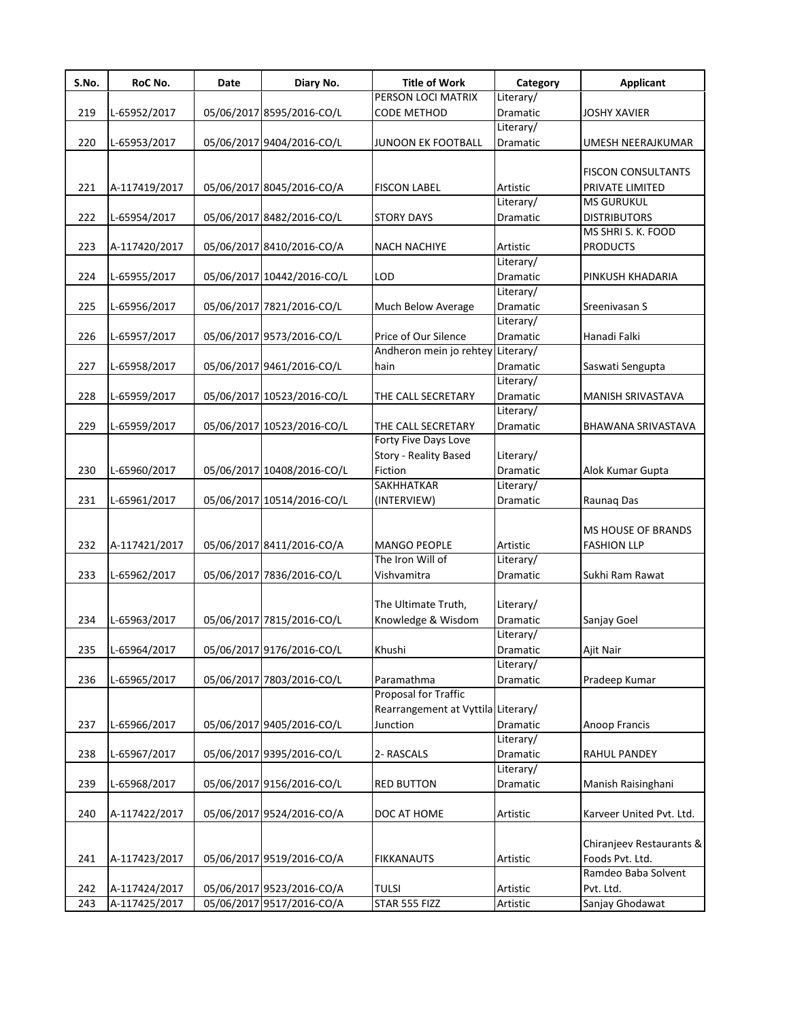| S.No. | RoC No.       | Date | Diary No.                  | <b>Title of Work</b>               | Category        | <b>Applicant</b>          |
|-------|---------------|------|----------------------------|------------------------------------|-----------------|---------------------------|
|       |               |      |                            | PERSON LOCI MATRIX                 | Literary/       |                           |
| 219   | L-65952/2017  |      | 05/06/2017 8595/2016-CO/L  | CODE METHOD                        | Dramatic        | <b>JOSHY XAVIER</b>       |
|       |               |      |                            |                                    | Literary/       |                           |
| 220   | L-65953/2017  |      | 05/06/2017 9404/2016-CO/L  | <b>JUNOON EK FOOTBALL</b>          | <b>Dramatic</b> | UMESH NEERAJKUMAR         |
|       |               |      |                            |                                    |                 |                           |
|       |               |      |                            |                                    |                 | <b>FISCON CONSULTANTS</b> |
| 221   | A-117419/2017 |      | 05/06/2017 8045/2016-CO/A  | <b>FISCON LABEL</b>                | Artistic        | PRIVATE LIMITED           |
|       |               |      |                            |                                    | Literary/       | <b>MS GURUKUL</b>         |
| 222   | L-65954/2017  |      | 05/06/2017 8482/2016-CO/L  | <b>STORY DAYS</b>                  | Dramatic        | <b>DISTRIBUTORS</b>       |
|       |               |      |                            |                                    |                 | MS SHRI S. K. FOOD        |
| 223   | A-117420/2017 |      | 05/06/2017 8410/2016-CO/A  | <b>NACH NACHIYE</b>                | Artistic        | <b>PRODUCTS</b>           |
|       |               |      |                            |                                    | Literary/       |                           |
| 224   | L-65955/2017  |      | 05/06/2017 10442/2016-CO/L | LOD                                | Dramatic        | PINKUSH KHADARIA          |
|       |               |      |                            |                                    | Literary/       |                           |
| 225   | L-65956/2017  |      | 05/06/2017 7821/2016-CO/L  | Much Below Average                 | Dramatic        | Sreenivasan S             |
|       |               |      |                            |                                    | Literary/       |                           |
| 226   | L-65957/2017  |      | 05/06/2017 9573/2016-CO/L  | Price of Our Silence               | Dramatic        | Hanadi Falki              |
|       |               |      |                            | Andheron mein jo rehtey            | Literary/       |                           |
| 227   | L-65958/2017  |      | 05/06/2017 9461/2016-CO/L  | hain                               | Dramatic        | Saswati Sengupta          |
|       |               |      |                            |                                    | Literary/       |                           |
| 228   | L-65959/2017  |      | 05/06/2017 10523/2016-CO/L | THE CALL SECRETARY                 | Dramatic        | MANISH SRIVASTAVA         |
|       |               |      |                            |                                    | Literary/       |                           |
| 229   | L-65959/2017  |      | 05/06/2017 10523/2016-CO/L | THE CALL SECRETARY                 | <b>Dramatic</b> | BHAWANA SRIVASTAVA        |
|       |               |      |                            | Forty Five Days Love               |                 |                           |
|       |               |      |                            | Story - Reality Based              | Literary/       |                           |
| 230   | L-65960/2017  |      | 05/06/2017 10408/2016-CO/L | Fiction                            | Dramatic        | Alok Kumar Gupta          |
|       |               |      |                            | <b>SAKHHATKAR</b>                  | Literary/       |                           |
| 231   | L-65961/2017  |      | 05/06/2017 10514/2016-CO/L | (INTERVIEW)                        | Dramatic        | Raunaq Das                |
|       |               |      |                            |                                    |                 |                           |
|       |               |      |                            |                                    |                 | MS HOUSE OF BRANDS        |
| 232   | A-117421/2017 |      | 05/06/2017 8411/2016-CO/A  | <b>MANGO PEOPLE</b>                | Artistic        | <b>FASHION LLP</b>        |
|       |               |      |                            | The Iron Will of                   | Literary/       |                           |
| 233   | L-65962/2017  |      | 05/06/2017 7836/2016-CO/L  | Vishvamitra                        | Dramatic        | Sukhi Ram Rawat           |
|       |               |      |                            |                                    |                 |                           |
|       |               |      |                            | The Ultimate Truth,                | Literary/       |                           |
| 234   | L-65963/2017  |      | 05/06/2017 7815/2016-CO/L  | Knowledge & Wisdom                 | Dramatic        | Sanjay Goel               |
|       |               |      |                            |                                    | Literary/       |                           |
| 235   | L-65964/2017  |      | 05/06/2017 9176/2016-CO/L  | Khushi                             | Dramatic        | Ajit Nair                 |
|       |               |      |                            |                                    | Literary/       |                           |
| 236   | L-65965/2017  |      | 05/06/2017 7803/2016-CO/L  | Paramathma                         | Dramatic        | Pradeep Kumar             |
|       |               |      |                            | Proposal for Traffic               |                 |                           |
|       |               |      |                            | Rearrangement at Vyttila Literary/ |                 |                           |
| 237   | L-65966/2017  |      | 05/06/2017 9405/2016-CO/L  | Junction                           | Dramatic        | Anoop Francis             |
|       |               |      |                            |                                    | Literary/       |                           |
| 238   | L-65967/2017  |      | 05/06/2017 9395/2016-CO/L  | 2- RASCALS                         | Dramatic        | RAHUL PANDEY              |
|       |               |      |                            |                                    | Literary/       |                           |
| 239   | L-65968/2017  |      | 05/06/2017 9156/2016-CO/L  | <b>RED BUTTON</b>                  | Dramatic        | Manish Raisinghani        |
|       |               |      |                            |                                    |                 |                           |
| 240   | A-117422/2017 |      | 05/06/2017 9524/2016-CO/A  | DOC AT HOME                        | Artistic        | Karveer United Pvt. Ltd.  |
|       |               |      |                            |                                    |                 |                           |
|       |               |      |                            |                                    |                 | Chiranjeev Restaurants &  |
| 241   | A-117423/2017 |      | 05/06/2017 9519/2016-CO/A  | <b>FIKKANAUTS</b>                  | Artistic        | Foods Pvt. Ltd.           |
|       |               |      |                            |                                    |                 | Ramdeo Baba Solvent       |
| 242   | A-117424/2017 |      | 05/06/2017 9523/2016-CO/A  | <b>TULSI</b>                       | Artistic        | Pvt. Ltd.                 |
| 243   | A-117425/2017 |      | 05/06/2017 9517/2016-CO/A  | STAR 555 FIZZ                      | Artistic        | Sanjay Ghodawat           |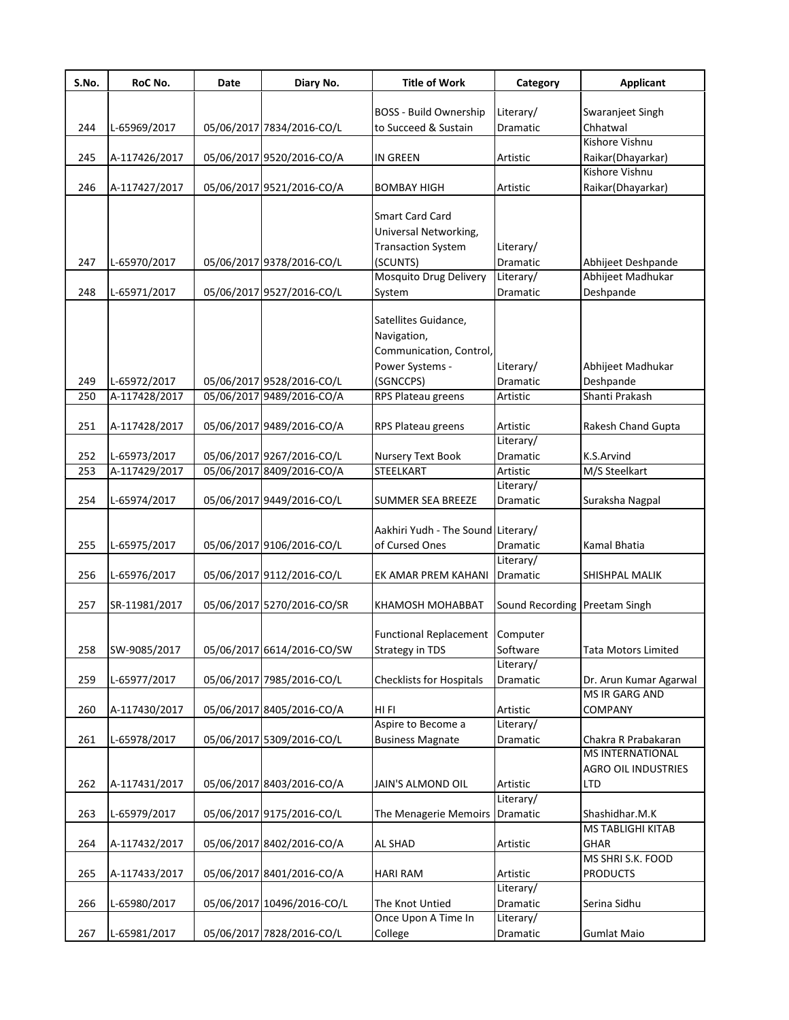| S.No. | RoC No.       | Date | Diary No.                  | <b>Title of Work</b>               | Category                      | <b>Applicant</b>                               |
|-------|---------------|------|----------------------------|------------------------------------|-------------------------------|------------------------------------------------|
|       |               |      |                            |                                    |                               |                                                |
|       |               |      |                            | <b>BOSS - Build Ownership</b>      | Literary/                     | Swaranjeet Singh                               |
| 244   | L-65969/2017  |      | 05/06/2017 7834/2016-CO/L  | to Succeed & Sustain               | Dramatic                      | Chhatwal                                       |
|       |               |      |                            |                                    |                               | Kishore Vishnu                                 |
| 245   | A-117426/2017 |      | 05/06/2017 9520/2016-CO/A  | <b>IN GREEN</b>                    | Artistic                      | Raikar(Dhayarkar)                              |
|       |               |      |                            |                                    |                               | Kishore Vishnu                                 |
| 246   | A-117427/2017 |      | 05/06/2017 9521/2016-CO/A  | BOMBAY HIGH                        | Artistic                      | Raikar(Dhayarkar)                              |
|       |               |      |                            | Smart Card Card                    |                               |                                                |
|       |               |      |                            | Universal Networking,              |                               |                                                |
|       |               |      |                            | <b>Transaction System</b>          | Literary/                     |                                                |
| 247   | L-65970/2017  |      | 05/06/2017 9378/2016-CO/L  | (SCUNTS)                           | Dramatic                      | Abhijeet Deshpande                             |
|       |               |      |                            | Mosquito Drug Delivery             | Literary/                     | Abhijeet Madhukar                              |
| 248   | L-65971/2017  |      | 05/06/2017 9527/2016-CO/L  |                                    | Dramatic                      | Deshpande                                      |
|       |               |      |                            | System                             |                               |                                                |
|       |               |      |                            | Satellites Guidance,               |                               |                                                |
|       |               |      |                            | Navigation,                        |                               |                                                |
|       |               |      |                            |                                    |                               |                                                |
|       |               |      |                            | Communication, Control,            |                               |                                                |
|       |               |      |                            | Power Systems -                    | Literary/                     | Abhijeet Madhukar                              |
| 249   | L-65972/2017  |      | 05/06/2017 9528/2016-CO/L  | (SGNCCPS)                          | <b>Dramatic</b>               | Deshpande                                      |
| 250   | A-117428/2017 |      | 05/06/2017 9489/2016-CO/A  | RPS Plateau greens                 | Artistic                      | Shanti Prakash                                 |
| 251   | A-117428/2017 |      | 05/06/2017 9489/2016-CO/A  | RPS Plateau greens                 | Artistic                      | Rakesh Chand Gupta                             |
|       |               |      |                            |                                    | Literary/                     |                                                |
| 252   | L-65973/2017  |      | 05/06/2017 9267/2016-CO/L  | Nursery Text Book                  | Dramatic                      | K.S.Arvind                                     |
| 253   | A-117429/2017 |      | 05/06/2017 8409/2016-CO/A  | STEELKART                          | Artistic                      | M/S Steelkart                                  |
|       |               |      |                            |                                    | Literary/                     |                                                |
| 254   | L-65974/2017  |      | 05/06/2017 9449/2016-CO/L  | SUMMER SEA BREEZE                  | Dramatic                      | Suraksha Nagpal                                |
|       |               |      |                            |                                    |                               |                                                |
|       |               |      |                            | Aakhiri Yudh - The Sound Literary/ |                               |                                                |
| 255   | L-65975/2017  |      | 05/06/2017 9106/2016-CO/L  | of Cursed Ones                     | Dramatic                      | Kamal Bhatia                                   |
|       |               |      |                            |                                    | Literary/                     |                                                |
| 256   | L-65976/2017  |      | 05/06/2017 9112/2016-CO/L  | EK AMAR PREM KAHANI                | Dramatic                      | SHISHPAL MALIK                                 |
|       |               |      |                            |                                    |                               |                                                |
| 257   | SR-11981/2017 |      | 05/06/2017 5270/2016-CO/SR | KHAMOSH MOHABBAT                   | Sound Recording Preetam Singh |                                                |
|       |               |      |                            |                                    |                               |                                                |
|       |               |      |                            | <b>Functional Replacement</b>      | Computer                      |                                                |
|       |               |      |                            |                                    |                               |                                                |
| 258   | SW-9085/2017  |      | 05/06/2017 6614/2016-CO/SW | <b>Strategy in TDS</b>             | Software<br>Literary/         | Tata Motors Limited                            |
|       |               |      |                            |                                    |                               |                                                |
| 259   | L-65977/2017  |      | 05/06/2017 7985/2016-CO/L  | Checklists for Hospitals           | Dramatic                      | Dr. Arun Kumar Agarwal<br>MS IR GARG AND       |
|       |               |      |                            |                                    |                               |                                                |
| 260   | A-117430/2017 |      | 05/06/2017 8405/2016-CO/A  | HI FI<br>Aspire to Become a        | Artistic<br>Literary/         | COMPANY                                        |
|       |               |      |                            |                                    |                               |                                                |
| 261   | L-65978/2017  |      | 05/06/2017 5309/2016-CO/L  | <b>Business Magnate</b>            | Dramatic                      | Chakra R Prabakaran<br><b>MS INTERNATIONAL</b> |
|       |               |      |                            |                                    |                               |                                                |
|       |               |      |                            |                                    |                               | <b>AGRO OIL INDUSTRIES</b>                     |
| 262   | A-117431/2017 |      | 05/06/2017 8403/2016-CO/A  | JAIN'S ALMOND OIL                  | Artistic                      | LTD                                            |
|       |               |      |                            |                                    | Literary/                     |                                                |
| 263   | L-65979/2017  |      | 05/06/2017 9175/2016-CO/L  | The Menagerie Memoirs              | Dramatic                      | Shashidhar.M.K                                 |
|       |               |      |                            |                                    |                               | MS TABLIGHI KITAB                              |
| 264   | A-117432/2017 |      | 05/06/2017 8402/2016-CO/A  | AL SHAD                            | Artistic                      | GHAR                                           |
|       |               |      |                            |                                    |                               | MS SHRI S.K. FOOD                              |
| 265   | A-117433/2017 |      | 05/06/2017 8401/2016-CO/A  | HARI RAM                           | Artistic                      | <b>PRODUCTS</b>                                |
|       |               |      |                            |                                    | Literary/                     |                                                |
| 266   | L-65980/2017  |      | 05/06/2017 10496/2016-CO/L | The Knot Untied                    | Dramatic                      | Serina Sidhu                                   |
|       |               |      |                            | Once Upon A Time In                | Literary/                     |                                                |
| 267   | L-65981/2017  |      | 05/06/2017 7828/2016-CO/L  | College                            | Dramatic                      | Gumlat Maio                                    |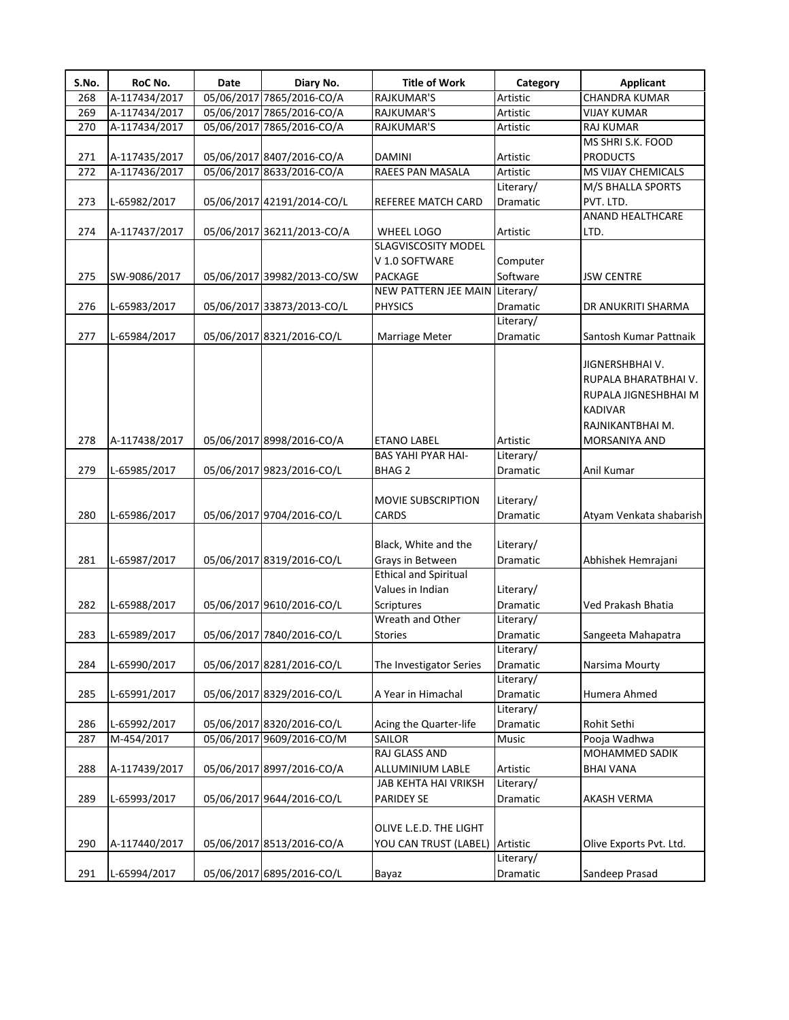| 05/06/2017 7865/2016-CO/A<br><b>CHANDRA KUMAR</b><br>268<br>A-117434/2017<br><b>RAJKUMAR'S</b><br>Artistic<br>05/06/2017 7865/2016-CO/A<br><b>RAJKUMAR'S</b><br>Artistic<br><b>VIJAY KUMAR</b><br>269<br>A-117434/2017<br>05/06/2017 7865/2016-CO/A<br><b>RAJKUMAR'S</b><br>270<br>A-117434/2017<br>Artistic<br><b>RAJ KUMAR</b><br>MS SHRI S.K. FOOD<br>05/06/2017 8407/2016-CO/A<br><b>PRODUCTS</b><br>271<br>A-117435/2017<br><b>DAMINI</b><br>Artistic<br>05/06/2017 8633/2016-CO/A<br>RAEES PAN MASALA<br>272<br>A-117436/2017<br>Artistic<br>MS VIJAY CHEMICALS<br>Literary/<br>M/S BHALLA SPORTS<br>273<br>PVT. LTD.<br>L-65982/2017<br>05/06/2017 42191/2014-CO/L<br>REFEREE MATCH CARD<br>Dramatic<br>ANAND HEALTHCARE<br>274<br>05/06/2017 36211/2013-CO/A<br>A-117437/2017<br>WHEEL LOGO<br>Artistic<br>LTD.<br><b>SLAGVISCOSITY MODEL</b><br>V 1.0 SOFTWARE<br>Computer<br>Software<br>275<br>SW-9086/2017<br>05/06/2017 39982/2013-CO/SW<br><b>PACKAGE</b><br><b>JSW CENTRE</b><br>NEW PATTERN JEE MAIN Literary/<br>276<br>05/06/2017 33873/2013-CO/L<br><b>PHYSICS</b><br>Dramatic<br>L-65983/2017<br>DR ANUKRITI SHARMA<br>Literary/<br>277<br>05/06/2017 8321/2016-CO/L<br>L-65984/2017<br>Marriage Meter<br>Dramatic<br>Santosh Kumar Pattnaik<br>JIGNERSHBHAI V.<br>RUPALA BHARATBHAI V.<br>RUPALA JIGNESHBHAI M<br><b>KADIVAR</b><br>RAJNIKANTBHAI M.<br>Artistic<br>278<br>A-117438/2017<br>05/06/2017 8998/2016-CO/A<br><b>ETANO LABEL</b><br>MORSANIYA AND<br><b>BAS YAHI PYAR HAI-</b><br>Literary/<br>279<br>05/06/2017 9823/2016-CO/L<br>Anil Kumar<br>L-65985/2017<br><b>BHAG 2</b><br>Dramatic<br>Literary/<br><b>MOVIE SUBSCRIPTION</b><br>280<br>L-65986/2017<br>05/06/2017 9704/2016-CO/L<br>CARDS<br>Dramatic<br>Black, White and the<br>Literary/<br>05/06/2017 8319/2016-CO/L<br>281<br>L-65987/2017<br>Grays in Between<br>Dramatic<br>Abhishek Hemrajani<br><b>Ethical and Spiritual</b><br>Values in Indian<br>Literary/<br>282<br>05/06/2017 9610/2016-CO/L<br>Scriptures<br>Dramatic<br>L-65988/2017<br>Ved Prakash Bhatia<br>Wreath and Other<br>Literary/<br>283<br>L-65989/2017<br>05/06/2017 7840/2016-CO/L<br><b>Stories</b><br>Dramatic<br>Sangeeta Mahapatra<br>Literary/<br>05/06/2017 8281/2016-CO/L<br>284<br>L-65990/2017<br>The Investigator Series<br>Dramatic<br>Narsima Mourty<br>Literary/<br>285<br>05/06/2017 8329/2016-CO/L<br>A Year in Himachal<br>Dramatic<br>Humera Ahmed<br>L-65991/2017<br>Literary/<br>286<br>L-65992/2017<br>05/06/2017 8320/2016-CO/L<br>Acing the Quarter-life<br>Rohit Sethi<br>Dramatic<br>05/06/2017 9609/2016-CO/M<br>M-454/2017<br><b>SAILOR</b><br>Pooja Wadhwa<br>287<br>Music<br>RAJ GLASS AND<br>MOHAMMED SADIK<br>288<br>A-117439/2017<br>05/06/2017 8997/2016-CO/A<br>ALLUMINIUM LABLE<br><b>BHAI VANA</b><br>Artistic<br>Literary/<br>JAB KEHTA HAI VRIKSH<br>289<br>L-65993/2017<br>05/06/2017 9644/2016-CO/L<br><b>PARIDEY SE</b><br>Dramatic<br>AKASH VERMA<br>OLIVE L.E.D. THE LIGHT<br>290<br>A-117440/2017<br>05/06/2017 8513/2016-CO/A<br>YOU CAN TRUST (LABEL) Artistic<br>Olive Exports Pvt. Ltd.<br>Literary/<br>05/06/2017 6895/2016-CO/L<br>Sandeep Prasad<br>291<br>L-65994/2017<br>Dramatic<br>Bayaz | S.No. | RoC No. | Date | Diary No. | <b>Title of Work</b> | Category | <b>Applicant</b>        |
|--------------------------------------------------------------------------------------------------------------------------------------------------------------------------------------------------------------------------------------------------------------------------------------------------------------------------------------------------------------------------------------------------------------------------------------------------------------------------------------------------------------------------------------------------------------------------------------------------------------------------------------------------------------------------------------------------------------------------------------------------------------------------------------------------------------------------------------------------------------------------------------------------------------------------------------------------------------------------------------------------------------------------------------------------------------------------------------------------------------------------------------------------------------------------------------------------------------------------------------------------------------------------------------------------------------------------------------------------------------------------------------------------------------------------------------------------------------------------------------------------------------------------------------------------------------------------------------------------------------------------------------------------------------------------------------------------------------------------------------------------------------------------------------------------------------------------------------------------------------------------------------------------------------------------------------------------------------------------------------------------------------------------------------------------------------------------------------------------------------------------------------------------------------------------------------------------------------------------------------------------------------------------------------------------------------------------------------------------------------------------------------------------------------------------------------------------------------------------------------------------------------------------------------------------------------------------------------------------------------------------------------------------------------------------------------------------------------------------------------------------------------------------------------------------------------------------------------------------------------------------------------------------------------------------------------------------------------------------------------------------------------------------------------------------------------------------------------------------------------------------------------------------------------------------------------------------------------------|-------|---------|------|-----------|----------------------|----------|-------------------------|
|                                                                                                                                                                                                                                                                                                                                                                                                                                                                                                                                                                                                                                                                                                                                                                                                                                                                                                                                                                                                                                                                                                                                                                                                                                                                                                                                                                                                                                                                                                                                                                                                                                                                                                                                                                                                                                                                                                                                                                                                                                                                                                                                                                                                                                                                                                                                                                                                                                                                                                                                                                                                                                                                                                                                                                                                                                                                                                                                                                                                                                                                                                                                                                                                                    |       |         |      |           |                      |          |                         |
|                                                                                                                                                                                                                                                                                                                                                                                                                                                                                                                                                                                                                                                                                                                                                                                                                                                                                                                                                                                                                                                                                                                                                                                                                                                                                                                                                                                                                                                                                                                                                                                                                                                                                                                                                                                                                                                                                                                                                                                                                                                                                                                                                                                                                                                                                                                                                                                                                                                                                                                                                                                                                                                                                                                                                                                                                                                                                                                                                                                                                                                                                                                                                                                                                    |       |         |      |           |                      |          |                         |
|                                                                                                                                                                                                                                                                                                                                                                                                                                                                                                                                                                                                                                                                                                                                                                                                                                                                                                                                                                                                                                                                                                                                                                                                                                                                                                                                                                                                                                                                                                                                                                                                                                                                                                                                                                                                                                                                                                                                                                                                                                                                                                                                                                                                                                                                                                                                                                                                                                                                                                                                                                                                                                                                                                                                                                                                                                                                                                                                                                                                                                                                                                                                                                                                                    |       |         |      |           |                      |          |                         |
|                                                                                                                                                                                                                                                                                                                                                                                                                                                                                                                                                                                                                                                                                                                                                                                                                                                                                                                                                                                                                                                                                                                                                                                                                                                                                                                                                                                                                                                                                                                                                                                                                                                                                                                                                                                                                                                                                                                                                                                                                                                                                                                                                                                                                                                                                                                                                                                                                                                                                                                                                                                                                                                                                                                                                                                                                                                                                                                                                                                                                                                                                                                                                                                                                    |       |         |      |           |                      |          |                         |
|                                                                                                                                                                                                                                                                                                                                                                                                                                                                                                                                                                                                                                                                                                                                                                                                                                                                                                                                                                                                                                                                                                                                                                                                                                                                                                                                                                                                                                                                                                                                                                                                                                                                                                                                                                                                                                                                                                                                                                                                                                                                                                                                                                                                                                                                                                                                                                                                                                                                                                                                                                                                                                                                                                                                                                                                                                                                                                                                                                                                                                                                                                                                                                                                                    |       |         |      |           |                      |          |                         |
|                                                                                                                                                                                                                                                                                                                                                                                                                                                                                                                                                                                                                                                                                                                                                                                                                                                                                                                                                                                                                                                                                                                                                                                                                                                                                                                                                                                                                                                                                                                                                                                                                                                                                                                                                                                                                                                                                                                                                                                                                                                                                                                                                                                                                                                                                                                                                                                                                                                                                                                                                                                                                                                                                                                                                                                                                                                                                                                                                                                                                                                                                                                                                                                                                    |       |         |      |           |                      |          |                         |
|                                                                                                                                                                                                                                                                                                                                                                                                                                                                                                                                                                                                                                                                                                                                                                                                                                                                                                                                                                                                                                                                                                                                                                                                                                                                                                                                                                                                                                                                                                                                                                                                                                                                                                                                                                                                                                                                                                                                                                                                                                                                                                                                                                                                                                                                                                                                                                                                                                                                                                                                                                                                                                                                                                                                                                                                                                                                                                                                                                                                                                                                                                                                                                                                                    |       |         |      |           |                      |          |                         |
|                                                                                                                                                                                                                                                                                                                                                                                                                                                                                                                                                                                                                                                                                                                                                                                                                                                                                                                                                                                                                                                                                                                                                                                                                                                                                                                                                                                                                                                                                                                                                                                                                                                                                                                                                                                                                                                                                                                                                                                                                                                                                                                                                                                                                                                                                                                                                                                                                                                                                                                                                                                                                                                                                                                                                                                                                                                                                                                                                                                                                                                                                                                                                                                                                    |       |         |      |           |                      |          |                         |
|                                                                                                                                                                                                                                                                                                                                                                                                                                                                                                                                                                                                                                                                                                                                                                                                                                                                                                                                                                                                                                                                                                                                                                                                                                                                                                                                                                                                                                                                                                                                                                                                                                                                                                                                                                                                                                                                                                                                                                                                                                                                                                                                                                                                                                                                                                                                                                                                                                                                                                                                                                                                                                                                                                                                                                                                                                                                                                                                                                                                                                                                                                                                                                                                                    |       |         |      |           |                      |          |                         |
|                                                                                                                                                                                                                                                                                                                                                                                                                                                                                                                                                                                                                                                                                                                                                                                                                                                                                                                                                                                                                                                                                                                                                                                                                                                                                                                                                                                                                                                                                                                                                                                                                                                                                                                                                                                                                                                                                                                                                                                                                                                                                                                                                                                                                                                                                                                                                                                                                                                                                                                                                                                                                                                                                                                                                                                                                                                                                                                                                                                                                                                                                                                                                                                                                    |       |         |      |           |                      |          |                         |
|                                                                                                                                                                                                                                                                                                                                                                                                                                                                                                                                                                                                                                                                                                                                                                                                                                                                                                                                                                                                                                                                                                                                                                                                                                                                                                                                                                                                                                                                                                                                                                                                                                                                                                                                                                                                                                                                                                                                                                                                                                                                                                                                                                                                                                                                                                                                                                                                                                                                                                                                                                                                                                                                                                                                                                                                                                                                                                                                                                                                                                                                                                                                                                                                                    |       |         |      |           |                      |          |                         |
|                                                                                                                                                                                                                                                                                                                                                                                                                                                                                                                                                                                                                                                                                                                                                                                                                                                                                                                                                                                                                                                                                                                                                                                                                                                                                                                                                                                                                                                                                                                                                                                                                                                                                                                                                                                                                                                                                                                                                                                                                                                                                                                                                                                                                                                                                                                                                                                                                                                                                                                                                                                                                                                                                                                                                                                                                                                                                                                                                                                                                                                                                                                                                                                                                    |       |         |      |           |                      |          |                         |
|                                                                                                                                                                                                                                                                                                                                                                                                                                                                                                                                                                                                                                                                                                                                                                                                                                                                                                                                                                                                                                                                                                                                                                                                                                                                                                                                                                                                                                                                                                                                                                                                                                                                                                                                                                                                                                                                                                                                                                                                                                                                                                                                                                                                                                                                                                                                                                                                                                                                                                                                                                                                                                                                                                                                                                                                                                                                                                                                                                                                                                                                                                                                                                                                                    |       |         |      |           |                      |          |                         |
|                                                                                                                                                                                                                                                                                                                                                                                                                                                                                                                                                                                                                                                                                                                                                                                                                                                                                                                                                                                                                                                                                                                                                                                                                                                                                                                                                                                                                                                                                                                                                                                                                                                                                                                                                                                                                                                                                                                                                                                                                                                                                                                                                                                                                                                                                                                                                                                                                                                                                                                                                                                                                                                                                                                                                                                                                                                                                                                                                                                                                                                                                                                                                                                                                    |       |         |      |           |                      |          |                         |
|                                                                                                                                                                                                                                                                                                                                                                                                                                                                                                                                                                                                                                                                                                                                                                                                                                                                                                                                                                                                                                                                                                                                                                                                                                                                                                                                                                                                                                                                                                                                                                                                                                                                                                                                                                                                                                                                                                                                                                                                                                                                                                                                                                                                                                                                                                                                                                                                                                                                                                                                                                                                                                                                                                                                                                                                                                                                                                                                                                                                                                                                                                                                                                                                                    |       |         |      |           |                      |          |                         |
|                                                                                                                                                                                                                                                                                                                                                                                                                                                                                                                                                                                                                                                                                                                                                                                                                                                                                                                                                                                                                                                                                                                                                                                                                                                                                                                                                                                                                                                                                                                                                                                                                                                                                                                                                                                                                                                                                                                                                                                                                                                                                                                                                                                                                                                                                                                                                                                                                                                                                                                                                                                                                                                                                                                                                                                                                                                                                                                                                                                                                                                                                                                                                                                                                    |       |         |      |           |                      |          |                         |
|                                                                                                                                                                                                                                                                                                                                                                                                                                                                                                                                                                                                                                                                                                                                                                                                                                                                                                                                                                                                                                                                                                                                                                                                                                                                                                                                                                                                                                                                                                                                                                                                                                                                                                                                                                                                                                                                                                                                                                                                                                                                                                                                                                                                                                                                                                                                                                                                                                                                                                                                                                                                                                                                                                                                                                                                                                                                                                                                                                                                                                                                                                                                                                                                                    |       |         |      |           |                      |          |                         |
|                                                                                                                                                                                                                                                                                                                                                                                                                                                                                                                                                                                                                                                                                                                                                                                                                                                                                                                                                                                                                                                                                                                                                                                                                                                                                                                                                                                                                                                                                                                                                                                                                                                                                                                                                                                                                                                                                                                                                                                                                                                                                                                                                                                                                                                                                                                                                                                                                                                                                                                                                                                                                                                                                                                                                                                                                                                                                                                                                                                                                                                                                                                                                                                                                    |       |         |      |           |                      |          |                         |
|                                                                                                                                                                                                                                                                                                                                                                                                                                                                                                                                                                                                                                                                                                                                                                                                                                                                                                                                                                                                                                                                                                                                                                                                                                                                                                                                                                                                                                                                                                                                                                                                                                                                                                                                                                                                                                                                                                                                                                                                                                                                                                                                                                                                                                                                                                                                                                                                                                                                                                                                                                                                                                                                                                                                                                                                                                                                                                                                                                                                                                                                                                                                                                                                                    |       |         |      |           |                      |          |                         |
|                                                                                                                                                                                                                                                                                                                                                                                                                                                                                                                                                                                                                                                                                                                                                                                                                                                                                                                                                                                                                                                                                                                                                                                                                                                                                                                                                                                                                                                                                                                                                                                                                                                                                                                                                                                                                                                                                                                                                                                                                                                                                                                                                                                                                                                                                                                                                                                                                                                                                                                                                                                                                                                                                                                                                                                                                                                                                                                                                                                                                                                                                                                                                                                                                    |       |         |      |           |                      |          |                         |
|                                                                                                                                                                                                                                                                                                                                                                                                                                                                                                                                                                                                                                                                                                                                                                                                                                                                                                                                                                                                                                                                                                                                                                                                                                                                                                                                                                                                                                                                                                                                                                                                                                                                                                                                                                                                                                                                                                                                                                                                                                                                                                                                                                                                                                                                                                                                                                                                                                                                                                                                                                                                                                                                                                                                                                                                                                                                                                                                                                                                                                                                                                                                                                                                                    |       |         |      |           |                      |          | Atyam Venkata shabarish |
|                                                                                                                                                                                                                                                                                                                                                                                                                                                                                                                                                                                                                                                                                                                                                                                                                                                                                                                                                                                                                                                                                                                                                                                                                                                                                                                                                                                                                                                                                                                                                                                                                                                                                                                                                                                                                                                                                                                                                                                                                                                                                                                                                                                                                                                                                                                                                                                                                                                                                                                                                                                                                                                                                                                                                                                                                                                                                                                                                                                                                                                                                                                                                                                                                    |       |         |      |           |                      |          |                         |
|                                                                                                                                                                                                                                                                                                                                                                                                                                                                                                                                                                                                                                                                                                                                                                                                                                                                                                                                                                                                                                                                                                                                                                                                                                                                                                                                                                                                                                                                                                                                                                                                                                                                                                                                                                                                                                                                                                                                                                                                                                                                                                                                                                                                                                                                                                                                                                                                                                                                                                                                                                                                                                                                                                                                                                                                                                                                                                                                                                                                                                                                                                                                                                                                                    |       |         |      |           |                      |          |                         |
|                                                                                                                                                                                                                                                                                                                                                                                                                                                                                                                                                                                                                                                                                                                                                                                                                                                                                                                                                                                                                                                                                                                                                                                                                                                                                                                                                                                                                                                                                                                                                                                                                                                                                                                                                                                                                                                                                                                                                                                                                                                                                                                                                                                                                                                                                                                                                                                                                                                                                                                                                                                                                                                                                                                                                                                                                                                                                                                                                                                                                                                                                                                                                                                                                    |       |         |      |           |                      |          |                         |
|                                                                                                                                                                                                                                                                                                                                                                                                                                                                                                                                                                                                                                                                                                                                                                                                                                                                                                                                                                                                                                                                                                                                                                                                                                                                                                                                                                                                                                                                                                                                                                                                                                                                                                                                                                                                                                                                                                                                                                                                                                                                                                                                                                                                                                                                                                                                                                                                                                                                                                                                                                                                                                                                                                                                                                                                                                                                                                                                                                                                                                                                                                                                                                                                                    |       |         |      |           |                      |          |                         |
|                                                                                                                                                                                                                                                                                                                                                                                                                                                                                                                                                                                                                                                                                                                                                                                                                                                                                                                                                                                                                                                                                                                                                                                                                                                                                                                                                                                                                                                                                                                                                                                                                                                                                                                                                                                                                                                                                                                                                                                                                                                                                                                                                                                                                                                                                                                                                                                                                                                                                                                                                                                                                                                                                                                                                                                                                                                                                                                                                                                                                                                                                                                                                                                                                    |       |         |      |           |                      |          |                         |
|                                                                                                                                                                                                                                                                                                                                                                                                                                                                                                                                                                                                                                                                                                                                                                                                                                                                                                                                                                                                                                                                                                                                                                                                                                                                                                                                                                                                                                                                                                                                                                                                                                                                                                                                                                                                                                                                                                                                                                                                                                                                                                                                                                                                                                                                                                                                                                                                                                                                                                                                                                                                                                                                                                                                                                                                                                                                                                                                                                                                                                                                                                                                                                                                                    |       |         |      |           |                      |          |                         |
|                                                                                                                                                                                                                                                                                                                                                                                                                                                                                                                                                                                                                                                                                                                                                                                                                                                                                                                                                                                                                                                                                                                                                                                                                                                                                                                                                                                                                                                                                                                                                                                                                                                                                                                                                                                                                                                                                                                                                                                                                                                                                                                                                                                                                                                                                                                                                                                                                                                                                                                                                                                                                                                                                                                                                                                                                                                                                                                                                                                                                                                                                                                                                                                                                    |       |         |      |           |                      |          |                         |
|                                                                                                                                                                                                                                                                                                                                                                                                                                                                                                                                                                                                                                                                                                                                                                                                                                                                                                                                                                                                                                                                                                                                                                                                                                                                                                                                                                                                                                                                                                                                                                                                                                                                                                                                                                                                                                                                                                                                                                                                                                                                                                                                                                                                                                                                                                                                                                                                                                                                                                                                                                                                                                                                                                                                                                                                                                                                                                                                                                                                                                                                                                                                                                                                                    |       |         |      |           |                      |          |                         |
|                                                                                                                                                                                                                                                                                                                                                                                                                                                                                                                                                                                                                                                                                                                                                                                                                                                                                                                                                                                                                                                                                                                                                                                                                                                                                                                                                                                                                                                                                                                                                                                                                                                                                                                                                                                                                                                                                                                                                                                                                                                                                                                                                                                                                                                                                                                                                                                                                                                                                                                                                                                                                                                                                                                                                                                                                                                                                                                                                                                                                                                                                                                                                                                                                    |       |         |      |           |                      |          |                         |
|                                                                                                                                                                                                                                                                                                                                                                                                                                                                                                                                                                                                                                                                                                                                                                                                                                                                                                                                                                                                                                                                                                                                                                                                                                                                                                                                                                                                                                                                                                                                                                                                                                                                                                                                                                                                                                                                                                                                                                                                                                                                                                                                                                                                                                                                                                                                                                                                                                                                                                                                                                                                                                                                                                                                                                                                                                                                                                                                                                                                                                                                                                                                                                                                                    |       |         |      |           |                      |          |                         |
|                                                                                                                                                                                                                                                                                                                                                                                                                                                                                                                                                                                                                                                                                                                                                                                                                                                                                                                                                                                                                                                                                                                                                                                                                                                                                                                                                                                                                                                                                                                                                                                                                                                                                                                                                                                                                                                                                                                                                                                                                                                                                                                                                                                                                                                                                                                                                                                                                                                                                                                                                                                                                                                                                                                                                                                                                                                                                                                                                                                                                                                                                                                                                                                                                    |       |         |      |           |                      |          |                         |
|                                                                                                                                                                                                                                                                                                                                                                                                                                                                                                                                                                                                                                                                                                                                                                                                                                                                                                                                                                                                                                                                                                                                                                                                                                                                                                                                                                                                                                                                                                                                                                                                                                                                                                                                                                                                                                                                                                                                                                                                                                                                                                                                                                                                                                                                                                                                                                                                                                                                                                                                                                                                                                                                                                                                                                                                                                                                                                                                                                                                                                                                                                                                                                                                                    |       |         |      |           |                      |          |                         |
|                                                                                                                                                                                                                                                                                                                                                                                                                                                                                                                                                                                                                                                                                                                                                                                                                                                                                                                                                                                                                                                                                                                                                                                                                                                                                                                                                                                                                                                                                                                                                                                                                                                                                                                                                                                                                                                                                                                                                                                                                                                                                                                                                                                                                                                                                                                                                                                                                                                                                                                                                                                                                                                                                                                                                                                                                                                                                                                                                                                                                                                                                                                                                                                                                    |       |         |      |           |                      |          |                         |
|                                                                                                                                                                                                                                                                                                                                                                                                                                                                                                                                                                                                                                                                                                                                                                                                                                                                                                                                                                                                                                                                                                                                                                                                                                                                                                                                                                                                                                                                                                                                                                                                                                                                                                                                                                                                                                                                                                                                                                                                                                                                                                                                                                                                                                                                                                                                                                                                                                                                                                                                                                                                                                                                                                                                                                                                                                                                                                                                                                                                                                                                                                                                                                                                                    |       |         |      |           |                      |          |                         |
|                                                                                                                                                                                                                                                                                                                                                                                                                                                                                                                                                                                                                                                                                                                                                                                                                                                                                                                                                                                                                                                                                                                                                                                                                                                                                                                                                                                                                                                                                                                                                                                                                                                                                                                                                                                                                                                                                                                                                                                                                                                                                                                                                                                                                                                                                                                                                                                                                                                                                                                                                                                                                                                                                                                                                                                                                                                                                                                                                                                                                                                                                                                                                                                                                    |       |         |      |           |                      |          |                         |
|                                                                                                                                                                                                                                                                                                                                                                                                                                                                                                                                                                                                                                                                                                                                                                                                                                                                                                                                                                                                                                                                                                                                                                                                                                                                                                                                                                                                                                                                                                                                                                                                                                                                                                                                                                                                                                                                                                                                                                                                                                                                                                                                                                                                                                                                                                                                                                                                                                                                                                                                                                                                                                                                                                                                                                                                                                                                                                                                                                                                                                                                                                                                                                                                                    |       |         |      |           |                      |          |                         |
|                                                                                                                                                                                                                                                                                                                                                                                                                                                                                                                                                                                                                                                                                                                                                                                                                                                                                                                                                                                                                                                                                                                                                                                                                                                                                                                                                                                                                                                                                                                                                                                                                                                                                                                                                                                                                                                                                                                                                                                                                                                                                                                                                                                                                                                                                                                                                                                                                                                                                                                                                                                                                                                                                                                                                                                                                                                                                                                                                                                                                                                                                                                                                                                                                    |       |         |      |           |                      |          |                         |
|                                                                                                                                                                                                                                                                                                                                                                                                                                                                                                                                                                                                                                                                                                                                                                                                                                                                                                                                                                                                                                                                                                                                                                                                                                                                                                                                                                                                                                                                                                                                                                                                                                                                                                                                                                                                                                                                                                                                                                                                                                                                                                                                                                                                                                                                                                                                                                                                                                                                                                                                                                                                                                                                                                                                                                                                                                                                                                                                                                                                                                                                                                                                                                                                                    |       |         |      |           |                      |          |                         |
|                                                                                                                                                                                                                                                                                                                                                                                                                                                                                                                                                                                                                                                                                                                                                                                                                                                                                                                                                                                                                                                                                                                                                                                                                                                                                                                                                                                                                                                                                                                                                                                                                                                                                                                                                                                                                                                                                                                                                                                                                                                                                                                                                                                                                                                                                                                                                                                                                                                                                                                                                                                                                                                                                                                                                                                                                                                                                                                                                                                                                                                                                                                                                                                                                    |       |         |      |           |                      |          |                         |
|                                                                                                                                                                                                                                                                                                                                                                                                                                                                                                                                                                                                                                                                                                                                                                                                                                                                                                                                                                                                                                                                                                                                                                                                                                                                                                                                                                                                                                                                                                                                                                                                                                                                                                                                                                                                                                                                                                                                                                                                                                                                                                                                                                                                                                                                                                                                                                                                                                                                                                                                                                                                                                                                                                                                                                                                                                                                                                                                                                                                                                                                                                                                                                                                                    |       |         |      |           |                      |          |                         |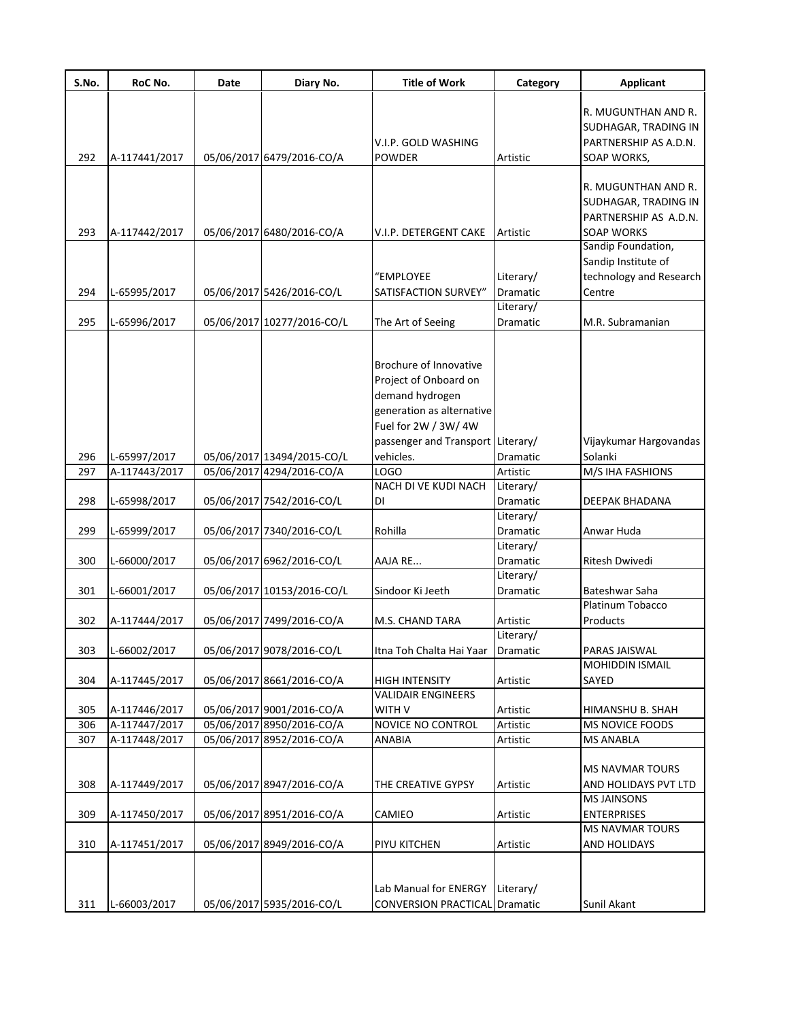| S.No.      | RoC No.                        | Date | Diary No.                                               | <b>Title of Work</b>                                                                                                                                                             | Category              | <b>Applicant</b>                                                                          |
|------------|--------------------------------|------|---------------------------------------------------------|----------------------------------------------------------------------------------------------------------------------------------------------------------------------------------|-----------------------|-------------------------------------------------------------------------------------------|
| 292        | A-117441/2017                  |      | 05/06/2017 6479/2016-CO/A                               | V.I.P. GOLD WASHING<br><b>POWDER</b>                                                                                                                                             | Artistic              | R. MUGUNTHAN AND R.<br>SUDHAGAR, TRADING IN<br>PARTNERSHIP AS A.D.N.<br>SOAP WORKS,       |
| 293        | A-117442/2017                  |      | 05/06/2017 6480/2016-CO/A                               | V.I.P. DETERGENT CAKE                                                                                                                                                            | Artistic              | R. MUGUNTHAN AND R.<br>SUDHAGAR, TRADING IN<br>PARTNERSHIP AS A.D.N.<br><b>SOAP WORKS</b> |
|            |                                |      |                                                         | "EMPLOYEE                                                                                                                                                                        | Literary/             | Sandip Foundation,<br>Sandip Institute of<br>technology and Research                      |
| 294        | L-65995/2017                   |      | 05/06/2017 5426/2016-CO/L                               | SATISFACTION SURVEY"                                                                                                                                                             | Dramatic<br>Literary/ | Centre                                                                                    |
| 295        | L-65996/2017                   |      | 05/06/2017 10277/2016-CO/L                              | The Art of Seeing                                                                                                                                                                | Dramatic              | M.R. Subramanian                                                                          |
| 296<br>297 | L-65997/2017<br>A-117443/2017  |      | 05/06/2017 13494/2015-CO/L<br>05/06/2017 4294/2016-CO/A | Brochure of Innovative<br>Project of Onboard on<br>demand hydrogen<br>generation as alternative<br>Fuel for 2W / 3W/4W<br>passenger and Transport Literary/<br>vehicles.<br>LOGO | Dramatic<br>Artistic  | Vijaykumar Hargovandas<br>Solanki<br><b>M/S IHA FASHIONS</b>                              |
|            |                                |      |                                                         | NACH DI VE KUDI NACH                                                                                                                                                             | Literary/             |                                                                                           |
| 298        | L-65998/2017                   |      | 05/06/2017 7542/2016-CO/L                               | DI                                                                                                                                                                               | Dramatic              | DEEPAK BHADANA                                                                            |
|            |                                |      |                                                         |                                                                                                                                                                                  | Literary/             |                                                                                           |
| 299        | L-65999/2017                   |      | 05/06/2017 7340/2016-CO/L                               | Rohilla                                                                                                                                                                          | Dramatic<br>Literary/ | Anwar Huda                                                                                |
| 300        | L-66000/2017                   |      | 05/06/2017 6962/2016-CO/L                               | AAJA RE                                                                                                                                                                          | Dramatic              | Ritesh Dwivedi                                                                            |
| 301        | L-66001/2017                   |      | 05/06/2017 10153/2016-CO/L                              | Sindoor Ki Jeeth                                                                                                                                                                 | Literary/<br>Dramatic | Bateshwar Saha                                                                            |
| 302        | A-117444/2017                  |      |                                                         |                                                                                                                                                                                  |                       | Platinum Tobacco                                                                          |
|            |                                |      | 05/06/2017 7499/2016-CO/A                               | M.S. CHAND TARA                                                                                                                                                                  | Artistic<br>Literary/ | Products                                                                                  |
| 303        | L-66002/2017                   |      | 05/06/2017 9078/2016-CO/L                               | Itna Toh Chalta Hai Yaar                                                                                                                                                         | Dramatic              | PARAS JAISWAL                                                                             |
| 304        | A-117445/2017                  |      | 05/06/2017 8661/2016-CO/A                               | <b>HIGH INTENSITY</b>                                                                                                                                                            | Artistic              | <b>MOHIDDIN ISMAIL</b><br>SAYED                                                           |
| 305        | A-117446/2017                  |      | 05/06/2017 9001/2016-CO/A                               | <b>VALIDAIR ENGINEERS</b><br>WITH V                                                                                                                                              | Artistic              | HIMANSHU B. SHAH                                                                          |
| 306        | A-117447/2017                  |      | 05/06/2017 8950/2016-CO/A                               | NOVICE NO CONTROL                                                                                                                                                                | Artistic              | MS NOVICE FOODS                                                                           |
| 307        | A-117448/2017                  |      | 05/06/2017 8952/2016-CO/A                               | <b>ANABIA</b>                                                                                                                                                                    | Artistic              | <b>MS ANABLA</b>                                                                          |
| 308        | A-117449/2017                  |      | 05/06/2017 8947/2016-CO/A                               | THE CREATIVE GYPSY                                                                                                                                                               | Artistic              | MS NAVMAR TOURS<br>AND HOLIDAYS PVT LTD                                                   |
|            |                                |      |                                                         | CAMIEO                                                                                                                                                                           |                       | <b>MS JAINSONS</b><br><b>ENTERPRISES</b>                                                  |
| 309<br>310 | A-117450/2017<br>A-117451/2017 |      | 05/06/2017 8951/2016-CO/A<br>05/06/2017 8949/2016-CO/A  | PIYU KITCHEN                                                                                                                                                                     | Artistic<br>Artistic  | <b>MS NAVMAR TOURS</b><br>AND HOLIDAYS                                                    |
| 311        | L-66003/2017                   |      | 05/06/2017 5935/2016-CO/L                               | Lab Manual for ENERGY<br>CONVERSION PRACTICAL Dramatic                                                                                                                           | Literary/             | Sunil Akant                                                                               |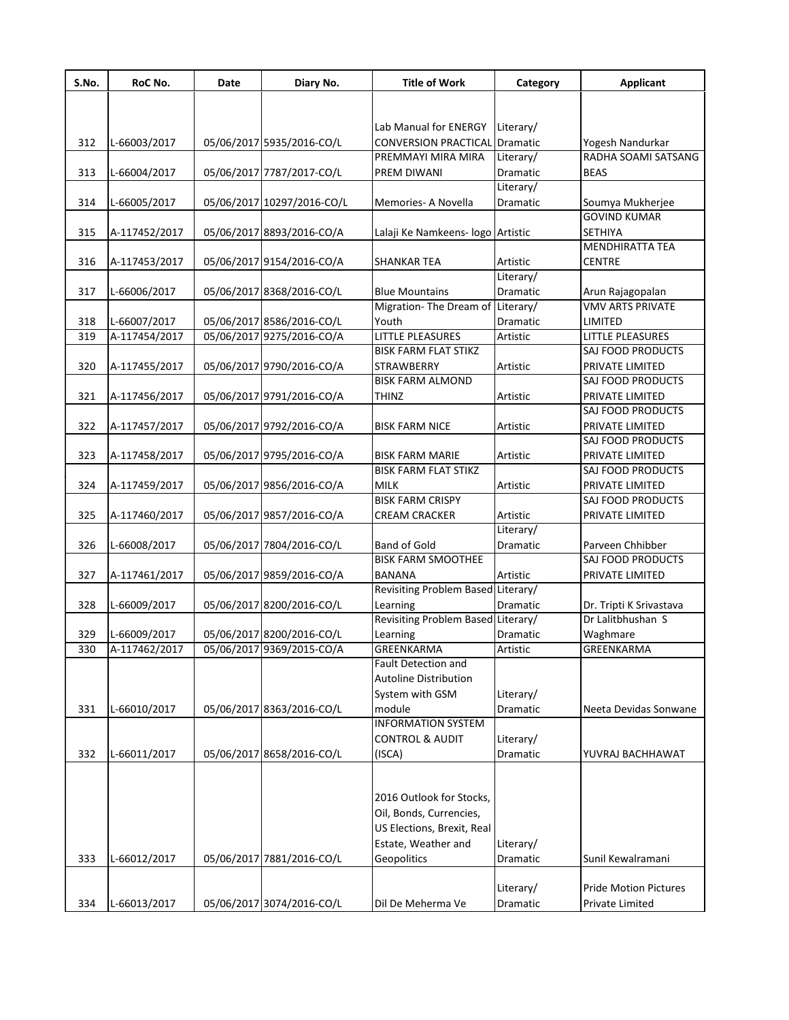| S.No. | RoC No.       | Date | Diary No.                  | <b>Title of Work</b>               | Category        | <b>Applicant</b>             |
|-------|---------------|------|----------------------------|------------------------------------|-----------------|------------------------------|
|       |               |      |                            |                                    |                 |                              |
|       |               |      |                            | Lab Manual for ENERGY              | Literary/       |                              |
| 312   | L-66003/2017  |      | 05/06/2017 5935/2016-CO/L  | CONVERSION PRACTICAL               | Dramatic        | Yogesh Nandurkar             |
|       |               |      |                            | PREMMAYI MIRA MIRA                 | Literary/       | RADHA SOAMI SATSANG          |
| 313   | L-66004/2017  |      | 05/06/2017 7787/2017-CO/L  | PREM DIWANI                        | Dramatic        | <b>BEAS</b>                  |
|       |               |      |                            |                                    | Literary/       |                              |
| 314   | L-66005/2017  |      | 05/06/2017 10297/2016-CO/L | Memories- A Novella                | Dramatic        | Soumya Mukherjee             |
|       |               |      |                            |                                    |                 | <b>GOVIND KUMAR</b>          |
| 315   | A-117452/2017 |      | 05/06/2017 8893/2016-CO/A  | Lalaji Ke Namkeens- logo Artistic  |                 | SETHIYA                      |
|       |               |      |                            |                                    |                 | <b>MENDHIRATTA TEA</b>       |
| 316   | A-117453/2017 |      | 05/06/2017 9154/2016-CO/A  | <b>SHANKAR TEA</b>                 | Artistic        | <b>CENTRE</b>                |
|       |               |      |                            |                                    | Literary/       |                              |
| 317   | L-66006/2017  |      | 05/06/2017 8368/2016-CO/L  | <b>Blue Mountains</b>              | Dramatic        | Arun Rajagopalan             |
|       |               |      |                            | Migration-The Dream of             | Literary/       | <b>VMV ARTS PRIVATE</b>      |
| 318   | L-66007/2017  |      | 05/06/2017 8586/2016-CO/L  | Youth                              | Dramatic        | LIMITED                      |
| 319   | A-117454/2017 |      | 05/06/2017 9275/2016-CO/A  | LITTLE PLEASURES                   | Artistic        | LITTLE PLEASURES             |
|       |               |      |                            | <b>BISK FARM FLAT STIKZ</b>        |                 | SAJ FOOD PRODUCTS            |
| 320   | A-117455/2017 |      | 05/06/2017 9790/2016-CO/A  | <b>STRAWBERRY</b>                  | Artistic        | PRIVATE LIMITED              |
|       |               |      |                            | <b>BISK FARM ALMOND</b>            |                 | SAJ FOOD PRODUCTS            |
| 321   | A-117456/2017 |      | 05/06/2017 9791/2016-CO/A  | THINZ                              | Artistic        | PRIVATE LIMITED              |
|       |               |      |                            |                                    |                 | SAJ FOOD PRODUCTS            |
| 322   | A-117457/2017 |      | 05/06/2017 9792/2016-CO/A  | <b>BISK FARM NICE</b>              | Artistic        | PRIVATE LIMITED              |
|       |               |      |                            |                                    |                 | SAJ FOOD PRODUCTS            |
| 323   | A-117458/2017 |      | 05/06/2017 9795/2016-CO/A  | <b>BISK FARM MARIE</b>             | Artistic        | PRIVATE LIMITED              |
|       |               |      |                            | <b>BISK FARM FLAT STIKZ</b>        |                 | SAJ FOOD PRODUCTS            |
| 324   | A-117459/2017 |      | 05/06/2017 9856/2016-CO/A  | <b>MILK</b>                        | Artistic        | PRIVATE LIMITED              |
|       |               |      |                            | <b>BISK FARM CRISPY</b>            |                 | SAJ FOOD PRODUCTS            |
| 325   | A-117460/2017 |      | 05/06/2017 9857/2016-CO/A  | CREAM CRACKER                      | Artistic        | PRIVATE LIMITED              |
|       |               |      |                            |                                    | Literary/       |                              |
| 326   | L-66008/2017  |      | 05/06/2017 7804/2016-CO/L  | <b>Band of Gold</b>                | Dramatic        | Parveen Chhibber             |
|       |               |      |                            | <b>BISK FARM SMOOTHEE</b>          |                 | SAJ FOOD PRODUCTS            |
| 327   | A-117461/2017 |      | 05/06/2017 9859/2016-CO/A  | <b>BANANA</b>                      | Artistic        | PRIVATE LIMITED              |
|       |               |      |                            | Revisiting Problem Based Literary/ |                 |                              |
| 328   | L-66009/2017  |      | 05/06/2017 8200/2016-CO/L  | Learning                           | <b>Dramatic</b> | Dr. Tripti K Srivastava      |
|       |               |      |                            | Revisiting Problem Based Literary/ |                 | Dr Lalitbhushan S            |
| 329   | L-66009/2017  |      | 05/06/2017 8200/2016-CO/L  | Learning                           | Dramatic        | Waghmare                     |
| 330   | A-117462/2017 |      | 05/06/2017 9369/2015-CO/A  | GREENKARMA                         | Artistic        | GREENKARMA                   |
|       |               |      |                            | Fault Detection and                |                 |                              |
|       |               |      |                            | Autoline Distribution              |                 |                              |
|       |               |      |                            | System with GSM                    | Literary/       |                              |
| 331   | L-66010/2017  |      | 05/06/2017 8363/2016-CO/L  | module                             | Dramatic        | Neeta Devidas Sonwane        |
|       |               |      |                            | <b>INFORMATION SYSTEM</b>          |                 |                              |
|       |               |      |                            | <b>CONTROL &amp; AUDIT</b>         | Literary/       |                              |
| 332   | L-66011/2017  |      | 05/06/2017 8658/2016-CO/L  | (ISCA)                             | Dramatic        | YUVRAJ BACHHAWAT             |
|       |               |      |                            |                                    |                 |                              |
|       |               |      |                            | 2016 Outlook for Stocks,           |                 |                              |
|       |               |      |                            | Oil, Bonds, Currencies,            |                 |                              |
|       |               |      |                            |                                    |                 |                              |
|       |               |      |                            | US Elections, Brexit, Real         |                 |                              |
|       |               |      |                            | Estate, Weather and                | Literary/       |                              |
| 333   | L-66012/2017  |      | 05/06/2017 7881/2016-CO/L  | Geopolitics                        | Dramatic        | Sunil Kewalramani            |
|       |               |      |                            |                                    |                 | <b>Pride Motion Pictures</b> |
|       |               |      |                            |                                    | Literary/       |                              |
| 334   | L-66013/2017  |      | 05/06/2017 3074/2016-CO/L  | Dil De Meherma Ve                  | Dramatic        | Private Limited              |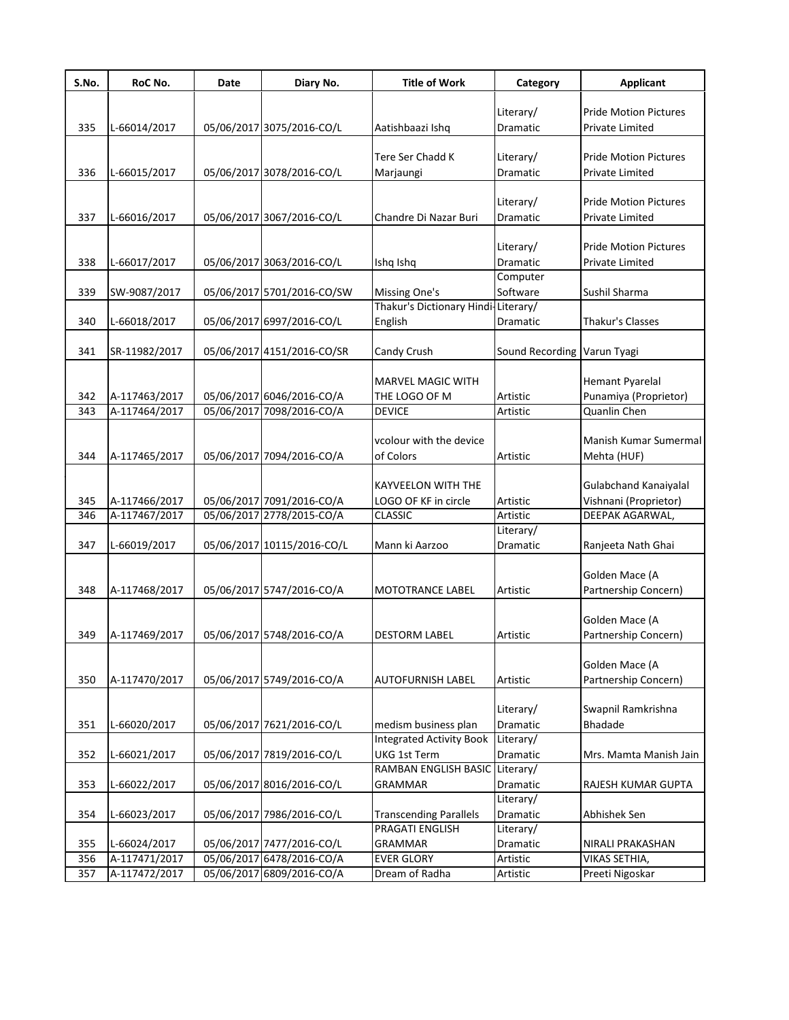| S.No. | RoC No.       | Date | Diary No.                  | <b>Title of Work</b>                | Category                    | <b>Applicant</b>             |
|-------|---------------|------|----------------------------|-------------------------------------|-----------------------------|------------------------------|
|       |               |      |                            |                                     | Literary/                   | <b>Pride Motion Pictures</b> |
| 335   | L-66014/2017  |      | 05/06/2017 3075/2016-CO/L  | Aatishbaazi Ishq                    | Dramatic                    | <b>Private Limited</b>       |
|       |               |      |                            |                                     |                             |                              |
|       |               |      |                            | Tere Ser Chadd K                    | Literary/                   | <b>Pride Motion Pictures</b> |
| 336   | L-66015/2017  |      | 05/06/2017 3078/2016-CO/L  | Marjaungi                           | Dramatic                    | Private Limited              |
|       |               |      |                            |                                     |                             |                              |
|       |               |      |                            |                                     | Literary/                   | <b>Pride Motion Pictures</b> |
| 337   | L-66016/2017  |      | 05/06/2017 3067/2016-CO/L  | Chandre Di Nazar Buri               | Dramatic                    | Private Limited              |
|       |               |      |                            |                                     |                             |                              |
|       |               |      |                            |                                     | Literary/                   | <b>Pride Motion Pictures</b> |
| 338   | L-66017/2017  |      | 05/06/2017 3063/2016-CO/L  | Ishq Ishq                           | Dramatic                    | Private Limited              |
|       |               |      |                            |                                     | Computer                    |                              |
| 339   | SW-9087/2017  |      | 05/06/2017 5701/2016-CO/SW | Missing One's                       | Software                    | Sushil Sharma                |
|       |               |      |                            | Thakur's Dictionary Hindi-Literary/ |                             |                              |
| 340   | L-66018/2017  |      | 05/06/2017 6997/2016-CO/L  | English                             | Dramatic                    | Thakur's Classes             |
|       |               |      |                            |                                     |                             |                              |
| 341   | SR-11982/2017 |      | 05/06/2017 4151/2016-CO/SR | Candy Crush                         | Sound Recording Varun Tyagi |                              |
|       |               |      |                            |                                     |                             |                              |
|       |               |      |                            | <b>MARVEL MAGIC WITH</b>            |                             | <b>Hemant Pyarelal</b>       |
| 342   | A-117463/2017 |      | 05/06/2017 6046/2016-CO/A  | THE LOGO OF M                       | Artistic                    | Punamiya (Proprietor)        |
| 343   | A-117464/2017 |      | 05/06/2017 7098/2016-CO/A  | <b>DEVICE</b>                       | Artistic                    | Quanlin Chen                 |
|       |               |      |                            |                                     |                             | <b>Manish Kumar Sumermal</b> |
| 344   |               |      | 05/06/2017 7094/2016-CO/A  | vcolour with the device             | Artistic                    |                              |
|       | A-117465/2017 |      |                            | of Colors                           |                             | Mehta (HUF)                  |
|       |               |      |                            | <b>KAYVEELON WITH THE</b>           |                             | <b>Gulabchand Kanaiyalal</b> |
| 345   | A-117466/2017 |      | 05/06/2017 7091/2016-CO/A  | LOGO OF KF in circle                | Artistic                    | Vishnani (Proprietor)        |
| 346   | A-117467/2017 |      | 05/06/2017 2778/2015-CO/A  | <b>CLASSIC</b>                      | Artistic                    | DEEPAK AGARWAL,              |
|       |               |      |                            |                                     | Literary/                   |                              |
| 347   | L-66019/2017  |      | 05/06/2017 10115/2016-CO/L | Mann ki Aarzoo                      | Dramatic                    | Ranjeeta Nath Ghai           |
|       |               |      |                            |                                     |                             |                              |
|       |               |      |                            |                                     |                             | Golden Mace (A               |
| 348   | A-117468/2017 |      | 05/06/2017 5747/2016-CO/A  | <b>MOTOTRANCE LABEL</b>             | Artistic                    | Partnership Concern)         |
|       |               |      |                            |                                     |                             |                              |
|       |               |      |                            |                                     |                             | Golden Mace (A               |
| 349   | A-117469/2017 |      | 05/06/2017 5748/2016-CO/A  | <b>DESTORM LABEL</b>                | Artistic                    | Partnership Concern)         |
|       |               |      |                            |                                     |                             |                              |
|       |               |      |                            |                                     |                             | Golden Mace (A               |
| 350   | A-117470/2017 |      | 05/06/2017 5749/2016-CO/A  | <b>AUTOFURNISH LABEL</b>            | Artistic                    | Partnership Concern)         |
|       |               |      |                            |                                     |                             |                              |
|       |               |      |                            |                                     | Literary/                   | Swapnil Ramkrishna           |
| 351   | L-66020/2017  |      | 05/06/2017 7621/2016-CO/L  | medism business plan                | Dramatic                    | Bhadade                      |
|       |               |      |                            | <b>Integrated Activity Book</b>     | Literary/                   |                              |
| 352   | L-66021/2017  |      | 05/06/2017 7819/2016-CO/L  | UKG 1st Term                        | Dramatic                    | Mrs. Mamta Manish Jain       |
|       |               |      |                            | RAMBAN ENGLISH BASIC Literary/      |                             |                              |
| 353   | L-66022/2017  |      | 05/06/2017 8016/2016-CO/L  | <b>GRAMMAR</b>                      | Dramatic                    | RAJESH KUMAR GUPTA           |
|       |               |      |                            |                                     | Literary/                   |                              |
| 354   | L-66023/2017  |      | 05/06/2017 7986/2016-CO/L  | <b>Transcending Parallels</b>       | Dramatic                    | Abhishek Sen                 |
|       |               |      |                            | PRAGATI ENGLISH                     | Literary/                   |                              |
| 355   | L-66024/2017  |      | 05/06/2017 7477/2016-CO/L  | <b>GRAMMAR</b>                      | Dramatic                    | NIRALI PRAKASHAN             |
| 356   | A-117471/2017 |      | 05/06/2017 6478/2016-CO/A  | <b>EVER GLORY</b>                   | Artistic                    | VIKAS SETHIA,                |
| 357   | A-117472/2017 |      | 05/06/2017 6809/2016-CO/A  | Dream of Radha                      | Artistic                    | Preeti Nigoskar              |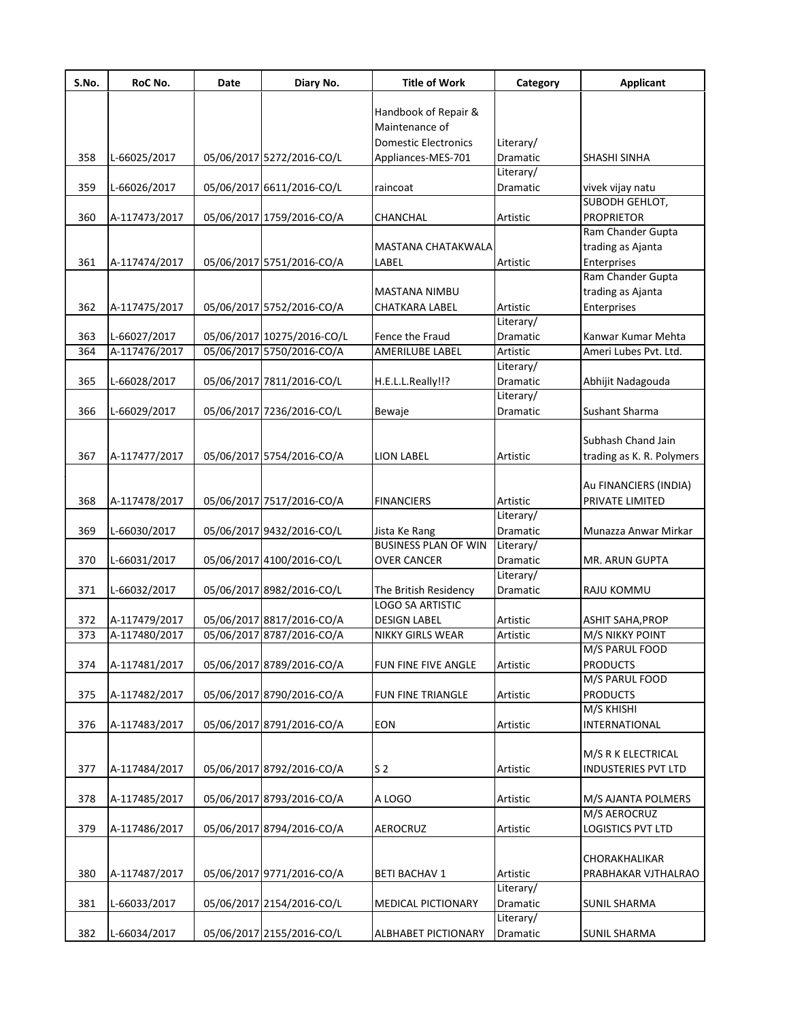| Handbook of Repair &<br>Maintenance of<br><b>Domestic Electronics</b><br>Literary/<br>358<br>L-66025/2017<br>05/06/2017 5272/2016-CO/L<br>Dramatic<br>Appliances-MES-701<br><b>SHASHI SINHA</b><br>Literary/<br>359<br>05/06/2017 6611/2016-CO/L<br>L-66026/2017<br>Dramatic<br>vivek vijay natu<br>raincoat<br>SUBODH GEHLOT, |
|--------------------------------------------------------------------------------------------------------------------------------------------------------------------------------------------------------------------------------------------------------------------------------------------------------------------------------|
|                                                                                                                                                                                                                                                                                                                                |
|                                                                                                                                                                                                                                                                                                                                |
|                                                                                                                                                                                                                                                                                                                                |
|                                                                                                                                                                                                                                                                                                                                |
|                                                                                                                                                                                                                                                                                                                                |
|                                                                                                                                                                                                                                                                                                                                |
|                                                                                                                                                                                                                                                                                                                                |
| <b>PROPRIETOR</b><br>360<br>05/06/2017 1759/2016-CO/A<br>A-117473/2017<br>Artistic<br>CHANCHAL                                                                                                                                                                                                                                 |
| Ram Chander Gupta                                                                                                                                                                                                                                                                                                              |
| trading as Ajanta<br>MASTANA CHATAKWALA                                                                                                                                                                                                                                                                                        |
| 361<br>05/06/2017 5751/2016-CO/A<br>Enterprises<br>A-117474/2017<br>LABEL<br>Artistic<br>Ram Chander Gupta                                                                                                                                                                                                                     |
| trading as Ajanta<br><b>MASTANA NIMBU</b>                                                                                                                                                                                                                                                                                      |
| 05/06/2017 5752/2016-CO/A<br>362<br>Artistic<br>A-117475/2017<br>CHATKARA LABEL<br>Enterprises                                                                                                                                                                                                                                 |
| Literary/                                                                                                                                                                                                                                                                                                                      |
| 363<br>L-66027/2017<br>05/06/2017 10275/2016-CO/L<br>Fence the Fraud<br>Dramatic<br>Kanwar Kumar Mehta                                                                                                                                                                                                                         |
| A-117476/2017<br>05/06/2017 5750/2016-CO/A<br>364<br><b>AMERILUBE LABEL</b><br>Artistic<br>Ameri Lubes Pvt. Ltd.                                                                                                                                                                                                               |
| Literary/                                                                                                                                                                                                                                                                                                                      |
| 365<br>L-66028/2017<br>05/06/2017 7811/2016-CO/L<br>H.E.L.L.Really!!?<br>Dramatic<br>Abhijit Nadagouda                                                                                                                                                                                                                         |
| Literary/                                                                                                                                                                                                                                                                                                                      |
| 05/06/2017 7236/2016-CO/L<br><b>Sushant Sharma</b><br>366<br>L-66029/2017<br>Dramatic<br>Bewaje                                                                                                                                                                                                                                |
|                                                                                                                                                                                                                                                                                                                                |
| Subhash Chand Jain                                                                                                                                                                                                                                                                                                             |
| 05/06/2017 5754/2016-CO/A<br>367<br>A-117477/2017<br><b>LION LABEL</b><br>Artistic<br>trading as K. R. Polymers                                                                                                                                                                                                                |
|                                                                                                                                                                                                                                                                                                                                |
| Au FINANCIERS (INDIA)                                                                                                                                                                                                                                                                                                          |
| 05/06/2017 7517/2016-CO/A<br>368<br>A-117478/2017<br>Artistic<br>PRIVATE LIMITED<br><b>FINANCIERS</b>                                                                                                                                                                                                                          |
| Literary/                                                                                                                                                                                                                                                                                                                      |
| 05/06/2017 9432/2016-CO/L<br>369<br>L-66030/2017<br>Dramatic<br>Munazza Anwar Mirkar<br>Jista Ke Rang                                                                                                                                                                                                                          |
| <b>BUSINESS PLAN OF WIN</b><br>Literary/                                                                                                                                                                                                                                                                                       |
| 05/06/2017 4100/2016-CO/L<br>370<br>L-66031/2017<br><b>OVER CANCER</b><br>Dramatic<br>MR. ARUN GUPTA<br>Literary/                                                                                                                                                                                                              |
| 05/06/2017 8982/2016-CO/L<br>371<br>L-66032/2017<br>The British Residency<br>Dramatic<br><b>RAJU KOMMU</b>                                                                                                                                                                                                                     |
| <b>LOGO SA ARTISTIC</b>                                                                                                                                                                                                                                                                                                        |
| 05/06/2017 8817/2016-CO/A<br><b>DESIGN LABEL</b><br>372<br>A-117479/2017<br>Artistic<br><b>ASHIT SAHA, PROP</b>                                                                                                                                                                                                                |
| 05/06/2017 8787/2016-CO/A<br>373<br>A-117480/2017<br>NIKKY GIRLS WEAR<br>Artistic<br>M/S NIKKY POINT                                                                                                                                                                                                                           |
| M/S PARUL FOOD                                                                                                                                                                                                                                                                                                                 |
| 05/06/2017 8789/2016-CO/A<br><b>PRODUCTS</b><br>374<br>A-117481/2017<br>FUN FINE FIVE ANGLE<br>Artistic                                                                                                                                                                                                                        |
| M/S PARUL FOOD                                                                                                                                                                                                                                                                                                                 |
| <b>PRODUCTS</b><br>375<br>05/06/2017 8790/2016-CO/A<br>A-117482/2017<br>FUN FINE TRIANGLE<br>Artistic                                                                                                                                                                                                                          |
| M/S KHISHI                                                                                                                                                                                                                                                                                                                     |
| 05/06/2017 8791/2016-CO/A<br>376<br><b>EON</b><br>A-117483/2017<br>Artistic<br><b>INTERNATIONAL</b>                                                                                                                                                                                                                            |
|                                                                                                                                                                                                                                                                                                                                |
| M/S R K ELECTRICAL                                                                                                                                                                                                                                                                                                             |
| 05/06/2017 8792/2016-CO/A<br>377<br>A-117484/2017<br>S <sub>2</sub><br><b>INDUSTERIES PVT LTD</b><br>Artistic                                                                                                                                                                                                                  |
|                                                                                                                                                                                                                                                                                                                                |
| 378<br>05/06/2017 8793/2016-CO/A<br>A-117485/2017<br>A LOGO<br>Artistic<br>M/S AJANTA POLMERS<br>M/S AEROCRUZ                                                                                                                                                                                                                  |
| 05/06/2017 8794/2016-CO/A<br>379<br><b>LOGISTICS PVT LTD</b><br>A-117486/2017<br><b>AEROCRUZ</b><br>Artistic                                                                                                                                                                                                                   |
|                                                                                                                                                                                                                                                                                                                                |
| CHORAKHALIKAR                                                                                                                                                                                                                                                                                                                  |
| 05/06/2017 9771/2016-CO/A<br>380<br>A-117487/2017<br>Artistic<br><b>BETI BACHAV 1</b><br>PRABHAKAR VJTHALRAO                                                                                                                                                                                                                   |
| Literary/                                                                                                                                                                                                                                                                                                                      |
| 05/06/2017 2154/2016-CO/L<br>381<br>Dramatic<br>L-66033/2017<br>MEDICAL PICTIONARY<br><b>SUNIL SHARMA</b>                                                                                                                                                                                                                      |
| Literary/                                                                                                                                                                                                                                                                                                                      |
| 05/06/2017 2155/2016-CO/L<br>382<br>L-66034/2017<br><b>SUNIL SHARMA</b><br>ALBHABET PICTIONARY<br>Dramatic                                                                                                                                                                                                                     |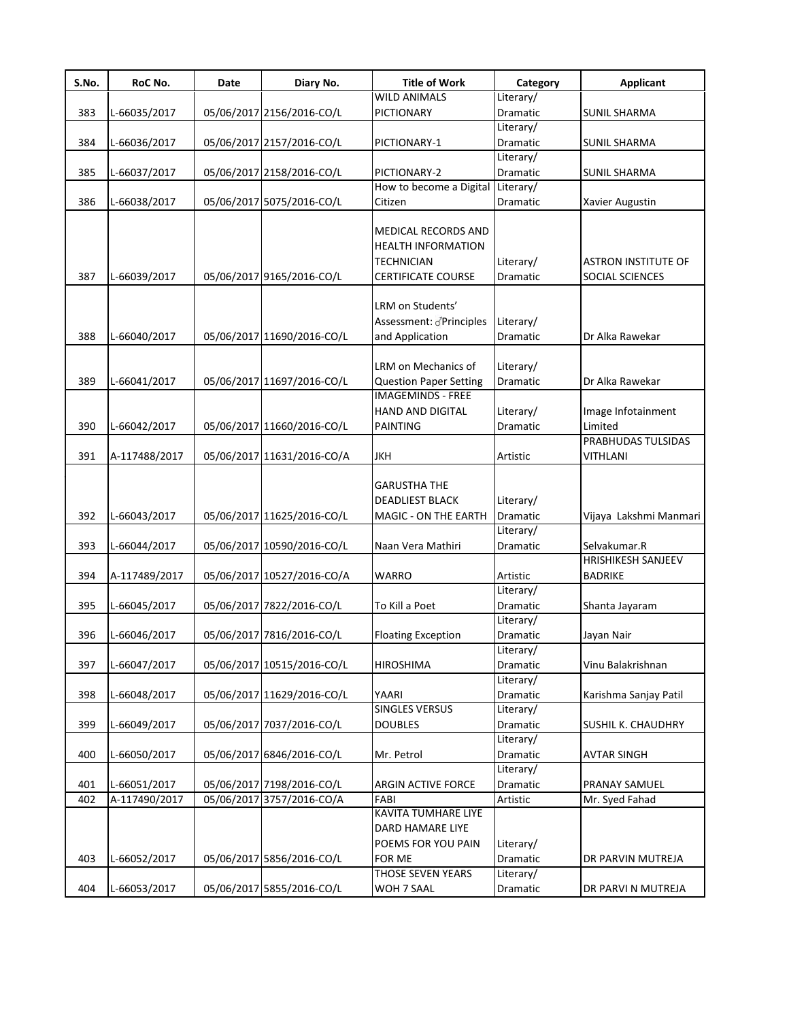| S.No. | RoC No.       | Date | Diary No.                  | <b>Title of Work</b>                                                                               | Category                     | <b>Applicant</b>                              |
|-------|---------------|------|----------------------------|----------------------------------------------------------------------------------------------------|------------------------------|-----------------------------------------------|
|       |               |      |                            | <b>WILD ANIMALS</b>                                                                                | Literary/                    |                                               |
| 383   | L-66035/2017  |      | 05/06/2017 2156/2016-CO/L  | <b>PICTIONARY</b>                                                                                  | Dramatic                     | <b>SUNIL SHARMA</b>                           |
|       |               |      |                            |                                                                                                    | Literary/                    |                                               |
| 384   | L-66036/2017  |      | 05/06/2017 2157/2016-CO/L  | PICTIONARY-1                                                                                       | Dramatic                     | <b>SUNIL SHARMA</b>                           |
|       |               |      |                            |                                                                                                    | Literary/                    |                                               |
| 385   | L-66037/2017  |      | 05/06/2017 2158/2016-CO/L  | PICTIONARY-2                                                                                       | Dramatic                     | <b>SUNIL SHARMA</b>                           |
|       |               |      |                            | How to become a Digital                                                                            | Literary/                    |                                               |
| 386   | L-66038/2017  |      | 05/06/2017 5075/2016-CO/L  | Citizen                                                                                            | Dramatic                     | Xavier Augustin                               |
| 387   | L-66039/2017  |      | 05/06/2017 9165/2016-CO/L  | <b>MEDICAL RECORDS AND</b><br><b>HEALTH INFORMATION</b><br>TECHNICIAN<br><b>CERTIFICATE COURSE</b> | Literary/<br>Dramatic        | <b>ASTRON INSTITUTE OF</b><br>SOCIAL SCIENCES |
| 388   | L-66040/2017  |      | 05/06/2017 11690/2016-CO/L | LRM on Students'<br>Assessment: Principles<br>and Application                                      | Literary/<br>Dramatic        | Dr Alka Rawekar                               |
|       |               |      |                            |                                                                                                    |                              |                                               |
|       |               |      |                            | LRM on Mechanics of                                                                                | Literary/                    |                                               |
| 389   | L-66041/2017  |      | 05/06/2017 11697/2016-CO/L | <b>Question Paper Setting</b>                                                                      | Dramatic                     | Dr Alka Rawekar                               |
|       |               |      |                            | <b>IMAGEMINDS - FREE</b>                                                                           |                              |                                               |
|       |               |      |                            | HAND AND DIGITAL                                                                                   | Literary/                    | Image Infotainment                            |
| 390   | L-66042/2017  |      | 05/06/2017 11660/2016-CO/L | <b>PAINTING</b>                                                                                    | Dramatic                     | Limited<br>PRABHUDAS TULSIDAS                 |
|       |               |      |                            |                                                                                                    |                              |                                               |
| 391   | A-117488/2017 |      | 05/06/2017 11631/2016-CO/A | <b>JKH</b>                                                                                         | Artistic                     | <b>VITHLANI</b>                               |
| 392   | L-66043/2017  |      | 05/06/2017 11625/2016-CO/L | <b>GARUSTHA THE</b><br><b>DEADLIEST BLACK</b><br>MAGIC - ON THE EARTH                              | Literary/<br><b>Dramatic</b> | Vijaya Lakshmi Manmari                        |
| 393   | L-66044/2017  |      | 05/06/2017 10590/2016-CO/L | Naan Vera Mathiri                                                                                  | Literary/<br>Dramatic        | Selvakumar.R                                  |
|       |               |      |                            |                                                                                                    |                              | HRISHIKESH SANJEEV                            |
|       | A-117489/2017 |      |                            |                                                                                                    |                              |                                               |
| 394   |               |      | 05/06/2017 10527/2016-CO/A | <b>WARRO</b>                                                                                       | Artistic<br>Literary/        | <b>BADRIKE</b>                                |
| 395   | L-66045/2017  |      | 05/06/2017 7822/2016-CO/L  | To Kill a Poet                                                                                     | <b>Dramatic</b>              |                                               |
|       |               |      |                            |                                                                                                    | Literary/                    | Shanta Jayaram                                |
| 396   | L-66046/2017  |      | 05/06/2017 7816/2016-CO/L  | <b>Floating Exception</b>                                                                          | Dramatic                     | Jayan Nair                                    |
|       |               |      |                            |                                                                                                    | Literary/                    |                                               |
| 397   | L-66047/2017  |      | 05/06/2017 10515/2016-CO/L | <b>HIROSHIMA</b>                                                                                   | Dramatic                     | Vinu Balakrishnan                             |
|       |               |      |                            |                                                                                                    | Literary/                    |                                               |
| 398   | L-66048/2017  |      | 05/06/2017 11629/2016-CO/L | YAARI                                                                                              | Dramatic                     | Karishma Sanjay Patil                         |
|       |               |      |                            | <b>SINGLES VERSUS</b>                                                                              | Literary/                    |                                               |
| 399   | L-66049/2017  |      | 05/06/2017 7037/2016-CO/L  | <b>DOUBLES</b>                                                                                     | Dramatic                     | SUSHIL K. CHAUDHRY                            |
|       |               |      |                            |                                                                                                    | Literary/                    |                                               |
| 400   | L-66050/2017  |      | 05/06/2017 6846/2016-CO/L  | Mr. Petrol                                                                                         | Dramatic                     | <b>AVTAR SINGH</b>                            |
|       |               |      |                            |                                                                                                    | Literary/                    |                                               |
| 401   | L-66051/2017  |      | 05/06/2017 7198/2016-CO/L  | ARGIN ACTIVE FORCE                                                                                 | Dramatic                     | PRANAY SAMUEL                                 |
| 402   | A-117490/2017 |      | 05/06/2017 3757/2016-CO/A  | FABI                                                                                               | Artistic                     | Mr. Syed Fahad                                |
|       |               |      |                            | KAVITA TUMHARE LIYE<br>DARD HAMARE LIYE<br>POEMS FOR YOU PAIN                                      | Literary/                    |                                               |
| 403   | L-66052/2017  |      | 05/06/2017 5856/2016-CO/L  | FOR ME<br><b>THOSE SEVEN YEARS</b>                                                                 | Dramatic                     | DR PARVIN MUTREJA                             |
|       |               |      |                            |                                                                                                    | Literary/                    |                                               |
| 404   | L-66053/2017  |      | 05/06/2017 5855/2016-CO/L  | WOH 7 SAAL                                                                                         | Dramatic                     | DR PARVI N MUTREJA                            |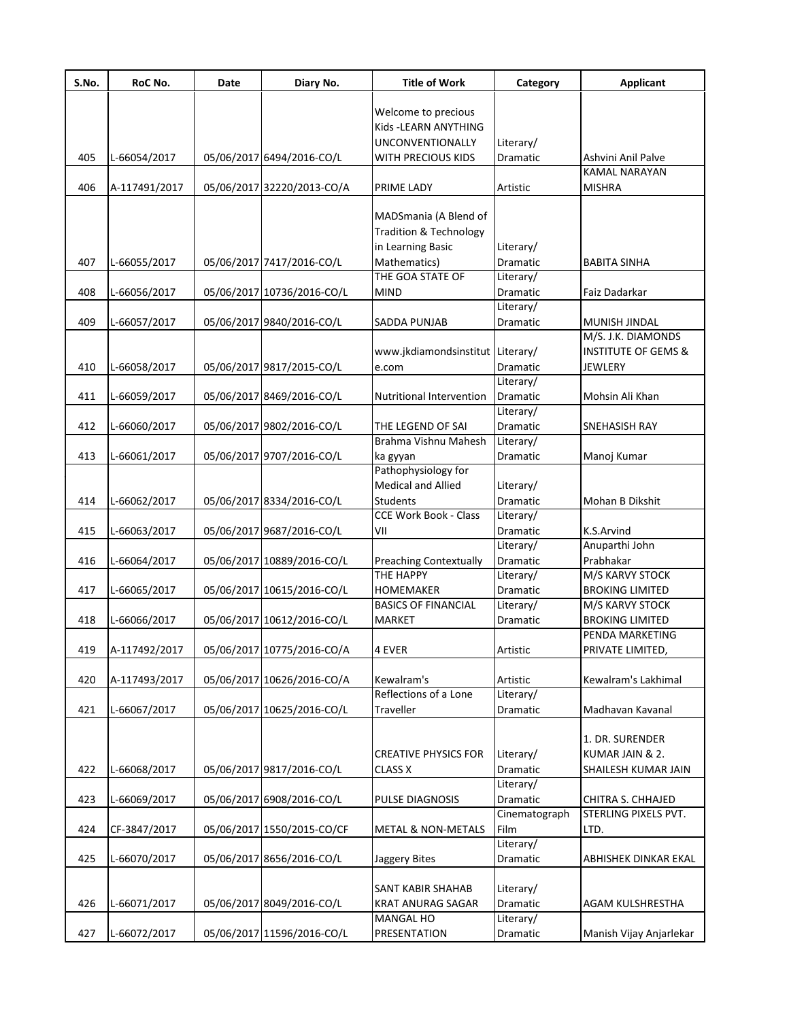| S.No. | RoC No.       | Date | Diary No.                  | <b>Title of Work</b>              | Category              | <b>Applicant</b>                      |
|-------|---------------|------|----------------------------|-----------------------------------|-----------------------|---------------------------------------|
|       |               |      |                            |                                   |                       |                                       |
|       |               |      |                            | Welcome to precious               |                       |                                       |
|       |               |      |                            | Kids - LEARN ANYTHING             |                       |                                       |
|       |               |      |                            | <b>UNCONVENTIONALLY</b>           | Literary/             |                                       |
| 405   | L-66054/2017  |      | 05/06/2017 6494/2016-CO/L  | WITH PRECIOUS KIDS                | Dramatic              | Ashvini Anil Palve                    |
| 406   |               |      |                            |                                   |                       | <b>KAMAL NARAYAN</b><br><b>MISHRA</b> |
|       | A-117491/2017 |      | 05/06/2017 32220/2013-CO/A | PRIME LADY                        | Artistic              |                                       |
|       |               |      |                            | MADSmania (A Blend of             |                       |                                       |
|       |               |      |                            | <b>Tradition &amp; Technology</b> |                       |                                       |
|       |               |      |                            | in Learning Basic                 | Literary/             |                                       |
| 407   | L-66055/2017  |      | 05/06/2017 7417/2016-CO/L  | Mathematics)                      | Dramatic              | <b>BABITA SINHA</b>                   |
|       |               |      |                            | THE GOA STATE OF                  | Literary/             |                                       |
| 408   | L-66056/2017  |      | 05/06/2017 10736/2016-CO/L | <b>MIND</b>                       | Dramatic              | Faiz Dadarkar                         |
|       |               |      |                            |                                   | Literary/             |                                       |
| 409   | L-66057/2017  |      | 05/06/2017 9840/2016-CO/L  | <b>SADDA PUNJAB</b>               | Dramatic              | MUNISH JINDAL                         |
|       |               |      |                            |                                   |                       | M/S. J.K. DIAMONDS                    |
|       |               |      |                            | www.jkdiamondsinstitut Literary/  |                       | <b>INSTITUTE OF GEMS &amp;</b>        |
| 410   | L-66058/2017  |      | 05/06/2017 9817/2015-CO/L  | e.com                             | Dramatic              | <b>JEWLERY</b>                        |
|       |               |      |                            |                                   | Literary/             |                                       |
| 411   | L-66059/2017  |      | 05/06/2017 8469/2016-CO/L  | Nutritional Intervention          | Dramatic              | Mohsin Ali Khan                       |
|       |               |      |                            |                                   | Literary/             |                                       |
| 412   | L-66060/2017  |      | 05/06/2017 9802/2016-CO/L  | THE LEGEND OF SAI                 | Dramatic              | SNEHASISH RAY                         |
|       |               |      |                            | Brahma Vishnu Mahesh              | Literary/             |                                       |
| 413   | L-66061/2017  |      | 05/06/2017 9707/2016-CO/L  | ka gyyan                          | Dramatic              | Manoj Kumar                           |
|       |               |      |                            | Pathophysiology for               |                       |                                       |
|       |               |      |                            | Medical and Allied                | Literary/             |                                       |
| 414   | L-66062/2017  |      | 05/06/2017 8334/2016-CO/L  | <b>Students</b>                   | Dramatic              | Mohan B Dikshit                       |
|       |               |      |                            | <b>CCE Work Book - Class</b>      | Literary/             |                                       |
| 415   | L-66063/2017  |      | 05/06/2017 9687/2016-CO/L  | VII                               | Dramatic              | K.S.Arvind                            |
|       |               |      |                            |                                   | Literary/             | Anuparthi John                        |
| 416   | L-66064/2017  |      | 05/06/2017 10889/2016-CO/L | <b>Preaching Contextually</b>     | Dramatic              | Prabhakar                             |
|       |               |      |                            | <b>THE HAPPY</b>                  | Literary/             | M/S KARVY STOCK                       |
| 417   | L-66065/2017  |      | 05/06/2017 10615/2016-CO/L | <b>HOMEMAKER</b>                  | <b>Dramatic</b>       | <b>BROKING LIMITED</b>                |
|       |               |      |                            | <b>BASICS OF FINANCIAL</b>        | Literary/             | M/S KARVY STOCK                       |
| 418   | L-66066/2017  |      | 05/06/2017 10612/2016-CO/L | MARKET                            | Dramatic              | <b>BROKING LIMITED</b>                |
|       |               |      |                            |                                   |                       | PENDA MARKETING                       |
|       |               |      |                            |                                   |                       | PRIVATE LIMITED,                      |
| 419   | A-117492/2017 |      | 05/06/2017 10775/2016-CO/A | 4 EVER                            | Artistic              |                                       |
| 420   |               |      |                            | Kewalram's                        |                       |                                       |
|       | A-117493/2017 |      | 05/06/2017 10626/2016-CO/A | Reflections of a Lone             | Artistic<br>Literary/ | Kewalram's Lakhimal                   |
|       |               |      |                            |                                   |                       |                                       |
| 421   | L-66067/2017  |      | 05/06/2017 10625/2016-CO/L | Traveller                         | Dramatic              | Madhavan Kavanal                      |
|       |               |      |                            |                                   |                       | 1. DR. SURENDER                       |
|       |               |      |                            |                                   |                       | KUMAR JAIN & 2.                       |
|       |               |      |                            | <b>CREATIVE PHYSICS FOR</b>       | Literary/             |                                       |
| 422   | L-66068/2017  |      | 05/06/2017 9817/2016-CO/L  | <b>CLASS X</b>                    | Dramatic              | SHAILESH KUMAR JAIN                   |
|       |               |      |                            |                                   | Literary/             |                                       |
| 423   | L-66069/2017  |      | 05/06/2017 6908/2016-CO/L  | PULSE DIAGNOSIS                   | Dramatic              | CHITRA S. CHHAJED                     |
|       |               |      |                            |                                   | Cinematograph         | STERLING PIXELS PVT.                  |
| 424   | CF-3847/2017  |      | 05/06/2017 1550/2015-CO/CF | <b>METAL &amp; NON-METALS</b>     | Film                  | LTD.                                  |
|       |               |      |                            |                                   | Literary/             |                                       |
| 425   | L-66070/2017  |      | 05/06/2017 8656/2016-CO/L  | Jaggery Bites                     | Dramatic              | ABHISHEK DINKAR EKAL                  |
|       |               |      |                            |                                   |                       |                                       |
|       |               |      |                            | SANT KABIR SHAHAB                 | Literary/             |                                       |
| 426   | L-66071/2017  |      | 05/06/2017 8049/2016-CO/L  | <b>KRAT ANURAG SAGAR</b>          | Dramatic              | AGAM KULSHRESTHA                      |
|       |               |      |                            | MANGAL HO                         | Literary/             |                                       |
| 427   | L-66072/2017  |      | 05/06/2017 11596/2016-CO/L | PRESENTATION                      | Dramatic              | Manish Vijay Anjarlekar               |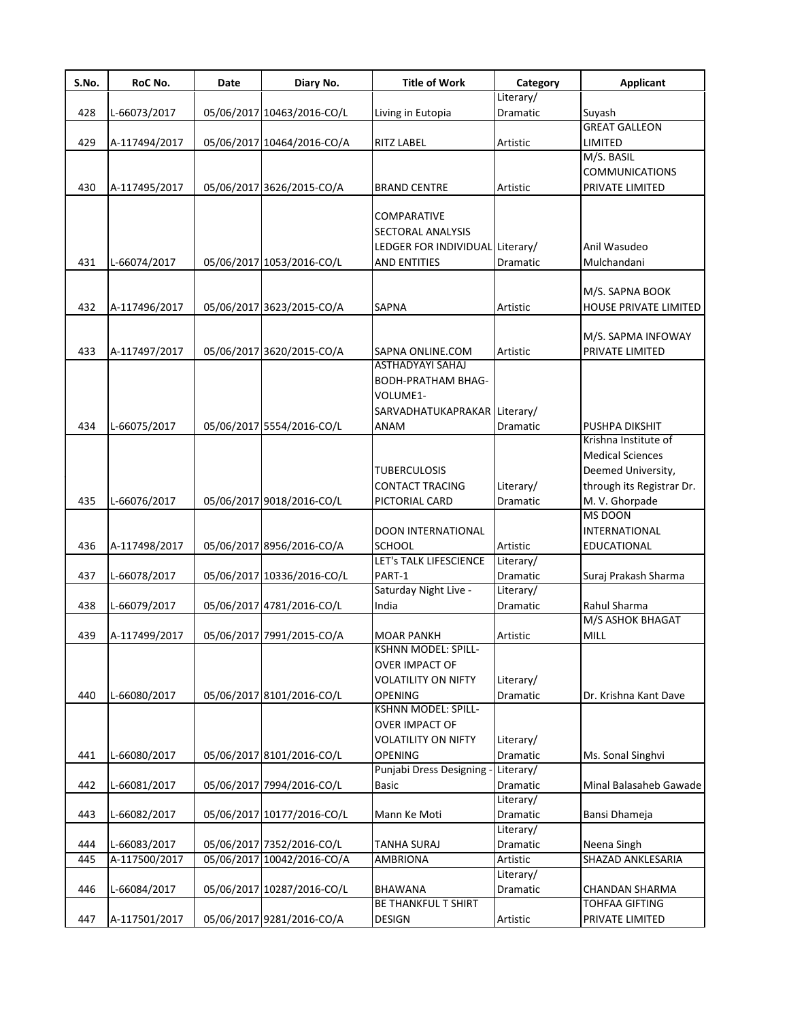| S.No. | RoC No.       | Date | Diary No.                  | <b>Title of Work</b>                                                                              | Category              | <b>Applicant</b>                                                                             |
|-------|---------------|------|----------------------------|---------------------------------------------------------------------------------------------------|-----------------------|----------------------------------------------------------------------------------------------|
|       |               |      |                            |                                                                                                   | Literary/             |                                                                                              |
| 428   | L-66073/2017  |      | 05/06/2017 10463/2016-CO/L | Living in Eutopia                                                                                 | Dramatic              | Suyash                                                                                       |
|       |               |      |                            |                                                                                                   |                       | <b>GREAT GALLEON</b>                                                                         |
| 429   | A-117494/2017 |      | 05/06/2017 10464/2016-CO/A | <b>RITZ LABEL</b>                                                                                 | Artistic              | <b>LIMITED</b>                                                                               |
|       |               |      |                            |                                                                                                   |                       | M/S. BASIL                                                                                   |
|       |               |      |                            |                                                                                                   |                       | <b>COMMUNICATIONS</b>                                                                        |
| 430   | A-117495/2017 |      | 05/06/2017 3626/2015-CO/A  | <b>BRAND CENTRE</b>                                                                               | Artistic              | PRIVATE LIMITED                                                                              |
| 431   | L-66074/2017  |      | 05/06/2017 1053/2016-CO/L  | COMPARATIVE<br>SECTORAL ANALYSIS<br>LEDGER FOR INDIVIDUAL Literary/<br>AND ENTITIES               | Dramatic              | Anil Wasudeo<br>Mulchandani                                                                  |
|       |               |      |                            |                                                                                                   |                       | M/S. SAPNA BOOK                                                                              |
| 432   | A-117496/2017 |      | 05/06/2017 3623/2015-CO/A  | <b>SAPNA</b>                                                                                      | Artistic              | HOUSE PRIVATE LIMITED                                                                        |
|       |               |      |                            |                                                                                                   |                       |                                                                                              |
|       |               |      |                            |                                                                                                   |                       | M/S. SAPMA INFOWAY                                                                           |
| 433   | A-117497/2017 |      | 05/06/2017 3620/2015-CO/A  | SAPNA ONLINE.COM                                                                                  | Artistic              | PRIVATE LIMITED                                                                              |
| 434   | L-66075/2017  |      | 05/06/2017 5554/2016-CO/L  | <b>ASTHADYAYI SAHAJ</b><br>BODH-PRATHAM BHAG-<br>VOLUME1-<br>SARVADHATUKAPRAKAR Literary/<br>ANAM | Dramatic              | PUSHPA DIKSHIT                                                                               |
|       |               |      |                            |                                                                                                   |                       | Krishna Institute of                                                                         |
| 435   | L-66076/2017  |      | 05/06/2017 9018/2016-CO/L  | TUBERCULOSIS<br>CONTACT TRACING<br>PICTORIAL CARD                                                 | Literary/<br>Dramatic | <b>Medical Sciences</b><br>Deemed University,<br>through its Registrar Dr.<br>M. V. Ghorpade |
|       |               |      |                            |                                                                                                   |                       | <b>MS DOON</b>                                                                               |
|       |               |      |                            | DOON INTERNATIONAL                                                                                |                       | <b>INTERNATIONAL</b>                                                                         |
| 436   | A-117498/2017 |      | 05/06/2017 8956/2016-CO/A  | SCHOOL                                                                                            | Artistic              | EDUCATIONAL                                                                                  |
|       |               |      |                            | LET's TALK LIFESCIENCE                                                                            | Literary/             |                                                                                              |
| 437   | L-66078/2017  |      | 05/06/2017 10336/2016-CO/L | PART-1                                                                                            | Dramatic              | Suraj Prakash Sharma                                                                         |
|       |               |      |                            | Saturday Night Live -                                                                             | Literary/             |                                                                                              |
| 438   | L-66079/2017  |      | 05/06/2017 4781/2016-CO/L  | India                                                                                             | Dramatic              | Rahul Sharma                                                                                 |
|       |               |      |                            |                                                                                                   |                       | M/S ASHOK BHAGAT                                                                             |
| 439   | A-117499/2017 |      | 05/06/2017 7991/2015-CO/A  | <b>MOAR PANKH</b>                                                                                 | Artistic              | MILL                                                                                         |
| 440   | L-66080/2017  |      | 05/06/2017 8101/2016-CO/L  | KSHNN MODEL: SPILL-<br>OVER IMPACT OF<br><b>VOLATILITY ON NIFTY</b><br><b>OPENING</b>             | Literary/<br>Dramatic | Dr. Krishna Kant Dave                                                                        |
| 441   | L-66080/2017  |      | 05/06/2017 8101/2016-CO/L  | <b>KSHNN MODEL: SPILL-</b><br>OVER IMPACT OF<br><b>VOLATILITY ON NIFTY</b><br><b>OPENING</b>      | Literary/<br>Dramatic | Ms. Sonal Singhvi                                                                            |
|       |               |      |                            | Punjabi Dress Designing                                                                           | Literary/             |                                                                                              |
| 442   | L-66081/2017  |      | 05/06/2017 7994/2016-CO/L  | <b>Basic</b>                                                                                      | Dramatic              | Minal Balasaheb Gawade                                                                       |
|       |               |      |                            |                                                                                                   | Literary/             |                                                                                              |
| 443   | L-66082/2017  |      | 05/06/2017 10177/2016-CO/L | Mann Ke Moti                                                                                      | Dramatic              | Bansi Dhameja                                                                                |
|       |               |      |                            |                                                                                                   | Literary/             |                                                                                              |
| 444   | L-66083/2017  |      | 05/06/2017 7352/2016-CO/L  | TANHA SURAJ                                                                                       | Dramatic              | Neena Singh                                                                                  |
| 445   | A-117500/2017 |      | 05/06/2017 10042/2016-CO/A | AMBRIONA                                                                                          | Artistic              | SHAZAD ANKLESARIA                                                                            |
| 446   | L-66084/2017  |      | 05/06/2017 10287/2016-CO/L | <b>BHAWANA</b>                                                                                    | Literary/<br>Dramatic | <b>CHANDAN SHARMA</b>                                                                        |
|       |               |      |                            | BE THANKFUL T SHIRT                                                                               |                       | TOHFAA GIFTING                                                                               |
| 447   | A-117501/2017 |      | 05/06/2017 9281/2016-CO/A  | DESIGN                                                                                            | Artistic              | PRIVATE LIMITED                                                                              |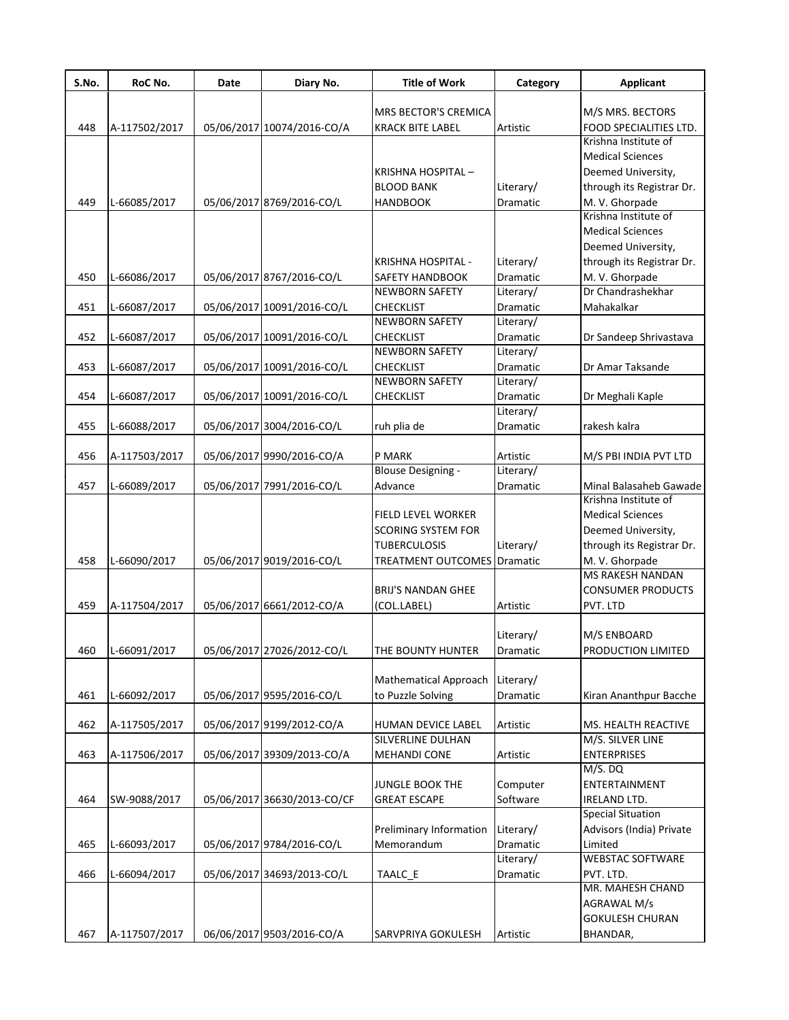| S.No. | RoC No.       | Date | Diary No.                   | <b>Title of Work</b>               | Category  | <b>Applicant</b>                               |
|-------|---------------|------|-----------------------------|------------------------------------|-----------|------------------------------------------------|
|       |               |      |                             |                                    |           |                                                |
|       |               |      |                             | MRS BECTOR'S CREMICA               |           | M/S MRS. BECTORS                               |
| 448   | A-117502/2017 |      | 05/06/2017 10074/2016-CO/A  | <b>KRACK BITE LABEL</b>            | Artistic  | FOOD SPECIALITIES LTD.<br>Krishna Institute of |
|       |               |      |                             |                                    |           | <b>Medical Sciences</b>                        |
|       |               |      |                             |                                    |           |                                                |
|       |               |      |                             | KRISHNA HOSPITAL-                  |           | Deemed University,                             |
|       |               |      |                             | <b>BLOOD BANK</b>                  | Literary/ | through its Registrar Dr.                      |
| 449   | L-66085/2017  |      | 05/06/2017 8769/2016-CO/L   | <b>HANDBOOK</b>                    | Dramatic  | M. V. Ghorpade                                 |
|       |               |      |                             |                                    |           | Krishna Institute of                           |
|       |               |      |                             |                                    |           | <b>Medical Sciences</b>                        |
|       |               |      |                             |                                    |           | Deemed University,                             |
|       |               |      |                             | KRISHNA HOSPITAL -                 | Literary/ | through its Registrar Dr.                      |
| 450   | L-66086/2017  |      | 05/06/2017 8767/2016-CO/L   | <b>SAFETY HANDBOOK</b>             | Dramatic  | M. V. Ghorpade                                 |
|       |               |      |                             | <b>NEWBORN SAFETY</b>              | Literary/ | Dr Chandrashekhar                              |
| 451   | L-66087/2017  |      | 05/06/2017 10091/2016-CO/L  | <b>CHECKLIST</b>                   | Dramatic  | Mahakalkar                                     |
|       |               |      |                             | <b>NEWBORN SAFETY</b>              | Literary/ |                                                |
| 452   | L-66087/2017  |      | 05/06/2017 10091/2016-CO/L  | <b>CHECKLIST</b>                   | Dramatic  | Dr Sandeep Shrivastava                         |
|       |               |      |                             | <b>NEWBORN SAFETY</b>              | Literary/ |                                                |
| 453   | L-66087/2017  |      | 05/06/2017 10091/2016-CO/L  | <b>CHECKLIST</b>                   | Dramatic  | Dr Amar Taksande                               |
|       |               |      |                             | <b>NEWBORN SAFETY</b>              | Literary/ |                                                |
| 454   | L-66087/2017  |      | 05/06/2017 10091/2016-CO/L  | <b>CHECKLIST</b>                   | Dramatic  | Dr Meghali Kaple                               |
|       |               |      |                             |                                    | Literary/ |                                                |
| 455   | L-66088/2017  |      | 05/06/2017 3004/2016-CO/L   | ruh plia de                        | Dramatic  | rakesh kalra                                   |
|       |               |      |                             |                                    |           |                                                |
| 456   | A-117503/2017 |      | 05/06/2017 9990/2016-CO/A   | P MARK                             | Artistic  | M/S PBI INDIA PVT LTD                          |
|       |               |      |                             | <b>Blouse Designing -</b>          | Literary/ |                                                |
| 457   | L-66089/2017  |      | 05/06/2017 7991/2016-CO/L   | Advance                            | Dramatic  | Minal Balasaheb Gawade                         |
|       |               |      |                             |                                    |           | Krishna Institute of                           |
|       |               |      |                             | <b>FIELD LEVEL WORKER</b>          |           | <b>Medical Sciences</b>                        |
|       |               |      |                             | <b>SCORING SYSTEM FOR</b>          |           | Deemed University,                             |
|       |               |      |                             | <b>TUBERCULOSIS</b>                | Literary/ | through its Registrar Dr.                      |
| 458   |               |      |                             | <b>TREATMENT OUTCOMES</b> Dramatic |           |                                                |
|       | L-66090/2017  |      | 05/06/2017 9019/2016-CO/L   |                                    |           | M. V. Ghorpade<br><b>MS RAKESH NANDAN</b>      |
|       |               |      |                             |                                    |           |                                                |
|       |               |      |                             | <b>BRIJ'S NANDAN GHEE</b>          |           | <b>CONSUMER PRODUCTS</b>                       |
| 459   | A-117504/2017 |      | 05/06/2017 6661/2012-CO/A   | (COL.LABEL)                        | Artistic  | PVT. LTD                                       |
|       |               |      |                             |                                    |           |                                                |
|       |               |      |                             |                                    | Literary/ | M/S ENBOARD                                    |
| 460   | L-66091/2017  |      | 05/06/2017 27026/2012-CO/L  | THE BOUNTY HUNTER                  | Dramatic  | PRODUCTION LIMITED                             |
|       |               |      |                             |                                    |           |                                                |
|       |               |      |                             | <b>Mathematical Approach</b>       | Literary/ |                                                |
| 461   | L-66092/2017  |      | 05/06/2017 9595/2016-CO/L   | to Puzzle Solving                  | Dramatic  | Kiran Ananthpur Bacche                         |
|       |               |      |                             |                                    |           |                                                |
| 462   | A-117505/2017 |      | 05/06/2017 9199/2012-CO/A   | HUMAN DEVICE LABEL                 | Artistic  | MS. HEALTH REACTIVE                            |
|       |               |      |                             | SILVERLINE DULHAN                  |           | M/S. SILVER LINE                               |
| 463   | A-117506/2017 |      | 05/06/2017 39309/2013-CO/A  | <b>MEHANDI CONE</b>                | Artistic  | <b>ENTERPRISES</b>                             |
|       |               |      |                             |                                    |           | M/S. DQ                                        |
|       |               |      |                             | JUNGLE BOOK THE                    | Computer  | ENTERTAINMENT                                  |
| 464   | SW-9088/2017  |      | 05/06/2017 36630/2013-CO/CF | <b>GREAT ESCAPE</b>                | Software  | <b>IRELAND LTD.</b>                            |
|       |               |      |                             |                                    |           | <b>Special Situation</b>                       |
|       |               |      |                             | Preliminary Information            | Literary/ | Advisors (India) Private                       |
| 465   | L-66093/2017  |      | 05/06/2017 9784/2016-CO/L   | Memorandum                         | Dramatic  | Limited                                        |
|       |               |      |                             |                                    | Literary/ | <b>WEBSTAC SOFTWARE</b>                        |
| 466   | L-66094/2017  |      | 05/06/2017 34693/2013-CO/L  | TAALC_E                            | Dramatic  | PVT. LTD.                                      |
|       |               |      |                             |                                    |           | MR. MAHESH CHAND                               |
|       |               |      |                             |                                    |           | AGRAWAL M/s                                    |
|       |               |      |                             |                                    |           | <b>GOKULESH CHURAN</b>                         |
| 467   | A-117507/2017 |      | 06/06/2017 9503/2016-CO/A   | SARVPRIYA GOKULESH                 |           |                                                |
|       |               |      |                             |                                    | Artistic  | BHANDAR,                                       |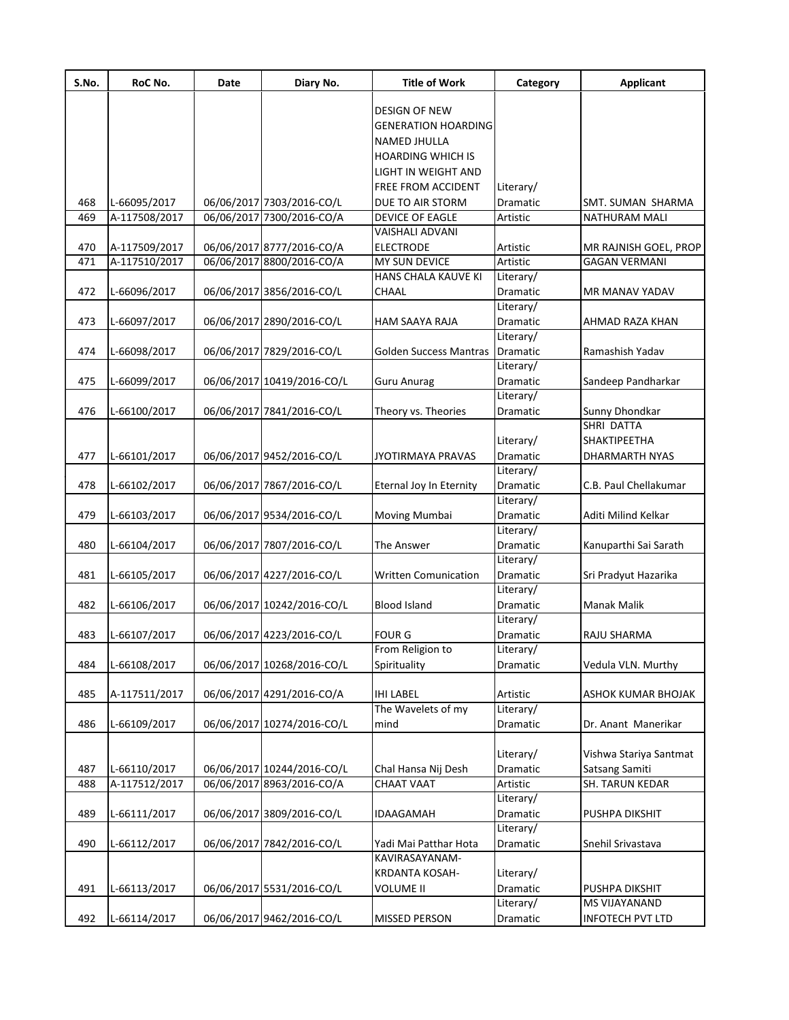| S.No. | RoC No.       | Date | Diary No.                  | <b>Title of Work</b>          | Category  | <b>Applicant</b>        |
|-------|---------------|------|----------------------------|-------------------------------|-----------|-------------------------|
|       |               |      |                            | <b>DESIGN OF NEW</b>          |           |                         |
|       |               |      |                            |                               |           |                         |
|       |               |      |                            | <b>GENERATION HOARDING</b>    |           |                         |
|       |               |      |                            | NAMED JHULLA                  |           |                         |
|       |               |      |                            | <b>HOARDING WHICH IS</b>      |           |                         |
|       |               |      |                            | LIGHT IN WEIGHT AND           |           |                         |
|       |               |      |                            | FREE FROM ACCIDENT            | Literary/ |                         |
| 468   | L-66095/2017  |      | 06/06/2017 7303/2016-CO/L  | DUE TO AIR STORM              | Dramatic  | SMT. SUMAN SHARMA       |
| 469   | A-117508/2017 |      | 06/06/2017 7300/2016-CO/A  | DEVICE OF EAGLE               | Artistic  | NATHURAM MALI           |
|       |               |      |                            | VAISHALI ADVANI               |           |                         |
| 470   | A-117509/2017 |      | 06/06/2017 8777/2016-CO/A  | <b>ELECTRODE</b>              | Artistic  | MR RAJNISH GOEL, PROP   |
| 471   | A-117510/2017 |      | 06/06/2017 8800/2016-CO/A  | MY SUN DEVICE                 | Artistic  | <b>GAGAN VERMANI</b>    |
|       |               |      |                            | HANS CHALA KAUVE KI           | Literary/ |                         |
| 472   | L-66096/2017  |      | 06/06/2017 3856/2016-CO/L  | CHAAL                         | Dramatic  | MR MANAV YADAV          |
|       |               |      |                            |                               | Literary/ |                         |
| 473   | L-66097/2017  |      | 06/06/2017 2890/2016-CO/L  | <b>HAM SAAYA RAJA</b>         | Dramatic  | AHMAD RAZA KHAN         |
|       |               |      |                            |                               | Literary/ |                         |
| 474   | L-66098/2017  |      | 06/06/2017 7829/2016-CO/L  | <b>Golden Success Mantras</b> | Dramatic  | Ramashish Yadav         |
|       |               |      |                            |                               | Literary/ |                         |
|       |               |      |                            |                               |           |                         |
| 475   | L-66099/2017  |      | 06/06/2017 10419/2016-CO/L | <b>Guru Anurag</b>            | Dramatic  | Sandeep Pandharkar      |
|       |               |      |                            |                               | Literary/ |                         |
| 476   | L-66100/2017  |      | 06/06/2017 7841/2016-CO/L  | Theory vs. Theories           | Dramatic  | Sunny Dhondkar          |
|       |               |      |                            |                               |           | SHRI DATTA              |
|       |               |      |                            |                               | Literary/ | <b>SHAKTIPEETHA</b>     |
| 477   | L-66101/2017  |      | 06/06/2017 9452/2016-CO/L  | <b>JYOTIRMAYA PRAVAS</b>      | Dramatic  | DHARMARTH NYAS          |
|       |               |      |                            |                               | Literary/ |                         |
| 478   | L-66102/2017  |      | 06/06/2017 7867/2016-CO/L  | Eternal Joy In Eternity       | Dramatic  | C.B. Paul Chellakumar   |
|       |               |      |                            |                               | Literary/ |                         |
| 479   | L-66103/2017  |      | 06/06/2017 9534/2016-CO/L  | Moving Mumbai                 | Dramatic  | Aditi Milind Kelkar     |
|       |               |      |                            |                               | Literary/ |                         |
| 480   | L-66104/2017  |      | 06/06/2017 7807/2016-CO/L  | The Answer                    | Dramatic  | Kanuparthi Sai Sarath   |
|       |               |      |                            |                               | Literary/ |                         |
| 481   | L-66105/2017  |      | 06/06/2017 4227/2016-CO/L  | <b>Written Comunication</b>   | Dramatic  | Sri Pradyut Hazarika    |
|       |               |      |                            |                               | Literary/ |                         |
|       |               |      |                            |                               |           |                         |
| 482   | L-66106/2017  |      | 06/06/2017 10242/2016-CO/L | <b>Blood Island</b>           | Dramatic  | <b>Manak Malik</b>      |
|       |               |      |                            |                               | Literary/ |                         |
| 483   | L-66107/2017  |      | 06/06/2017 4223/2016-CO/L  | <b>FOUR G</b>                 | Dramatic  | RAJU SHARMA             |
|       |               |      |                            | From Religion to              | Literary/ |                         |
| 484   | L-66108/2017  |      | 06/06/2017 10268/2016-CO/L | Spirituality                  | Dramatic  | Vedula VLN. Murthy      |
|       |               |      |                            |                               |           |                         |
| 485   | A-117511/2017 |      | 06/06/2017 4291/2016-CO/A  | <b>IHI LABEL</b>              | Artistic  | ASHOK KUMAR BHOJAK      |
|       |               |      |                            | The Wavelets of my            | Literary/ |                         |
| 486   | L-66109/2017  |      | 06/06/2017 10274/2016-CO/L | mind                          | Dramatic  | Dr. Anant Manerikar     |
|       |               |      |                            |                               |           |                         |
|       |               |      |                            |                               | Literary/ | Vishwa Stariya Santmat  |
| 487   | L-66110/2017  |      | 06/06/2017 10244/2016-CO/L | Chal Hansa Nij Desh           | Dramatic  | Satsang Samiti          |
| 488   | A-117512/2017 |      | 06/06/2017 8963/2016-CO/A  | CHAAT VAAT                    | Artistic  | SH. TARUN KEDAR         |
|       |               |      |                            |                               | Literary/ |                         |
| 489   | L-66111/2017  |      | 06/06/2017 3809/2016-CO/L  | <b>IDAAGAMAH</b>              | Dramatic  | PUSHPA DIKSHIT          |
|       |               |      |                            |                               |           |                         |
|       |               |      |                            |                               | Literary/ |                         |
| 490   | L-66112/2017  |      | 06/06/2017 7842/2016-CO/L  | Yadi Mai Patthar Hota         | Dramatic  | Snehil Srivastava       |
|       |               |      |                            | KAVIRASAYANAM-                |           |                         |
|       |               |      |                            | <b>KRDANTA KOSAH-</b>         | Literary/ |                         |
| 491   | L-66113/2017  |      | 06/06/2017 5531/2016-CO/L  | <b>VOLUME II</b>              | Dramatic  | PUSHPA DIKSHIT          |
|       |               |      |                            |                               | Literary/ | MS VIJAYANAND           |
| 492   | L-66114/2017  |      | 06/06/2017 9462/2016-CO/L  | <b>MISSED PERSON</b>          | Dramatic  | <b>INFOTECH PVT LTD</b> |
|       |               |      |                            |                               |           |                         |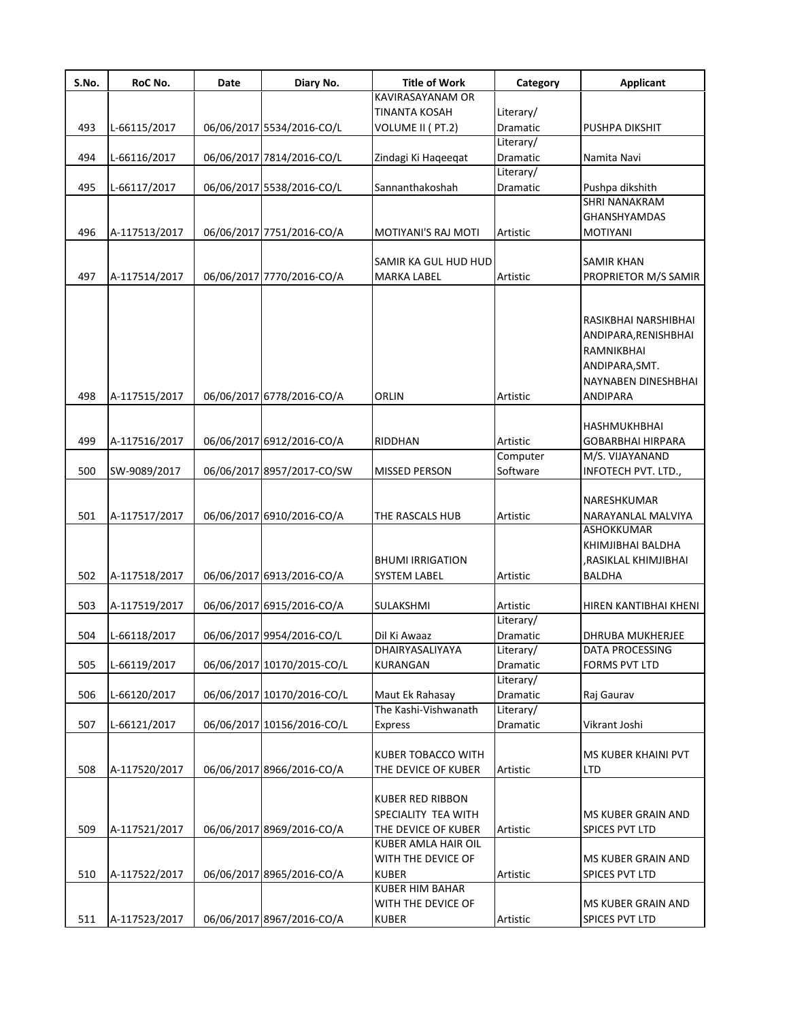| S.No. | RoC No.       | Date | Diary No.                  | <b>Title of Work</b>      | Category  | <b>Applicant</b>      |
|-------|---------------|------|----------------------------|---------------------------|-----------|-----------------------|
|       |               |      |                            | KAVIRASAYANAM OR          |           |                       |
|       |               |      |                            | TINANTA KOSAH             | Literary/ |                       |
| 493   | L-66115/2017  |      | 06/06/2017 5534/2016-CO/L  | VOLUME II (PT.2)          | Dramatic  | PUSHPA DIKSHIT        |
|       |               |      |                            |                           | Literary/ |                       |
| 494   | L-66116/2017  |      | 06/06/2017 7814/2016-CO/L  | Zindagi Ki Haqeeqat       | Dramatic  | Namita Navi           |
|       |               |      |                            |                           | Literary/ |                       |
| 495   | L-66117/2017  |      | 06/06/2017 5538/2016-CO/L  | Sannanthakoshah           | Dramatic  | Pushpa dikshith       |
|       |               |      |                            |                           |           | SHRI NANAKRAM         |
|       |               |      |                            |                           |           | GHANSHYAMDAS          |
| 496   | A-117513/2017 |      | 06/06/2017 7751/2016-CO/A  | MOTIYANI'S RAJ MOTI       | Artistic  | <b>MOTIYANI</b>       |
|       |               |      |                            |                           |           |                       |
|       |               |      |                            | SAMIR KA GUL HUD HUD      |           | SAMIR KHAN            |
| 497   | A-117514/2017 |      | 06/06/2017 7770/2016-CO/A  | MARKA LABEL               | Artistic  | PROPRIETOR M/S SAMIR  |
|       |               |      |                            |                           |           |                       |
|       |               |      |                            |                           |           |                       |
|       |               |      |                            |                           |           | RASIKBHAI NARSHIBHAI  |
|       |               |      |                            |                           |           | ANDIPARA,RENISHBHAI   |
|       |               |      |                            |                           |           | <b>RAMNIKBHAI</b>     |
|       |               |      |                            |                           |           |                       |
|       |               |      |                            |                           |           | ANDIPARA, SMT.        |
|       |               |      |                            |                           |           | NAYNABEN DINESHBHAI   |
| 498   | A-117515/2017 |      | 06/06/2017 6778/2016-CO/A  | ORLIN                     | Artistic  | <b>ANDIPARA</b>       |
|       |               |      |                            |                           |           |                       |
|       |               |      |                            |                           |           | <b>HASHMUKHBHAI</b>   |
| 499   | A-117516/2017 |      | 06/06/2017 6912/2016-CO/A  | <b>RIDDHAN</b>            | Artistic  | GOBARBHAI HIRPARA     |
|       |               |      |                            |                           | Computer  | M/S. VIJAYANAND       |
| 500   | SW-9089/2017  |      | 06/06/2017 8957/2017-CO/SW | <b>MISSED PERSON</b>      | Software  | INFOTECH PVT. LTD.,   |
|       |               |      |                            |                           |           |                       |
|       |               |      |                            |                           |           | NARESHKUMAR           |
| 501   | A-117517/2017 |      | 06/06/2017 6910/2016-CO/A  | THE RASCALS HUB           | Artistic  | NARAYANLAL MALVIYA    |
|       |               |      |                            |                           |           | ASHOKKUMAR            |
|       |               |      |                            |                           |           | KHIMJIBHAI BALDHA     |
|       |               |      |                            | <b>BHUMI IRRIGATION</b>   |           | RASIKLAL KHIMJIBHAI,  |
| 502   | A-117518/2017 |      | 06/06/2017 6913/2016-CO/A  | <b>SYSTEM LABEL</b>       | Artistic  | <b>BALDHA</b>         |
|       |               |      |                            |                           |           |                       |
|       |               |      |                            |                           |           |                       |
| 503   | A-117519/2017 |      | 06/06/2017 6915/2016-CO/A  | SULAKSHMI                 | Artistic  | HIREN KANTIBHAI KHENI |
|       |               |      |                            |                           | Literary/ |                       |
| 504   | L-66118/2017  |      | 06/06/2017 9954/2016-CO/L  | Dil Ki Awaaz              | Dramatic  | DHRUBA MUKHERJEE      |
|       |               |      |                            | DHAIRYASALIYAYA           | Literary/ | DATA PROCESSING       |
| 505   | L-66119/2017  |      | 06/06/2017 10170/2015-CO/L | <b>KURANGAN</b>           | Dramatic  | FORMS PVT LTD         |
|       |               |      |                            |                           | Literary/ |                       |
| 506   | L-66120/2017  |      | 06/06/2017 10170/2016-CO/L | Maut Ek Rahasay           | Dramatic  | Raj Gaurav            |
|       |               |      |                            | The Kashi-Vishwanath      | Literary/ |                       |
| 507   | L-66121/2017  |      | 06/06/2017 10156/2016-CO/L | Express                   | Dramatic  | Vikrant Joshi         |
|       |               |      |                            |                           |           |                       |
|       |               |      |                            | <b>KUBER TOBACCO WITH</b> |           | MS KUBER KHAINI PVT   |
| 508   | A-117520/2017 |      | 06/06/2017 8966/2016-CO/A  | THE DEVICE OF KUBER       | Artistic  | <b>LTD</b>            |
|       |               |      |                            |                           |           |                       |
|       |               |      |                            | <b>KUBER RED RIBBON</b>   |           |                       |
|       |               |      |                            | SPECIALITY TEA WITH       |           | MS KUBER GRAIN AND    |
| 509   | A-117521/2017 |      | 06/06/2017 8969/2016-CO/A  | THE DEVICE OF KUBER       | Artistic  | <b>SPICES PVT LTD</b> |
|       |               |      |                            | KUBER AMLA HAIR OIL       |           |                       |
|       |               |      |                            |                           |           |                       |
|       |               |      |                            | WITH THE DEVICE OF        |           | MS KUBER GRAIN AND    |
| 510   | A-117522/2017 |      | 06/06/2017 8965/2016-CO/A  | <b>KUBER</b>              | Artistic  | SPICES PVT LTD        |
|       |               |      |                            | <b>KUBER HIM BAHAR</b>    |           |                       |
|       |               |      |                            | WITH THE DEVICE OF        |           | MS KUBER GRAIN AND    |
| 511   | A-117523/2017 |      | 06/06/2017 8967/2016-CO/A  | <b>KUBER</b>              | Artistic  | SPICES PVT LTD        |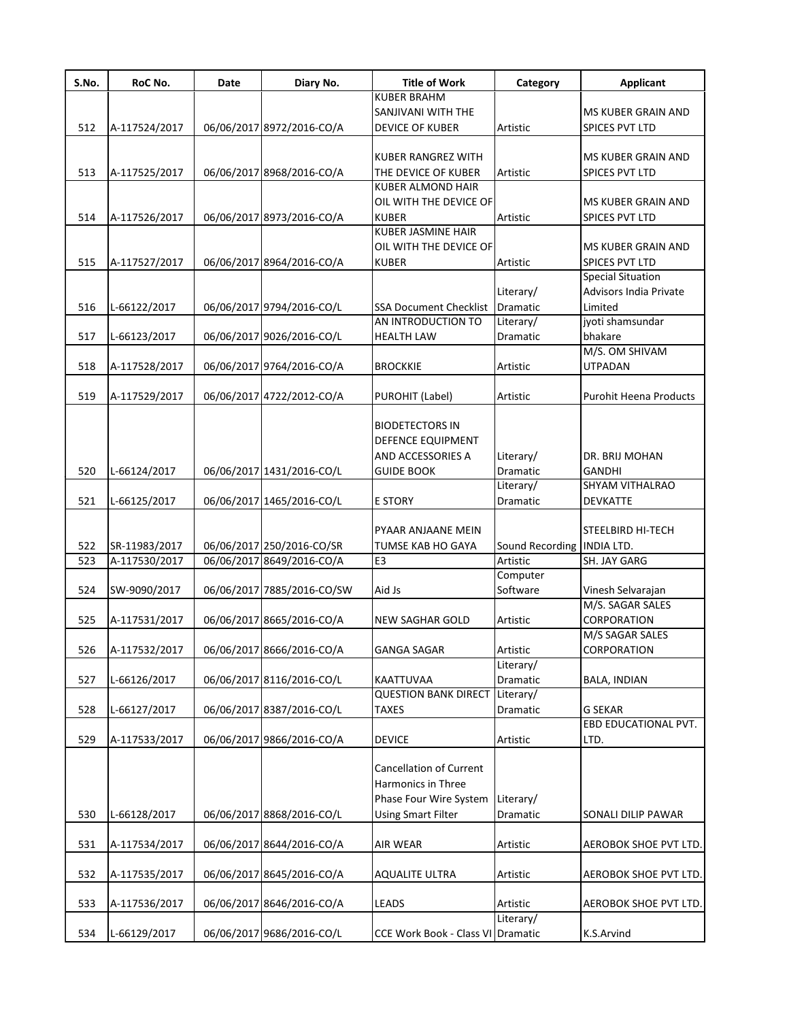| S.No. | RoC No.       | Date | Diary No.                  | <b>Title of Work</b>                     | Category                   | <b>Applicant</b>              |
|-------|---------------|------|----------------------------|------------------------------------------|----------------------------|-------------------------------|
|       |               |      |                            | <b>KUBER BRAHM</b>                       |                            |                               |
|       |               |      |                            | SANJIVANI WITH THE                       |                            | MS KUBER GRAIN AND            |
| 512   | A-117524/2017 |      | 06/06/2017 8972/2016-CO/A  | <b>DEVICE OF KUBER</b>                   | Artistic                   | SPICES PVT LTD                |
|       |               |      |                            |                                          |                            |                               |
|       |               |      |                            | <b>KUBER RANGREZ WITH</b>                |                            | <b>MS KUBER GRAIN AND</b>     |
| 513   | A-117525/2017 |      | 06/06/2017 8968/2016-CO/A  | THE DEVICE OF KUBER                      | Artistic                   | SPICES PVT LTD                |
|       |               |      |                            | <b>KUBER ALMOND HAIR</b>                 |                            |                               |
|       |               |      |                            | OIL WITH THE DEVICE OF                   |                            | <b>MS KUBER GRAIN AND</b>     |
| 514   | A-117526/2017 |      | 06/06/2017 8973/2016-CO/A  | <b>KUBER</b>                             | Artistic                   | SPICES PVT LTD                |
|       |               |      |                            | <b>KUBER JASMINE HAIR</b>                |                            |                               |
|       |               |      |                            | OIL WITH THE DEVICE OF                   |                            | <b>MS KUBER GRAIN AND</b>     |
| 515   | A-117527/2017 |      | 06/06/2017 8964/2016-CO/A  | <b>KUBER</b>                             | Artistic                   | <b>SPICES PVT LTD</b>         |
|       |               |      |                            |                                          |                            | <b>Special Situation</b>      |
|       |               |      |                            |                                          | Literary/                  | <b>Advisors India Private</b> |
| 516   | L-66122/2017  |      | 06/06/2017 9794/2016-CO/L  | SSA Document Checklist   Dramatic        |                            | Limited                       |
|       |               |      |                            | AN INTRODUCTION TO                       | Literary/                  | jyoti shamsundar              |
| 517   | L-66123/2017  |      | 06/06/2017 9026/2016-CO/L  | <b>HEALTH LAW</b>                        | Dramatic                   | bhakare                       |
|       |               |      |                            |                                          |                            | M/S. OM SHIVAM                |
| 518   | A-117528/2017 |      | 06/06/2017 9764/2016-CO/A  | <b>BROCKKIE</b>                          | Artistic                   | <b>UTPADAN</b>                |
|       |               |      |                            |                                          |                            |                               |
| 519   | A-117529/2017 |      | 06/06/2017 4722/2012-CO/A  | PUROHIT (Label)                          | Artistic                   | <b>Purohit Heena Products</b> |
|       |               |      |                            |                                          |                            |                               |
|       |               |      |                            | <b>BIODETECTORS IN</b>                   |                            |                               |
|       |               |      |                            | <b>DEFENCE EQUIPMENT</b>                 |                            |                               |
|       |               |      |                            | AND ACCESSORIES A                        | Literary/                  | DR. BRIJ MOHAN                |
| 520   | L-66124/2017  |      | 06/06/2017 1431/2016-CO/L  | <b>GUIDE BOOK</b>                        | Dramatic                   | <b>GANDHI</b>                 |
|       |               |      |                            |                                          | Literary/                  | SHYAM VITHALRAO               |
| 521   | L-66125/2017  |      | 06/06/2017 1465/2016-CO/L  | <b>E STORY</b>                           | Dramatic                   | DEVKATTE                      |
|       |               |      |                            |                                          |                            |                               |
|       |               |      |                            |                                          |                            |                               |
|       |               |      |                            | PYAAR ANJAANE MEIN                       |                            | <b>STEELBIRD HI-TECH</b>      |
| 522   | SR-11983/2017 |      | 06/06/2017 250/2016-CO/SR  | TUMSE KAB HO GAYA                        | Sound Recording INDIA LTD. |                               |
| 523   | A-117530/2017 |      | 06/06/2017 8649/2016-CO/A  | E3                                       | Artistic                   | SH. JAY GARG                  |
|       |               |      |                            |                                          | Computer                   |                               |
| 524   | SW-9090/2017  |      | 06/06/2017 7885/2016-CO/SW | Aid Js                                   | Software                   | Vinesh Selvarajan             |
|       |               |      |                            |                                          |                            | M/S. SAGAR SALES              |
| 525   | A-117531/2017 |      | 06/06/2017 8665/2016-CO/A  | <b>NEW SAGHAR GOLD</b>                   | Artistic                   | CORPORATION                   |
|       |               |      |                            |                                          |                            | M/S SAGAR SALES               |
| 526   | A-117532/2017 |      | 06/06/2017 8666/2016-CO/A  | <b>GANGA SAGAR</b>                       | Artistic                   | CORPORATION                   |
|       |               |      |                            |                                          | Literary/                  |                               |
| 527   | L-66126/2017  |      | 06/06/2017 8116/2016-CO/L  | KAATTUVAA                                | Dramatic                   | <b>BALA, INDIAN</b>           |
|       |               |      |                            | <b>QUESTION BANK DIRECT</b>              | Literary/                  |                               |
| 528   | L-66127/2017  |      | 06/06/2017 8387/2016-CO/L  | <b>TAXES</b>                             | Dramatic                   | <b>G SEKAR</b>                |
|       |               |      |                            |                                          |                            | EBD EDUCATIONAL PVT.          |
| 529   | A-117533/2017 |      | 06/06/2017 9866/2016-CO/A  | <b>DEVICE</b>                            | Artistic                   | LTD.                          |
|       |               |      |                            |                                          |                            |                               |
|       |               |      |                            | <b>Cancellation of Current</b>           |                            |                               |
|       |               |      |                            | Harmonics in Three                       |                            |                               |
|       |               |      |                            | Phase Four Wire System                   | Literary/                  |                               |
| 530   | L-66128/2017  |      | 06/06/2017 8868/2016-CO/L  | <b>Using Smart Filter</b>                | Dramatic                   | SONALI DILIP PAWAR            |
|       |               |      |                            |                                          |                            |                               |
| 531   | A-117534/2017 |      | 06/06/2017 8644/2016-CO/A  | <b>AIR WEAR</b>                          | Artistic                   | <b>AEROBOK SHOE PVT LTD.</b>  |
|       |               |      |                            |                                          |                            |                               |
| 532   | A-117535/2017 |      | 06/06/2017 8645/2016-CO/A  | <b>AQUALITE ULTRA</b>                    | Artistic                   | AEROBOK SHOE PVT LTD.         |
|       |               |      |                            |                                          |                            |                               |
|       |               |      |                            |                                          |                            |                               |
| 533   | A-117536/2017 |      | 06/06/2017 8646/2016-CO/A  | <b>LEADS</b>                             | Artistic                   | AEROBOK SHOE PVT LTD.         |
|       |               |      |                            |                                          | Literary/                  |                               |
| 534   | L-66129/2017  |      | 06/06/2017 9686/2016-CO/L  | <b>CCE Work Book - Class VI Dramatic</b> |                            | K.S.Arvind                    |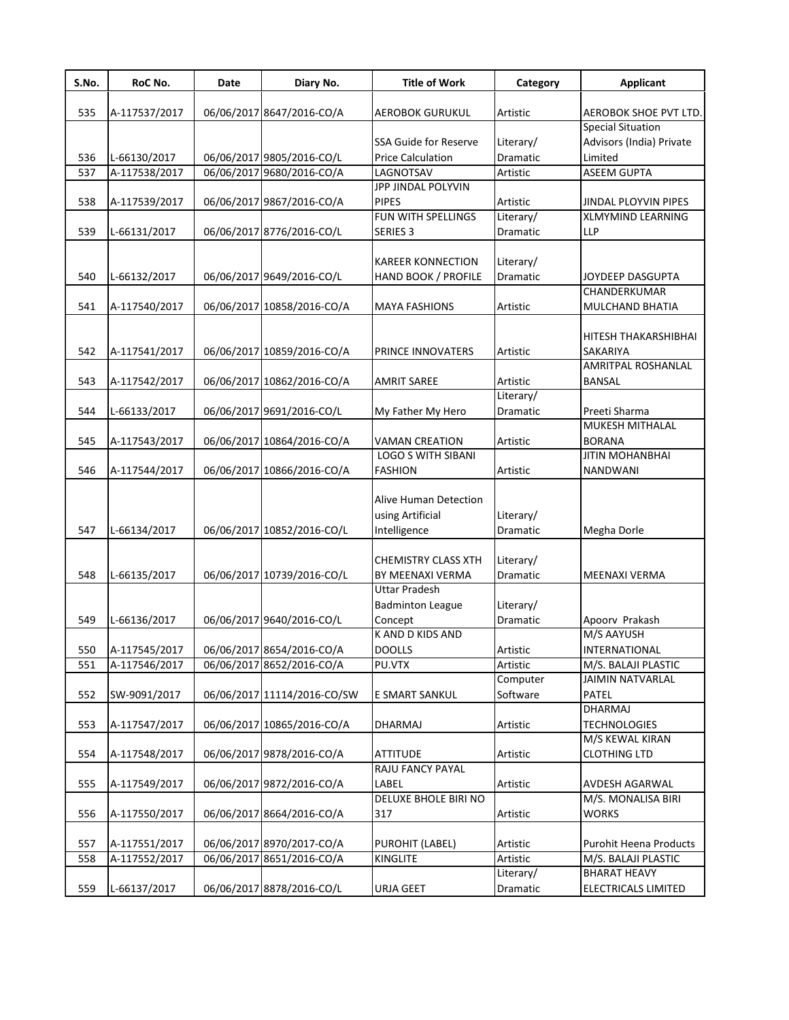| S.No. | RoC No.       | Date | Diary No.                   | <b>Title of Work</b>         | Category  | <b>Applicant</b>          |
|-------|---------------|------|-----------------------------|------------------------------|-----------|---------------------------|
| 535   | A-117537/2017 |      | 06/06/2017 8647/2016-CO/A   | <b>AEROBOK GURUKUL</b>       | Artistic  | AEROBOK SHOE PVT LTD.     |
|       |               |      |                             |                              |           | <b>Special Situation</b>  |
|       |               |      |                             | <b>SSA Guide for Reserve</b> | Literary/ | Advisors (India) Private  |
| 536   | L-66130/2017  |      | 06/06/2017 9805/2016-CO/L   | <b>Price Calculation</b>     | Dramatic  | Limited                   |
| 537   | A-117538/2017 |      | 06/06/2017 9680/2016-CO/A   | LAGNOTSAV                    | Artistic  | <b>ASEEM GUPTA</b>        |
|       |               |      |                             | JPP JINDAL POLYVIN           |           |                           |
| 538   | A-117539/2017 |      | 06/06/2017 9867/2016-CO/A   | <b>PIPES</b>                 | Artistic  | JINDAL PLOYVIN PIPES      |
|       |               |      |                             | FUN WITH SPELLINGS           | Literary/ | <b>XLMYMIND LEARNING</b>  |
| 539   | L-66131/2017  |      | 06/06/2017 8776/2016-CO/L   | SERIES <sub>3</sub>          | Dramatic  | LLP                       |
|       |               |      |                             | KAREER KONNECTION            | Literary/ |                           |
| 540   | L-66132/2017  |      | 06/06/2017 9649/2016-CO/L   | HAND BOOK / PROFILE          | Dramatic  | JOYDEEP DASGUPTA          |
|       |               |      |                             |                              |           | CHANDERKUMAR              |
|       |               |      |                             |                              |           |                           |
| 541   | A-117540/2017 |      | 06/06/2017 10858/2016-CO/A  | <b>MAYA FASHIONS</b>         | Artistic  | MULCHAND BHATIA           |
|       |               |      |                             |                              |           |                           |
|       |               |      |                             |                              |           | HITESH THAKARSHIBHAI      |
| 542   | A-117541/2017 |      | 06/06/2017 10859/2016-CO/A  | PRINCE INNOVATERS            | Artistic  | SAKARIYA                  |
|       |               |      |                             |                              |           | <b>AMRITPAL ROSHANLAL</b> |
| 543   | A-117542/2017 |      | 06/06/2017 10862/2016-CO/A  | <b>AMRIT SAREE</b>           | Artistic  | <b>BANSAL</b>             |
|       |               |      |                             |                              | Literary/ |                           |
| 544   | L-66133/2017  |      | 06/06/2017 9691/2016-CO/L   | My Father My Hero            | Dramatic  | Preeti Sharma             |
|       |               |      |                             |                              |           | MUKESH MITHALAL           |
| 545   | A-117543/2017 |      | 06/06/2017 10864/2016-CO/A  | <b>VAMAN CREATION</b>        | Artistic  | <b>BORANA</b>             |
|       |               |      |                             | <b>LOGO S WITH SIBANI</b>    |           | <b>JITIN MOHANBHAI</b>    |
| 546   | A-117544/2017 |      | 06/06/2017 10866/2016-CO/A  | <b>FASHION</b>               | Artistic  | NANDWANI                  |
|       |               |      |                             |                              |           |                           |
|       |               |      |                             | Alive Human Detection        |           |                           |
|       |               |      |                             | using Artificial             | Literary/ |                           |
| 547   | L-66134/2017  |      | 06/06/2017 10852/2016-CO/L  | Intelligence                 | Dramatic  | Megha Dorle               |
|       |               |      |                             |                              |           |                           |
|       |               |      |                             | <b>CHEMISTRY CLASS XTH</b>   | Literary/ |                           |
| 548   | L-66135/2017  |      | 06/06/2017 10739/2016-CO/L  | BY MEENAXI VERMA             | Dramatic  | <b>MEENAXI VERMA</b>      |
|       |               |      |                             | <b>Uttar Pradesh</b>         |           |                           |
|       |               |      |                             | <b>Badminton League</b>      | Literary/ |                           |
| 549   | L-66136/2017  |      | 06/06/2017 9640/2016-CO/L   | Concept                      | Dramatic  | Apoorv Prakash            |
|       |               |      |                             | <b>KAND D KIDS AND</b>       |           | M/S AAYUSH                |
| 550   | A-117545/2017 |      | 06/06/2017 8654/2016-CO/A   | <b>DOOLLS</b>                | Artistic  | <b>INTERNATIONAL</b>      |
| 551   | A-117546/2017 |      | 06/06/2017 8652/2016-CO/A   | PU.VTX                       | Artistic  | M/S. BALAJI PLASTIC       |
|       |               |      |                             |                              | Computer  | <b>JAIMIN NATVARLAL</b>   |
| 552   | SW-9091/2017  |      | 06/06/2017 11114/2016-CO/SW | E SMART SANKUL               | Software  | PATEL                     |
|       |               |      |                             |                              |           | DHARMAJ                   |
| 553   | A-117547/2017 |      | 06/06/2017 10865/2016-CO/A  | DHARMAJ                      | Artistic  | <b>TECHNOLOGIES</b>       |
|       |               |      |                             |                              |           | M/S KEWAL KIRAN           |
| 554   | A-117548/2017 |      | 06/06/2017 9878/2016-CO/A   | <b>ATTITUDE</b>              | Artistic  | <b>CLOTHING LTD</b>       |
|       |               |      |                             | RAJU FANCY PAYAL             |           |                           |
| 555   | A-117549/2017 |      | 06/06/2017 9872/2016-CO/A   | LABEL                        | Artistic  | AVDESH AGARWAL            |
|       |               |      |                             | DELUXE BHOLE BIRI NO         |           | M/S. MONALISA BIRI        |
| 556   | A-117550/2017 |      | 06/06/2017 8664/2016-CO/A   | 317                          | Artistic  | <b>WORKS</b>              |
|       |               |      |                             |                              |           |                           |
| 557   | A-117551/2017 |      | 06/06/2017 8970/2017-CO/A   | PUROHIT (LABEL)              | Artistic  | Purohit Heena Products    |
| 558   | A-117552/2017 |      | 06/06/2017 8651/2016-CO/A   | KINGLITE                     | Artistic  | M/S. BALAJI PLASTIC       |
|       |               |      |                             |                              | Literary/ | BHARAT HEAVY              |
| 559   | L-66137/2017  |      | 06/06/2017 8878/2016-CO/L   | URJA GEET                    | Dramatic  | ELECTRICALS LIMITED       |
|       |               |      |                             |                              |           |                           |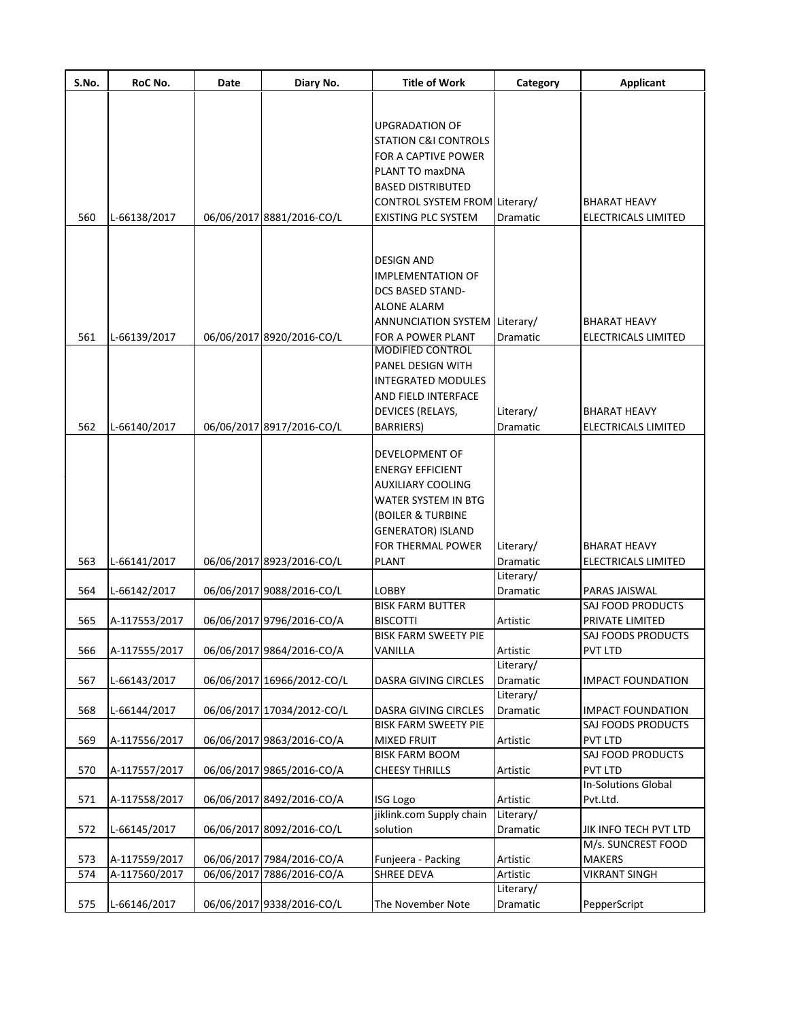| S.No. | RoC No.       | Date | Diary No.                  | <b>Title of Work</b>            | Category        | <b>Applicant</b>           |
|-------|---------------|------|----------------------------|---------------------------------|-----------------|----------------------------|
|       |               |      |                            |                                 |                 |                            |
|       |               |      |                            | <b>UPGRADATION OF</b>           |                 |                            |
|       |               |      |                            | <b>STATION C&amp;I CONTROLS</b> |                 |                            |
|       |               |      |                            |                                 |                 |                            |
|       |               |      |                            | FOR A CAPTIVE POWER             |                 |                            |
|       |               |      |                            | PLANT TO maxDNA                 |                 |                            |
|       |               |      |                            | <b>BASED DISTRIBUTED</b>        |                 |                            |
|       |               |      |                            | CONTROL SYSTEM FROM Literary/   |                 | <b>BHARAT HEAVY</b>        |
| 560   | L-66138/2017  |      | 06/06/2017 8881/2016-CO/L  | <b>EXISTING PLC SYSTEM</b>      | Dramatic        | <b>ELECTRICALS LIMITED</b> |
|       |               |      |                            |                                 |                 |                            |
|       |               |      |                            | <b>DESIGN AND</b>               |                 |                            |
|       |               |      |                            | <b>IMPLEMENTATION OF</b>        |                 |                            |
|       |               |      |                            | <b>DCS BASED STAND-</b>         |                 |                            |
|       |               |      |                            | <b>ALONE ALARM</b>              |                 |                            |
|       |               |      |                            | ANNUNCIATION SYSTEM Literary/   |                 | <b>BHARAT HEAVY</b>        |
| 561   | L-66139/2017  |      | 06/06/2017 8920/2016-CO/L  | FOR A POWER PLANT               | Dramatic        | <b>ELECTRICALS LIMITED</b> |
|       |               |      |                            | <b>MODIFIED CONTROL</b>         |                 |                            |
|       |               |      |                            | <b>PANEL DESIGN WITH</b>        |                 |                            |
|       |               |      |                            | <b>INTEGRATED MODULES</b>       |                 |                            |
|       |               |      |                            | AND FIELD INTERFACE             |                 |                            |
|       |               |      |                            | DEVICES (RELAYS,                | Literary/       | <b>BHARAT HEAVY</b>        |
| 562   | L-66140/2017  |      | 06/06/2017 8917/2016-CO/L  | <b>BARRIERS</b> )               | Dramatic        | <b>ELECTRICALS LIMITED</b> |
|       |               |      |                            |                                 |                 |                            |
|       |               |      |                            | <b>DEVELOPMENT OF</b>           |                 |                            |
|       |               |      |                            | <b>ENERGY EFFICIENT</b>         |                 |                            |
|       |               |      |                            | <b>AUXILIARY COOLING</b>        |                 |                            |
|       |               |      |                            | <b>WATER SYSTEM IN BTG</b>      |                 |                            |
|       |               |      |                            | (BOILER & TURBINE               |                 |                            |
|       |               |      |                            | <b>GENERATOR) ISLAND</b>        |                 |                            |
|       |               |      |                            | FOR THERMAL POWER               | Literary/       | <b>BHARAT HEAVY</b>        |
| 563   | L-66141/2017  |      | 06/06/2017 8923/2016-CO/L  | <b>PLANT</b>                    | Dramatic        | <b>ELECTRICALS LIMITED</b> |
|       |               |      |                            |                                 | Literary/       |                            |
| 564   | L-66142/2017  |      | 06/06/2017 9088/2016-CO/L  | <b>LOBBY</b>                    | Dramatic        | PARAS JAISWAL              |
|       |               |      |                            | <b>BISK FARM BUTTER</b>         |                 | SAJ FOOD PRODUCTS          |
| 565   | A-117553/2017 |      | 06/06/2017 9796/2016-CO/A  | <b>BISCOTTI</b>                 | Artistic        | PRIVATE LIMITED            |
|       |               |      |                            | <b>BISK FARM SWEETY PIE</b>     |                 | SAJ FOODS PRODUCTS         |
| 566   | A-117555/2017 |      | 06/06/2017 9864/2016-CO/A  | VANILLA                         | Artistic        | PVT LTD                    |
|       |               |      |                            |                                 | Literary/       |                            |
| 567   | L-66143/2017  |      | 06/06/2017 16966/2012-CO/L | DASRA GIVING CIRCLES            | <b>Dramatic</b> | <b>IMPACT FOUNDATION</b>   |
|       |               |      |                            |                                 | Literary/       |                            |
| 568   | L-66144/2017  |      | 06/06/2017 17034/2012-CO/L | DASRA GIVING CIRCLES            | <b>Dramatic</b> | <b>IMPACT FOUNDATION</b>   |
|       |               |      |                            | <b>BISK FARM SWEETY PIE</b>     |                 | SAJ FOODS PRODUCTS         |
| 569   | A-117556/2017 |      | 06/06/2017 9863/2016-CO/A  | <b>MIXED FRUIT</b>              | Artistic        | <b>PVT LTD</b>             |
|       |               |      |                            | <b>BISK FARM BOOM</b>           |                 | SAJ FOOD PRODUCTS          |
| 570   | A-117557/2017 |      | 06/06/2017 9865/2016-CO/A  | <b>CHEESY THRILLS</b>           | Artistic        | <b>PVT LTD</b>             |
|       |               |      |                            |                                 |                 | <b>In-Solutions Global</b> |
| 571   | A-117558/2017 |      | 06/06/2017 8492/2016-CO/A  | <b>ISG Logo</b>                 | Artistic        | Pvt.Ltd.                   |
|       |               |      |                            | jiklink.com Supply chain        | Literary/       |                            |
| 572   | L-66145/2017  |      | 06/06/2017 8092/2016-CO/L  | solution                        | Dramatic        | JIK INFO TECH PVT LTD      |
|       |               |      |                            |                                 |                 | M/s. SUNCREST FOOD         |
| 573   | A-117559/2017 |      | 06/06/2017 7984/2016-CO/A  | Funjeera - Packing              | Artistic        | <b>MAKERS</b>              |
| 574   | A-117560/2017 |      | 06/06/2017 7886/2016-CO/A  | SHREE DEVA                      | Artistic        | <b>VIKRANT SINGH</b>       |
|       |               |      |                            |                                 | Literary/       |                            |
| 575   | L-66146/2017  |      | 06/06/2017 9338/2016-CO/L  | The November Note               | Dramatic        | PepperScript               |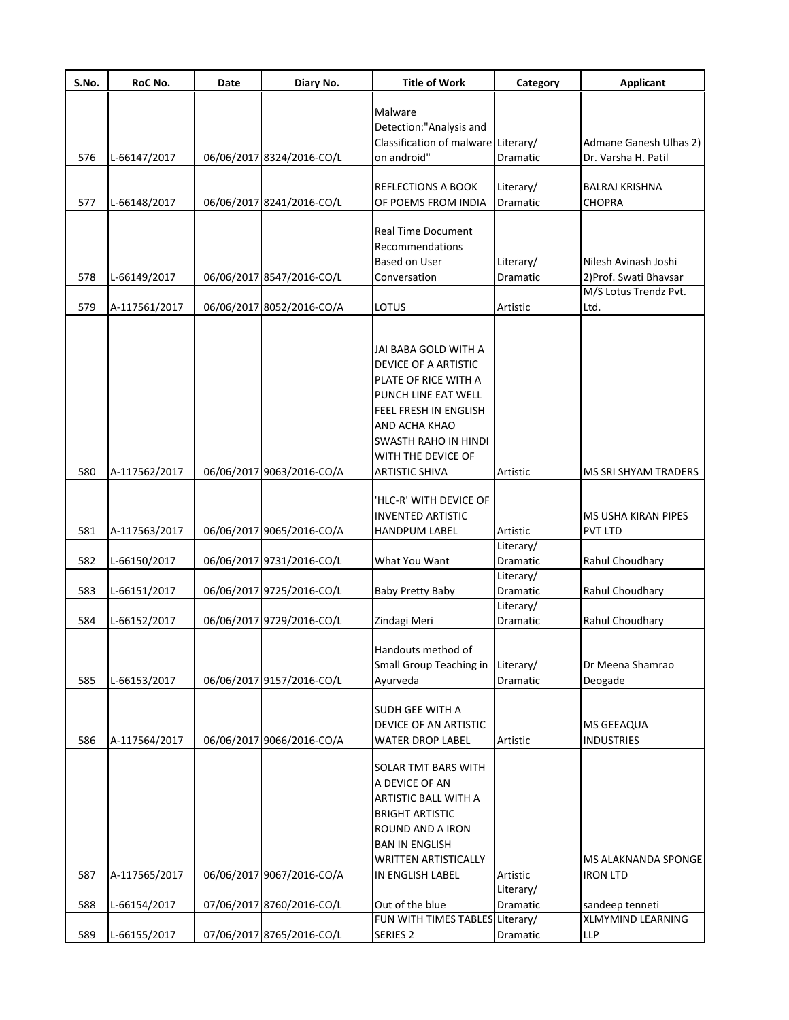| S.No. | RoC No.       | Date | Diary No.                 | <b>Title of Work</b>                                                                                                                                                                                                | Category                     | <b>Applicant</b>                               |
|-------|---------------|------|---------------------------|---------------------------------------------------------------------------------------------------------------------------------------------------------------------------------------------------------------------|------------------------------|------------------------------------------------|
|       |               |      |                           | Malware<br>Detection:"Analysis and<br>Classification of malware Literary/                                                                                                                                           |                              | Admane Ganesh Ulhas 2)                         |
| 576   | L-66147/2017  |      | 06/06/2017 8324/2016-CO/L | on android"                                                                                                                                                                                                         | Dramatic                     | Dr. Varsha H. Patil                            |
| 577   | L-66148/2017  |      | 06/06/2017 8241/2016-CO/L | <b>REFLECTIONS A BOOK</b><br>OF POEMS FROM INDIA                                                                                                                                                                    | Literary/<br><b>Dramatic</b> | <b>BALRAJ KRISHNA</b><br><b>CHOPRA</b>         |
| 578   | L-66149/2017  |      | 06/06/2017 8547/2016-CO/L | <b>Real Time Document</b><br>Recommendations<br><b>Based on User</b><br>Conversation                                                                                                                                | Literary/<br>Dramatic        | Nilesh Avinash Joshi<br>2) Prof. Swati Bhavsar |
| 579   | A-117561/2017 |      | 06/06/2017 8052/2016-CO/A | LOTUS                                                                                                                                                                                                               | Artistic                     | M/S Lotus Trendz Pvt.<br>Ltd.                  |
| 580   | A-117562/2017 |      | 06/06/2017 9063/2016-CO/A | JAI BABA GOLD WITH A<br>DEVICE OF A ARTISTIC<br>PLATE OF RICE WITH A<br>PUNCH LINE EAT WELL<br>FEEL FRESH IN ENGLISH<br>AND ACHA KHAO<br><b>SWASTH RAHO IN HINDI</b><br>WITH THE DEVICE OF<br><b>ARTISTIC SHIVA</b> | Artistic                     | MS SRI SHYAM TRADERS                           |
|       |               |      |                           |                                                                                                                                                                                                                     |                              |                                                |
| 581   | A-117563/2017 |      | 06/06/2017 9065/2016-CO/A | 'HLC-R' WITH DEVICE OF<br><b>INVENTED ARTISTIC</b><br><b>HANDPUM LABEL</b>                                                                                                                                          | Artistic                     | <b>MS USHA KIRAN PIPES</b><br><b>PVT LTD</b>   |
| 582   | L-66150/2017  |      | 06/06/2017 9731/2016-CO/L | What You Want                                                                                                                                                                                                       | Literary/<br><b>Dramatic</b> | Rahul Choudhary                                |
| 583   | L-66151/2017  |      | 06/06/2017 9725/2016-CO/L | <b>Baby Pretty Baby</b>                                                                                                                                                                                             | Literary/<br><b>Dramatic</b> | Rahul Choudhary                                |
| 584   | L-66152/2017  |      | 06/06/2017 9729/2016-CO/L | Zindagi Meri                                                                                                                                                                                                        | Literary/<br>Dramatic        | Rahul Choudhary                                |
| 585   | L-66153/2017  |      | 06/06/2017 9157/2016-CO/L | Handouts method of<br>Small Group Teaching in<br>Ayurveda                                                                                                                                                           | Literary/<br><b>Dramatic</b> | Dr Meena Shamrao<br>Deogade                    |
| 586   | A-117564/2017 |      | 06/06/2017 9066/2016-CO/A | <b>SUDH GEE WITH A</b><br><b>DEVICE OF AN ARTISTIC</b><br><b>WATER DROP LABEL</b>                                                                                                                                   | Artistic                     | <b>MS GEEAQUA</b><br><b>INDUSTRIES</b>         |
| 587   | A-117565/2017 |      | 06/06/2017 9067/2016-CO/A | <b>SOLAR TMT BARS WITH</b><br>A DEVICE OF AN<br>ARTISTIC BALL WITH A<br><b>BRIGHT ARTISTIC</b><br>ROUND AND A IRON<br><b>BAN IN ENGLISH</b><br><b>WRITTEN ARTISTICALLY</b><br>IN ENGLISH LABEL                      | Artistic                     | MS ALAKNANDA SPONGE<br><b>IRON LTD</b>         |
| 588   | L-66154/2017  |      | 07/06/2017 8760/2016-CO/L | Out of the blue                                                                                                                                                                                                     | Literary/<br>Dramatic        | sandeep tenneti                                |
|       |               |      |                           | FUN WITH TIMES TABLES Literary/                                                                                                                                                                                     |                              | <b>XLMYMIND LEARNING</b>                       |
| 589   | L-66155/2017  |      | 07/06/2017 8765/2016-CO/L | <b>SERIES 2</b>                                                                                                                                                                                                     | Dramatic                     | <b>LLP</b>                                     |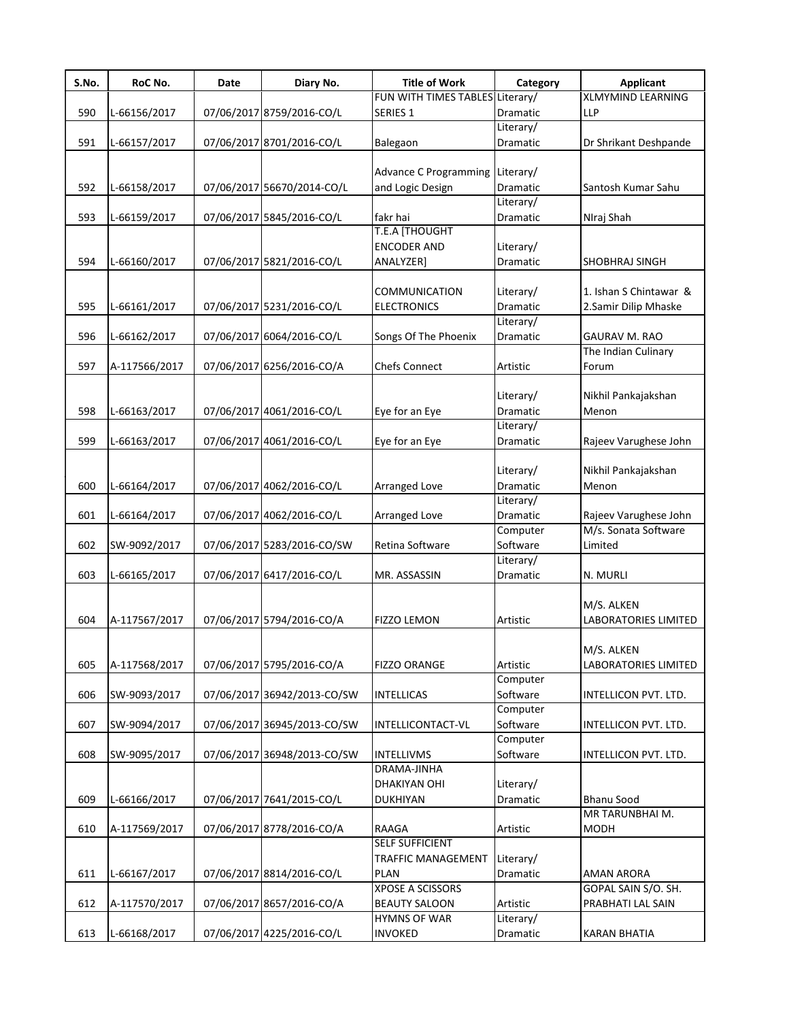| S.No. | RoC No.       | Date | Diary No.                   | <b>Title of Work</b>            | Category        | <b>Applicant</b>            |
|-------|---------------|------|-----------------------------|---------------------------------|-----------------|-----------------------------|
|       |               |      |                             | FUN WITH TIMES TABLES Literary/ |                 | <b>XLMYMIND LEARNING</b>    |
| 590   | L-66156/2017  |      | 07/06/2017 8759/2016-CO/L   | SERIES <sub>1</sub>             | <b>Dramatic</b> | <b>LLP</b>                  |
|       |               |      |                             |                                 | Literary/       |                             |
| 591   | L-66157/2017  |      | 07/06/2017 8701/2016-CO/L   | Balegaon                        | Dramatic        | Dr Shrikant Deshpande       |
|       |               |      |                             |                                 |                 |                             |
|       |               |      |                             | <b>Advance C Programming</b>    | Literary/       |                             |
| 592   | L-66158/2017  |      | 07/06/2017 56670/2014-CO/L  | and Logic Design                | Dramatic        | Santosh Kumar Sahu          |
|       |               |      |                             |                                 | Literary/       |                             |
| 593   | L-66159/2017  |      | 07/06/2017 5845/2016-CO/L   | fakr hai                        | Dramatic        | NIraj Shah                  |
|       |               |      |                             | T.E.A [THOUGHT                  |                 |                             |
|       |               |      |                             | <b>ENCODER AND</b>              | Literary/       |                             |
| 594   | L-66160/2017  |      | 07/06/2017 5821/2016-CO/L   | ANALYZER]                       | Dramatic        | SHOBHRAJ SINGH              |
|       |               |      |                             |                                 |                 |                             |
|       |               |      |                             | COMMUNICATION                   | Literary/       | 1. Ishan S Chintawar &      |
| 595   | L-66161/2017  |      | 07/06/2017 5231/2016-CO/L   | <b>ELECTRONICS</b>              | Dramatic        | 2.Samir Dilip Mhaske        |
|       |               |      |                             |                                 | Literary/       |                             |
| 596   | L-66162/2017  |      | 07/06/2017 6064/2016-CO/L   | Songs Of The Phoenix            | Dramatic        | <b>GAURAV M. RAO</b>        |
|       |               |      |                             |                                 |                 | The Indian Culinary         |
| 597   | A-117566/2017 |      | 07/06/2017 6256/2016-CO/A   | <b>Chefs Connect</b>            | Artistic        | Forum                       |
|       |               |      |                             |                                 |                 |                             |
|       |               |      |                             |                                 | Literary/       | Nikhil Pankajakshan         |
| 598   | L-66163/2017  |      | 07/06/2017 4061/2016-CO/L   | Eye for an Eye                  | Dramatic        | Menon                       |
|       |               |      |                             |                                 | Literary/       |                             |
| 599   | L-66163/2017  |      | 07/06/2017 4061/2016-CO/L   | Eye for an Eye                  | Dramatic        | Rajeev Varughese John       |
|       |               |      |                             |                                 |                 |                             |
|       |               |      |                             |                                 | Literary/       | Nikhil Pankajakshan         |
| 600   | L-66164/2017  |      | 07/06/2017 4062/2016-CO/L   | Arranged Love                   | Dramatic        | Menon                       |
|       |               |      |                             |                                 | Literary/       |                             |
| 601   | L-66164/2017  |      | 07/06/2017 4062/2016-CO/L   | Arranged Love                   | Dramatic        | Rajeev Varughese John       |
|       |               |      |                             |                                 | Computer        | M/s. Sonata Software        |
| 602   | SW-9092/2017  |      | 07/06/2017 5283/2016-CO/SW  | Retina Software                 | Software        | Limited                     |
|       |               |      |                             |                                 | Literary/       |                             |
| 603   | L-66165/2017  |      | 07/06/2017 6417/2016-CO/L   | MR. ASSASSIN                    | <b>Dramatic</b> | N. MURLI                    |
|       |               |      |                             |                                 |                 |                             |
|       |               |      |                             |                                 |                 |                             |
|       |               |      |                             |                                 |                 | M/S. ALKEN                  |
| 604   | A-117567/2017 |      | 07/06/2017 5794/2016-CO/A   | <b>FIZZO LEMON</b>              | Artistic        | <b>LABORATORIES LIMITED</b> |
|       |               |      |                             |                                 |                 |                             |
|       |               |      |                             |                                 |                 | M/S. ALKEN                  |
| 605   | A-117568/2017 |      | 07/06/2017 5795/2016-CO/A   | <b>FIZZO ORANGE</b>             | Artistic        | LABORATORIES LIMITED        |
|       |               |      |                             |                                 | Computer        |                             |
| 606   | SW-9093/2017  |      | 07/06/2017 36942/2013-CO/SW | <b>INTELLICAS</b>               | Software        | INTELLICON PVT. LTD.        |
|       |               |      |                             |                                 | Computer        |                             |
| 607   | SW-9094/2017  |      | 07/06/2017 36945/2013-CO/SW | INTELLICONTACT-VL               | Software        | INTELLICON PVT. LTD.        |
|       |               |      |                             |                                 | Computer        |                             |
| 608   | SW-9095/2017  |      | 07/06/2017 36948/2013-CO/SW | <b>INTELLIVMS</b>               | Software        | INTELLICON PVT. LTD.        |
|       |               |      |                             | DRAMA-JINHA                     |                 |                             |
|       |               |      |                             | DHAKIYAN OHI                    | Literary/       |                             |
| 609   | L-66166/2017  |      | 07/06/2017 7641/2015-CO/L   | <b>DUKHIYAN</b>                 | Dramatic        | <b>Bhanu Sood</b>           |
|       |               |      |                             |                                 |                 | MR TARUNBHAI M.             |
| 610   | A-117569/2017 |      | 07/06/2017 8778/2016-CO/A   | RAAGA                           | Artistic        | <b>MODH</b>                 |
|       |               |      |                             | <b>SELF SUFFICIENT</b>          |                 |                             |
|       |               |      |                             | <b>TRAFFIC MANAGEMENT</b>       | Literary/       |                             |
| 611   | L-66167/2017  |      | 07/06/2017 8814/2016-CO/L   | <b>PLAN</b>                     | Dramatic        | AMAN ARORA                  |
|       |               |      |                             | XPOSE A SCISSORS                |                 | GOPAL SAIN S/O. SH.         |
| 612   | A-117570/2017 |      | 07/06/2017 8657/2016-CO/A   | <b>BEAUTY SALOON</b>            | Artistic        | PRABHATI LAL SAIN           |
|       |               |      |                             | <b>HYMNS OF WAR</b>             | Literary/       |                             |
| 613   | L-66168/2017  |      | 07/06/2017 4225/2016-CO/L   | INVOKED                         | Dramatic        | <b>KARAN BHATIA</b>         |
|       |               |      |                             |                                 |                 |                             |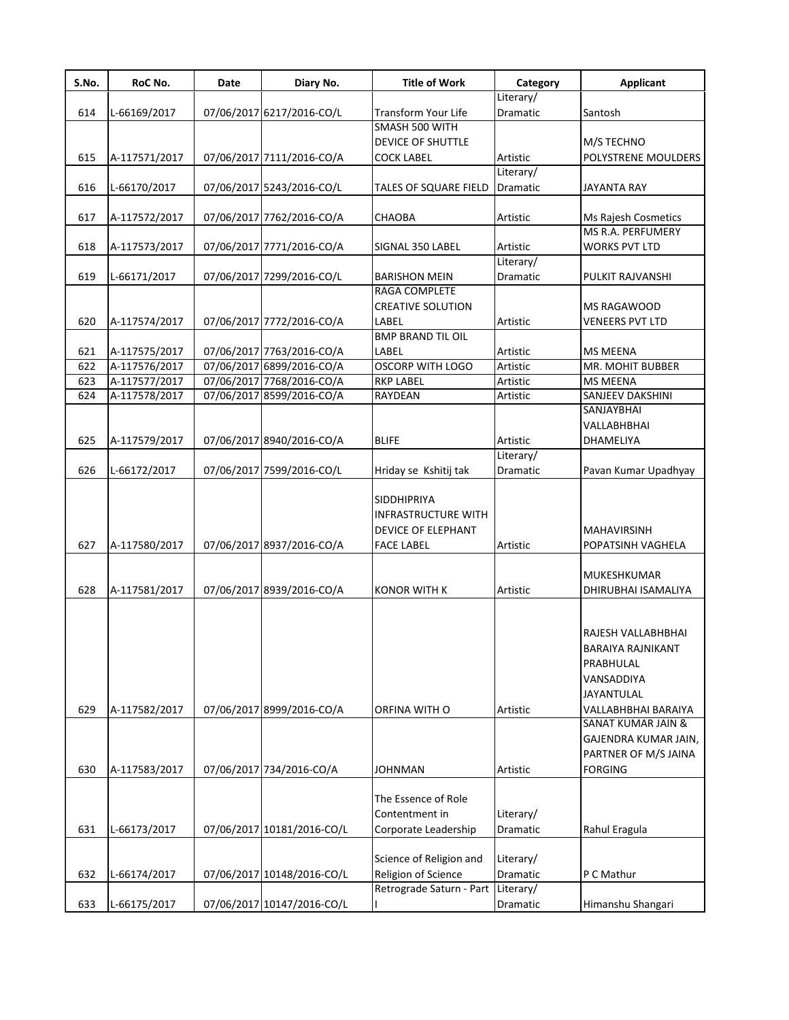| S.No. | RoC No.       | Date | Diary No.                  | <b>Title of Work</b>                                                                        | Category              | <b>Applicant</b>                                                                                        |
|-------|---------------|------|----------------------------|---------------------------------------------------------------------------------------------|-----------------------|---------------------------------------------------------------------------------------------------------|
|       |               |      |                            |                                                                                             | Literary/             |                                                                                                         |
| 614   | L-66169/2017  |      | 07/06/2017 6217/2016-CO/L  | Transform Your Life                                                                         | Dramatic              | Santosh                                                                                                 |
|       |               |      |                            | SMASH 500 WITH                                                                              |                       |                                                                                                         |
|       |               |      |                            | DEVICE OF SHUTTLE                                                                           |                       | M/S TECHNO                                                                                              |
| 615   | A-117571/2017 |      | 07/06/2017 7111/2016-CO/A  | <b>COCK LABEL</b>                                                                           | Artistic              | POLYSTRENE MOULDERS                                                                                     |
| 616   | L-66170/2017  |      | 07/06/2017 5243/2016-CO/L  | TALES OF SQUARE FIELD                                                                       | Literary/<br>Dramatic | <b>JAYANTA RAY</b>                                                                                      |
|       |               |      |                            |                                                                                             |                       |                                                                                                         |
| 617   | A-117572/2017 |      | 07/06/2017 7762/2016-CO/A  | CHAOBA                                                                                      | Artistic              | Ms Rajesh Cosmetics                                                                                     |
|       |               |      |                            |                                                                                             |                       | <b>MS R.A. PERFUMERY</b>                                                                                |
| 618   | A-117573/2017 |      | 07/06/2017 7771/2016-CO/A  | SIGNAL 350 LABEL                                                                            | Artistic              | <b>WORKS PVT LTD</b>                                                                                    |
|       |               |      |                            |                                                                                             | Literary/             |                                                                                                         |
| 619   | L-66171/2017  |      | 07/06/2017 7299/2016-CO/L  | <b>BARISHON MEIN</b>                                                                        | Dramatic              | PULKIT RAJVANSHI                                                                                        |
|       |               |      |                            | RAGA COMPLETE                                                                               |                       |                                                                                                         |
|       |               |      |                            | <b>CREATIVE SOLUTION</b>                                                                    |                       | MS RAGAWOOD                                                                                             |
| 620   | A-117574/2017 |      | 07/06/2017 7772/2016-CO/A  | LABEL                                                                                       | Artistic              | <b>VENEERS PVT LTD</b>                                                                                  |
|       |               |      |                            | <b>BMP BRAND TIL OIL</b>                                                                    |                       |                                                                                                         |
| 621   | A-117575/2017 |      | 07/06/2017 7763/2016-CO/A  | LABEL                                                                                       | Artistic              | <b>MS MEENA</b>                                                                                         |
| 622   | A-117576/2017 |      | 07/06/2017 6899/2016-CO/A  | <b>OSCORP WITH LOGO</b>                                                                     | Artistic              | <b>MR. MOHIT BUBBER</b>                                                                                 |
| 623   | A-117577/2017 |      | 07/06/2017 7768/2016-CO/A  | <b>RKP LABEL</b>                                                                            | Artistic              | <b>MS MEENA</b>                                                                                         |
| 624   | A-117578/2017 |      | 07/06/2017 8599/2016-CO/A  | RAYDEAN                                                                                     | Artistic              | SANJEEV DAKSHINI                                                                                        |
|       |               |      |                            |                                                                                             |                       | SANJAYBHAI                                                                                              |
|       |               |      |                            |                                                                                             |                       | VALLABHBHAI                                                                                             |
| 625   | A-117579/2017 |      | 07/06/2017 8940/2016-CO/A  | <b>BLIFE</b>                                                                                | Artistic              | DHAMELIYA                                                                                               |
|       |               |      |                            |                                                                                             | Literary/             |                                                                                                         |
| 626   | L-66172/2017  |      | 07/06/2017 7599/2016-CO/L  | Hriday se Kshitij tak                                                                       | Dramatic              | Pavan Kumar Upadhyay                                                                                    |
| 627   | A-117580/2017 |      | 07/06/2017 8937/2016-CO/A  | <b>SIDDHIPRIYA</b><br><b>INFRASTRUCTURE WITH</b><br>DEVICE OF ELEPHANT<br><b>FACE LABEL</b> | Artistic              | <b>MAHAVIRSINH</b><br>POPATSINH VAGHELA                                                                 |
|       |               |      |                            |                                                                                             |                       |                                                                                                         |
|       |               |      |                            |                                                                                             |                       | MUKESHKUMAR                                                                                             |
| 628   | A-117581/2017 |      | 07/06/2017 8939/2016-CO/A  | <b>KONOR WITH K</b>                                                                         | Artistic              | DHIRUBHAI ISAMALIYA                                                                                     |
| 629   | A-117582/2017 |      | 07/06/2017 8999/2016-CO/A  | ORFINA WITH O                                                                               | Artistic              | RAJESH VALLABHBHAI<br>BARAIYA RAJNIKANT<br>PRABHULAL<br>VANSADDIYA<br>JAYANTULAL<br>VALLABHBHAI BARAIYA |
|       |               |      |                            |                                                                                             |                       | <b>SANAT KUMAR JAIN &amp;</b>                                                                           |
| 630   | A-117583/2017 |      | 07/06/2017 734/2016-CO/A   | <b>JOHNMAN</b>                                                                              | Artistic              | GAJENDRA KUMAR JAIN,<br>PARTNER OF M/S JAINA<br><b>FORGING</b>                                          |
|       |               |      |                            | The Essence of Role<br>Contentment in                                                       | Literary/             |                                                                                                         |
| 631   | L-66173/2017  |      | 07/06/2017 10181/2016-CO/L | Corporate Leadership                                                                        | Dramatic              | Rahul Eragula                                                                                           |
|       |               |      |                            |                                                                                             |                       |                                                                                                         |
|       |               |      |                            | Science of Religion and                                                                     | Literary/             |                                                                                                         |
| 632   | L-66174/2017  |      | 07/06/2017 10148/2016-CO/L | Religion of Science                                                                         | Dramatic              | P C Mathur                                                                                              |
|       |               |      |                            | Retrograde Saturn - Part                                                                    | Literary/             |                                                                                                         |
| 633   | L-66175/2017  |      | 07/06/2017 10147/2016-CO/L |                                                                                             | Dramatic              | Himanshu Shangari                                                                                       |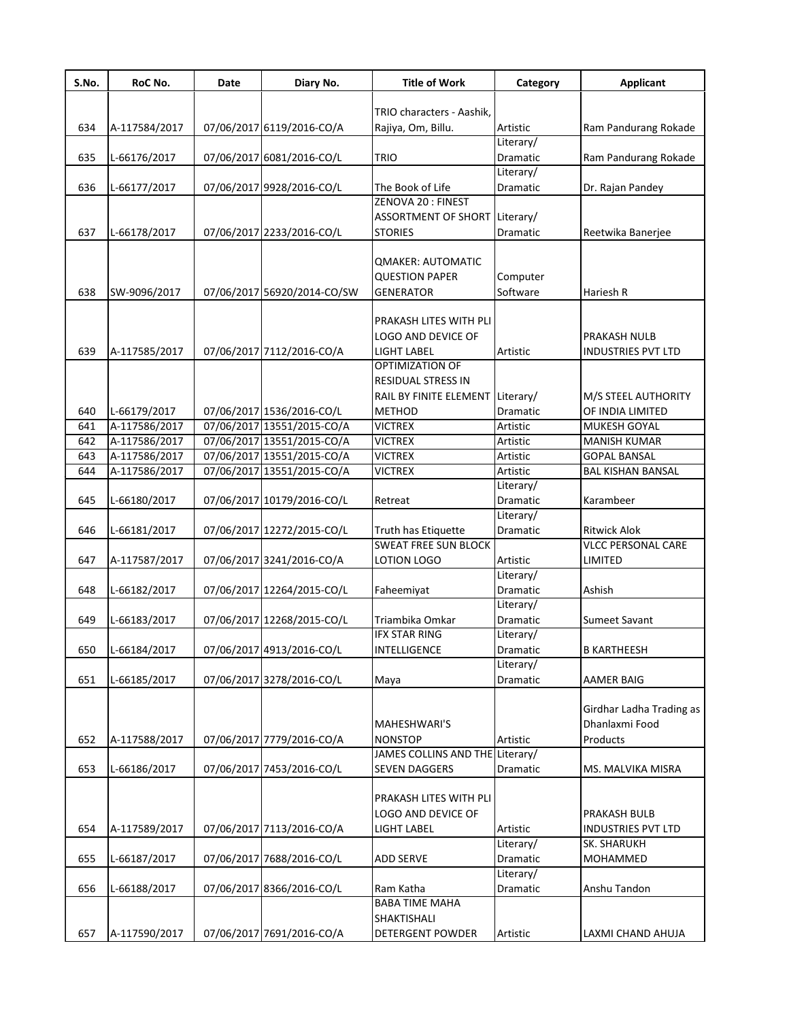| S.No. | RoC No.       | Date | Diary No.                   | <b>Title of Work</b>             | Category                     | <b>Applicant</b>          |
|-------|---------------|------|-----------------------------|----------------------------------|------------------------------|---------------------------|
|       |               |      |                             |                                  |                              |                           |
|       |               |      |                             | TRIO characters - Aashik,        |                              |                           |
| 634   | A-117584/2017 |      | 07/06/2017 6119/2016-CO/A   | Rajiya, Om, Billu.               | Artistic                     | Ram Pandurang Rokade      |
|       |               |      |                             |                                  | Literary/                    |                           |
| 635   | L-66176/2017  |      | 07/06/2017 6081/2016-CO/L   | <b>TRIO</b>                      | <b>Dramatic</b><br>Literary/ | Ram Pandurang Rokade      |
| 636   | L-66177/2017  |      | 07/06/2017 9928/2016-CO/L   | The Book of Life                 | Dramatic                     | Dr. Rajan Pandey          |
|       |               |      |                             | ZENOVA 20: FINEST                |                              |                           |
|       |               |      |                             | ASSORTMENT OF SHORT Literary/    |                              |                           |
| 637   | L-66178/2017  |      | 07/06/2017 2233/2016-CO/L   | <b>STORIES</b>                   | Dramatic                     | Reetwika Banerjee         |
|       |               |      |                             |                                  |                              |                           |
|       |               |      |                             | <b>QMAKER: AUTOMATIC</b>         |                              |                           |
|       |               |      |                             | <b>QUESTION PAPER</b>            | Computer                     |                           |
| 638   | SW-9096/2017  |      | 07/06/2017 56920/2014-CO/SW | <b>GENERATOR</b>                 | Software                     | Hariesh R                 |
|       |               |      |                             |                                  |                              |                           |
|       |               |      |                             | PRAKASH LITES WITH PLI           |                              |                           |
|       |               |      |                             | LOGO AND DEVICE OF               |                              | <b>PRAKASH NULB</b>       |
| 639   | A-117585/2017 |      | 07/06/2017 7112/2016-CO/A   | <b>LIGHT LABEL</b>               | Artistic                     | <b>INDUSTRIES PVT LTD</b> |
|       |               |      |                             | OPTIMIZATION OF                  |                              |                           |
|       |               |      |                             | <b>RESIDUAL STRESS IN</b>        |                              |                           |
|       |               |      |                             | RAIL BY FINITE ELEMENT Literary/ |                              | M/S STEEL AUTHORITY       |
| 640   | L-66179/2017  |      | 07/06/2017 1536/2016-CO/L   | <b>METHOD</b>                    | Dramatic                     | OF INDIA LIMITED          |
| 641   | A-117586/2017 |      | 07/06/2017 13551/2015-CO/A  | <b>VICTREX</b>                   | Artistic                     | MUKESH GOYAL              |
| 642   | A-117586/2017 |      | 07/06/2017 13551/2015-CO/A  | <b>VICTREX</b>                   | Artistic                     | <b>MANISH KUMAR</b>       |
| 643   | A-117586/2017 |      | 07/06/2017 13551/2015-CO/A  | <b>VICTREX</b>                   | Artistic                     | <b>GOPAL BANSAL</b>       |
| 644   | A-117586/2017 |      | 07/06/2017 13551/2015-CO/A  | <b>VICTREX</b>                   | Artistic                     | <b>BAL KISHAN BANSAL</b>  |
|       |               |      |                             |                                  | Literary/                    |                           |
| 645   | L-66180/2017  |      | 07/06/2017 10179/2016-CO/L  | Retreat                          | Dramatic                     | Karambeer                 |
|       |               |      |                             |                                  | Literary/                    |                           |
| 646   | L-66181/2017  |      | 07/06/2017 12272/2015-CO/L  | Truth has Etiquette              | Dramatic                     | <b>Ritwick Alok</b>       |
|       |               |      |                             | <b>SWEAT FREE SUN BLOCK</b>      |                              | <b>VLCC PERSONAL CARE</b> |
| 647   | A-117587/2017 |      | 07/06/2017 3241/2016-CO/A   | LOTION LOGO                      | Artistic                     | <b>LIMITED</b>            |
|       |               |      |                             |                                  | Literary/                    |                           |
| 648   | L-66182/2017  |      | 07/06/2017 12264/2015-CO/L  | Faheemiyat                       | Dramatic                     | Ashish                    |
|       |               |      |                             |                                  | Literary/                    |                           |
| 649   | L-66183/2017  |      | 07/06/2017 12268/2015-CO/L  | Triambika Omkar                  | Dramatic                     | Sumeet Savant             |
|       |               |      | 07/06/2017 4913/2016-CO/L   | <b>IFX STAR RING</b>             | Literary/                    |                           |
| 650   | L-66184/2017  |      |                             | INTELLIGENCE                     | Dramatic                     | <b>B KARTHEESH</b>        |
| 651   | L-66185/2017  |      | 07/06/2017 3278/2016-CO/L   |                                  | Literary/<br>Dramatic        | <b>AAMER BAIG</b>         |
|       |               |      |                             | Maya                             |                              |                           |
|       |               |      |                             |                                  |                              | Girdhar Ladha Trading as  |
|       |               |      |                             | MAHESHWARI'S                     |                              | Dhanlaxmi Food            |
| 652   | A-117588/2017 |      | 07/06/2017 7779/2016-CO/A   | <b>NONSTOP</b>                   | Artistic                     | Products                  |
|       |               |      |                             | JAMES COLLINS AND THE Literary/  |                              |                           |
| 653   | L-66186/2017  |      | 07/06/2017 7453/2016-CO/L   | <b>SEVEN DAGGERS</b>             | Dramatic                     | MS. MALVIKA MISRA         |
|       |               |      |                             |                                  |                              |                           |
|       |               |      |                             | PRAKASH LITES WITH PLI           |                              |                           |
|       |               |      |                             | LOGO AND DEVICE OF               |                              | PRAKASH BULB              |
| 654   | A-117589/2017 |      | 07/06/2017 7113/2016-CO/A   | LIGHT LABEL                      | Artistic                     | <b>INDUSTRIES PVT LTD</b> |
|       |               |      |                             |                                  | Literary/                    | SK. SHARUKH               |
| 655   | L-66187/2017  |      | 07/06/2017 7688/2016-CO/L   | <b>ADD SERVE</b>                 | Dramatic                     | MOHAMMED                  |
|       |               |      |                             |                                  | Literary/                    |                           |
| 656   | L-66188/2017  |      | 07/06/2017 8366/2016-CO/L   | Ram Katha                        | Dramatic                     | Anshu Tandon              |
|       |               |      |                             | <b>BABA TIME MAHA</b>            |                              |                           |
|       |               |      |                             | SHAKTISHALI                      |                              |                           |
| 657   | A-117590/2017 |      | 07/06/2017 7691/2016-CO/A   | <b>DETERGENT POWDER</b>          | Artistic                     | LAXMI CHAND AHUJA         |
|       |               |      |                             |                                  |                              |                           |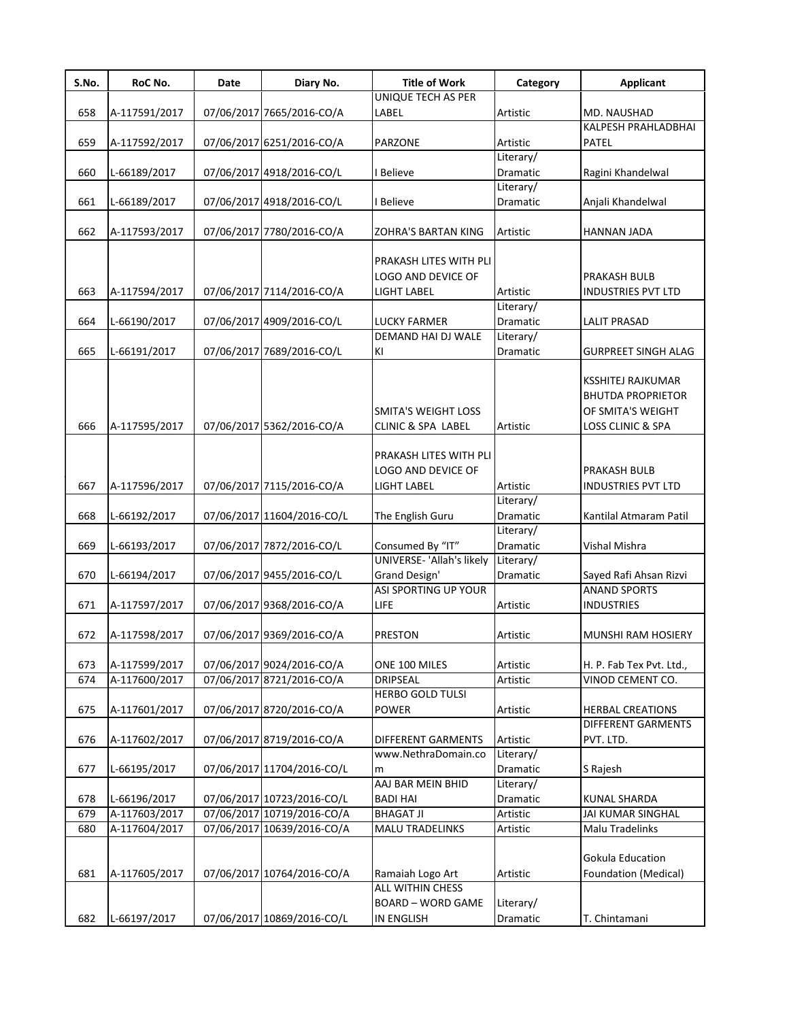| S.No. | RoC No.       | Date | Diary No.                  | <b>Title of Work</b>                      | Category  | <b>Applicant</b>             |
|-------|---------------|------|----------------------------|-------------------------------------------|-----------|------------------------------|
|       |               |      |                            | UNIQUE TECH AS PER                        |           |                              |
| 658   | A-117591/2017 |      | 07/06/2017 7665/2016-CO/A  | LABEL                                     | Artistic  | MD. NAUSHAD                  |
|       |               |      |                            |                                           |           | KALPESH PRAHLADBHAI          |
| 659   | A-117592/2017 |      | 07/06/2017 6251/2016-CO/A  | <b>PARZONE</b>                            | Artistic  | PATEL                        |
|       |               |      |                            |                                           | Literary/ |                              |
| 660   | L-66189/2017  |      | 07/06/2017 4918/2016-CO/L  | I Believe                                 | Dramatic  | Ragini Khandelwal            |
|       |               |      |                            |                                           | Literary/ |                              |
| 661   | L-66189/2017  |      | 07/06/2017 4918/2016-CO/L  | I Believe                                 | Dramatic  | Anjali Khandelwal            |
|       |               |      |                            |                                           |           |                              |
| 662   | A-117593/2017 |      | 07/06/2017 7780/2016-CO/A  | <b>ZOHRA'S BARTAN KING</b>                | Artistic  | HANNAN JADA                  |
|       |               |      |                            |                                           |           |                              |
|       |               |      |                            | PRAKASH LITES WITH PLI                    |           |                              |
|       |               |      |                            | <b>LOGO AND DEVICE OF</b>                 |           | PRAKASH BULB                 |
| 663   | A-117594/2017 |      | 07/06/2017 7114/2016-CO/A  | LIGHT LABEL                               | Artistic  | <b>INDUSTRIES PVT LTD</b>    |
|       |               |      |                            |                                           | Literary/ |                              |
| 664   | L-66190/2017  |      | 07/06/2017 4909/2016-CO/L  | <b>LUCKY FARMER</b><br>DEMAND HAI DJ WALE | Dramatic  | <b>LALIT PRASAD</b>          |
|       |               |      |                            |                                           | Literary/ |                              |
| 665   | L-66191/2017  |      | 07/06/2017 7689/2016-CO/L  | KI                                        | Dramatic  | GURPREET SINGH ALAG          |
|       |               |      |                            |                                           |           |                              |
|       |               |      |                            |                                           |           | KSSHITEJ RAJKUMAR            |
|       |               |      |                            |                                           |           | <b>BHUTDA PROPRIETOR</b>     |
|       |               |      |                            | <b>SMITA'S WEIGHT LOSS</b>                |           | OF SMITA'S WEIGHT            |
| 666   | A-117595/2017 |      | 07/06/2017 5362/2016-CO/A  | <b>CLINIC &amp; SPA LABEL</b>             | Artistic  | <b>LOSS CLINIC &amp; SPA</b> |
|       |               |      |                            |                                           |           |                              |
|       |               |      |                            | PRAKASH LITES WITH PLI                    |           |                              |
|       |               |      |                            | <b>LOGO AND DEVICE OF</b>                 |           | PRAKASH BULB                 |
| 667   | A-117596/2017 |      | 07/06/2017 7115/2016-CO/A  | LIGHT LABEL                               | Artistic  | <b>INDUSTRIES PVT LTD</b>    |
|       |               |      |                            |                                           | Literary/ |                              |
| 668   | L-66192/2017  |      | 07/06/2017 11604/2016-CO/L | The English Guru                          | Dramatic  | Kantilal Atmaram Patil       |
|       |               |      |                            |                                           | Literary/ |                              |
| 669   | L-66193/2017  |      | 07/06/2017 7872/2016-CO/L  | Consumed By "IT"                          | Dramatic  | Vishal Mishra                |
|       |               |      |                            | UNIVERSE- 'Allah's likely                 | Literary/ |                              |
| 670   | L-66194/2017  |      | 07/06/2017 9455/2016-CO/L  | Grand Design'                             | Dramatic  | Sayed Rafi Ahsan Rizvi       |
|       |               |      |                            | ASI SPORTING UP YOUR                      |           | <b>ANAND SPORTS</b>          |
| 671   | A-117597/2017 |      | 07/06/2017 9368/2016-CO/A  | <b>LIFE</b>                               | Artistic  | <b>INDUSTRIES</b>            |
|       |               |      |                            |                                           |           |                              |
| 672   | A-117598/2017 |      | 07/06/2017 9369/2016-CO/A  | <b>PRESTON</b>                            | Artistic  | MUNSHI RAM HOSIERY           |
|       |               |      |                            |                                           |           |                              |
| 673   | A-117599/2017 |      | 07/06/2017 9024/2016-CO/A  | ONE 100 MILES                             | Artistic  | H. P. Fab Tex Pvt. Ltd.,     |
| 674   | A-117600/2017 |      | 07/06/2017 8721/2016-CO/A  | <b>DRIPSEAL</b>                           | Artistic  | VINOD CEMENT CO.             |
|       |               |      |                            | HERBO GOLD TULSI                          |           |                              |
| 675   | A-117601/2017 |      | 07/06/2017 8720/2016-CO/A  | <b>POWER</b>                              | Artistic  | <b>HERBAL CREATIONS</b>      |
|       |               |      |                            |                                           |           | <b>DIFFERENT GARMENTS</b>    |
| 676   | A-117602/2017 |      | 07/06/2017 8719/2016-CO/A  | <b>DIFFERENT GARMENTS</b>                 | Artistic  | pvt. Ltd.                    |
|       |               |      |                            | www.NethraDomain.co                       | Literary/ |                              |
| 677   | L-66195/2017  |      | 07/06/2017 11704/2016-CO/L | m                                         | Dramatic  | S Rajesh                     |
|       |               |      |                            | AAJ BAR MEIN BHID                         | Literary/ |                              |
| 678   | L-66196/2017  |      | 07/06/2017 10723/2016-CO/L | <b>BADI HAI</b>                           | Dramatic  | <b>KUNAL SHARDA</b>          |
| 679   | A-117603/2017 |      | 07/06/2017 10719/2016-CO/A | <b>BHAGAT JI</b>                          | Artistic  | JAI KUMAR SINGHAL            |
| 680   | A-117604/2017 |      | 07/06/2017 10639/2016-CO/A | <b>MALU TRADELINKS</b>                    | Artistic  | Malu Tradelinks              |
|       |               |      |                            |                                           |           |                              |
|       |               |      |                            |                                           |           | Gokula Education             |
| 681   | A-117605/2017 |      | 07/06/2017 10764/2016-CO/A | Ramaiah Logo Art                          | Artistic  | Foundation (Medical)         |
|       |               |      |                            | <b>ALL WITHIN CHESS</b>                   |           |                              |
|       |               |      |                            | <b>BOARD - WORD GAME</b>                  | Literary/ |                              |
| 682   | L-66197/2017  |      | 07/06/2017 10869/2016-CO/L | <b>IN ENGLISH</b>                         | Dramatic  | T. Chintamani                |
|       |               |      |                            |                                           |           |                              |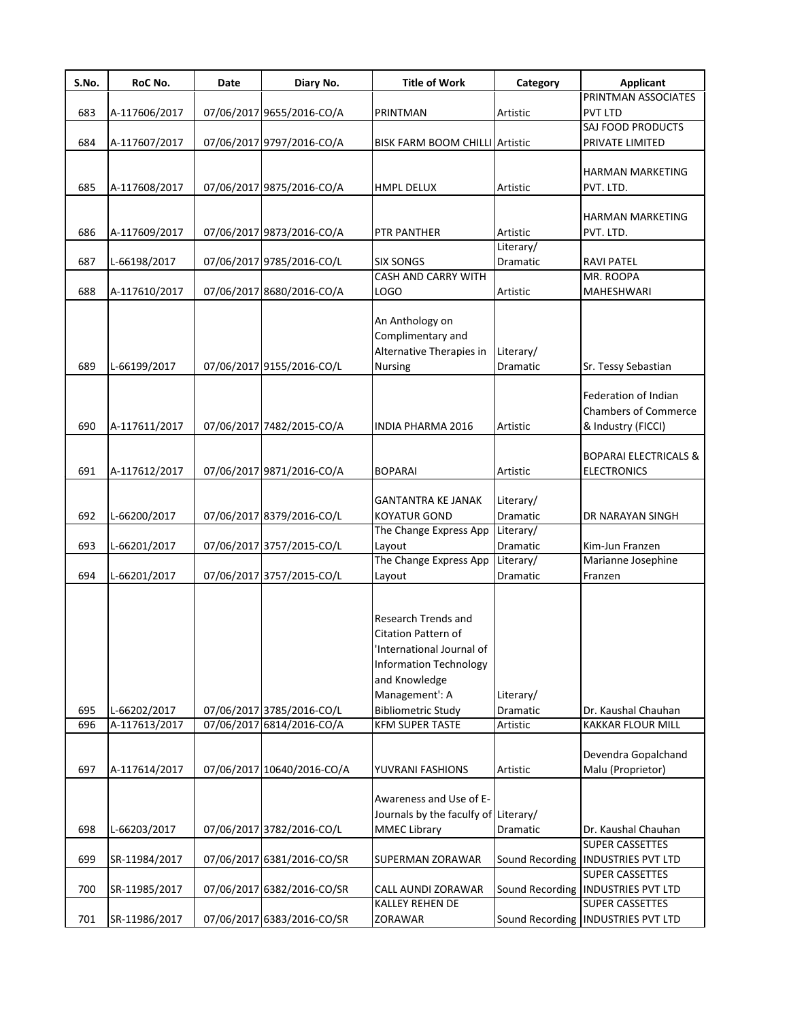| S.No. | RoC No.       | Date | Diary No.                  | <b>Title of Work</b>                 | Category        | <b>Applicant</b>                     |
|-------|---------------|------|----------------------------|--------------------------------------|-----------------|--------------------------------------|
|       |               |      |                            |                                      |                 | PRINTMAN ASSOCIATES                  |
| 683   | A-117606/2017 |      | 07/06/2017 9655/2016-CO/A  | PRINTMAN                             | Artistic        | <b>PVT LTD</b>                       |
|       |               |      |                            |                                      |                 | SAJ FOOD PRODUCTS                    |
| 684   | A-117607/2017 |      | 07/06/2017 9797/2016-CO/A  | BISK FARM BOOM CHILLI Artistic       |                 | PRIVATE LIMITED                      |
|       |               |      |                            |                                      |                 |                                      |
|       |               |      |                            |                                      |                 | HARMAN MARKETING                     |
| 685   | A-117608/2017 |      | 07/06/2017 9875/2016-CO/A  | HMPL DELUX                           | Artistic        | PVT. LTD.                            |
|       |               |      |                            |                                      |                 |                                      |
|       |               |      |                            |                                      |                 | HARMAN MARKETING                     |
| 686   | A-117609/2017 |      | 07/06/2017 9873/2016-CO/A  | PTR PANTHER                          | Artistic        | PVT. LTD.                            |
|       |               |      |                            |                                      | Literary/       |                                      |
| 687   | L-66198/2017  |      | 07/06/2017 9785/2016-CO/L  | <b>SIX SONGS</b>                     | Dramatic        | RAVI PATEL                           |
|       |               |      |                            | CASH AND CARRY WITH                  |                 | MR. ROOPA                            |
| 688   | A-117610/2017 |      | 07/06/2017 8680/2016-CO/A  | LOGO                                 | Artistic        | MAHESHWARI                           |
|       |               |      |                            |                                      |                 |                                      |
|       |               |      |                            | An Anthology on                      |                 |                                      |
|       |               |      |                            | Complimentary and                    |                 |                                      |
|       |               |      |                            | Alternative Therapies in             | Literary/       |                                      |
| 689   | L-66199/2017  |      | 07/06/2017 9155/2016-CO/L  | Nursing                              | Dramatic        | Sr. Tessy Sebastian                  |
|       |               |      |                            |                                      |                 |                                      |
|       |               |      |                            |                                      |                 | Federation of Indian                 |
|       |               |      |                            |                                      |                 | <b>Chambers of Commerce</b>          |
| 690   | A-117611/2017 |      | 07/06/2017 7482/2015-CO/A  | <b>INDIA PHARMA 2016</b>             | Artistic        | & Industry (FICCI)                   |
|       |               |      |                            |                                      |                 |                                      |
|       |               |      |                            |                                      |                 | <b>BOPARAI ELECTRICALS &amp;</b>     |
| 691   | A-117612/2017 |      | 07/06/2017 9871/2016-CO/A  | <b>BOPARAI</b>                       | Artistic        | <b>ELECTRONICS</b>                   |
|       |               |      |                            |                                      |                 |                                      |
|       |               |      |                            | <b>GANTANTRA KE JANAK</b>            | Literary/       |                                      |
| 692   | L-66200/2017  |      | 07/06/2017 8379/2016-CO/L  | <b>KOYATUR GOND</b>                  | Dramatic        | DR NARAYAN SINGH                     |
|       |               |      |                            | The Change Express App               | Literary/       |                                      |
| 693   | L-66201/2017  |      | 07/06/2017 3757/2015-CO/L  | Layout                               | Dramatic        | Kim-Jun Franzen                      |
|       |               |      |                            | The Change Express App               | Literary/       | Marianne Josephine                   |
| 694   | L-66201/2017  |      | 07/06/2017 3757/2015-CO/L  | Layout                               | <b>Dramatic</b> | Franzen                              |
|       |               |      |                            |                                      |                 |                                      |
|       |               |      |                            |                                      |                 |                                      |
|       |               |      |                            | Research Trends and                  |                 |                                      |
|       |               |      |                            | Citation Pattern of                  |                 |                                      |
|       |               |      |                            | International Journal of             |                 |                                      |
|       |               |      |                            | <b>Information Technology</b>        |                 |                                      |
|       |               |      |                            | and Knowledge                        |                 |                                      |
|       |               |      |                            | Management': A                       | Literary/       |                                      |
| 695   | L-66202/2017  |      | 07/06/2017 3785/2016-CO/L  | <b>Bibliometric Study</b>            | Dramatic        | Dr. Kaushal Chauhan                  |
| 696   | A-117613/2017 |      | 07/06/2017 6814/2016-CO/A  | <b>KFM SUPER TASTE</b>               | Artistic        | KAKKAR FLOUR MILL                    |
|       |               |      |                            |                                      |                 |                                      |
|       |               |      |                            |                                      |                 | Devendra Gopalchand                  |
| 697   | A-117614/2017 |      | 07/06/2017 10640/2016-CO/A | YUVRANI FASHIONS                     | Artistic        | Malu (Proprietor)                    |
|       |               |      |                            |                                      |                 |                                      |
|       |               |      |                            | Awareness and Use of E-              |                 |                                      |
|       |               |      |                            | Journals by the faculfy of Literary/ |                 |                                      |
| 698   | L-66203/2017  |      | 07/06/2017 3782/2016-CO/L  | <b>MMEC Library</b>                  | Dramatic        | Dr. Kaushal Chauhan                  |
|       |               |      |                            |                                      |                 | <b>SUPER CASSETTES</b>               |
| 699   | SR-11984/2017 |      | 07/06/2017 6381/2016-CO/SR | SUPERMAN ZORAWAR                     |                 | Sound Recording   INDUSTRIES PVT LTD |
|       |               |      |                            |                                      |                 | SUPER CASSETTES                      |
| 700   | SR-11985/2017 |      | 07/06/2017 6382/2016-CO/SR | CALL AUNDI ZORAWAR                   |                 | Sound Recording   INDUSTRIES PVT LTD |
|       |               |      |                            | KALLEY REHEN DE                      |                 | SUPER CASSETTES                      |
| 701   | SR-11986/2017 |      | 07/06/2017 6383/2016-CO/SR | ZORAWAR                              |                 | Sound Recording   INDUSTRIES PVT LTD |
|       |               |      |                            |                                      |                 |                                      |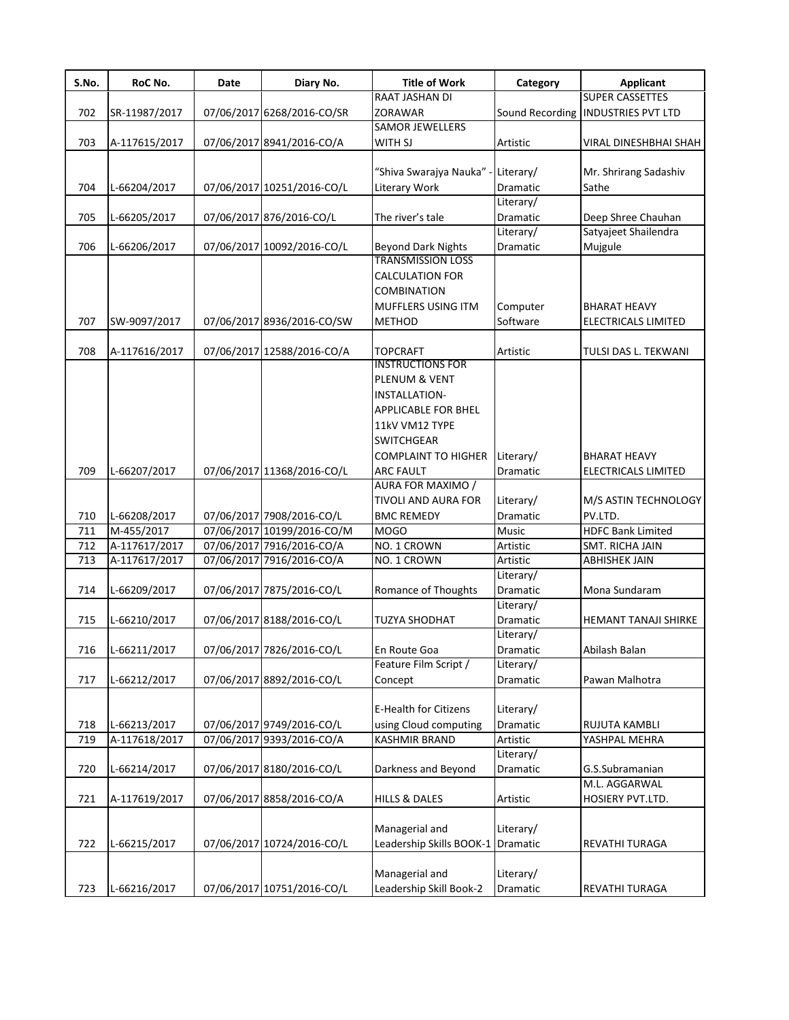| S.No. | RoC No.       | Date | Diary No.                  | <b>Title of Work</b>                                  | Category                     | <b>Applicant</b>                     |
|-------|---------------|------|----------------------------|-------------------------------------------------------|------------------------------|--------------------------------------|
|       |               |      |                            | RAAT JASHAN DI                                        |                              | <b>SUPER CASSETTES</b>               |
| 702   | SR-11987/2017 |      | 07/06/2017 6268/2016-CO/SR | ZORAWAR                                               |                              | Sound Recording   INDUSTRIES PVT LTD |
|       |               |      |                            | SAMOR JEWELLERS                                       |                              |                                      |
| 703   | A-117615/2017 |      | 07/06/2017 8941/2016-CO/A  | WITH SJ                                               | Artistic                     | VIRAL DINESHBHAI SHAH                |
|       |               |      |                            |                                                       |                              |                                      |
|       |               |      |                            | "Shiva Swarajya Nauka"                                | Literary/                    | Mr. Shrirang Sadashiv                |
| 704   | L-66204/2017  |      | 07/06/2017 10251/2016-CO/L | Literary Work                                         | Dramatic                     | Sathe                                |
|       |               |      |                            |                                                       | Literary/                    |                                      |
| 705   | L-66205/2017  |      | 07/06/2017 876/2016-CO/L   | The river's tale                                      | Dramatic                     | Deep Shree Chauhan                   |
| 706   | L-66206/2017  |      | 07/06/2017 10092/2016-CO/L |                                                       | Literary/<br><b>Dramatic</b> | Satyajeet Shailendra<br>Mujgule      |
|       |               |      |                            | <b>Beyond Dark Nights</b><br><b>TRANSMISSION LOSS</b> |                              |                                      |
|       |               |      |                            | <b>CALCULATION FOR</b>                                |                              |                                      |
|       |               |      |                            | <b>COMBINATION</b>                                    |                              |                                      |
|       |               |      |                            | MUFFLERS USING ITM                                    | Computer                     | <b>BHARAT HEAVY</b>                  |
| 707   | SW-9097/2017  |      | 07/06/2017 8936/2016-CO/SW | <b>METHOD</b>                                         | Software                     | ELECTRICALS LIMITED                  |
|       |               |      |                            |                                                       |                              |                                      |
| 708   | A-117616/2017 |      | 07/06/2017 12588/2016-CO/A | <b>TOPCRAFT</b>                                       | Artistic                     | TULSI DAS L. TEKWANI                 |
|       |               |      |                            | <b>INSTRUCTIONS FOR</b>                               |                              |                                      |
|       |               |      |                            | PLENUM & VENT                                         |                              |                                      |
|       |               |      |                            | INSTALLATION-                                         |                              |                                      |
|       |               |      |                            | APPLICABLE FOR BHEL                                   |                              |                                      |
|       |               |      |                            | 11kV VM12 TYPE                                        |                              |                                      |
|       |               |      |                            | <b>SWITCHGEAR</b>                                     |                              |                                      |
|       |               |      |                            | <b>COMPLAINT TO HIGHER</b>                            | Literary/                    | <b>BHARAT HEAVY</b>                  |
| 709   | L-66207/2017  |      | 07/06/2017 11368/2016-CO/L | <b>ARC FAULT</b>                                      | Dramatic                     | ELECTRICALS LIMITED                  |
|       |               |      |                            | AURA FOR MAXIMO /                                     |                              |                                      |
|       |               |      |                            | <b>TIVOLI AND AURA FOR</b>                            | Literary/                    | M/S ASTIN TECHNOLOGY                 |
| 710   | L-66208/2017  |      | 07/06/2017 7908/2016-CO/L  | <b>BMC REMEDY</b>                                     | Dramatic                     | PV.LTD.                              |
| 711   | M-455/2017    |      | 07/06/2017 10199/2016-CO/M | <b>MOGO</b>                                           | Music                        | <b>HDFC Bank Limited</b>             |
| 712   | A-117617/2017 |      | 07/06/2017 7916/2016-CO/A  | NO. 1 CROWN                                           | Artistic                     | SMT. RICHA JAIN                      |
| 713   | A-117617/2017 |      | 07/06/2017 7916/2016-CO/A  | NO. 1 CROWN                                           | Artistic                     | <b>ABHISHEK JAIN</b>                 |
|       |               |      |                            |                                                       | Literary/                    |                                      |
| 714   | L-66209/2017  |      | 07/06/2017 7875/2016-CO/L  | Romance of Thoughts                                   | <b>Dramatic</b>              | Mona Sundaram                        |
|       |               |      |                            |                                                       | Literary/                    |                                      |
| 715   | L-66210/2017  |      | 07/06/2017 8188/2016-CO/L  | <b>TUZYA SHODHAT</b>                                  | <b>Dramatic</b>              | <b>HEMANT TANAJI SHIRKE</b>          |
|       |               |      |                            |                                                       | Literary/                    |                                      |
| 716   | L-66211/2017  |      | 07/06/2017 7826/2016-CO/L  | En Route Goa                                          | Dramatic                     | Abilash Balan                        |
|       |               |      |                            | Feature Film Script /                                 | Literary/                    |                                      |
| 717   | L-66212/2017  |      | 07/06/2017 8892/2016-CO/L  | Concept                                               | Dramatic                     | Pawan Malhotra                       |
|       |               |      |                            |                                                       |                              |                                      |
|       |               |      |                            | <b>E-Health for Citizens</b>                          | Literary/                    |                                      |
| 718   | L-66213/2017  |      | 07/06/2017 9749/2016-CO/L  | using Cloud computing                                 | Dramatic                     | RUJUTA KAMBLI                        |
| 719   | A-117618/2017 |      | 07/06/2017 9393/2016-CO/A  | KASHMIR BRAND                                         | Artistic                     | YASHPAL MEHRA                        |
|       |               |      |                            |                                                       | Literary/                    |                                      |
| 720   | L-66214/2017  |      | 07/06/2017 8180/2016-CO/L  | Darkness and Beyond                                   | Dramatic                     | G.S.Subramanian                      |
|       |               |      |                            |                                                       |                              | M.L. AGGARWAL                        |
| 721   | A-117619/2017 |      | 07/06/2017 8858/2016-CO/A  | <b>HILLS &amp; DALES</b>                              | Artistic                     | HOSIERY PVT.LTD.                     |
|       |               |      |                            |                                                       |                              |                                      |
|       |               |      |                            | Managerial and                                        | Literary/                    |                                      |
| 722   | L-66215/2017  |      | 07/06/2017 10724/2016-CO/L | Leadership Skills BOOK-1                              | Dramatic                     | REVATHI TURAGA                       |
|       |               |      |                            |                                                       |                              |                                      |
|       |               |      |                            | Managerial and                                        | Literary/                    |                                      |
| 723   | L-66216/2017  |      | 07/06/2017 10751/2016-CO/L | Leadership Skill Book-2                               | Dramatic                     | REVATHI TURAGA                       |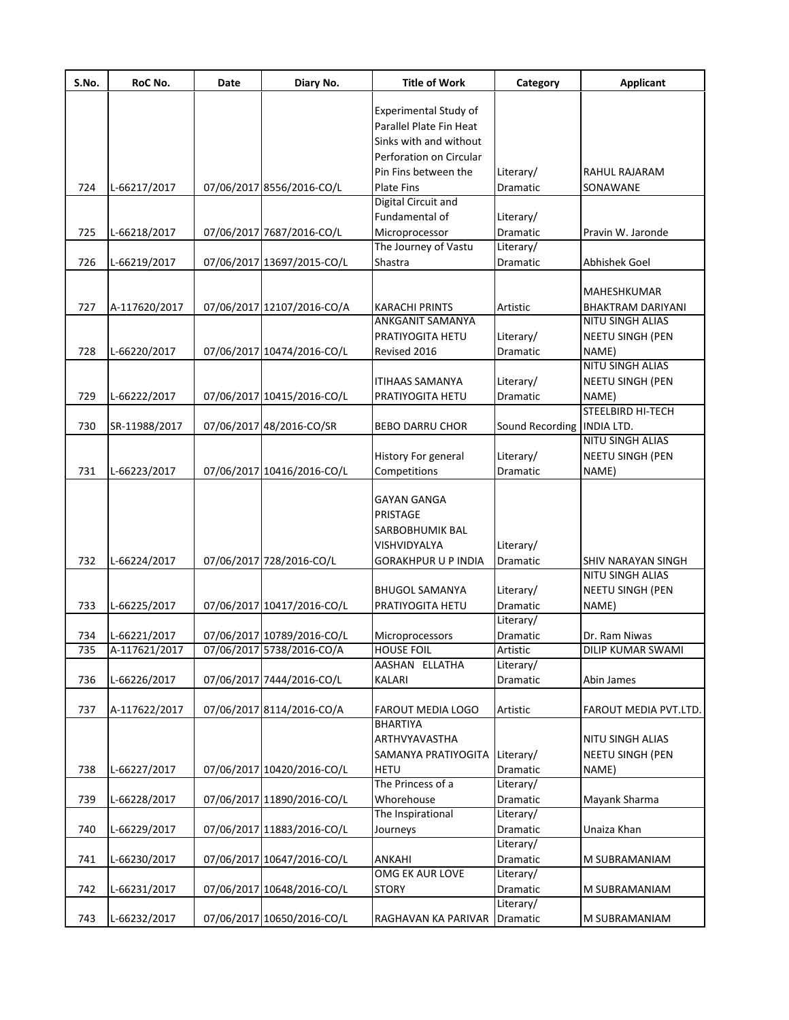| S.No. | RoC No.       | Date | Diary No.                  | <b>Title of Work</b>         | Category                     | <b>Applicant</b>         |
|-------|---------------|------|----------------------------|------------------------------|------------------------------|--------------------------|
|       |               |      |                            | <b>Experimental Study of</b> |                              |                          |
|       |               |      |                            | Parallel Plate Fin Heat      |                              |                          |
|       |               |      |                            | Sinks with and without       |                              |                          |
|       |               |      |                            | Perforation on Circular      |                              |                          |
|       |               |      |                            | Pin Fins between the         | Literary/                    | RAHUL RAJARAM            |
| 724   | L-66217/2017  |      | 07/06/2017 8556/2016-CO/L  | <b>Plate Fins</b>            | Dramatic                     | SONAWANE                 |
|       |               |      |                            | Digital Circuit and          |                              |                          |
|       |               |      |                            | Fundamental of               | Literary/                    |                          |
| 725   | L-66218/2017  |      | 07/06/2017 7687/2016-CO/L  | Microprocessor               | Dramatic                     | Pravin W. Jaronde        |
|       |               |      |                            | The Journey of Vastu         | Literary/                    |                          |
| 726   | L-66219/2017  |      | 07/06/2017 13697/2015-CO/L | Shastra                      | Dramatic                     | Abhishek Goel            |
|       |               |      |                            |                              |                              |                          |
|       |               |      |                            |                              |                              | MAHESHKUMAR              |
| 727   | A-117620/2017 |      | 07/06/2017 12107/2016-CO/A | <b>KARACHI PRINTS</b>        | Artistic                     | <b>BHAKTRAM DARIYANI</b> |
|       |               |      |                            | <b>ANKGANIT SAMANYA</b>      |                              | NITU SINGH ALIAS         |
|       |               |      |                            | PRATIYOGITA HETU             | Literary/                    | NEETU SINGH (PEN         |
| 728   | L-66220/2017  |      | 07/06/2017 10474/2016-CO/L | Revised 2016                 | Dramatic                     | NAME)                    |
|       |               |      |                            |                              |                              | NITU SINGH ALIAS         |
|       |               |      |                            | <b>ITIHAAS SAMANYA</b>       | Literary/                    | NEETU SINGH (PEN         |
| 729   | L-66222/2017  |      | 07/06/2017 10415/2016-CO/L | PRATIYOGITA HETU             | Dramatic                     | NAME)                    |
|       |               |      |                            |                              |                              | STEELBIRD HI-TECH        |
| 730   | SR-11988/2017 |      | 07/06/2017 48/2016-CO/SR   | <b>BEBO DARRU CHOR</b>       | Sound Recording   INDIA LTD. |                          |
|       |               |      |                            |                              |                              | NITU SINGH ALIAS         |
|       |               |      |                            | <b>History For general</b>   | Literary/                    | NEETU SINGH (PEN         |
| 731   | L-66223/2017  |      | 07/06/2017 10416/2016-CO/L | Competitions                 | Dramatic                     | NAME)                    |
|       |               |      |                            |                              |                              |                          |
|       |               |      |                            | <b>GAYAN GANGA</b>           |                              |                          |
|       |               |      |                            | PRISTAGE                     |                              |                          |
|       |               |      |                            | SARBOBHUMIK BAL              |                              |                          |
|       |               |      |                            | VISHVIDYALYA                 | Literary/                    |                          |
| 732   | L-66224/2017  |      | 07/06/2017 728/2016-CO/L   | <b>GORAKHPUR U P INDIA</b>   | <b>Dramatic</b>              | SHIV NARAYAN SINGH       |
|       |               |      |                            |                              |                              | <b>NITU SINGH ALIAS</b>  |
|       |               |      |                            |                              | Literary/                    | NEETU SINGH (PEN         |
|       |               |      |                            | <b>BHUGOL SAMANYA</b>        | <b>Dramatic</b>              |                          |
| 733   | L-66225/2017  |      | 07/06/2017 10417/2016-CO/L | PRATIYOGITA HETU             | Literary/                    | NAME)                    |
|       |               |      |                            |                              |                              |                          |
| 734   | L-66221/2017  |      | 07/06/2017 10789/2016-CO/L | Microprocessors              | Dramatic                     | Dr. Ram Niwas            |
| 735   | A-117621/2017 |      | 07/06/201715738/2016-CO/A  | <b>HOUSE FOIL</b>            | Artistic                     | DILIP KUMAR SWAMI        |
|       |               |      |                            | AASHAN ELLATHA               | Literary/                    |                          |
| 736   | L-66226/2017  |      | 07/06/2017 7444/2016-CO/L  | KALARI                       | Dramatic                     | Abin James               |
|       |               |      |                            | <b>FAROUT MEDIA LOGO</b>     |                              |                          |
| 737   | A-117622/2017 |      | 07/06/2017 8114/2016-CO/A  | <b>BHARTIYA</b>              | Artistic                     | FAROUT MEDIA PVT.LTD.    |
|       |               |      |                            | ARTHVYAVASTHA                |                              | NITU SINGH ALIAS         |
|       |               |      |                            |                              |                              |                          |
|       |               |      |                            | SAMANYA PRATIYOGITA          | Literary/                    | NEETU SINGH (PEN         |
| 738   | L-66227/2017  |      | 07/06/2017 10420/2016-CO/L | <b>HETU</b>                  | Dramatic                     | NAME)                    |
|       |               |      |                            | The Princess of a            | Literary/                    |                          |
| 739   | L-66228/2017  |      | 07/06/2017 11890/2016-CO/L | Whorehouse                   | Dramatic                     | Mayank Sharma            |
|       |               |      |                            | The Inspirational            | Literary/                    |                          |
| 740   | L-66229/2017  |      | 07/06/2017 11883/2016-CO/L | Journeys                     | Dramatic                     | Unaiza Khan              |
|       |               |      |                            |                              | Literary/                    |                          |
| 741   | L-66230/2017  |      | 07/06/2017 10647/2016-CO/L | <b>ANKAHI</b>                | Dramatic                     | M SUBRAMANIAM            |
|       |               |      |                            | <b>OMG EK AUR LOVE</b>       | Literary/                    |                          |
| 742   | L-66231/2017  |      | 07/06/2017 10648/2016-CO/L | <b>STORY</b>                 | Dramatic                     | M SUBRAMANIAM            |
|       |               |      |                            |                              | Literary/                    |                          |
| 743   | L-66232/2017  |      | 07/06/2017 10650/2016-CO/L | RAGHAVAN KA PARIVAR Dramatic |                              | M SUBRAMANIAM            |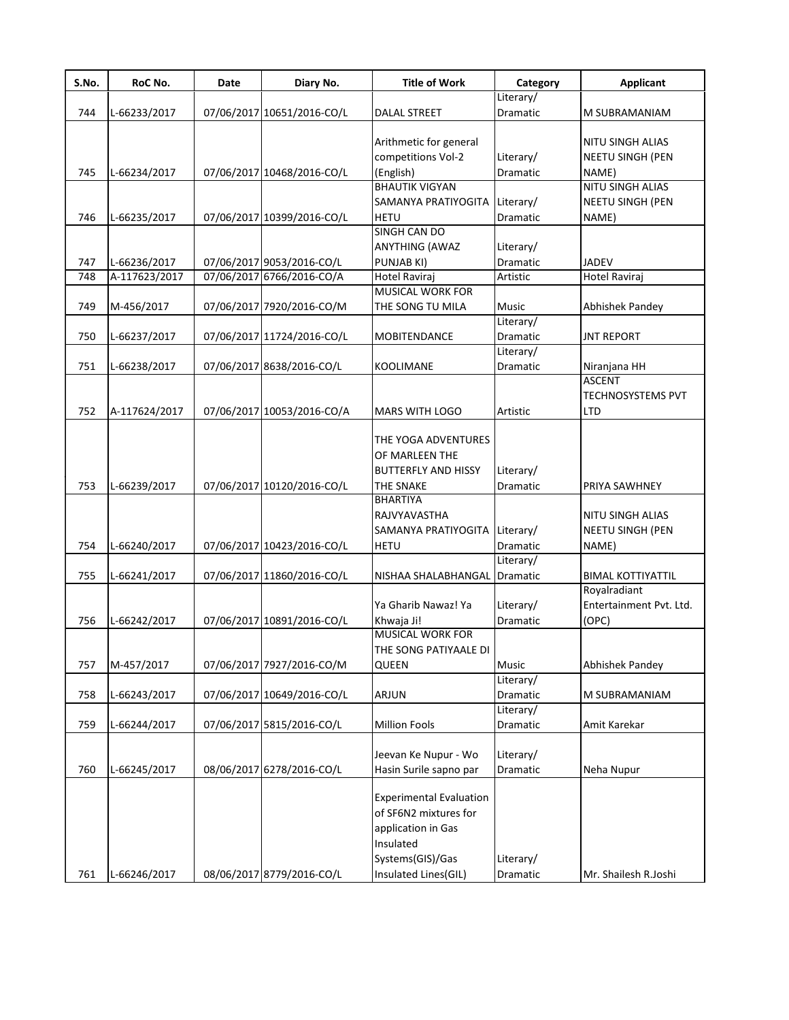| S.No. | RoC No.       | Date | Diary No.                  | <b>Title of Work</b>           | Category                     | <b>Applicant</b>         |
|-------|---------------|------|----------------------------|--------------------------------|------------------------------|--------------------------|
| 744   | L-66233/2017  |      | 07/06/2017 10651/2016-CO/L | <b>DALAL STREET</b>            | Literary/<br><b>Dramatic</b> | M SUBRAMANIAM            |
|       |               |      |                            |                                |                              |                          |
|       |               |      |                            | Arithmetic for general         |                              | NITU SINGH ALIAS         |
|       |               |      |                            | competitions Vol-2             | Literary/                    | NEETU SINGH (PEN         |
| 745   | L-66234/2017  |      | 07/06/2017 10468/2016-CO/L | (English)                      | Dramatic                     | NAME)                    |
|       |               |      |                            | <b>BHAUTIK VIGYAN</b>          |                              | <b>NITU SINGH ALIAS</b>  |
|       |               |      |                            | SAMANYA PRATIYOGITA            | Literary/                    | <b>NEETU SINGH (PEN</b>  |
| 746   | L-66235/2017  |      | 07/06/2017 10399/2016-CO/L | <b>HETU</b>                    | Dramatic                     | NAME)                    |
|       |               |      |                            | SINGH CAN DO                   |                              |                          |
|       |               |      |                            | <b>ANYTHING (AWAZ</b>          | Literary/                    |                          |
| 747   | L-66236/2017  |      | 07/06/2017 9053/2016-CO/L  | PUNJAB KI)                     | Dramatic                     | <b>JADEV</b>             |
| 748   | A-117623/2017 |      | 07/06/2017 6766/2016-CO/A  | Hotel Raviraj                  | Artistic                     | Hotel Raviraj            |
|       |               |      |                            | MUSICAL WORK FOR               |                              |                          |
| 749   | M-456/2017    |      | 07/06/2017 7920/2016-CO/M  | THE SONG TU MILA               | <b>Music</b>                 | Abhishek Pandey          |
|       |               |      |                            |                                | Literary/                    |                          |
| 750   | L-66237/2017  |      | 07/06/2017 11724/2016-CO/L | <b>MOBITENDANCE</b>            | Dramatic                     | <b>JNT REPORT</b>        |
|       |               |      |                            |                                | Literary/                    |                          |
| 751   | L-66238/2017  |      | 07/06/2017 8638/2016-CO/L  | <b>KOOLIMANE</b>               | Dramatic                     | Niranjana HH             |
|       |               |      |                            |                                |                              | <b>ASCENT</b>            |
|       |               |      |                            |                                |                              | <b>TECHNOSYSTEMS PVT</b> |
| 752   | A-117624/2017 |      | 07/06/2017 10053/2016-CO/A | MARS WITH LOGO                 | Artistic                     | <b>LTD</b>               |
|       |               |      |                            |                                |                              |                          |
|       |               |      |                            | THE YOGA ADVENTURES            |                              |                          |
|       |               |      |                            | OF MARLEEN THE                 |                              |                          |
|       |               |      |                            | <b>BUTTERFLY AND HISSY</b>     | Literary/                    |                          |
| 753   | L-66239/2017  |      | 07/06/2017 10120/2016-CO/L | <b>THE SNAKE</b>               | Dramatic                     | PRIYA SAWHNEY            |
|       |               |      |                            | <b>BHARTIYA</b>                |                              |                          |
|       |               |      |                            | RAJVYAVASTHA                   |                              | <b>NITU SINGH ALIAS</b>  |
|       |               |      |                            | SAMANYA PRATIYOGITA Literary/  |                              | NEETU SINGH (PEN         |
| 754   |               |      | 07/06/2017 10423/2016-CO/L | <b>HETU</b>                    | <b>Dramatic</b>              |                          |
|       | L-66240/2017  |      |                            |                                | Literary/                    | NAME)                    |
|       |               |      |                            |                                |                              | <b>BIMAL KOTTIYATTIL</b> |
| 755   | L-66241/2017  |      | 07/06/2017 11860/2016-CO/L | NISHAA SHALABHANGAL Dramatic   |                              |                          |
|       |               |      |                            |                                |                              | Royalradiant             |
|       |               |      |                            | Ya Gharib Nawaz! Ya            | Literary/                    | Entertainment Pvt. Ltd.  |
| 756   | L-66242/2017  |      | 07/06/2017 10891/2016-CO/L | Khwaja Ji!                     | <b>Dramatic</b>              | (OPC)                    |
|       |               |      |                            | <b>MUSICAL WORK FOR</b>        |                              |                          |
|       |               |      |                            | THE SONG PATIYAALE DI          |                              |                          |
| 757   | M-457/2017    |      | 07/06/2017 7927/2016-CO/M  | QUEEN                          | <b>Music</b>                 | Abhishek Pandey          |
|       |               |      |                            |                                | Literary/                    |                          |
| 758   | L-66243/2017  |      | 07/06/2017 10649/2016-CO/L | <b>ARJUN</b>                   | Dramatic                     | M SUBRAMANIAM            |
|       |               |      |                            |                                | Literary/                    |                          |
| 759   | L-66244/2017  |      | 07/06/2017 5815/2016-CO/L  | <b>Million Fools</b>           | Dramatic                     | Amit Karekar             |
|       |               |      |                            |                                |                              |                          |
|       |               |      |                            | Jeevan Ke Nupur - Wo           | Literary/                    |                          |
| 760   | L-66245/2017  |      | 08/06/2017 6278/2016-CO/L  | Hasin Surile sapno par         | Dramatic                     | Neha Nupur               |
|       |               |      |                            |                                |                              |                          |
|       |               |      |                            | <b>Experimental Evaluation</b> |                              |                          |
|       |               |      |                            | of SF6N2 mixtures for          |                              |                          |
|       |               |      |                            | application in Gas             |                              |                          |
|       |               |      |                            | Insulated                      |                              |                          |
|       |               |      |                            | Systems(GIS)/Gas               | Literary/                    |                          |
| 761   | L-66246/2017  |      | 08/06/2017 8779/2016-CO/L  | Insulated Lines(GIL)           | Dramatic                     | Mr. Shailesh R.Joshi     |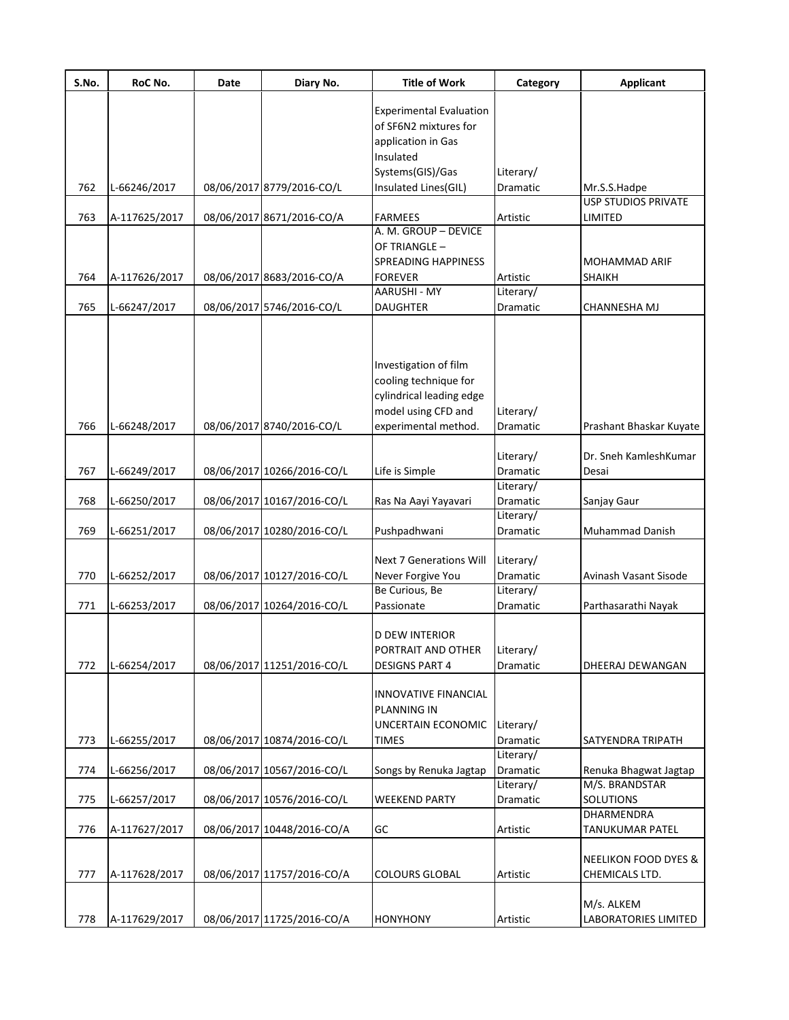| S.No. | RoC No.       | Date | Diary No.                  | <b>Title of Work</b>                | Category              | <b>Applicant</b>                      |
|-------|---------------|------|----------------------------|-------------------------------------|-----------------------|---------------------------------------|
|       |               |      |                            | <b>Experimental Evaluation</b>      |                       |                                       |
|       |               |      |                            | of SF6N2 mixtures for               |                       |                                       |
|       |               |      |                            | application in Gas                  |                       |                                       |
|       |               |      |                            | Insulated                           |                       |                                       |
|       |               |      |                            | Systems(GIS)/Gas                    | Literary/             |                                       |
| 762   | L-66246/2017  |      | 08/06/2017 8779/2016-CO/L  | Insulated Lines(GIL)                | Dramatic              | Mr.S.S.Hadpe                          |
|       |               |      |                            |                                     |                       | <b>USP STUDIOS PRIVATE</b>            |
| 763   | A-117625/2017 |      | 08/06/2017 8671/2016-CO/A  | <b>FARMEES</b>                      | Artistic              | LIMITED                               |
|       |               |      |                            | A. M. GROUP - DEVICE                |                       |                                       |
|       |               |      |                            | OF TRIANGLE -                       |                       |                                       |
|       |               |      |                            | SPREADING HAPPINESS                 |                       | <b>MOHAMMAD ARIF</b>                  |
| 764   | A-117626/2017 |      | 08/06/2017 8683/2016-CO/A  | FOREVER                             | Artistic              | <b>SHAIKH</b>                         |
|       |               |      |                            | AARUSHI - MY                        | Literary/             |                                       |
| 765   | L-66247/2017  |      | 08/06/2017 5746/2016-CO/L  | <b>DAUGHTER</b>                     | Dramatic              | CHANNESHA MJ                          |
|       |               |      |                            |                                     |                       |                                       |
|       |               |      |                            |                                     |                       |                                       |
|       |               |      |                            | Investigation of film               |                       |                                       |
|       |               |      |                            | cooling technique for               |                       |                                       |
|       |               |      |                            | cylindrical leading edge            |                       |                                       |
|       |               |      |                            | model using CFD and                 | Literary/             |                                       |
| 766   | L-66248/2017  |      | 08/06/2017 8740/2016-CO/L  | experimental method.                | Dramatic              | Prashant Bhaskar Kuyate               |
|       |               |      |                            |                                     |                       |                                       |
|       |               |      |                            |                                     | Literary/             | Dr. Sneh KamleshKumar                 |
| 767   | L-66249/2017  |      | 08/06/2017 10266/2016-CO/L | Life is Simple                      | Dramatic              | Desai                                 |
|       |               |      |                            |                                     | Literary/             |                                       |
| 768   | L-66250/2017  |      | 08/06/2017 10167/2016-CO/L | Ras Na Aayi Yayavari                | Dramatic              | Sanjay Gaur                           |
|       |               |      |                            |                                     | Literary/             |                                       |
| 769   | L-66251/2017  |      | 08/06/2017 10280/2016-CO/L | Pushpadhwani                        | Dramatic              | <b>Muhammad Danish</b>                |
|       |               |      |                            |                                     |                       |                                       |
|       |               |      |                            | <b>Next 7 Generations Will</b>      | Literary/             |                                       |
| 770   | L-66252/2017  |      | 08/06/2017 10127/2016-CO/L | Never Forgive You<br>Be Curious, Be | Dramatic<br>Literary/ | Avinash Vasant Sisode                 |
| 771   | L-66253/2017  |      | 08/06/2017 10264/2016-CO/L | Passionate                          | Dramatic              | Parthasarathi Nayak                   |
|       |               |      |                            |                                     |                       |                                       |
|       |               |      |                            | D DEW INTERIOR                      |                       |                                       |
|       |               |      |                            | PORTRAIT AND OTHER                  | Literary/             |                                       |
| 772   | L-66254/2017  |      | 08/06/2017 11251/2016-CO/L | <b>DESIGNS PART 4</b>               | Dramatic              | DHEERAJ DEWANGAN                      |
|       |               |      |                            |                                     |                       |                                       |
|       |               |      |                            | <b>INNOVATIVE FINANCIAL</b>         |                       |                                       |
|       |               |      |                            | PLANNING IN                         |                       |                                       |
|       |               |      |                            | UNCERTAIN ECONOMIC                  | Literary/             |                                       |
| 773   | L-66255/2017  |      | 08/06/2017 10874/2016-CO/L | <b>TIMES</b>                        | Dramatic              | SATYENDRA TRIPATH                     |
|       |               |      |                            |                                     | Literary/             |                                       |
| 774   | L-66256/2017  |      | 08/06/2017 10567/2016-CO/L | Songs by Renuka Jagtap              | Dramatic              | Renuka Bhagwat Jagtap                 |
|       |               |      |                            |                                     | Literary/             | M/S. BRANDSTAR                        |
| 775   | L-66257/2017  |      | 08/06/2017 10576/2016-CO/L | <b>WEEKEND PARTY</b>                | Dramatic              | <b>SOLUTIONS</b><br><b>DHARMENDRA</b> |
|       |               |      |                            |                                     |                       |                                       |
| 776   | A-117627/2017 |      | 08/06/2017 10448/2016-CO/A | GC                                  | Artistic              | <b>TANUKUMAR PATEL</b>                |
|       |               |      |                            |                                     |                       | <b>NEELIKON FOOD DYES &amp;</b>       |
| 777   | A-117628/2017 |      | 08/06/2017 11757/2016-CO/A | <b>COLOURS GLOBAL</b>               | Artistic              | CHEMICALS LTD.                        |
|       |               |      |                            |                                     |                       |                                       |
|       |               |      |                            |                                     |                       | M/s. ALKEM                            |
| 778   | A-117629/2017 |      | 08/06/2017 11725/2016-CO/A | <b>HONYHONY</b>                     | Artistic              | LABORATORIES LIMITED                  |
|       |               |      |                            |                                     |                       |                                       |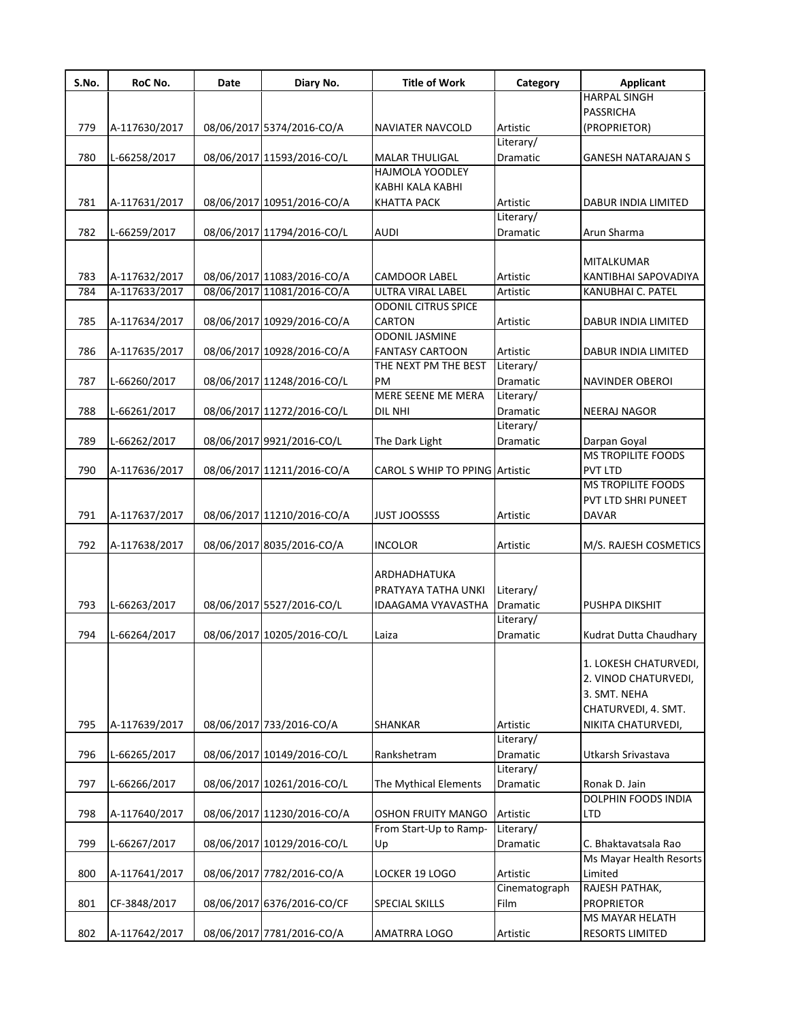| S.No. | RoC No.       | Date | Diary No.                                                | <b>Title of Work</b>                            | Category              | <b>Applicant</b>        |
|-------|---------------|------|----------------------------------------------------------|-------------------------------------------------|-----------------------|-------------------------|
|       |               |      |                                                          |                                                 |                       | <b>HARPAL SINGH</b>     |
|       |               |      |                                                          |                                                 |                       | PASSRICHA               |
| 779   | A-117630/2017 |      | 08/06/2017 5374/2016-CO/A                                | NAVIATER NAVCOLD                                | Artistic              | (PROPRIETOR)            |
|       |               |      |                                                          |                                                 | Literary/             |                         |
| 780   | L-66258/2017  |      | 08/06/2017 11593/2016-CO/L                               | <b>MALAR THULIGAL</b>                           | Dramatic              | GANESH NATARAJAN S      |
|       |               |      |                                                          | <b>HAJMOLA YOODLEY</b>                          |                       |                         |
|       |               |      |                                                          | KABHI KALA KABHI                                |                       |                         |
| 781   | A-117631/2017 |      | 08/06/2017 10951/2016-CO/A                               | <b>KHATTA PACK</b>                              | Artistic              | DABUR INDIA LIMITED     |
|       |               |      |                                                          |                                                 | Literary/             |                         |
| 782   | L-66259/2017  |      | 08/06/2017 11794/2016-CO/L                               | <b>AUDI</b>                                     | Dramatic              | Arun Sharma             |
|       |               |      |                                                          |                                                 |                       |                         |
|       |               |      |                                                          |                                                 |                       | MITALKUMAR              |
| 783   | A-117632/2017 |      | 08/06/2017 11083/2016-CO/A<br>08/06/2017 11081/2016-CO/A | <b>CAMDOOR LABEL</b>                            | Artistic              | KANTIBHAI SAPOVADIYA    |
| 784   | A-117633/2017 |      |                                                          | ULTRA VIRAL LABEL<br><b>ODONIL CITRUS SPICE</b> | Artistic              | KANUBHAI C. PATEL       |
|       |               |      |                                                          | <b>CARTON</b>                                   |                       |                         |
| 785   | A-117634/2017 |      | 08/06/2017 10929/2016-CO/A                               | <b>ODONIL JASMINE</b>                           | Artistic              | DABUR INDIA LIMITED     |
| 786   | A-117635/2017 |      | 08/06/2017 10928/2016-CO/A                               | <b>FANTASY CARTOON</b>                          | Artistic              | DABUR INDIA LIMITED     |
|       |               |      |                                                          | THE NEXT PM THE BEST                            | Literary/             |                         |
| 787   | L-66260/2017  |      | 08/06/2017 11248/2016-CO/L                               | PM                                              | Dramatic              | <b>NAVINDER OBEROI</b>  |
|       |               |      |                                                          | MERE SEENE ME MERA                              | Literary/             |                         |
| 788   | L-66261/2017  |      | 08/06/2017 11272/2016-CO/L                               | DIL NHI                                         | Dramatic              | <b>NEERAJ NAGOR</b>     |
|       |               |      |                                                          |                                                 | Literary/             |                         |
| 789   | L-66262/2017  |      | 08/06/2017 9921/2016-CO/L                                | The Dark Light                                  | Dramatic              | Darpan Goyal            |
|       |               |      |                                                          |                                                 |                       | MS TROPILITE FOODS      |
| 790   | A-117636/2017 |      | 08/06/2017 11211/2016-CO/A                               | CAROL S WHIP TO PPING Artistic                  |                       | PVT LTD                 |
|       |               |      |                                                          |                                                 |                       | MS TROPILITE FOODS      |
|       |               |      |                                                          |                                                 |                       | PVT LTD SHRI PUNEET     |
| 791   | A-117637/2017 |      | 08/06/2017 11210/2016-CO/A                               | <b>JUST JOOSSSS</b>                             | Artistic              | <b>DAVAR</b>            |
|       |               |      |                                                          |                                                 |                       |                         |
| 792   | A-117638/2017 |      | 08/06/2017 8035/2016-CO/A                                | <b>INCOLOR</b>                                  | Artistic              | M/S. RAJESH COSMETICS   |
|       |               |      |                                                          |                                                 |                       |                         |
|       |               |      |                                                          | ARDHADHATUKA                                    |                       |                         |
|       |               |      |                                                          | PRATYAYA TATHA UNKI                             | Literary/             |                         |
| 793   | L-66263/2017  |      | 08/06/2017 5527/2016-CO/L                                | IDAAGAMA VYAVASTHA                              | Dramatic              | PUSHPA DIKSHIT          |
|       |               |      |                                                          |                                                 | Literary/             |                         |
| 794   | L-66264/2017  |      | 08/06/2017 10205/2016-CO/L                               | Laiza                                           | Dramatic              | Kudrat Dutta Chaudhary  |
|       |               |      |                                                          |                                                 |                       |                         |
|       |               |      |                                                          |                                                 |                       | 1. LOKESH CHATURVEDI,   |
|       |               |      |                                                          |                                                 |                       | 2. VINOD CHATURVEDI,    |
|       |               |      |                                                          |                                                 |                       | 3. SMT. NEHA            |
|       |               |      |                                                          |                                                 |                       | CHATURVEDI, 4. SMT.     |
| 795   | A-117639/2017 |      | 08/06/2017 733/2016-CO/A                                 | <b>SHANKAR</b>                                  | Artistic              | NIKITA CHATURVEDI,      |
| 796   |               |      |                                                          |                                                 | Literary/<br>Dramatic | Utkarsh Srivastava      |
|       | L-66265/2017  |      | 08/06/2017 10149/2016-CO/L                               | Rankshetram                                     | Literary/             |                         |
| 797   | L-66266/2017  |      | 08/06/2017 10261/2016-CO/L                               |                                                 | Dramatic              | Ronak D. Jain           |
|       |               |      |                                                          | The Mythical Elements                           |                       | DOLPHIN FOODS INDIA     |
| 798   | A-117640/2017 |      | 08/06/2017 11230/2016-CO/A                               | <b>OSHON FRUITY MANGO</b>                       | Artistic              | LTD                     |
|       |               |      |                                                          | From Start-Up to Ramp-                          | Literary/             |                         |
| 799   | L-66267/2017  |      | 08/06/2017 10129/2016-CO/L                               | Up                                              | Dramatic              | C. Bhaktavatsala Rao    |
|       |               |      |                                                          |                                                 |                       | Ms Mayar Health Resorts |
| 800   | A-117641/2017 |      | 08/06/2017 7782/2016-CO/A                                | LOCKER 19 LOGO                                  | Artistic              | Limited                 |
|       |               |      |                                                          |                                                 | Cinematograph         | RAJESH PATHAK,          |
| 801   | CF-3848/2017  |      | 08/06/2017 6376/2016-CO/CF                               | SPECIAL SKILLS                                  | Film                  | <b>PROPRIETOR</b>       |
|       |               |      |                                                          |                                                 |                       | MS MAYAR HELATH         |
| 802   | A-117642/2017 |      | 08/06/2017 7781/2016-CO/A                                | AMATRRA LOGO                                    | Artistic              | <b>RESORTS LIMITED</b>  |
|       |               |      |                                                          |                                                 |                       |                         |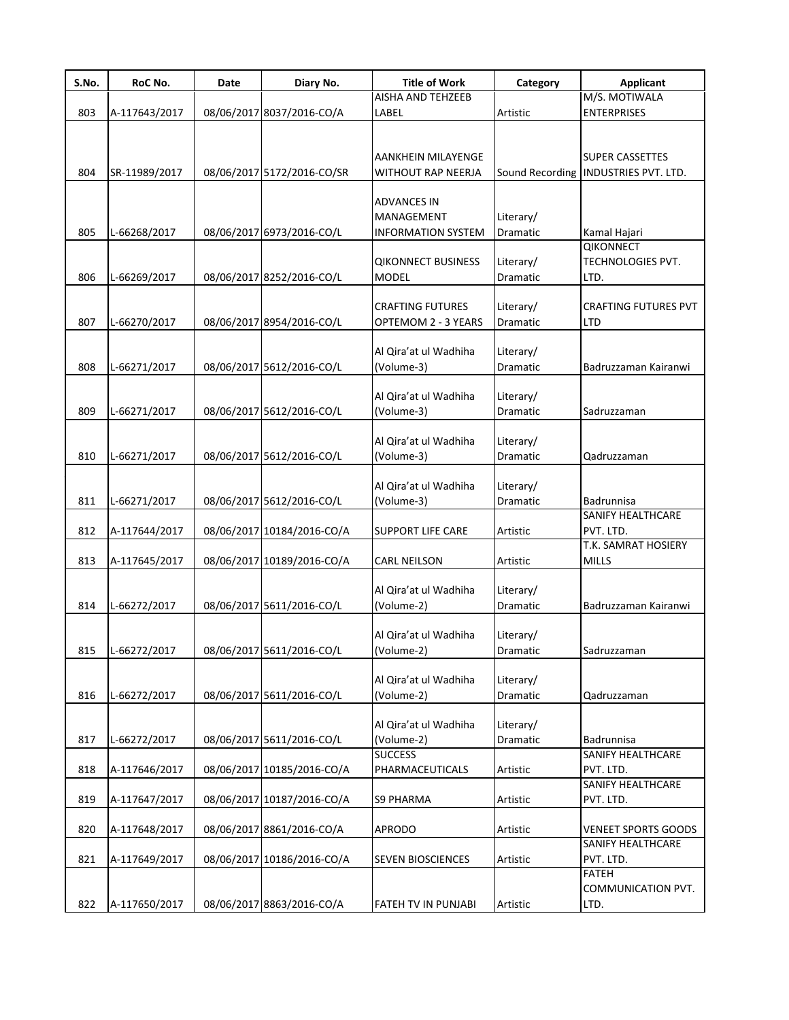| S.No. | RoC No.       | Date | Diary No.                  | <b>Title of Work</b>                                          | Category                     | <b>Applicant</b>                                               |
|-------|---------------|------|----------------------------|---------------------------------------------------------------|------------------------------|----------------------------------------------------------------|
|       |               |      |                            | AISHA AND TEHZEEB                                             |                              | M/S. MOTIWALA                                                  |
| 803   | A-117643/2017 |      | 08/06/2017 8037/2016-CO/A  | LABEL                                                         | Artistic                     | <b>ENTERPRISES</b>                                             |
| 804   | SR-11989/2017 |      | 08/06/2017 5172/2016-CO/SR | AANKHEIN MILAYENGE<br>WITHOUT RAP NEERJA                      |                              | <b>SUPER CASSETTES</b><br>Sound Recording INDUSTRIES PVT. LTD. |
| 805   | L-66268/2017  |      | 08/06/2017 6973/2016-CO/L  | <b>ADVANCES IN</b><br>MANAGEMENT<br><b>INFORMATION SYSTEM</b> | Literary/<br>Dramatic        | Kamal Hajari                                                   |
| 806   | L-66269/2017  |      | 08/06/2017 8252/2016-CO/L  | <b>QIKONNECT BUSINESS</b><br><b>MODEL</b>                     | Literary/<br>Dramatic        | <b>QIKONNECT</b><br>TECHNOLOGIES PVT.<br>LTD.                  |
| 807   | L-66270/2017  |      | 08/06/2017 8954/2016-CO/L  | <b>CRAFTING FUTURES</b><br>OPTEMOM 2 - 3 YEARS                | Literary/<br><b>Dramatic</b> | <b>CRAFTING FUTURES PVT</b><br><b>LTD</b>                      |
| 808   | L-66271/2017  |      | 08/06/2017 5612/2016-CO/L  | Al Qira'at ul Wadhiha<br>(Volume-3)                           | Literary/<br>Dramatic        | Badruzzaman Kairanwi                                           |
| 809   | L-66271/2017  |      | 08/06/2017 5612/2016-CO/L  | Al Qira'at ul Wadhiha<br>(Volume-3)                           | Literary/<br>Dramatic        | Sadruzzaman                                                    |
| 810   | L-66271/2017  |      | 08/06/2017 5612/2016-CO/L  | Al Qira'at ul Wadhiha<br>(Volume-3)                           | Literary/<br>Dramatic        | Qadruzzaman                                                    |
| 811   | L-66271/2017  |      | 08/06/2017 5612/2016-CO/L  | Al Qira'at ul Wadhiha<br>(Volume-3)                           | Literary/<br>Dramatic        | Badrunnisa<br>SANIFY HEALTHCARE                                |
| 812   | A-117644/2017 |      | 08/06/2017 10184/2016-CO/A | <b>SUPPORT LIFE CARE</b>                                      | Artistic                     | PVT. LTD.                                                      |
| 813   | A-117645/2017 |      | 08/06/2017 10189/2016-CO/A | <b>CARL NEILSON</b>                                           | Artistic                     | T.K. SAMRAT HOSIERY<br><b>MILLS</b>                            |
| 814   | L-66272/2017  |      | 08/06/2017 5611/2016-CO/L  | Al Qira'at ul Wadhiha<br>(Volume-2)                           | Literary/<br>Dramatic        | Badruzzaman Kairanwi                                           |
| 815   | L-66272/2017  |      | 08/06/201715611/2016-CO/L  | Al Qira'at ul Wadhiha<br>(Volume-2)                           | Literary/<br>Dramatic        | Sadruzzaman                                                    |
| 816   | L-66272/2017  |      | 08/06/2017 5611/2016-CO/L  | Al Qira'at ul Wadhiha<br>(Volume-2)                           | Literary/<br>Dramatic        | Qadruzzaman                                                    |
| 817   | L-66272/2017  |      | 08/06/2017 5611/2016-CO/L  | Al Qira'at ul Wadhiha<br>(Volume-2)                           | Literary/<br>Dramatic        | Badrunnisa                                                     |
| 818   | A-117646/2017 |      | 08/06/2017 10185/2016-CO/A | <b>SUCCESS</b><br>PHARMACEUTICALS                             | Artistic                     | SANIFY HEALTHCARE<br>PVT. LTD.<br>SANIFY HEALTHCARE            |
| 819   | A-117647/2017 |      | 08/06/2017 10187/2016-CO/A | <b>S9 PHARMA</b>                                              | Artistic                     | PVT. LTD.                                                      |
| 820   | A-117648/2017 |      | 08/06/2017 8861/2016-CO/A  | <b>APRODO</b>                                                 | Artistic                     | <b>VENEET SPORTS GOODS</b>                                     |
| 821   | A-117649/2017 |      | 08/06/2017 10186/2016-CO/A | <b>SEVEN BIOSCIENCES</b>                                      | Artistic                     | SANIFY HEALTHCARE<br>PVT. LTD.<br><b>FATEH</b>                 |
| 822   | A-117650/2017 |      | 08/06/2017 8863/2016-CO/A  | FATEH TV IN PUNJABI                                           | Artistic                     | COMMUNICATION PVT.<br>LTD.                                     |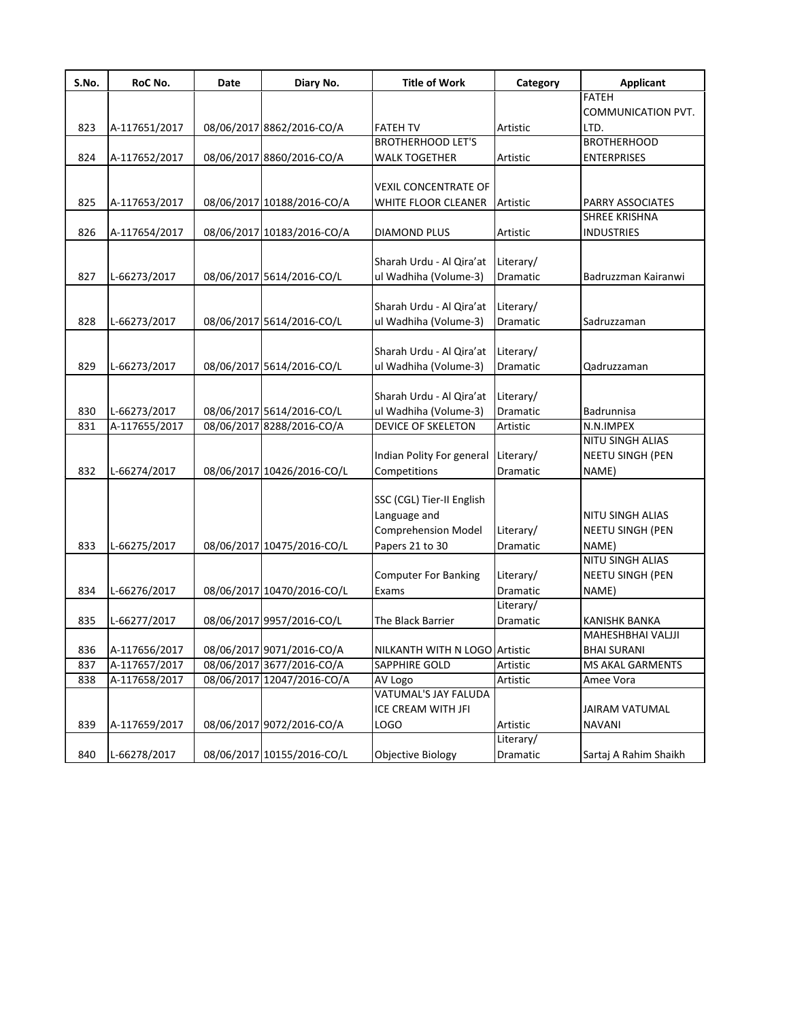| S.No. | RoC No.       | Date | Diary No.                  | <b>Title of Work</b>          | Category  | <b>Applicant</b>          |
|-------|---------------|------|----------------------------|-------------------------------|-----------|---------------------------|
|       |               |      |                            |                               |           | <b>FATEH</b>              |
|       |               |      |                            |                               |           | <b>COMMUNICATION PVT.</b> |
| 823   | A-117651/2017 |      | 08/06/2017 8862/2016-CO/A  | <b>FATEH TV</b>               | Artistic  | LTD.                      |
|       |               |      |                            | <b>BROTHERHOOD LET'S</b>      |           | <b>BROTHERHOOD</b>        |
| 824   | A-117652/2017 |      | 08/06/2017 8860/2016-CO/A  | <b>WALK TOGETHER</b>          | Artistic  | <b>ENTERPRISES</b>        |
|       |               |      |                            |                               |           |                           |
|       |               |      |                            | <b>VEXIL CONCENTRATE OF</b>   |           |                           |
| 825   | A-117653/2017 |      | 08/06/2017 10188/2016-CO/A | WHITE FLOOR CLEANER           | Artistic  | PARRY ASSOCIATES          |
|       |               |      |                            |                               |           | <b>SHREE KRISHNA</b>      |
| 826   | A-117654/2017 |      | 08/06/2017 10183/2016-CO/A | <b>DIAMOND PLUS</b>           | Artistic  | <b>INDUSTRIES</b>         |
|       |               |      |                            |                               |           |                           |
|       |               |      |                            | Sharah Urdu - Al Qira'at      | Literary/ |                           |
| 827   | L-66273/2017  |      | 08/06/2017 5614/2016-CO/L  | ul Wadhiha (Volume-3)         | Dramatic  | Badruzzman Kairanwi       |
|       |               |      |                            |                               |           |                           |
|       |               |      |                            | Sharah Urdu - Al Qira'at      | Literary/ |                           |
| 828   | L-66273/2017  |      | 08/06/2017 5614/2016-CO/L  | ul Wadhiha (Volume-3)         | Dramatic  | Sadruzzaman               |
|       |               |      |                            |                               |           |                           |
|       |               |      |                            | Sharah Urdu - Al Qira'at      | Literary/ |                           |
| 829   | L-66273/2017  |      | 08/06/2017 5614/2016-CO/L  | ul Wadhiha (Volume-3)         | Dramatic  | Qadruzzaman               |
|       |               |      |                            |                               |           |                           |
|       |               |      |                            | Sharah Urdu - Al Qira'at      | Literary/ |                           |
| 830   | L-66273/2017  |      | 08/06/2017 5614/2016-CO/L  | ul Wadhiha (Volume-3)         | Dramatic  | Badrunnisa                |
| 831   | A-117655/2017 |      | 08/06/2017 8288/2016-CO/A  | DEVICE OF SKELETON            | Artistic  | N.N.IMPEX                 |
|       |               |      |                            |                               |           | <b>NITU SINGH ALIAS</b>   |
|       |               |      |                            | Indian Polity For general     | Literary/ | NEETU SINGH (PEN          |
| 832   | L-66274/2017  |      | 08/06/2017 10426/2016-CO/L | Competitions                  | Dramatic  | NAME)                     |
|       |               |      |                            |                               |           |                           |
|       |               |      |                            | SSC (CGL) Tier-II English     |           |                           |
|       |               |      |                            | Language and                  |           | NITU SINGH ALIAS          |
|       |               |      |                            | <b>Comprehension Model</b>    | Literary/ | <b>NEETU SINGH (PEN</b>   |
| 833   | L-66275/2017  |      | 08/06/2017 10475/2016-CO/L | Papers 21 to 30               | Dramatic  | NAME)                     |
|       |               |      |                            |                               |           | NITU SINGH ALIAS          |
|       |               |      |                            | <b>Computer For Banking</b>   | Literary/ | <b>NEETU SINGH (PEN</b>   |
| 834   | L-66276/2017  |      | 08/06/2017 10470/2016-CO/L | Exams                         | Dramatic  | NAME)                     |
|       |               |      |                            |                               | Literary/ |                           |
| 835   | L-66277/2017  |      | 08/06/2017 9957/2016-CO/L  | The Black Barrier             | Dramatic  | KANISHK BANKA             |
|       |               |      |                            |                               |           | MAHESHBHAI VALJJI         |
| 836   | A-117656/2017 |      | 08/06/2017 9071/2016-CO/A  | NILKANTH WITH N LOGO Artistic |           | BHAI SURANI               |
| 837   | A-117657/2017 |      | 08/06/2017 3677/2016-CO/A  | SAPPHIRE GOLD                 | Artistic  | MS AKAL GARMENTS          |
| 838   | A-117658/2017 |      | 08/06/2017 12047/2016-CO/A | AV Logo                       | Artistic  | Amee Vora                 |
|       |               |      |                            | VATUMAL'S JAY FALUDA          |           |                           |
|       |               |      |                            | ICE CREAM WITH JFI            |           | <b>JAIRAM VATUMAL</b>     |
| 839   | A-117659/2017 |      | 08/06/2017 9072/2016-CO/A  | <b>LOGO</b>                   | Artistic  | <b>NAVANI</b>             |
|       |               |      |                            |                               | Literary/ |                           |
| 840   | L-66278/2017  |      | 08/06/2017 10155/2016-CO/L | Objective Biology             | Dramatic  | Sartaj A Rahim Shaikh     |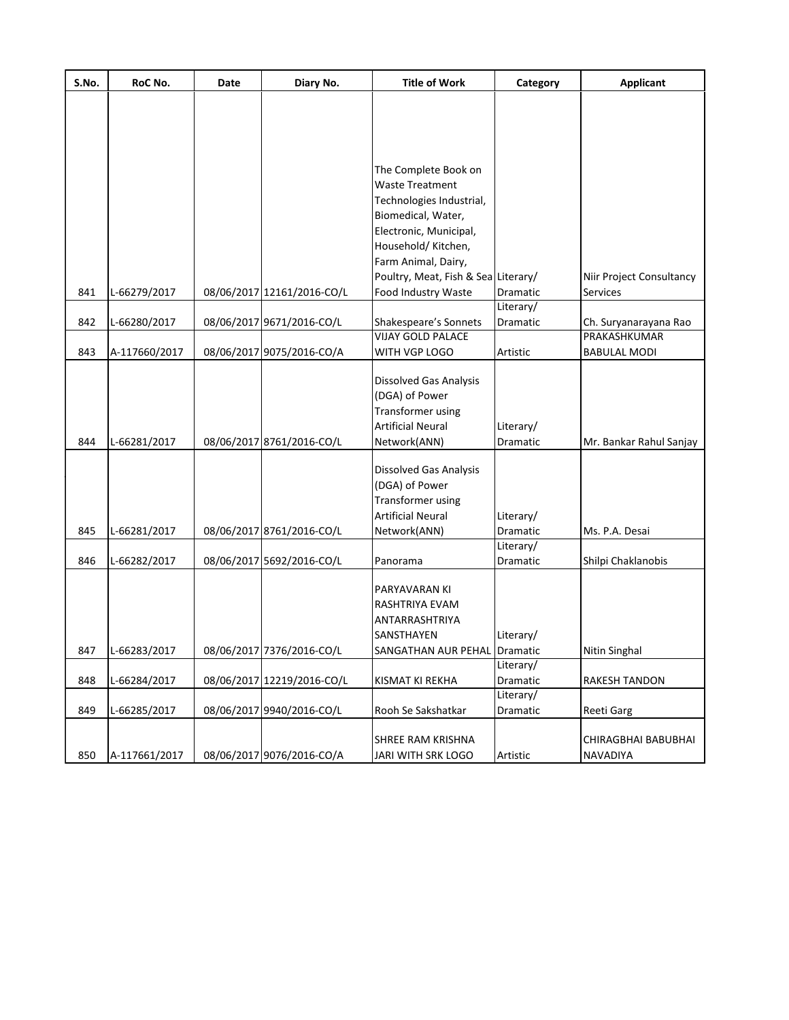| S.No. | RoC No.       | Date | Diary No.                  | <b>Title of Work</b>                | Category        | <b>Applicant</b>         |
|-------|---------------|------|----------------------------|-------------------------------------|-----------------|--------------------------|
|       |               |      |                            |                                     |                 |                          |
|       |               |      |                            |                                     |                 |                          |
|       |               |      |                            |                                     |                 |                          |
|       |               |      |                            |                                     |                 |                          |
|       |               |      |                            | The Complete Book on                |                 |                          |
|       |               |      |                            | Waste Treatment                     |                 |                          |
|       |               |      |                            | Technologies Industrial,            |                 |                          |
|       |               |      |                            | Biomedical, Water,                  |                 |                          |
|       |               |      |                            | Electronic, Municipal,              |                 |                          |
|       |               |      |                            | Household/ Kitchen,                 |                 |                          |
|       |               |      |                            | Farm Animal, Dairy,                 |                 |                          |
|       |               |      |                            | Poultry, Meat, Fish & Sea Literary/ |                 | Niir Project Consultancy |
| 841   | L-66279/2017  |      | 08/06/2017 12161/2016-CO/L | Food Industry Waste                 | Dramatic        | Services                 |
|       |               |      |                            |                                     | Literary/       |                          |
| 842   | L-66280/2017  |      | 08/06/2017 9671/2016-CO/L  | Shakespeare's Sonnets               | Dramatic        | Ch. Suryanarayana Rao    |
|       |               |      |                            | <b>VIJAY GOLD PALACE</b>            |                 | PRAKASHKUMAR             |
| 843   | A-117660/2017 |      | 08/06/2017 9075/2016-CO/A  | WITH VGP LOGO                       | Artistic        | <b>BABULAL MODI</b>      |
|       |               |      |                            |                                     |                 |                          |
|       |               |      |                            | Dissolved Gas Analysis              |                 |                          |
|       |               |      |                            | (DGA) of Power                      |                 |                          |
|       |               |      |                            | Transformer using                   |                 |                          |
|       |               |      |                            | <b>Artificial Neural</b>            | Literary/       |                          |
| 844   | L-66281/2017  |      | 08/06/2017 8761/2016-CO/L  | Network(ANN)                        | Dramatic        | Mr. Bankar Rahul Sanjay  |
|       |               |      |                            |                                     |                 |                          |
|       |               |      |                            | <b>Dissolved Gas Analysis</b>       |                 |                          |
|       |               |      |                            | (DGA) of Power                      |                 |                          |
|       |               |      |                            | Transformer using                   |                 |                          |
|       |               |      |                            | Artificial Neural                   | Literary/       |                          |
| 845   | L-66281/2017  |      | 08/06/2017 8761/2016-CO/L  | Network(ANN)                        | Dramatic        | Ms. P.A. Desai           |
|       |               |      |                            |                                     | Literary/       |                          |
| 846   | L-66282/2017  |      | 08/06/2017 5692/2016-CO/L  | Panorama                            | <b>Dramatic</b> | Shilpi Chaklanobis       |
|       |               |      |                            |                                     |                 |                          |
|       |               |      |                            | PARYAVARAN KI                       |                 |                          |
|       |               |      |                            | RASHTRIYA EVAM                      |                 |                          |
|       |               |      |                            | ANTARRASHTRIYA                      |                 |                          |
|       |               |      |                            | SANSTHAYEN                          | Literary/       |                          |
| 847   | L-66283/2017  |      | 08/06/2017 7376/2016-CO/L  | SANGATHAN AUR PEHAL Dramatic        | Literary/       | Nitin Singhal            |
|       |               |      |                            |                                     |                 |                          |
| 848   | L-66284/2017  |      | 08/06/2017 12219/2016-CO/L | KISMAT KI REKHA                     | Dramatic        | RAKESH TANDON            |
| 849   |               |      | 08/06/2017 9940/2016-CO/L  |                                     | Literary/       |                          |
|       | L-66285/2017  |      |                            | Rooh Se Sakshatkar                  | Dramatic        | Reeti Garg               |
|       |               |      |                            | SHREE RAM KRISHNA                   |                 | CHIRAGBHAI BABUBHAI      |
| 850   | A-117661/2017 |      | 08/06/2017 9076/2016-CO/A  | JARI WITH SRK LOGO                  | Artistic        | NAVADIYA                 |
|       |               |      |                            |                                     |                 |                          |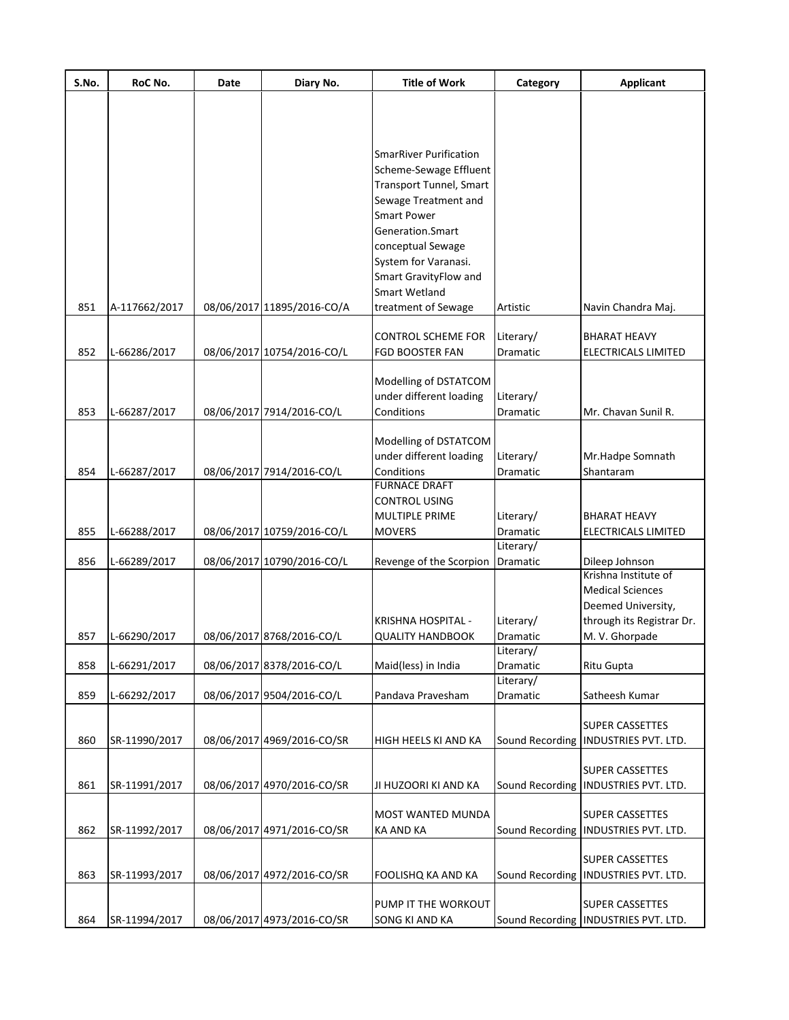| S.No. | RoC No.       | Date | Diary No.                  | <b>Title of Work</b>                                    | Category              | <b>Applicant</b>                       |
|-------|---------------|------|----------------------------|---------------------------------------------------------|-----------------------|----------------------------------------|
|       |               |      |                            |                                                         |                       |                                        |
|       |               |      |                            |                                                         |                       |                                        |
|       |               |      |                            |                                                         |                       |                                        |
|       |               |      |                            | <b>SmarRiver Purification</b><br>Scheme-Sewage Effluent |                       |                                        |
|       |               |      |                            | Transport Tunnel, Smart                                 |                       |                                        |
|       |               |      |                            | Sewage Treatment and                                    |                       |                                        |
|       |               |      |                            | <b>Smart Power</b>                                      |                       |                                        |
|       |               |      |                            | Generation.Smart                                        |                       |                                        |
|       |               |      |                            | conceptual Sewage                                       |                       |                                        |
|       |               |      |                            | System for Varanasi.                                    |                       |                                        |
|       |               |      |                            | Smart GravityFlow and                                   |                       |                                        |
|       |               |      |                            | <b>Smart Wetland</b>                                    |                       |                                        |
| 851   | A-117662/2017 |      | 08/06/2017 11895/2016-CO/A | treatment of Sewage                                     | Artistic              | Navin Chandra Maj.                     |
|       |               |      |                            | <b>CONTROL SCHEME FOR</b>                               | Literary/             | <b>BHARAT HEAVY</b>                    |
| 852   | L-66286/2017  |      | 08/06/2017 10754/2016-CO/L | <b>FGD BOOSTER FAN</b>                                  | Dramatic              | <b>ELECTRICALS LIMITED</b>             |
|       |               |      |                            |                                                         |                       |                                        |
|       |               |      |                            | Modelling of DSTATCOM                                   |                       |                                        |
|       |               |      |                            | under different loading                                 | Literary/             |                                        |
| 853   | L-66287/2017  |      | 08/06/2017 7914/2016-CO/L  | Conditions                                              | Dramatic              | Mr. Chavan Sunil R.                    |
|       |               |      |                            | Modelling of DSTATCOM                                   |                       |                                        |
|       |               |      |                            | under different loading                                 | Literary/             | Mr.Hadpe Somnath                       |
| 854   | L-66287/2017  |      | 08/06/2017 7914/2016-CO/L  | Conditions                                              | Dramatic              | Shantaram                              |
|       |               |      |                            | <b>FURNACE DRAFT</b>                                    |                       |                                        |
|       |               |      |                            | <b>CONTROL USING</b>                                    |                       |                                        |
|       |               |      |                            | MULTIPLE PRIME                                          | Literary/             | <b>BHARAT HEAVY</b>                    |
| 855   | L-66288/2017  |      | 08/06/2017 10759/2016-CO/L | <b>MOVERS</b>                                           | Dramatic              | ELECTRICALS LIMITED                    |
| 856   | L-66289/2017  |      | 08/06/2017 10790/2016-CO/L | Revenge of the Scorpion                                 | Literary/<br>Dramatic | Dileep Johnson                         |
|       |               |      |                            |                                                         |                       | Krishna Institute of                   |
|       |               |      |                            |                                                         |                       | <b>Medical Sciences</b>                |
|       |               |      |                            |                                                         |                       | Deemed University,                     |
|       |               |      |                            | KRISHNA HOSPITAL -                                      | Literary/             | through its Registrar Dr.              |
| 857   | L-66290/2017  |      | 08/06/2017 8768/2016-CO/L  | QUALITY HANDBOOK                                        | Dramatic              | M. V. Ghorpade                         |
|       |               |      |                            |                                                         | Literary/             |                                        |
| 858   | L-66291/2017  |      | 08/06/2017 8378/2016-CO/L  | Maid(less) in India                                     | Dramatic              | <b>Ritu Gupta</b>                      |
| 859   | L-66292/2017  |      | 08/06/2017 9504/2016-CO/L  | Pandava Pravesham                                       | Literary/<br>Dramatic | Satheesh Kumar                         |
|       |               |      |                            |                                                         |                       |                                        |
|       |               |      |                            |                                                         |                       | <b>SUPER CASSETTES</b>                 |
| 860   | SR-11990/2017 |      | 08/06/2017 4969/2016-CO/SR | HIGH HEELS KI AND KA                                    |                       | Sound Recording   INDUSTRIES PVT. LTD. |
|       |               |      |                            |                                                         |                       |                                        |
|       |               |      |                            |                                                         |                       | <b>SUPER CASSETTES</b>                 |
| 861   | SR-11991/2017 |      | 08/06/2017 4970/2016-CO/SR | JI HUZOORI KI AND KA                                    |                       | Sound Recording  INDUSTRIES PVT. LTD.  |
|       |               |      |                            | MOST WANTED MUNDA                                       |                       | <b>SUPER CASSETTES</b>                 |
| 862   | SR-11992/2017 |      | 08/06/2017 4971/2016-CO/SR | <b>KA AND KA</b>                                        |                       | Sound Recording   INDUSTRIES PVT. LTD. |
|       |               |      |                            |                                                         |                       |                                        |
|       |               |      |                            |                                                         |                       | <b>SUPER CASSETTES</b>                 |
| 863   | SR-11993/2017 |      | 08/06/2017 4972/2016-CO/SR | FOOLISHQ KA AND KA                                      | Sound Recording       | <b>INDUSTRIES PVT. LTD.</b>            |
|       |               |      |                            | PUMP IT THE WORKOUT                                     |                       | <b>SUPER CASSETTES</b>                 |
| 864   | SR-11994/2017 |      | 08/06/2017 4973/2016-CO/SR | SONG KI AND KA                                          |                       | Sound Recording   INDUSTRIES PVT. LTD. |
|       |               |      |                            |                                                         |                       |                                        |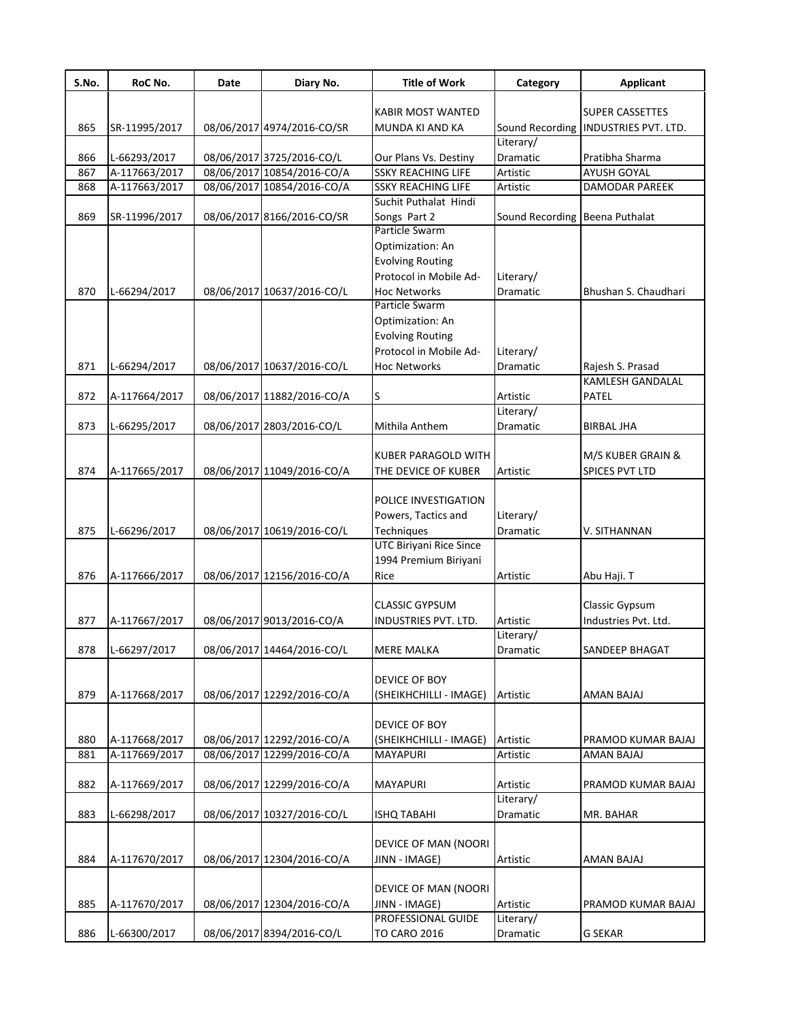| S.No. | RoC No.       | Date | Diary No.                  | <b>Title of Work</b>      | Category                       | <b>Applicant</b>                     |
|-------|---------------|------|----------------------------|---------------------------|--------------------------------|--------------------------------------|
|       |               |      |                            |                           |                                |                                      |
|       |               |      |                            | <b>KABIR MOST WANTED</b>  |                                | <b>SUPER CASSETTES</b>               |
| 865   | SR-11995/2017 |      | 08/06/2017 4974/2016-CO/SR | MUNDA KI AND KA           |                                | Sound Recording INDUSTRIES PVT. LTD. |
|       |               |      |                            |                           | Literary/                      |                                      |
| 866   | L-66293/2017  |      | 08/06/2017 3725/2016-CO/L  | Our Plans Vs. Destiny     | Dramatic                       | Pratibha Sharma                      |
| 867   | A-117663/2017 |      | 08/06/2017 10854/2016-CO/A | <b>SSKY REACHING LIFE</b> | Artistic                       | <b>AYUSH GOYAL</b>                   |
| 868   | A-117663/2017 |      | 08/06/2017 10854/2016-CO/A | <b>SSKY REACHING LIFE</b> | Artistic                       | DAMODAR PAREEK                       |
|       |               |      |                            | Suchit Puthalat Hindi     |                                |                                      |
| 869   | SR-11996/2017 |      | 08/06/2017 8166/2016-CO/SR | Songs Part 2              | Sound Recording Beena Puthalat |                                      |
|       |               |      |                            | Particle Swarm            |                                |                                      |
|       |               |      |                            | Optimization: An          |                                |                                      |
|       |               |      |                            | <b>Evolving Routing</b>   |                                |                                      |
|       |               |      |                            | Protocol in Mobile Ad-    | Literary/                      |                                      |
| 870   | L-66294/2017  |      | 08/06/2017 10637/2016-CO/L | <b>Hoc Networks</b>       | Dramatic                       | Bhushan S. Chaudhari                 |
|       |               |      |                            | Particle Swarm            |                                |                                      |
|       |               |      |                            | Optimization: An          |                                |                                      |
|       |               |      |                            | <b>Evolving Routing</b>   |                                |                                      |
|       |               |      |                            | Protocol in Mobile Ad-    | Literary/                      |                                      |
| 871   | L-66294/2017  |      | 08/06/2017 10637/2016-CO/L | <b>Hoc Networks</b>       | <b>Dramatic</b>                | Rajesh S. Prasad                     |
|       |               |      |                            |                           |                                | KAMLESH GANDALAL                     |
| 872   | A-117664/2017 |      | 08/06/2017 11882/2016-CO/A | S                         | Artistic                       | PATEL                                |
|       |               |      |                            |                           | Literary/                      |                                      |
| 873   | L-66295/2017  |      | 08/06/2017 2803/2016-CO/L  | Mithila Anthem            | Dramatic                       | <b>BIRBAL JHA</b>                    |
|       |               |      |                            |                           |                                |                                      |
|       |               |      |                            | KUBER PARAGOLD WITH       |                                | M/S KUBER GRAIN &                    |
| 874   | A-117665/2017 |      | 08/06/2017 11049/2016-CO/A | THE DEVICE OF KUBER       | Artistic                       | SPICES PVT LTD                       |
|       |               |      |                            |                           |                                |                                      |
|       |               |      |                            | POLICE INVESTIGATION      |                                |                                      |
|       |               |      |                            | Powers, Tactics and       | Literary/                      |                                      |
| 875   | L-66296/2017  |      | 08/06/2017 10619/2016-CO/L | Techniques                | Dramatic                       | V. SITHANNAN                         |
|       |               |      |                            | UTC Biriyani Rice Since   |                                |                                      |
|       |               |      |                            | 1994 Premium Biriyani     |                                |                                      |
| 876   | A-117666/2017 |      | 08/06/2017 12156/2016-CO/A | Rice                      | Artistic                       | Abu Haji. T                          |
|       |               |      |                            |                           |                                |                                      |
|       |               |      |                            | <b>CLASSIC GYPSUM</b>     |                                | Classic Gypsum                       |
| 877   | A-117667/2017 |      | 08/06/2017 9013/2016-CO/A  | INDUSTRIES PVT. LTD.      | Artistic                       | Industries Pvt. Ltd.                 |
|       |               |      |                            |                           | Literary/                      |                                      |
|       |               |      |                            |                           |                                |                                      |
| 878   | L-66297/2017  |      | 08/06/2017 14464/2016-CO/L | MERE MALKA                | Dramatic                       | SANDEEP BHAGAT                       |
|       |               |      |                            |                           |                                |                                      |
|       |               |      |                            | DEVICE OF BOY             |                                |                                      |
| 879   | A-117668/2017 |      | 08/06/2017 12292/2016-CO/A | (SHEIKHCHILLI - IMAGE)    | Artistic                       | AMAN BAJAJ                           |
|       |               |      |                            |                           |                                |                                      |
|       |               |      |                            | DEVICE OF BOY             |                                |                                      |
| 880   | A-117668/2017 |      | 08/06/2017 12292/2016-CO/A | (SHEIKHCHILLI - IMAGE)    | Artistic                       | PRAMOD KUMAR BAJAJ                   |
| 881   | A-117669/2017 |      | 08/06/2017 12299/2016-CO/A | <b>MAYAPURI</b>           | Artistic                       | AMAN BAJAJ                           |
|       |               |      |                            |                           |                                |                                      |
| 882   | A-117669/2017 |      | 08/06/2017 12299/2016-CO/A | <b>MAYAPURI</b>           | Artistic                       | PRAMOD KUMAR BAJAJ                   |
|       |               |      |                            |                           | Literary/                      |                                      |
| 883   | L-66298/2017  |      | 08/06/2017 10327/2016-CO/L | ISHQ TABAHI               | Dramatic                       | MR. BAHAR                            |
|       |               |      |                            |                           |                                |                                      |
|       |               |      |                            | DEVICE OF MAN (NOORI      |                                |                                      |
| 884   | A-117670/2017 |      | 08/06/2017 12304/2016-CO/A | JINN - IMAGE)             | Artistic                       | AMAN BAJAJ                           |
|       |               |      |                            |                           |                                |                                      |
|       |               |      |                            | DEVICE OF MAN (NOORI      |                                |                                      |
| 885   | A-117670/2017 |      | 08/06/2017 12304/2016-CO/A | JINN - IMAGE)             | Artistic                       | PRAMOD KUMAR BAJAJ                   |
|       |               |      |                            | PROFESSIONAL GUIDE        | Literary/                      |                                      |
| 886   | L-66300/2017  |      | 08/06/2017 8394/2016-CO/L  | <b>TO CARO 2016</b>       | Dramatic                       | <b>G SEKAR</b>                       |
|       |               |      |                            |                           |                                |                                      |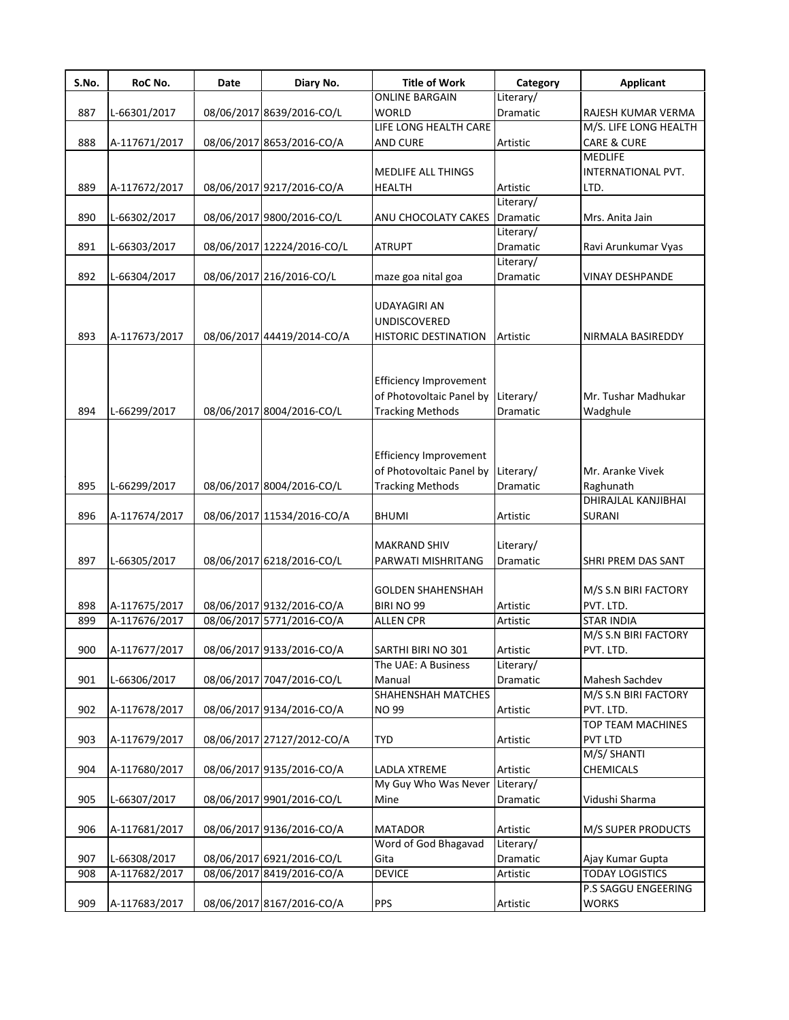| S.No. | RoC No.       | Date | Diary No.                  | <b>Title of Work</b>                                                                           | Category              | <b>Applicant</b>                |
|-------|---------------|------|----------------------------|------------------------------------------------------------------------------------------------|-----------------------|---------------------------------|
|       |               |      |                            | <b>ONLINE BARGAIN</b>                                                                          | Literary/             |                                 |
| 887   | L-66301/2017  |      | 08/06/2017 8639/2016-CO/L  | <b>WORLD</b>                                                                                   | Dramatic              | RAJESH KUMAR VERMA              |
|       |               |      |                            | LIFE LONG HEALTH CARE                                                                          |                       | M/S. LIFE LONG HEALTH           |
| 888   | A-117671/2017 |      | 08/06/2017 8653/2016-CO/A  | AND CURE                                                                                       | Artistic              | CARE & CURE                     |
|       |               |      |                            |                                                                                                |                       | <b>MEDLIFE</b>                  |
|       |               |      |                            | MEDLIFE ALL THINGS                                                                             |                       | INTERNATIONAL PVT.              |
| 889   | A-117672/2017 |      | 08/06/2017 9217/2016-CO/A  | <b>HEALTH</b>                                                                                  | Artistic              | LTD.                            |
|       |               |      |                            |                                                                                                | Literary/             |                                 |
| 890   | L-66302/2017  |      | 08/06/2017 9800/2016-CO/L  | ANU CHOCOLATY CAKES                                                                            | Dramatic              | Mrs. Anita Jain                 |
|       |               |      |                            |                                                                                                | Literary/             |                                 |
| 891   | L-66303/2017  |      | 08/06/2017 12224/2016-CO/L | <b>ATRUPT</b>                                                                                  | Dramatic              | Ravi Arunkumar Vyas             |
|       |               |      |                            |                                                                                                | Literary/             |                                 |
| 892   | L-66304/2017  |      | 08/06/2017 216/2016-CO/L   | maze goa nital goa                                                                             | Dramatic              | <b>VINAY DESHPANDE</b>          |
|       |               |      |                            | <b>UDAYAGIRI AN</b>                                                                            |                       |                                 |
|       |               |      |                            | UNDISCOVERED                                                                                   |                       |                                 |
| 893   | A-117673/2017 |      | 08/06/2017 44419/2014-CO/A | <b>HISTORIC DESTINATION</b>                                                                    | Artistic              | NIRMALA BASIREDDY               |
| 894   | L-66299/2017  |      | 08/06/2017 8004/2016-CO/L  | <b>Efficiency Improvement</b><br>of Photovoltaic Panel by Literary/<br><b>Tracking Methods</b> | Dramatic              | Mr. Tushar Madhukar<br>Wadghule |
| 895   | L-66299/2017  |      | 08/06/2017 8004/2016-CO/L  | Efficiency Improvement<br>of Photovoltaic Panel by Literary/<br><b>Tracking Methods</b>        | Dramatic              | Mr. Aranke Vivek<br>Raghunath   |
|       |               |      |                            |                                                                                                |                       | DHIRAJLAL KANJIBHAI             |
| 896   | A-117674/2017 |      | 08/06/2017 11534/2016-CO/A | <b>BHUMI</b>                                                                                   | Artistic              | <b>SURANI</b>                   |
| 897   | L-66305/2017  |      | 08/06/2017 6218/2016-CO/L  | <b>MAKRAND SHIV</b><br>PARWATI MISHRITANG                                                      | Literary/<br>Dramatic | SHRI PREM DAS SANT              |
|       |               |      |                            | <b>GOLDEN SHAHENSHAH</b>                                                                       |                       | M/S S.N BIRI FACTORY            |
| 898   | A-117675/2017 |      | 08/06/2017 9132/2016-CO/A  | BIRI NO 99                                                                                     | Artistic              | PVT. LTD.                       |
| 899   | A-117676/2017 |      | 08/06/2017 5771/2016-CO/A  | <b>ALLEN CPR</b>                                                                               | Artistic              | <b>STAR INDIA</b>               |
|       |               |      |                            |                                                                                                |                       | M/S S.N BIRI FACTORY            |
| 900   | A-117677/2017 |      | 08/06/2017 9133/2016-CO/A  | SARTHI BIRI NO 301                                                                             | Artistic              | PVT. LTD.                       |
|       |               |      |                            | The UAE: A Business                                                                            | Literary/             |                                 |
| 901   | L-66306/2017  |      | 08/06/2017 7047/2016-CO/L  | Manual                                                                                         | Dramatic              | Mahesh Sachdev                  |
|       |               |      |                            | SHAHENSHAH MATCHES                                                                             |                       | M/S S.N BIRI FACTORY            |
| 902   | A-117678/2017 |      | 08/06/2017 9134/2016-CO/A  | <b>NO 99</b>                                                                                   | Artistic              | PVT. LTD.                       |
|       |               |      |                            |                                                                                                |                       | <b>TOP TEAM MACHINES</b>        |
| 903   | A-117679/2017 |      | 08/06/2017 27127/2012-CO/A | <b>TYD</b>                                                                                     | Artistic              | <b>PVT LTD</b>                  |
|       |               |      |                            |                                                                                                |                       | M/S/ SHANTI                     |
| 904   | A-117680/2017 |      | 08/06/2017 9135/2016-CO/A  | LADLA XTREME                                                                                   | Artistic              | <b>CHEMICALS</b>                |
|       |               |      |                            | My Guy Who Was Never                                                                           | Literary/             |                                 |
| 905   | L-66307/2017  |      | 08/06/2017 9901/2016-CO/L  | Mine                                                                                           | Dramatic              | Vidushi Sharma                  |
|       |               |      |                            |                                                                                                |                       |                                 |
| 906   | A-117681/2017 |      | 08/06/2017 9136/2016-CO/A  | <b>MATADOR</b>                                                                                 | Artistic              | M/S SUPER PRODUCTS              |
|       |               |      |                            | Word of God Bhagavad                                                                           | Literary/             |                                 |
| 907   | L-66308/2017  |      | 08/06/2017 6921/2016-CO/L  | Gita                                                                                           | Dramatic              | Ajay Kumar Gupta                |
| 908   | A-117682/2017 |      | 08/06/2017 8419/2016-CO/A  | <b>DEVICE</b>                                                                                  | Artistic              | <b>TODAY LOGISTICS</b>          |
|       |               |      |                            |                                                                                                |                       | P.S SAGGU ENGEERING             |
| 909   | A-117683/2017 |      | 08/06/2017 8167/2016-CO/A  | <b>PPS</b>                                                                                     | Artistic              | <b>WORKS</b>                    |
|       |               |      |                            |                                                                                                |                       |                                 |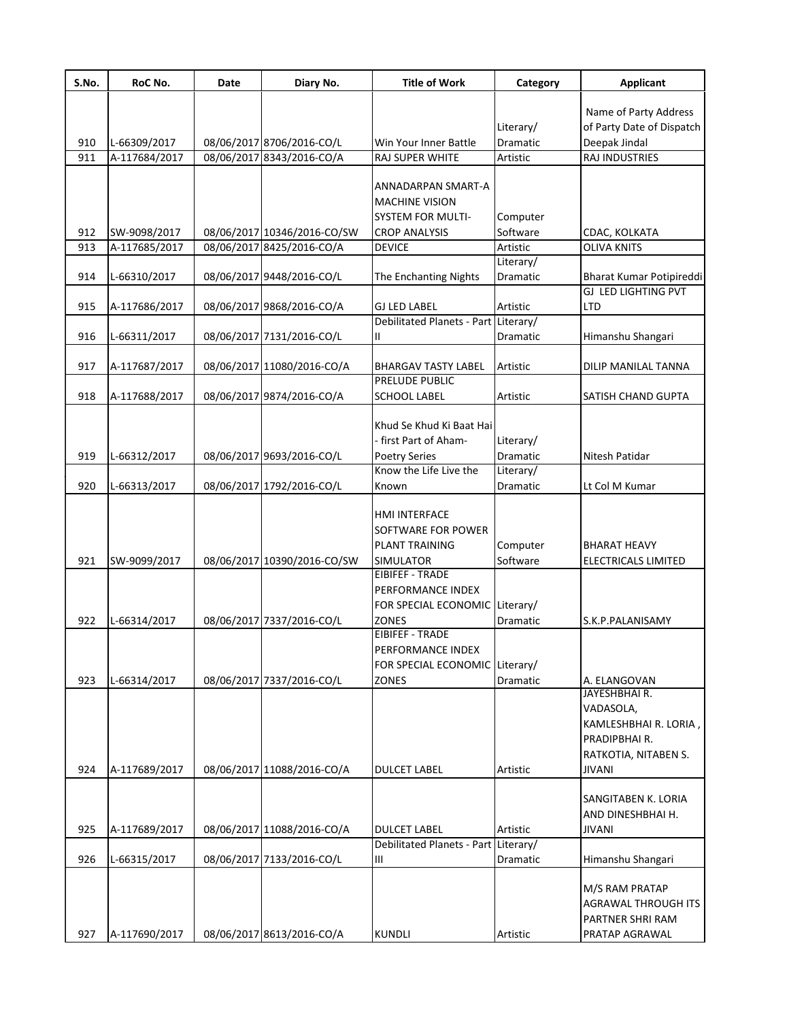| S.No. | RoC No.       | <b>Date</b> | Diary No.                   | <b>Title of Work</b>                 | Category  | <b>Applicant</b>                                   |
|-------|---------------|-------------|-----------------------------|--------------------------------------|-----------|----------------------------------------------------|
|       |               |             |                             |                                      |           |                                                    |
|       |               |             |                             |                                      | Literary/ | Name of Party Address<br>of Party Date of Dispatch |
| 910   | L-66309/2017  |             | 08/06/2017 8706/2016-CO/L   | Win Your Inner Battle                | Dramatic  | Deepak Jindal                                      |
| 911   |               |             | 08/06/2017 8343/2016-CO/A   | RAJ SUPER WHITE                      | Artistic  | RAJ INDUSTRIES                                     |
|       | A-117684/2017 |             |                             |                                      |           |                                                    |
|       |               |             |                             | ANNADARPAN SMART-A                   |           |                                                    |
|       |               |             |                             | <b>MACHINE VISION</b>                |           |                                                    |
|       |               |             |                             | <b>SYSTEM FOR MULTI-</b>             | Computer  |                                                    |
| 912   | SW-9098/2017  |             | 08/06/2017 10346/2016-CO/SW | <b>CROP ANALYSIS</b>                 | Software  | CDAC, KOLKATA                                      |
| 913   | A-117685/2017 |             | 08/06/2017 8425/2016-CO/A   | <b>DEVICE</b>                        | Artistic  | <b>OLIVA KNITS</b>                                 |
|       |               |             |                             |                                      | Literary/ |                                                    |
| 914   | L-66310/2017  |             | 08/06/2017 9448/2016-CO/L   | The Enchanting Nights                | Dramatic  | Bharat Kumar Potipireddi                           |
|       |               |             |                             |                                      |           | GJ LED LIGHTING PVT                                |
| 915   | A-117686/2017 |             | 08/06/2017 9868/2016-CO/A   | <b>GJ LED LABEL</b>                  | Artistic  | LTD                                                |
|       |               |             |                             | Debilitated Planets - Part Literary/ |           |                                                    |
| 916   | L-66311/2017  |             | 08/06/2017 7131/2016-CO/L   | П                                    | Dramatic  | Himanshu Shangari                                  |
|       |               |             |                             |                                      |           |                                                    |
| 917   | A-117687/2017 |             | 08/06/2017 11080/2016-CO/A  | <b>BHARGAV TASTY LABEL</b>           | Artistic  | DILIP MANILAL TANNA                                |
|       |               |             |                             | PRELUDE PUBLIC                       |           |                                                    |
| 918   | A-117688/2017 |             | 08/06/2017 9874/2016-CO/A   | <b>SCHOOL LABEL</b>                  | Artistic  | SATISH CHAND GUPTA                                 |
|       |               |             |                             |                                      |           |                                                    |
|       |               |             |                             | Khud Se Khud Ki Baat Hai             |           |                                                    |
|       |               |             |                             | - first Part of Aham-                | Literary/ |                                                    |
| 919   | L-66312/2017  |             | 08/06/2017 9693/2016-CO/L   | <b>Poetry Series</b>                 | Dramatic  | Nitesh Patidar                                     |
|       |               |             |                             | Know the Life Live the               | Literary/ |                                                    |
| 920   | L-66313/2017  |             | 08/06/2017 1792/2016-CO/L   | Known                                | Dramatic  | Lt Col M Kumar                                     |
|       |               |             |                             |                                      |           |                                                    |
|       |               |             |                             | HMI INTERFACE                        |           |                                                    |
|       |               |             |                             | SOFTWARE FOR POWER                   |           |                                                    |
|       |               |             |                             | <b>PLANT TRAINING</b>                | Computer  | <b>BHARAT HEAVY</b>                                |
| 921   | SW-9099/2017  |             | 08/06/2017 10390/2016-CO/SW | <b>SIMULATOR</b>                     | Software  | ELECTRICALS LIMITED                                |
|       |               |             |                             | EIBIFEF - TRADE                      |           |                                                    |
|       |               |             |                             | PERFORMANCE INDEX                    |           |                                                    |
|       |               |             |                             | FOR SPECIAL ECONOMIC Literary/       |           |                                                    |
| 922   | L-66314/2017  |             | 08/06/2017 7337/2016-CO/L   | <b>ZONES</b>                         | Dramatic  | S.K.P.PALANISAMY                                   |
|       |               |             |                             | <b>EIBIFEF - TRADE</b>               |           |                                                    |
|       |               |             |                             | PERFORMANCE INDEX                    |           |                                                    |
|       |               |             |                             | FOR SPECIAL ECONOMIC Literary/       |           |                                                    |
| 923   | L-66314/2017  |             | 08/06/2017 7337/2016-CO/L   | ZONES                                | Dramatic  | A. ELANGOVAN<br>JAYESHBHAIR.                       |
|       |               |             |                             |                                      |           | VADASOLA,                                          |
|       |               |             |                             |                                      |           |                                                    |
|       |               |             |                             |                                      |           | KAMLESHBHAI R. LORIA,                              |
|       |               |             |                             |                                      |           | PRADIPBHAI R.                                      |
|       |               |             |                             |                                      |           | RATKOTIA, NITABEN S.                               |
| 924   | A-117689/2017 |             | 08/06/2017 11088/2016-CO/A  | <b>DULCET LABEL</b>                  | Artistic  | <b>JIVANI</b>                                      |
|       |               |             |                             |                                      |           | SANGITABEN K. LORIA                                |
|       |               |             |                             |                                      |           | AND DINESHBHAI H.                                  |
| 925   | A-117689/2017 |             | 08/06/2017 11088/2016-CO/A  | <b>DULCET LABEL</b>                  | Artistic  | <b>JIVANI</b>                                      |
|       |               |             |                             | Debilitated Planets - Part Literary/ |           |                                                    |
| 926   | L-66315/2017  |             | 08/06/2017 7133/2016-CO/L   | Ш                                    | Dramatic  | Himanshu Shangari                                  |
|       |               |             |                             |                                      |           |                                                    |
|       |               |             |                             |                                      |           | M/S RAM PRATAP                                     |
|       |               |             |                             |                                      |           | AGRAWAL THROUGH ITS                                |
|       |               |             |                             |                                      |           | PARTNER SHRI RAM                                   |
| 927   | A-117690/2017 |             | 08/06/2017 8613/2016-CO/A   | <b>KUNDLI</b>                        | Artistic  | PRATAP AGRAWAL                                     |
|       |               |             |                             |                                      |           |                                                    |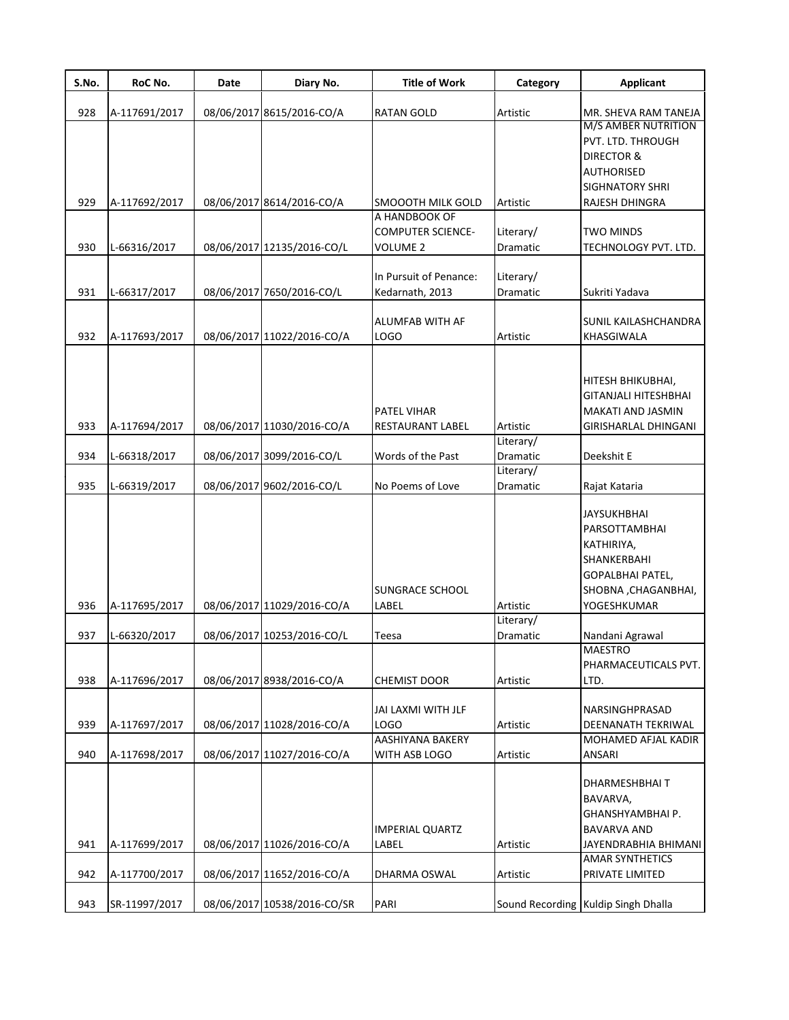| S.No. | RoC No.       | Date | Diary No.                   | <b>Title of Work</b>     | Category  | <b>Applicant</b>                    |
|-------|---------------|------|-----------------------------|--------------------------|-----------|-------------------------------------|
| 928   | A-117691/2017 |      | 08/06/2017 8615/2016-CO/A   | <b>RATAN GOLD</b>        | Artistic  | MR. SHEVA RAM TANEJA                |
|       |               |      |                             |                          |           | M/S AMBER NUTRITION                 |
|       |               |      |                             |                          |           | PVT. LTD. THROUGH                   |
|       |               |      |                             |                          |           | <b>DIRECTOR &amp;</b>               |
|       |               |      |                             |                          |           | AUTHORISED                          |
|       |               |      |                             |                          |           | SIGHNATORY SHRI                     |
| 929   | A-117692/2017 |      | 08/06/2017 8614/2016-CO/A   | SMOOOTH MILK GOLD        | Artistic  | RAJESH DHINGRA                      |
|       |               |      |                             | A HANDBOOK OF            |           |                                     |
|       |               |      |                             | <b>COMPUTER SCIENCE-</b> | Literary/ | <b>TWO MINDS</b>                    |
| 930   | L-66316/2017  |      | 08/06/2017 12135/2016-CO/L  | VOLUME 2                 | Dramatic  | TECHNOLOGY PVT. LTD.                |
|       |               |      |                             |                          |           |                                     |
|       |               |      |                             | In Pursuit of Penance:   | Literary/ |                                     |
| 931   | L-66317/2017  |      | 08/06/2017 7650/2016-CO/L   | Kedarnath, 2013          | Dramatic  | Sukriti Yadava                      |
|       |               |      |                             |                          |           |                                     |
|       |               |      |                             | ALUMFAB WITH AF          |           | SUNIL KAILASHCHANDRA                |
| 932   | A-117693/2017 |      | 08/06/2017 11022/2016-CO/A  | <b>LOGO</b>              | Artistic  | KHASGIWALA                          |
|       |               |      |                             |                          |           |                                     |
|       |               |      |                             |                          |           |                                     |
|       |               |      |                             |                          |           | HITESH BHIKUBHAI,                   |
|       |               |      |                             |                          |           | GITANJALI HITESHBHAI                |
|       |               |      |                             | <b>PATEL VIHAR</b>       |           | MAKATI AND JASMIN                   |
| 933   | A-117694/2017 |      | 08/06/2017 11030/2016-CO/A  | RESTAURANT LABEL         | Artistic  | GIRISHARLAL DHINGANI                |
|       |               |      |                             |                          | Literary/ |                                     |
| 934   | L-66318/2017  |      | 08/06/2017 3099/2016-CO/L   | Words of the Past        | Dramatic  | Deekshit E                          |
|       |               |      |                             |                          | Literary/ |                                     |
| 935   | L-66319/2017  |      | 08/06/2017 9602/2016-CO/L   | No Poems of Love         | Dramatic  | Rajat Kataria                       |
|       |               |      |                             |                          |           |                                     |
|       |               |      |                             |                          |           | JAYSUKHBHAI                         |
|       |               |      |                             |                          |           | PARSOTTAMBHAI                       |
|       |               |      |                             |                          |           |                                     |
|       |               |      |                             |                          |           | KATHIRIYA,                          |
|       |               |      |                             |                          |           | SHANKERBAHI                         |
|       |               |      |                             |                          |           | GOPALBHAI PATEL,                    |
|       |               |      |                             | SUNGRACE SCHOOL          |           | SHOBNA, CHAGANBHAI,                 |
| 936   | A-117695/2017 |      | 08/06/2017 11029/2016-CO/A  | LABEL                    | Artistic  | YOGESHKUMAR                         |
|       |               |      |                             |                          | Literary/ |                                     |
| 937   | L-66320/2017  |      | 08/06/2017 10253/2016-CO/L  | Teesa                    | Dramatic  | Nandani Agrawal                     |
|       |               |      |                             |                          |           | MAESIRO                             |
|       |               |      |                             |                          |           | PHARMACEUTICALS PVT.                |
| 938   | A-117696/2017 |      | 08/06/2017 8938/2016-CO/A   | <b>CHEMIST DOOR</b>      | Artistic  | LTD.                                |
|       |               |      |                             |                          |           |                                     |
|       |               |      |                             | JAI LAXMI WITH JLF       |           | NARSINGHPRASAD                      |
| 939   | A-117697/2017 |      | 08/06/2017 11028/2016-CO/A  | LOGO                     | Artistic  | DEENANATH TEKRIWAL                  |
|       |               |      |                             | AASHIYANA BAKERY         |           | MOHAMED AFJAL KADIR                 |
| 940   | A-117698/2017 |      | 08/06/2017 11027/2016-CO/A  | WITH ASB LOGO            | Artistic  | ANSARI                              |
|       |               |      |                             |                          |           |                                     |
|       |               |      |                             |                          |           | DHARMESHBHAI T                      |
|       |               |      |                             |                          |           | BAVARVA,                            |
|       |               |      |                             |                          |           | GHANSHYAMBHAI P.                    |
|       |               |      |                             | IMPERIAL QUARTZ          |           | BAVARVA AND                         |
| 941   | A-117699/2017 |      | 08/06/2017 11026/2016-CO/A  | LABEL                    | Artistic  | JAYENDRABHIA BHIMANI                |
|       |               |      |                             |                          |           | AMAR SYNTHETICS                     |
| 942   | A-117700/2017 |      | 08/06/2017 11652/2016-CO/A  | DHARMA OSWAL             | Artistic  | PRIVATE LIMITED                     |
|       |               |      |                             |                          |           |                                     |
| 943   | SR-11997/2017 |      | 08/06/2017 10538/2016-CO/SR | PARI                     |           | Sound Recording Kuldip Singh Dhalla |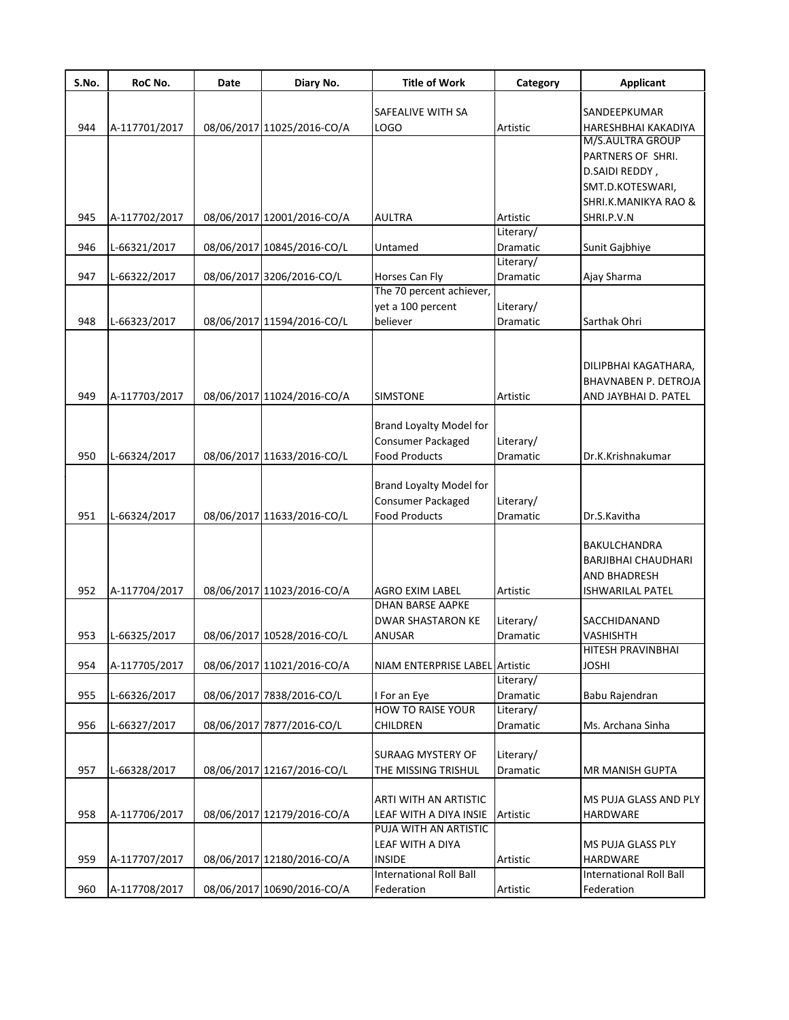| S.No. | RoC No.       | Date | Diary No.                  | <b>Title of Work</b>           | Category        | <b>Applicant</b>            |
|-------|---------------|------|----------------------------|--------------------------------|-----------------|-----------------------------|
|       |               |      |                            | SAFEALIVE WITH SA              |                 | SANDEEPKUMAR                |
| 944   | A-117701/2017 |      | 08/06/2017 11025/2016-CO/A | LOGO                           | Artistic        | HARESHBHAI KAKADIYA         |
|       |               |      |                            |                                |                 | M/S.AULTRA GROUP            |
|       |               |      |                            |                                |                 | PARTNERS OF SHRI.           |
|       |               |      |                            |                                |                 | D.SAIDI REDDY,              |
|       |               |      |                            |                                |                 | SMT.D.KOTESWARI,            |
|       |               |      |                            |                                |                 | SHRI.K.MANIKYA RAO &        |
| 945   | A-117702/2017 |      | 08/06/2017 12001/2016-CO/A | <b>AULTRA</b>                  | Artistic        | SHRI.P.V.N                  |
|       |               |      |                            |                                | Literary/       |                             |
| 946   | L-66321/2017  |      | 08/06/2017 10845/2016-CO/L | Untamed                        | Dramatic        | Sunit Gajbhiye              |
|       |               |      |                            |                                | Literary/       |                             |
| 947   | L-66322/2017  |      | 08/06/2017 3206/2016-CO/L  | Horses Can Fly                 | Dramatic        | Ajay Sharma                 |
|       |               |      |                            | The 70 percent achiever,       |                 |                             |
|       |               |      |                            | yet a 100 percent              | Literary/       |                             |
| 948   | L-66323/2017  |      | 08/06/2017 11594/2016-CO/L | believer                       | <b>Dramatic</b> | Sarthak Ohri                |
|       |               |      |                            |                                |                 |                             |
|       |               |      |                            |                                |                 |                             |
|       |               |      |                            |                                |                 | DILIPBHAI KAGATHARA,        |
|       |               |      |                            |                                |                 | <b>BHAVNABEN P. DETROJA</b> |
| 949   | A-117703/2017 |      | 08/06/2017 11024/2016-CO/A | <b>SIMSTONE</b>                | Artistic        | AND JAYBHAI D. PATEL        |
|       |               |      |                            | <b>Brand Loyalty Model for</b> |                 |                             |
|       |               |      |                            | Consumer Packaged              | Literary/       |                             |
| 950   |               |      |                            | <b>Food Products</b>           |                 |                             |
|       | L-66324/2017  |      | 08/06/2017 11633/2016-CO/L |                                | Dramatic        | Dr.K.Krishnakumar           |
|       |               |      |                            | <b>Brand Loyalty Model for</b> |                 |                             |
|       |               |      |                            | Consumer Packaged              | Literary/       |                             |
| 951   | L-66324/2017  |      | 08/06/2017 11633/2016-CO/L | <b>Food Products</b>           | Dramatic        | Dr.S.Kavitha                |
|       |               |      |                            |                                |                 |                             |
|       |               |      |                            |                                |                 | BAKULCHANDRA                |
|       |               |      |                            |                                |                 | BARJIBHAI CHAUDHARI         |
|       |               |      |                            |                                |                 | <b>AND BHADRESH</b>         |
| 952   | A-117704/2017 |      | 08/06/2017 11023/2016-CO/A | <b>AGRO EXIM LABEL</b>         | Artistic        | <b>ISHWARILAL PATEL</b>     |
|       |               |      |                            | <b>DHAN BARSE AAPKE</b>        |                 |                             |
|       |               |      |                            | <b>DWAR SHASTARON KE</b>       | Literary/       | SACCHIDANAND                |
| 953   | L-66325/2017  |      | 08/06/2017 10528/2016-CO/L | <b>ANUSAR</b>                  | Dramatic        | VASHISHTH                   |
|       |               |      |                            |                                |                 | HITESH PRAVINBHAI           |
| 954   | A-117705/2017 |      | 08/06/2017 11021/2016-CO/A | NIAM ENTERPRISE LABEL Artistic |                 | <b>JOSHI</b>                |
|       |               |      |                            |                                | Literary/       |                             |
| 955   | L-66326/2017  |      | 08/06/2017 7838/2016-CO/L  | I For an Eye                   | Dramatic        | Babu Rajendran              |
|       |               |      |                            | HOW TO RAISE YOUR              | Literary/       |                             |
| 956   | L-66327/2017  |      | 08/06/2017 7877/2016-CO/L  | CHILDREN                       | Dramatic        | Ms. Archana Sinha           |
|       |               |      |                            |                                |                 |                             |
|       |               |      |                            | <b>SURAAG MYSTERY OF</b>       | Literary/       |                             |
| 957   | L-66328/2017  |      | 08/06/2017 12167/2016-CO/L | THE MISSING TRISHUL            | Dramatic        | MR MANISH GUPTA             |
|       |               |      |                            |                                |                 |                             |
|       |               |      |                            | ARTI WITH AN ARTISTIC          |                 | MS PUJA GLASS AND PLY       |
| 958   | A-117706/2017 |      | 08/06/2017 12179/2016-CO/A | LEAF WITH A DIYA INSIE         | Artistic        | HARDWARE                    |
|       |               |      |                            | PUJA WITH AN ARTISTIC          |                 |                             |
|       |               |      |                            | LEAF WITH A DIYA               |                 | MS PUJA GLASS PLY           |
| 959   | A-117707/2017 |      | 08/06/2017 12180/2016-CO/A | <b>INSIDE</b>                  | Artistic        | HARDWARE                    |
|       |               |      |                            | <b>International Roll Ball</b> |                 | International Roll Ball     |
| 960   | A-117708/2017 |      | 08/06/2017 10690/2016-CO/A | Federation                     | Artistic        | Federation                  |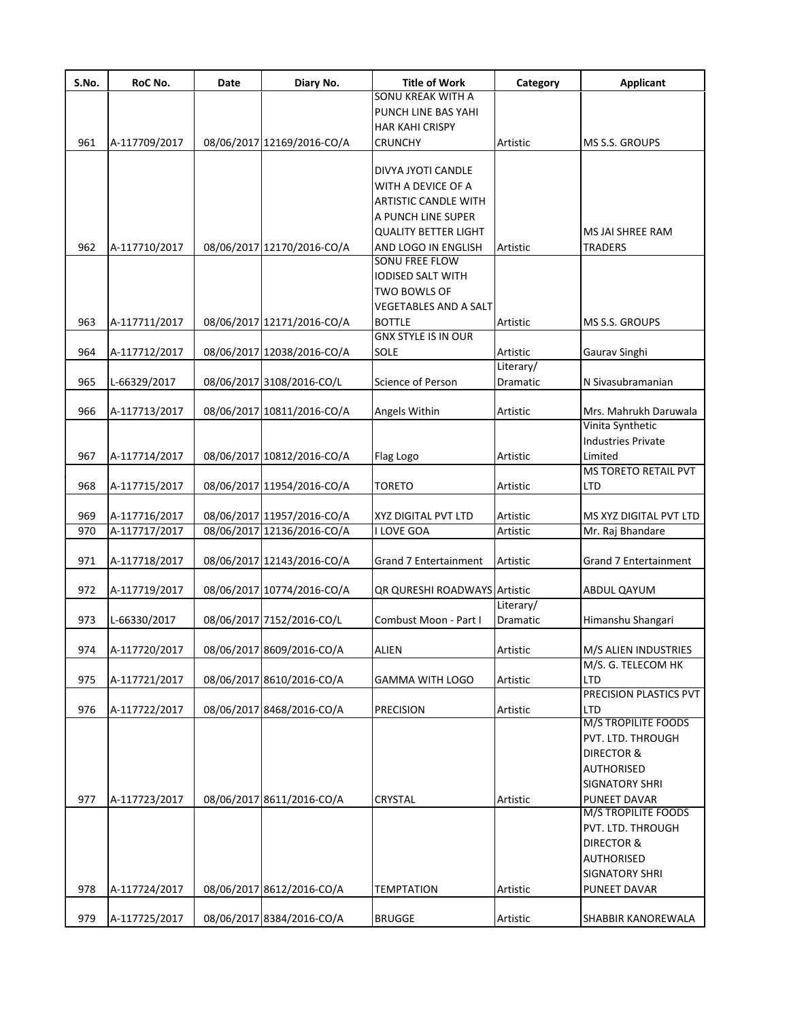| S.No. | RoC No.       | Date | Diary No.                  | Title of Work                               | Category  | Applicant                   |
|-------|---------------|------|----------------------------|---------------------------------------------|-----------|-----------------------------|
|       |               |      |                            | SONU KREAK WITH A                           |           |                             |
|       |               |      |                            | PUNCH LINE BAS YAHI                         |           |                             |
|       |               |      |                            | <b>HAR KAHI CRISPY</b>                      |           |                             |
| 961   | A-117709/2017 |      | 08/06/2017 12169/2016-CO/A | <b>CRUNCHY</b>                              | Artistic  | <b>MS S.S. GROUPS</b>       |
|       |               |      |                            |                                             |           |                             |
|       |               |      |                            | DIVYA JYOTI CANDLE                          |           |                             |
|       |               |      |                            | WITH A DEVICE OF A                          |           |                             |
|       |               |      |                            | ARTISTIC CANDLE WITH                        |           |                             |
|       |               |      |                            | A PUNCH LINE SUPER                          |           |                             |
|       |               |      |                            | <b>QUALITY BETTER LIGHT</b>                 |           | MS JAI SHREE RAM            |
| 962   | A-117710/2017 |      | 08/06/2017 12170/2016-CO/A | AND LOGO IN ENGLISH                         | Artistic  | <b>TRADERS</b>              |
|       |               |      |                            | <b>SONU FREE FLOW</b>                       |           |                             |
|       |               |      |                            | <b>IODISED SALT WITH</b>                    |           |                             |
|       |               |      |                            | TWO BOWLS OF                                |           |                             |
|       |               |      |                            | <b>VEGETABLES AND A SALT</b>                |           |                             |
|       |               |      |                            |                                             |           |                             |
| 963   | A-117711/2017 |      | 08/06/2017 12171/2016-CO/A | <b>BOTTLE</b><br><b>GNX STYLE IS IN OUR</b> | Artistic  | MS S.S. GROUPS              |
|       |               |      |                            |                                             |           |                             |
| 964   | A-117712/2017 |      | 08/06/2017 12038/2016-CO/A | SOLE                                        | Artistic  | Gaurav Singhi               |
|       |               |      |                            |                                             | Literary/ |                             |
| 965   | L-66329/2017  |      | 08/06/2017 3108/2016-CO/L  | Science of Person                           | Dramatic  | N Sivasubramanian           |
| 966   | A-117713/2017 |      | 08/06/2017 10811/2016-CO/A | Angels Within                               | Artistic  | Mrs. Mahrukh Daruwala       |
|       |               |      |                            |                                             |           | Vinita Synthetic            |
|       |               |      |                            |                                             |           | <b>Industries Private</b>   |
| 967   | A-117714/2017 |      | 08/06/2017 10812/2016-CO/A |                                             | Artistic  | Limited                     |
|       |               |      |                            | Flag Logo                                   |           | <b>MS TORETO RETAIL PVT</b> |
|       |               |      |                            |                                             |           |                             |
| 968   | A-117715/2017 |      | 08/06/2017 11954/2016-CO/A | <b>TORETO</b>                               | Artistic  | LTD                         |
| 969   | A-117716/2017 |      | 08/06/2017 11957/2016-CO/A | XYZ DIGITAL PVT LTD                         | Artistic  | MS XYZ DIGITAL PVT LTD      |
| 970   | A-117717/2017 |      | 08/06/2017 12136/2016-CO/A | I LOVE GOA                                  | Artistic  | Mr. Raj Bhandare            |
|       |               |      |                            |                                             |           |                             |
| 971   | A-117718/2017 |      | 08/06/2017 12143/2016-CO/A | Grand 7 Entertainment                       | Artistic  | Grand 7 Entertainment       |
|       |               |      |                            |                                             |           |                             |
| 972   | A-117719/2017 |      | 08/06/2017 10774/2016-CO/A | QR QURESHI ROADWAYS Artistic                |           | ABDUL QAYUM                 |
|       |               |      |                            |                                             | Literary/ |                             |
| 973   | L-66330/2017  |      | 08/06/2017 7152/2016-CO/L  | Combust Moon - Part I                       | Dramatic  | Himanshu Shangari           |
|       |               |      |                            |                                             |           |                             |
| 974   | A-117720/2017 |      | 08/06/2017 8609/2016-CO/A  | <b>ALIEN</b>                                | Artistic  | M/S ALIEN INDUSTRIES        |
|       |               |      |                            |                                             |           | M/S. G. TELECOM HK          |
| 975   | A-117721/2017 |      | 08/06/2017 8610/2016-CO/A  | GAMMA WITH LOGO                             | Artistic  | LTD                         |
|       |               |      |                            |                                             |           | PRECISION PLASTICS PVT      |
| 976   | A-117722/2017 |      | 08/06/2017 8468/2016-CO/A  | <b>PRECISION</b>                            | Artistic  | LTD                         |
|       |               |      |                            |                                             |           | <b>M/S TROPILITE FOODS</b>  |
|       |               |      |                            |                                             |           | PVT. LTD. THROUGH           |
|       |               |      |                            |                                             |           | DIRECTOR &                  |
|       |               |      |                            |                                             |           | AUTHORISED                  |
|       |               |      |                            |                                             |           | <b>SIGNATORY SHRI</b>       |
| 977   | A-117723/2017 |      | 08/06/2017 8611/2016-CO/A  | CRYSTAL                                     | Artistic  | PUNEET DAVAR                |
|       |               |      |                            |                                             |           | <b>M/S TROPILITE FOODS</b>  |
|       |               |      |                            |                                             |           | PVT. LTD. THROUGH           |
|       |               |      |                            |                                             |           | <b>DIRECTOR &amp;</b>       |
|       |               |      |                            |                                             |           |                             |
|       |               |      |                            |                                             |           | AUTHORISED                  |
|       |               |      |                            |                                             |           | <b>SIGNATORY SHRI</b>       |
| 978   | A-117724/2017 |      | 08/06/2017 8612/2016-CO/A  | TEMPTATION                                  | Artistic  | PUNEET DAVAR                |
| 979   | A-117725/2017 |      | 08/06/2017 8384/2016-CO/A  | <b>BRUGGE</b>                               | Artistic  | SHABBIR KANOREWALA          |
|       |               |      |                            |                                             |           |                             |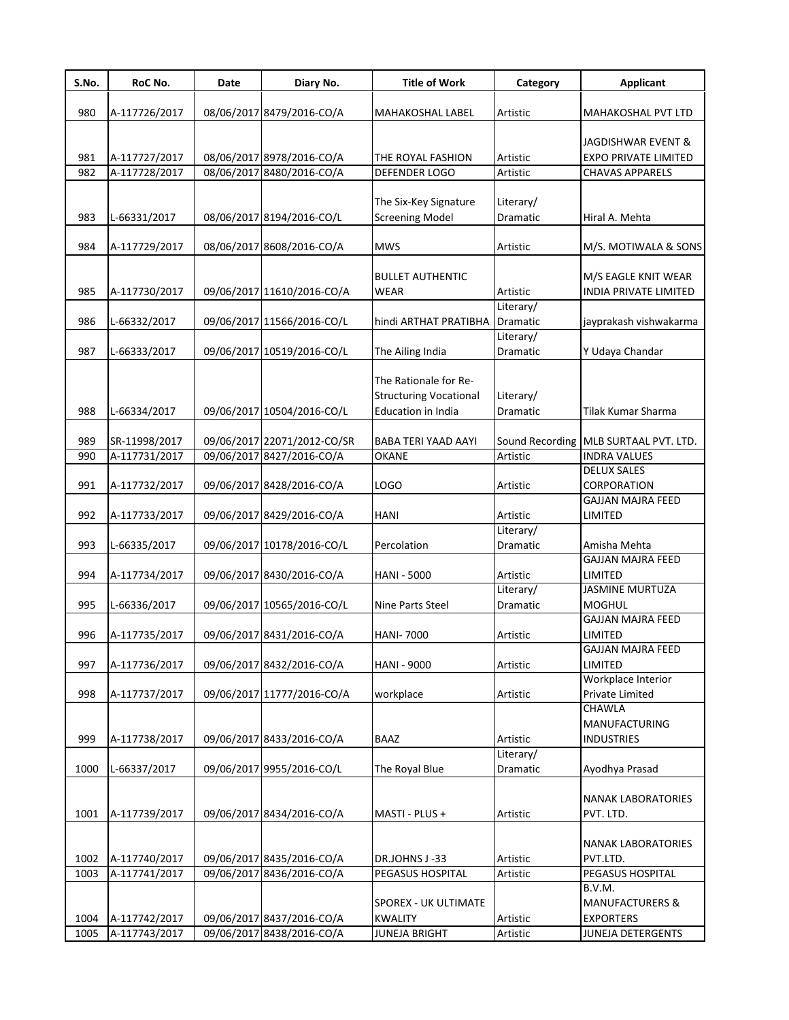| S.No. | RoC No.       | Date | Diary No.                   | <b>Title of Work</b>          | Category              | <b>Applicant</b>                  |
|-------|---------------|------|-----------------------------|-------------------------------|-----------------------|-----------------------------------|
| 980   | A-117726/2017 |      | 08/06/2017 8479/2016-CO/A   | MAHAKOSHAL LABEL              | Artistic              | MAHAKOSHAL PVT LTD                |
|       |               |      |                             |                               |                       |                                   |
|       |               |      |                             |                               |                       | JAGDISHWAR EVENT &                |
| 981   | A-117727/2017 |      | 08/06/2017 8978/2016-CO/A   | THE ROYAL FASHION             | Artistic              | <b>EXPO PRIVATE LIMITED</b>       |
| 982   | A-117728/2017 |      | 08/06/2017 8480/2016-CO/A   | DEFENDER LOGO                 | Artistic              | <b>CHAVAS APPARELS</b>            |
|       |               |      |                             |                               |                       |                                   |
|       |               |      |                             | The Six-Key Signature         | Literary/             |                                   |
| 983   | L-66331/2017  |      | 08/06/2017 8194/2016-CO/L   | <b>Screening Model</b>        | Dramatic              | Hiral A. Mehta                    |
| 984   | A-117729/2017 |      | 08/06/2017 8608/2016-CO/A   | <b>MWS</b>                    | Artistic              | M/S. MOTIWALA & SONS              |
|       |               |      |                             |                               |                       |                                   |
|       |               |      |                             | <b>BULLET AUTHENTIC</b>       |                       | M/S EAGLE KNIT WEAR               |
| 985   | A-117730/2017 |      | 09/06/2017 11610/2016-CO/A  | <b>WEAR</b>                   | Artistic              | INDIA PRIVATE LIMITED             |
|       |               |      |                             |                               | Literary/             |                                   |
| 986   | L-66332/2017  |      | 09/06/2017 11566/2016-CO/L  | hindi ARTHAT PRATIBHA         | Dramatic              | jayprakash vishwakarma            |
|       |               |      |                             |                               | Literary/             |                                   |
| 987   | L-66333/2017  |      | 09/06/2017 10519/2016-CO/L  | The Ailing India              | Dramatic              | Y Udaya Chandar                   |
|       |               |      |                             | The Rationale for Re-         |                       |                                   |
|       |               |      |                             | <b>Structuring Vocational</b> | Literary/             |                                   |
| 988   | L-66334/2017  |      | 09/06/2017 10504/2016-CO/L  | Education in India            | Dramatic              | Tilak Kumar Sharma                |
|       |               |      |                             |                               |                       |                                   |
| 989   | SR-11998/2017 |      | 09/06/2017 22071/2012-CO/SR | BABA TERI YAAD AAYI           | Sound Recording       | MLB SURTAAL PVT. LTD.             |
| 990   | A-117731/2017 |      | 09/06/2017 8427/2016-CO/A   | <b>OKANE</b>                  | Artistic              | <b>INDRA VALUES</b>               |
|       |               |      |                             |                               |                       | <b>DELUX SALES</b>                |
| 991   | A-117732/2017 |      | 09/06/2017 8428/2016-CO/A   | LOGO                          | Artistic              | CORPORATION                       |
|       |               |      |                             |                               |                       | <b>GAJJAN MAJRA FEED</b>          |
| 992   | A-117733/2017 |      | 09/06/2017 8429/2016-CO/A   | <b>HANI</b>                   | Artistic              | LIMITED                           |
|       |               |      |                             |                               | Literary/             |                                   |
| 993   | L-66335/2017  |      | 09/06/2017 10178/2016-CO/L  | Percolation                   | Dramatic              | Amisha Mehta                      |
|       |               |      |                             |                               |                       | <b>GAJJAN MAJRA FEED</b>          |
| 994   | A-117734/2017 |      | 09/06/2017 8430/2016-CO/A   | <b>HANI - 5000</b>            | Artistic<br>Literary/ | LIMITED<br><b>JASMINE MURTUZA</b> |
| 995   | L-66336/2017  |      | 09/06/2017 10565/2016-CO/L  | Nine Parts Steel              | Dramatic              | <b>MOGHUL</b>                     |
|       |               |      |                             |                               |                       | <b>GAJJAN MAJRA FEED</b>          |
| 996   | A-117735/2017 |      | 09/06/2017 8431/2016-CO/A   | <b>HANI-7000</b>              | Artistic              | LIMITED                           |
|       |               |      |                             |                               |                       | GAJJAN MAJRA FEED                 |
| 997   | A-117736/2017 |      | 09/06/2017 8432/2016-CO/A   | <b>HANI - 9000</b>            | Artistic              | LIMITED                           |
|       |               |      |                             |                               |                       | Workplace Interior                |
| 998   | A-117737/2017 |      | 09/06/2017 11777/2016-CO/A  | workplace                     | Artistic              | Private Limited                   |
|       |               |      |                             |                               |                       | CHAWLA                            |
|       |               |      |                             |                               |                       | <b>MANUFACTURING</b>              |
| 999   | A-117738/2017 |      | 09/06/2017 8433/2016-CO/A   | <b>BAAZ</b>                   | Artistic              | <b>INDUSTRIES</b>                 |
|       |               |      |                             |                               | Literary/             |                                   |
| 1000  | L-66337/2017  |      | 09/06/2017 9955/2016-CO/L   | The Royal Blue                | Dramatic              | Ayodhya Prasad                    |
|       |               |      |                             |                               |                       | <b>NANAK LABORATORIES</b>         |
| 1001  | A-117739/2017 |      | 09/06/2017 8434/2016-CO/A   | MASTI - PLUS +                | Artistic              | PVT. LTD.                         |
|       |               |      |                             |                               |                       |                                   |
|       |               |      |                             |                               |                       | <b>NANAK LABORATORIES</b>         |
| 1002  | A-117740/2017 |      | 09/06/2017 8435/2016-CO/A   | DR.JOHNS J-33                 | Artistic              | PVT.LTD.                          |
| 1003  | A-117741/2017 |      | 09/06/2017 8436/2016-CO/A   | PEGASUS HOSPITAL              | Artistic              | PEGASUS HOSPITAL                  |
|       |               |      |                             |                               |                       | B.V.M.                            |
|       |               |      |                             | SPOREX - UK ULTIMATE          |                       | <b>MANUFACTURERS &amp;</b>        |
| 1004  | A-117742/2017 |      | 09/06/2017 8437/2016-CO/A   | <b>KWALITY</b>                | Artistic              | <b>EXPORTERS</b>                  |
| 1005  | A-117743/2017 |      | 09/06/2017 8438/2016-CO/A   | <b>JUNEJA BRIGHT</b>          | Artistic              | JUNEJA DETERGENTS                 |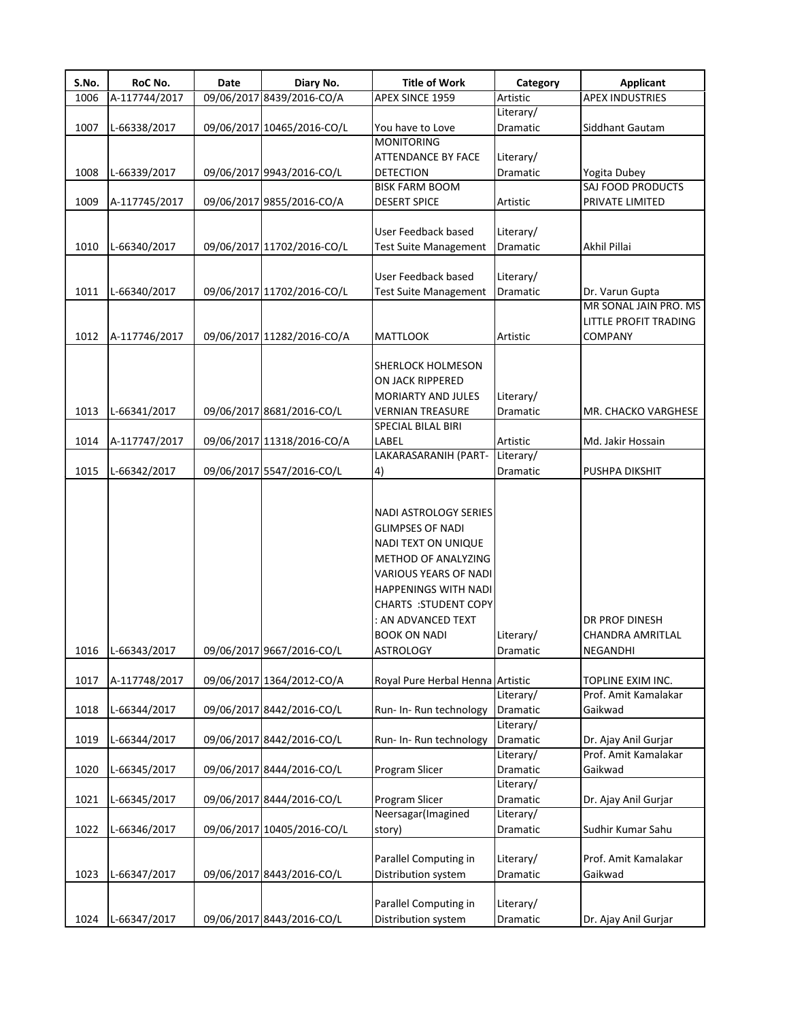| S.No. | RoC No.       | Date | Diary No.                  | <b>Title of Work</b>                                                                                                                                                                                                                                                 | Category              | <b>Applicant</b>                               |
|-------|---------------|------|----------------------------|----------------------------------------------------------------------------------------------------------------------------------------------------------------------------------------------------------------------------------------------------------------------|-----------------------|------------------------------------------------|
| 1006  | A-117744/2017 |      | 09/06/2017 8439/2016-CO/A  | APEX SINCE 1959                                                                                                                                                                                                                                                      | Artistic              | <b>APEX INDUSTRIES</b>                         |
|       |               |      |                            |                                                                                                                                                                                                                                                                      | Literary/             |                                                |
| 1007  | L-66338/2017  |      | 09/06/2017 10465/2016-CO/L | You have to Love                                                                                                                                                                                                                                                     | Dramatic              | Siddhant Gautam                                |
|       |               |      |                            | <b>MONITORING</b>                                                                                                                                                                                                                                                    |                       |                                                |
|       |               |      |                            | ATTENDANCE BY FACE                                                                                                                                                                                                                                                   | Literary/             |                                                |
| 1008  | L-66339/2017  |      | 09/06/2017 9943/2016-CO/L  | <b>DETECTION</b>                                                                                                                                                                                                                                                     | Dramatic              | Yogita Dubey                                   |
|       |               |      |                            | <b>BISK FARM BOOM</b>                                                                                                                                                                                                                                                |                       | SAJ FOOD PRODUCTS                              |
| 1009  | A-117745/2017 |      | 09/06/2017 9855/2016-CO/A  | <b>DESERT SPICE</b>                                                                                                                                                                                                                                                  | Artistic              | PRIVATE LIMITED                                |
|       |               |      |                            |                                                                                                                                                                                                                                                                      |                       |                                                |
|       |               |      |                            | User Feedback based                                                                                                                                                                                                                                                  | Literary/             |                                                |
| 1010  | L-66340/2017  |      | 09/06/2017 11702/2016-CO/L | <b>Test Suite Management</b>                                                                                                                                                                                                                                         | Dramatic              | Akhil Pillai                                   |
|       |               |      |                            |                                                                                                                                                                                                                                                                      |                       |                                                |
|       |               |      |                            | User Feedback based                                                                                                                                                                                                                                                  | Literary/             |                                                |
| 1011  | L-66340/2017  |      | 09/06/2017 11702/2016-CO/L | <b>Test Suite Management</b>                                                                                                                                                                                                                                         | Dramatic              | Dr. Varun Gupta                                |
|       |               |      |                            |                                                                                                                                                                                                                                                                      |                       | MR SONAL JAIN PRO. MS                          |
|       |               |      |                            |                                                                                                                                                                                                                                                                      |                       | LITTLE PROFIT TRADING                          |
| 1012  | A-117746/2017 |      | 09/06/2017 11282/2016-CO/A | <b>MATTLOOK</b>                                                                                                                                                                                                                                                      | Artistic              | COMPANY                                        |
|       |               |      |                            |                                                                                                                                                                                                                                                                      |                       |                                                |
|       |               |      |                            | SHERLOCK HOLMESON                                                                                                                                                                                                                                                    |                       |                                                |
|       |               |      |                            | <b>ON JACK RIPPERED</b>                                                                                                                                                                                                                                              |                       |                                                |
|       |               |      |                            | <b>MORIARTY AND JULES</b>                                                                                                                                                                                                                                            | Literary/             |                                                |
| 1013  | L-66341/2017  |      | 09/06/2017 8681/2016-CO/L  | <b>VERNIAN TREASURE</b>                                                                                                                                                                                                                                              | Dramatic              | MR. CHACKO VARGHESE                            |
|       |               |      |                            | SPECIAL BILAL BIRI                                                                                                                                                                                                                                                   |                       |                                                |
| 1014  | A-117747/2017 |      | 09/06/2017 11318/2016-CO/A | LABEL                                                                                                                                                                                                                                                                | Artistic              | Md. Jakir Hossain                              |
|       |               |      |                            | LAKARASARANIH (PART-                                                                                                                                                                                                                                                 | Literary/             |                                                |
| 1015  | L-66342/2017  |      | 09/06/2017 5547/2016-CO/L  | 4)                                                                                                                                                                                                                                                                   | Dramatic              | PUSHPA DIKSHIT                                 |
| 1016  | L-66343/2017  |      | 09/06/2017 9667/2016-CO/L  | <b>NADI ASTROLOGY SERIES</b><br><b>GLIMPSES OF NADI</b><br>NADI TEXT ON UNIQUE<br>METHOD OF ANALYZING<br><b>VARIOUS YEARS OF NADI</b><br><b>HAPPENINGS WITH NADI</b><br><b>CHARTS :STUDENT COPY</b><br>: AN ADVANCED TEXT<br><b>BOOK ON NADI</b><br><b>ASTROLOGY</b> | Literary/<br>Dramatic | DR PROF DINESH<br>CHANDRA AMRITLAL<br>NEGANDHI |
|       |               |      |                            |                                                                                                                                                                                                                                                                      |                       |                                                |
| 1017  | A-117748/2017 |      | 09/06/2017 1364/2012-CO/A  | Royal Pure Herbal Henna Artistic                                                                                                                                                                                                                                     |                       | TOPLINE EXIM INC.                              |
|       |               |      |                            |                                                                                                                                                                                                                                                                      | Literary/             | Prof. Amit Kamalakar                           |
| 1018  | L-66344/2017  |      | 09/06/2017 8442/2016-CO/L  | Run- In- Run technology                                                                                                                                                                                                                                              | Dramatic              | Gaikwad                                        |
|       |               |      |                            |                                                                                                                                                                                                                                                                      | Literary/             |                                                |
| 1019  | L-66344/2017  |      | 09/06/2017 8442/2016-CO/L  | Run- In- Run technology                                                                                                                                                                                                                                              | Dramatic              | Dr. Ajay Anil Gurjar                           |
|       |               |      |                            |                                                                                                                                                                                                                                                                      | Literary/             | Prof. Amit Kamalakar                           |
| 1020  | L-66345/2017  |      | 09/06/2017 8444/2016-CO/L  | Program Slicer                                                                                                                                                                                                                                                       | Dramatic              | Gaikwad                                        |
|       |               |      |                            |                                                                                                                                                                                                                                                                      | Literary/             |                                                |
| 1021  | L-66345/2017  |      | 09/06/2017 8444/2016-CO/L  | Program Slicer                                                                                                                                                                                                                                                       | Dramatic              | Dr. Ajay Anil Gurjar                           |
|       |               |      |                            | Neersagar(Imagined                                                                                                                                                                                                                                                   | Literary/             |                                                |
| 1022  | L-66346/2017  |      | 09/06/2017 10405/2016-CO/L | story)                                                                                                                                                                                                                                                               | Dramatic              | Sudhir Kumar Sahu                              |
| 1023  | L-66347/2017  |      | 09/06/2017 8443/2016-CO/L  | Parallel Computing in<br>Distribution system                                                                                                                                                                                                                         | Literary/<br>Dramatic | Prof. Amit Kamalakar<br>Gaikwad                |
|       |               |      |                            |                                                                                                                                                                                                                                                                      |                       |                                                |
|       |               |      |                            | Parallel Computing in                                                                                                                                                                                                                                                | Literary/             |                                                |
| 1024  | L-66347/2017  |      | 09/06/2017 8443/2016-CO/L  | Distribution system                                                                                                                                                                                                                                                  | Dramatic              | Dr. Ajay Anil Gurjar                           |
|       |               |      |                            |                                                                                                                                                                                                                                                                      |                       |                                                |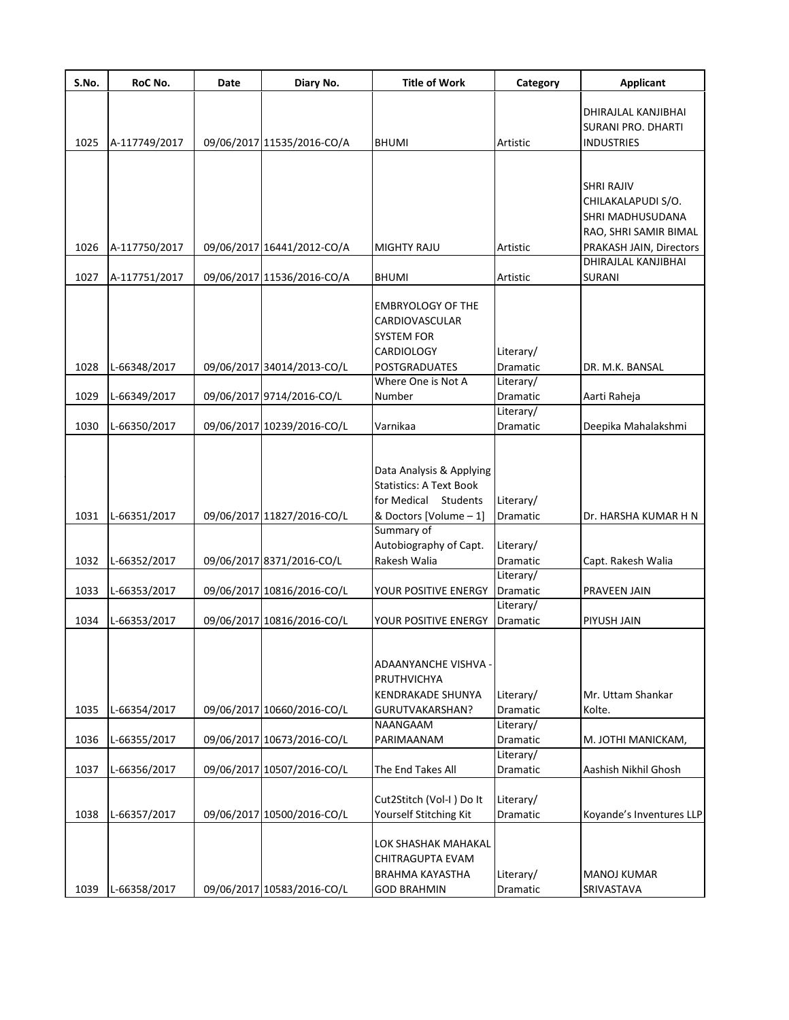| S.No. | RoC No.       | Date | Diary No.                  | <b>Title of Work</b>                                       | Category              | <b>Applicant</b>         |
|-------|---------------|------|----------------------------|------------------------------------------------------------|-----------------------|--------------------------|
|       |               |      |                            |                                                            |                       | DHIRAJLAL KANJIBHAI      |
|       |               |      |                            |                                                            |                       | SURANI PRO. DHARTI       |
| 1025  | A-117749/2017 |      | 09/06/2017 11535/2016-CO/A | <b>BHUMI</b>                                               | Artistic              | <b>INDUSTRIES</b>        |
|       |               |      |                            |                                                            |                       |                          |
|       |               |      |                            |                                                            |                       |                          |
|       |               |      |                            |                                                            |                       | <b>SHRI RAJIV</b>        |
|       |               |      |                            |                                                            |                       | CHILAKALAPUDI S/O.       |
|       |               |      |                            |                                                            |                       | SHRI MADHUSUDANA         |
|       |               |      |                            |                                                            |                       | RAO, SHRI SAMIR BIMAL    |
| 1026  | A-117750/2017 |      | 09/06/2017 16441/2012-CO/A | <b>MIGHTY RAJU</b>                                         | Artistic              | PRAKASH JAIN, Directors  |
|       |               |      |                            |                                                            |                       | DHIRAJLAL KANJIBHAI      |
| 1027  | A-117751/2017 |      | 09/06/2017 11536/2016-CO/A | <b>BHUMI</b>                                               | Artistic              | <b>SURANI</b>            |
|       |               |      |                            |                                                            |                       |                          |
|       |               |      |                            | <b>EMBRYOLOGY OF THE</b><br>CARDIOVASCULAR                 |                       |                          |
|       |               |      |                            | SYSTEM FOR                                                 |                       |                          |
|       |               |      |                            | <b>CARDIOLOGY</b>                                          | Literary/             |                          |
| 1028  | L-66348/2017  |      | 09/06/2017 34014/2013-CO/L | <b>POSTGRADUATES</b>                                       | <b>Dramatic</b>       | DR. M.K. BANSAL          |
|       |               |      |                            | Where One is Not A                                         | Literary/             |                          |
| 1029  | L-66349/2017  |      | 09/06/2017 9714/2016-CO/L  | Number                                                     | Dramatic              | Aarti Raheja             |
|       |               |      |                            |                                                            | Literary/             |                          |
| 1030  | L-66350/2017  |      | 09/06/2017 10239/2016-CO/L | Varnikaa                                                   | Dramatic              | Deepika Mahalakshmi      |
|       |               |      |                            |                                                            |                       |                          |
|       |               |      |                            |                                                            |                       |                          |
|       |               |      |                            | Data Analysis & Applying<br><b>Statistics: A Text Book</b> |                       |                          |
|       |               |      |                            | for Medical Students                                       |                       |                          |
| 1031  | L-66351/2017  |      | 09/06/2017 11827/2016-CO/L | & Doctors [Volume - 1]                                     | Literary/<br>Dramatic | Dr. HARSHA KUMAR H N     |
|       |               |      |                            | Summary of                                                 |                       |                          |
|       |               |      |                            | Autobiography of Capt.                                     | Literary/             |                          |
| 1032  | L-66352/2017  |      | 09/06/2017 8371/2016-CO/L  | Rakesh Walia                                               | Dramatic              | Capt. Rakesh Walia       |
|       |               |      |                            |                                                            | Literary/             |                          |
| 1033  | L-66353/2017  |      | 09/06/2017 10816/2016-CO/L | YOUR POSITIVE ENERGY                                       | Dramatic              | PRAVEEN JAIN             |
|       |               |      |                            |                                                            | Literary/             |                          |
| 1034  | L-66353/2017  |      | 09/06/2017 10816/2016-CO/L | YOUR POSITIVE ENERGY                                       | <b>Dramatic</b>       | PIYUSH JAIN              |
|       |               |      |                            |                                                            |                       |                          |
|       |               |      |                            |                                                            |                       |                          |
|       |               |      |                            | ADAANYANCHE VISHVA -                                       |                       |                          |
|       |               |      |                            | PRUTHVICHYA                                                |                       |                          |
|       |               |      | 09/06/2017 10660/2016-CO/L | <b>KENDRAKADE SHUNYA</b>                                   | Literary/             | Mr. Uttam Shankar        |
| 1035  | L-66354/2017  |      |                            | GURUTVAKARSHAN?<br>NAANGAAM                                | Dramatic<br>Literary/ | Kolte.                   |
| 1036  | L-66355/2017  |      | 09/06/2017 10673/2016-CO/L | PARIMAANAM                                                 | Dramatic              | M. JOTHI MANICKAM,       |
|       |               |      |                            |                                                            | Literary/             |                          |
| 1037  | L-66356/2017  |      | 09/06/2017 10507/2016-CO/L | The End Takes All                                          | Dramatic              | Aashish Nikhil Ghosh     |
|       |               |      |                            |                                                            |                       |                          |
| 1038  | L-66357/2017  |      | 09/06/2017 10500/2016-CO/L | Cut2Stitch (Vol-I) Do It<br>Yourself Stitching Kit         | Literary/<br>Dramatic | Koyande's Inventures LLP |
|       |               |      |                            |                                                            |                       |                          |
|       |               |      |                            | LOK SHASHAK MAHAKAL                                        |                       |                          |
|       |               |      |                            | CHITRAGUPTA EVAM                                           |                       |                          |
|       |               |      |                            | <b>BRAHMA KAYASTHA</b>                                     | Literary/             | <b>MANOJ KUMAR</b>       |
| 1039  | L-66358/2017  |      | 09/06/2017 10583/2016-CO/L | <b>GOD BRAHMIN</b>                                         | Dramatic              | SRIVASTAVA               |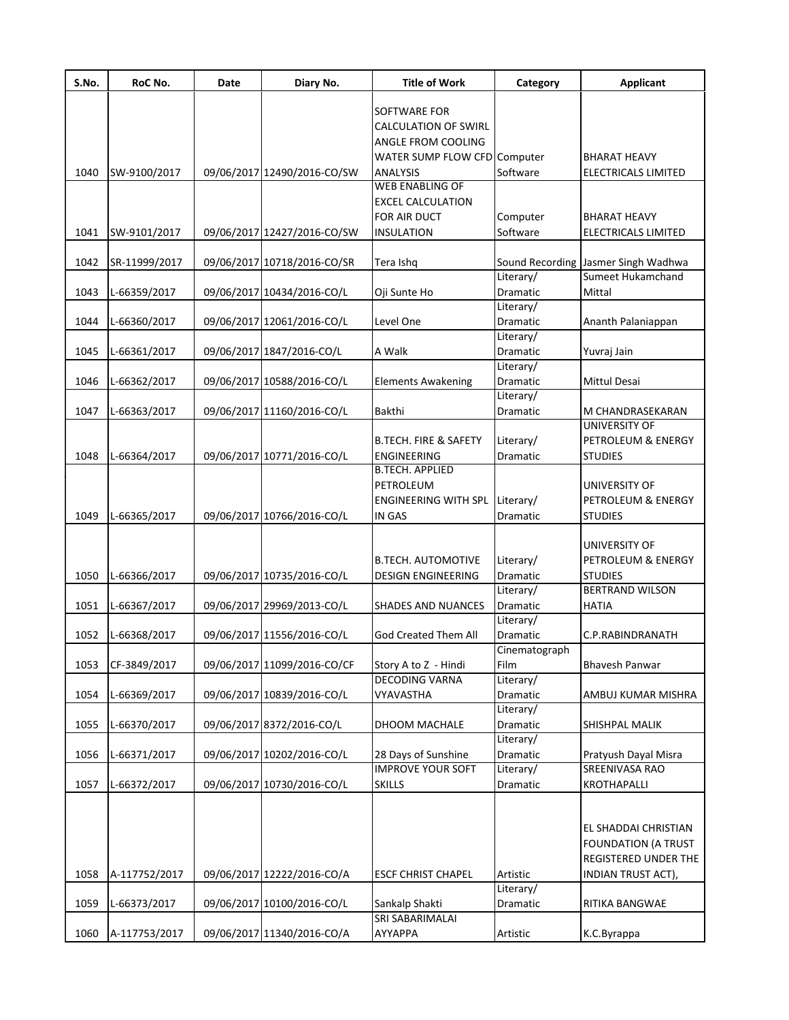| S.No. | RoC No.       | Date | Diary No.                   | <b>Title of Work</b>             | Category        | <b>Applicant</b>                    |
|-------|---------------|------|-----------------------------|----------------------------------|-----------------|-------------------------------------|
|       |               |      |                             | SOFTWARE FOR                     |                 |                                     |
|       |               |      |                             | <b>CALCULATION OF SWIRL</b>      |                 |                                     |
|       |               |      |                             | ANGLE FROM COOLING               |                 |                                     |
|       |               |      |                             | WATER SUMP FLOW CFD Computer     |                 | <b>BHARAT HEAVY</b>                 |
| 1040  | SW-9100/2017  |      | 09/06/2017 12490/2016-CO/SW | <b>ANALYSIS</b>                  | Software        | ELECTRICALS LIMITED                 |
|       |               |      |                             | <b>WEB ENABLING OF</b>           |                 |                                     |
|       |               |      |                             | <b>EXCEL CALCULATION</b>         |                 |                                     |
|       |               |      |                             | FOR AIR DUCT                     | Computer        | BHARAT HEAVY                        |
| 1041  | SW-9101/2017  |      | 09/06/2017 12427/2016-CO/SW | <b>INSULATION</b>                | Software        | ELECTRICALS LIMITED                 |
|       |               |      |                             |                                  |                 |                                     |
| 1042  | SR-11999/2017 |      | 09/06/2017 10718/2016-CO/SR | Tera Ishq                        |                 | Sound Recording Jasmer Singh Wadhwa |
|       |               |      |                             |                                  | Literary/       | Sumeet Hukamchand                   |
| 1043  | L-66359/2017  |      | 09/06/2017 10434/2016-CO/L  | Oji Sunte Ho                     | Dramatic        | Mittal                              |
|       |               |      |                             |                                  | Literary/       |                                     |
| 1044  | L-66360/2017  |      | 09/06/2017 12061/2016-CO/L  | Level One                        | Dramatic        | Ananth Palaniappan                  |
|       |               |      |                             |                                  | Literary/       |                                     |
| 1045  | L-66361/2017  |      | 09/06/2017 1847/2016-CO/L   | A Walk                           | Dramatic        | Yuvraj Jain                         |
|       |               |      |                             |                                  | Literary/       |                                     |
| 1046  | L-66362/2017  |      | 09/06/2017 10588/2016-CO/L  | <b>Elements Awakening</b>        | Dramatic        | <b>Mittul Desai</b>                 |
|       |               |      |                             |                                  | Literary/       |                                     |
| 1047  | L-66363/2017  |      | 09/06/2017 11160/2016-CO/L  | <b>Bakthi</b>                    | Dramatic        | M CHANDRASEKARAN                    |
|       |               |      |                             |                                  |                 | UNIVERSITY OF                       |
|       |               |      |                             | <b>B.TECH. FIRE &amp; SAFETY</b> | Literary/       | PETROLEUM & ENERGY                  |
| 1048  | L-66364/2017  |      | 09/06/2017 10771/2016-CO/L  | ENGINEERING                      | Dramatic        | <b>STUDIES</b>                      |
|       |               |      |                             | <b>B.TECH. APPLIED</b>           |                 |                                     |
|       |               |      |                             | PETROLEUM                        |                 | UNIVERSITY OF                       |
|       |               |      |                             | <b>ENGINEERING WITH SPL</b>      | Literary/       | PETROLEUM & ENERGY                  |
| 1049  | L-66365/2017  |      | 09/06/2017 10766/2016-CO/L  | IN GAS                           | Dramatic        | <b>STUDIES</b>                      |
|       |               |      |                             |                                  |                 |                                     |
|       |               |      |                             |                                  |                 | UNIVERSITY OF                       |
|       |               |      |                             | <b>B.TECH. AUTOMOTIVE</b>        | Literary/       | PETROLEUM & ENERGY                  |
| 1050  | L-66366/2017  |      | 09/06/2017 10735/2016-CO/L  | <b>DESIGN ENGINEERING</b>        | Dramatic        | <b>STUDIES</b>                      |
|       |               |      |                             |                                  | Literary/       | <b>BERTRAND WILSON</b>              |
| 1051  | L-66367/2017  |      | 09/06/2017 29969/2013-CO/L  | <b>SHADES AND NUANCES</b>        | <b>Dramatic</b> | <b>HATIA</b>                        |
|       |               |      |                             |                                  | Literary/       |                                     |
| 1052  | L-66368/2017  |      | 09/06/2017 11556/2016-CO/L  | God Created Them All             | Dramatic        | C.P.RABINDRANATH                    |
|       |               |      |                             |                                  | Cinematograph   |                                     |
| 1053  | CF-3849/2017  |      | 09/06/2017 11099/2016-CO/CF | Story A to Z - Hindi             | Film            | <b>Bhavesh Panwar</b>               |
|       |               |      |                             | <b>DECODING VARNA</b>            | Literary/       |                                     |
| 1054  | L-66369/2017  |      | 09/06/2017 10839/2016-CO/L  | VYAVASTHA                        | Dramatic        | AMBUJ KUMAR MISHRA                  |
|       |               |      |                             |                                  | Literary/       |                                     |
| 1055  | L-66370/2017  |      | 09/06/2017 8372/2016-CO/L   | DHOOM MACHALE                    | Dramatic        | SHISHPAL MALIK                      |
|       |               |      |                             |                                  | Literary/       |                                     |
| 1056  | L-66371/2017  |      | 09/06/2017 10202/2016-CO/L  | 28 Days of Sunshine              | Dramatic        | Pratyush Dayal Misra                |
|       |               |      |                             | <b>IMPROVE YOUR SOFT</b>         | Literary/       | SREENIVASA RAO                      |
| 1057  | L-66372/2017  |      | 09/06/2017 10730/2016-CO/L  | <b>SKILLS</b>                    | Dramatic        | <b>KROTHAPALLI</b>                  |
|       |               |      |                             |                                  |                 |                                     |
|       |               |      |                             |                                  |                 |                                     |
|       |               |      |                             |                                  |                 | EL SHADDAI CHRISTIAN                |
|       |               |      |                             |                                  |                 | <b>FOUNDATION (A TRUST</b>          |
|       |               |      |                             |                                  |                 | REGISTERED UNDER THE                |
| 1058  | A-117752/2017 |      | 09/06/2017 12222/2016-CO/A  | <b>ESCF CHRIST CHAPEL</b>        | Artistic        | INDIAN TRUST ACT),                  |
|       |               |      |                             |                                  | Literary/       |                                     |
| 1059  | L-66373/2017  |      | 09/06/2017 10100/2016-CO/L  | Sankalp Shakti                   | Dramatic        | RITIKA BANGWAE                      |
|       |               |      |                             | SRI SABARIMALAI                  |                 |                                     |
| 1060  | A-117753/2017 |      | 09/06/2017 11340/2016-CO/A  | AYYAPPA                          | Artistic        | K.C.Byrappa                         |
|       |               |      |                             |                                  |                 |                                     |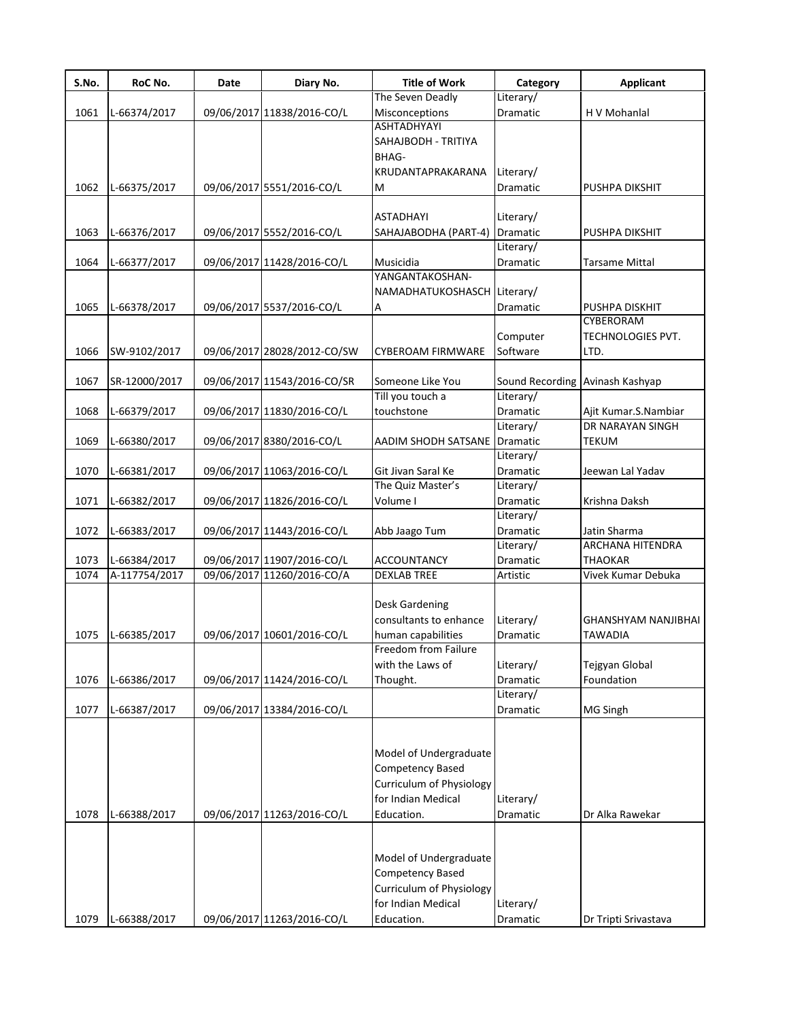| S.No. | RoC No.       | Date | Diary No.                   | <b>Title of Work</b>        | Category                        | <b>Applicant</b>           |
|-------|---------------|------|-----------------------------|-----------------------------|---------------------------------|----------------------------|
|       |               |      |                             | The Seven Deadly            | Literary/                       |                            |
| 1061  | L-66374/2017  |      | 09/06/2017 11838/2016-CO/L  | Misconceptions              | Dramatic                        | H V Mohanlal               |
|       |               |      |                             | <b>ASHTADHYAYI</b>          |                                 |                            |
|       |               |      |                             | SAHAJBODH - TRITIYA         |                                 |                            |
|       |               |      |                             | BHAG-                       |                                 |                            |
|       |               |      |                             | KRUDANTAPRAKARANA           | Literary/                       |                            |
| 1062  | L-66375/2017  |      | 09/06/2017 5551/2016-CO/L   | M                           | Dramatic                        | <b>PUSHPA DIKSHIT</b>      |
|       |               |      |                             |                             |                                 |                            |
|       |               |      |                             | ASTADHAYI                   | Literary/                       |                            |
| 1063  | L-66376/2017  |      | 09/06/2017 5552/2016-CO/L   | SAHAJABODHA (PART-4)        | Dramatic                        | PUSHPA DIKSHIT             |
|       |               |      |                             |                             | Literary/                       |                            |
| 1064  | L-66377/2017  |      | 09/06/2017 11428/2016-CO/L  | Musicidia                   | Dramatic                        | <b>Tarsame Mittal</b>      |
|       |               |      |                             | YANGANTAKOSHAN-             |                                 |                            |
|       |               |      |                             | NAMADHATUKOSHASCH Literary/ |                                 |                            |
| 1065  | L-66378/2017  |      | 09/06/2017 5537/2016-CO/L   | Α                           | Dramatic                        | PUSHPA DISKHIT             |
|       |               |      |                             |                             |                                 | CYBERORAM                  |
|       |               |      |                             |                             | Computer                        | <b>TECHNOLOGIES PVT.</b>   |
| 1066  | SW-9102/2017  |      | 09/06/2017 28028/2012-CO/SW | <b>CYBEROAM FIRMWARE</b>    | Software                        | LTD.                       |
|       |               |      |                             |                             |                                 |                            |
| 1067  | SR-12000/2017 |      | 09/06/2017 11543/2016-CO/SR | Someone Like You            | Sound Recording Avinash Kashyap |                            |
|       |               |      |                             | Till you touch a            | Literary/                       |                            |
| 1068  | L-66379/2017  |      | 09/06/2017 11830/2016-CO/L  | touchstone                  | Dramatic                        | Ajit Kumar.S.Nambiar       |
|       |               |      |                             |                             | Literary/                       | DR NARAYAN SINGH           |
| 1069  | L-66380/2017  |      | 09/06/2017 8380/2016-CO/L   | AADIM SHODH SATSANE         | <b>Dramatic</b>                 | <b>TEKUM</b>               |
|       |               |      |                             |                             | Literary/                       |                            |
| 1070  | L-66381/2017  |      | 09/06/2017 11063/2016-CO/L  | Git Jivan Saral Ke          | Dramatic                        | Jeewan Lal Yadav           |
|       |               |      |                             | The Quiz Master's           | Literary/                       |                            |
| 1071  | L-66382/2017  |      | 09/06/2017 11826/2016-CO/L  | Volume I                    | Dramatic                        | Krishna Daksh              |
|       |               |      |                             |                             | Literary/                       |                            |
| 1072  | L-66383/2017  |      | 09/06/2017 11443/2016-CO/L  | Abb Jaago Tum               | Dramatic                        | Jatin Sharma               |
|       |               |      |                             |                             | Literary/                       | ARCHANA HITENDRA           |
| 1073  | L-66384/2017  |      | 09/06/2017 11907/2016-CO/L  | <b>ACCOUNTANCY</b>          | Dramatic                        | <b>THAOKAR</b>             |
| 1074  | A-117754/2017 |      | 09/06/2017 11260/2016-CO/A  | <b>DEXLAB TREE</b>          | Artistic                        | Vivek Kumar Debuka         |
|       |               |      |                             |                             |                                 |                            |
|       |               |      |                             | Desk Gardening              |                                 |                            |
|       |               |      |                             | consultants to enhance      | Literary/                       | <b>GHANSHYAM NANJIBHAI</b> |
| 1075  | L-66385/2017  |      | 09/06/2017 10601/2016-CO/L  | human capabilities          | Dramatic                        | <b>TAWADIA</b>             |
|       |               |      |                             | Freedom from Failure        |                                 |                            |
|       |               |      |                             | with the Laws of            | Literary/                       | Tejgyan Global             |
| 1076  | L-66386/2017  |      | 09/06/2017 11424/2016-CO/L  | Thought.                    | Dramatic                        | Foundation                 |
|       |               |      |                             |                             | Literary/                       |                            |
| 1077  | L-66387/2017  |      | 09/06/2017 13384/2016-CO/L  |                             | Dramatic                        | <b>MG Singh</b>            |
|       |               |      |                             |                             |                                 |                            |
|       |               |      |                             |                             |                                 |                            |
|       |               |      |                             | Model of Undergraduate      |                                 |                            |
|       |               |      |                             | Competency Based            |                                 |                            |
|       |               |      |                             | Curriculum of Physiology    |                                 |                            |
|       |               |      |                             | for Indian Medical          | Literary/                       |                            |
| 1078  | L-66388/2017  |      | 09/06/2017 11263/2016-CO/L  | Education.                  | Dramatic                        | Dr Alka Rawekar            |
|       |               |      |                             |                             |                                 |                            |
|       |               |      |                             |                             |                                 |                            |
|       |               |      |                             | Model of Undergraduate      |                                 |                            |
|       |               |      |                             | Competency Based            |                                 |                            |
|       |               |      |                             | Curriculum of Physiology    |                                 |                            |
|       |               |      |                             | for Indian Medical          | Literary/                       |                            |
| 1079  | L-66388/2017  |      | 09/06/2017 11263/2016-CO/L  | Education.                  | Dramatic                        | Dr Tripti Srivastava       |
|       |               |      |                             |                             |                                 |                            |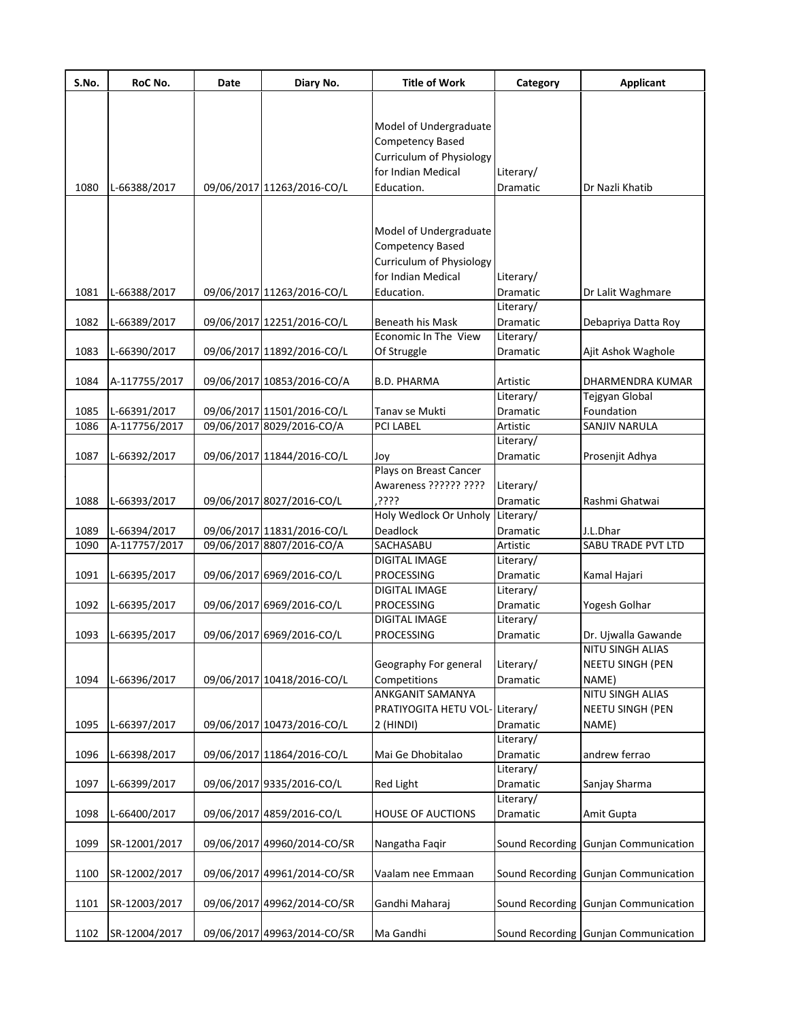| S.No. | RoC No.       | Date | Diary No.                   | <b>Title of Work</b>           | Category  | <b>Applicant</b>                            |
|-------|---------------|------|-----------------------------|--------------------------------|-----------|---------------------------------------------|
|       |               |      |                             |                                |           |                                             |
|       |               |      |                             | Model of Undergraduate         |           |                                             |
|       |               |      |                             | Competency Based               |           |                                             |
|       |               |      |                             | Curriculum of Physiology       |           |                                             |
|       |               |      |                             | for Indian Medical             | Literary/ |                                             |
| 1080  | L-66388/2017  |      | 09/06/2017 11263/2016-CO/L  | Education.                     | Dramatic  | Dr Nazli Khatib                             |
|       |               |      |                             |                                |           |                                             |
|       |               |      |                             |                                |           |                                             |
|       |               |      |                             | Model of Undergraduate         |           |                                             |
|       |               |      |                             | <b>Competency Based</b>        |           |                                             |
|       |               |      |                             | Curriculum of Physiology       |           |                                             |
|       |               |      |                             | for Indian Medical             | Literary/ |                                             |
| 1081  | L-66388/2017  |      | 09/06/2017 11263/2016-CO/L  | Education.                     | Dramatic  | Dr Lalit Waghmare                           |
|       |               |      |                             |                                | Literary/ |                                             |
| 1082  | L-66389/2017  |      | 09/06/2017 12251/2016-CO/L  | Beneath his Mask               | Dramatic  | Debapriya Datta Roy                         |
|       |               |      |                             | Economic In The View           | Literary/ |                                             |
| 1083  | L-66390/2017  |      | 09/06/2017 11892/2016-CO/L  | Of Struggle                    | Dramatic  | Ajit Ashok Waghole                          |
| 1084  | A-117755/2017 |      | 09/06/2017 10853/2016-CO/A  | <b>B.D. PHARMA</b>             | Artistic  | DHARMENDRA KUMAR                            |
|       |               |      |                             |                                | Literary/ | Tejgyan Global                              |
| 1085  | L-66391/2017  |      | 09/06/2017 11501/2016-CO/L  | Tanav se Mukti                 | Dramatic  | Foundation                                  |
| 1086  | A-117756/2017 |      | 09/06/2017 8029/2016-CO/A   | PCI LABEL                      | Artistic  | SANJIV NARULA                               |
|       |               |      |                             |                                | Literary/ |                                             |
| 1087  | L-66392/2017  |      | 09/06/2017 11844/2016-CO/L  | Joy                            | Dramatic  | Prosenjit Adhya                             |
|       |               |      |                             | Plays on Breast Cancer         |           |                                             |
|       |               |      |                             | Awareness ?????? ????          | Literary/ |                                             |
| 1088  | L-66393/2017  |      | 09/06/2017 8027/2016-CO/L   | ְרְרְרָךְ                      | Dramatic  | Rashmi Ghatwai                              |
|       |               |      |                             | Holy Wedlock Or Unholy         | Literary/ |                                             |
| 1089  | L-66394/2017  |      | 09/06/2017 11831/2016-CO/L  | <b>Deadlock</b>                | Dramatic  | J.L.Dhar                                    |
| 1090  | A-117757/2017 |      | 09/06/2017 8807/2016-CO/A   | SACHASABU                      | Artistic  | SABU TRADE PVT LTD                          |
|       |               |      |                             | <b>DIGITAL IMAGE</b>           | Literary/ |                                             |
| 1091  | L-66395/2017  |      | 09/06/2017 6969/2016-CO/L   | <b>PROCESSING</b>              | Dramatic  | Kamal Hajari                                |
|       |               |      |                             | <b>DIGITAL IMAGE</b>           | Literary/ |                                             |
| 1092  | L-66395/2017  |      | 09/06/2017 6969/2016-CO/L   | PROCESSING                     | Dramatic  | Yogesh Golhar                               |
|       |               |      |                             | DIGITAL IMAGE                  | Literary/ |                                             |
| 1093  | L-66395/2017  |      | 09/06/2017 6969/2016-CO/L   | <b>PROCESSING</b>              | Dramatic  | Dr. Ujwalla Gawande                         |
|       |               |      |                             | Geography For general          | Literary/ | NITU SINGH ALIAS<br><b>NEETU SINGH (PEN</b> |
| 1094  | L-66396/2017  |      | 09/06/2017 10418/2016-CO/L  | Competitions                   | Dramatic  | NAME)                                       |
|       |               |      |                             | <b>ANKGANIT SAMANYA</b>        |           | <b>NITU SINGH ALIAS</b>                     |
|       |               |      |                             | PRATIYOGITA HETU VOL-Literary/ |           | <b>NEETU SINGH (PEN</b>                     |
| 1095  | L-66397/2017  |      | 09/06/2017 10473/2016-CO/L  | $2$ (HINDI)                    | Dramatic  | NAME)                                       |
|       |               |      |                             |                                | Literary/ |                                             |
| 1096  | L-66398/2017  |      | 09/06/2017 11864/2016-CO/L  | Mai Ge Dhobitalao              | Dramatic  | andrew ferrao                               |
|       |               |      |                             |                                | Literary/ |                                             |
| 1097  | L-66399/2017  |      | 09/06/2017 9335/2016-CO/L   | <b>Red Light</b>               | Dramatic  | Sanjay Sharma                               |
|       |               |      |                             |                                | Literary/ |                                             |
| 1098  | L-66400/2017  |      | 09/06/2017 4859/2016-CO/L   | <b>HOUSE OF AUCTIONS</b>       | Dramatic  | Amit Gupta                                  |
|       |               |      |                             |                                |           |                                             |
| 1099  | SR-12001/2017 |      | 09/06/2017 49960/2014-CO/SR | Nangatha Faqir                 |           | Sound Recording Gunjan Communication        |
|       |               |      |                             |                                |           |                                             |
| 1100  | SR-12002/2017 |      | 09/06/2017 49961/2014-CO/SR | Vaalam nee Emmaan              |           | Sound Recording Gunjan Communication        |
| 1101  | SR-12003/2017 |      | 09/06/2017 49962/2014-CO/SR | Gandhi Maharaj                 |           | Sound Recording Gunjan Communication        |
|       |               |      |                             |                                |           |                                             |
| 1102  | SR-12004/2017 |      | 09/06/2017 49963/2014-CO/SR | Ma Gandhi                      |           | Sound Recording Gunjan Communication        |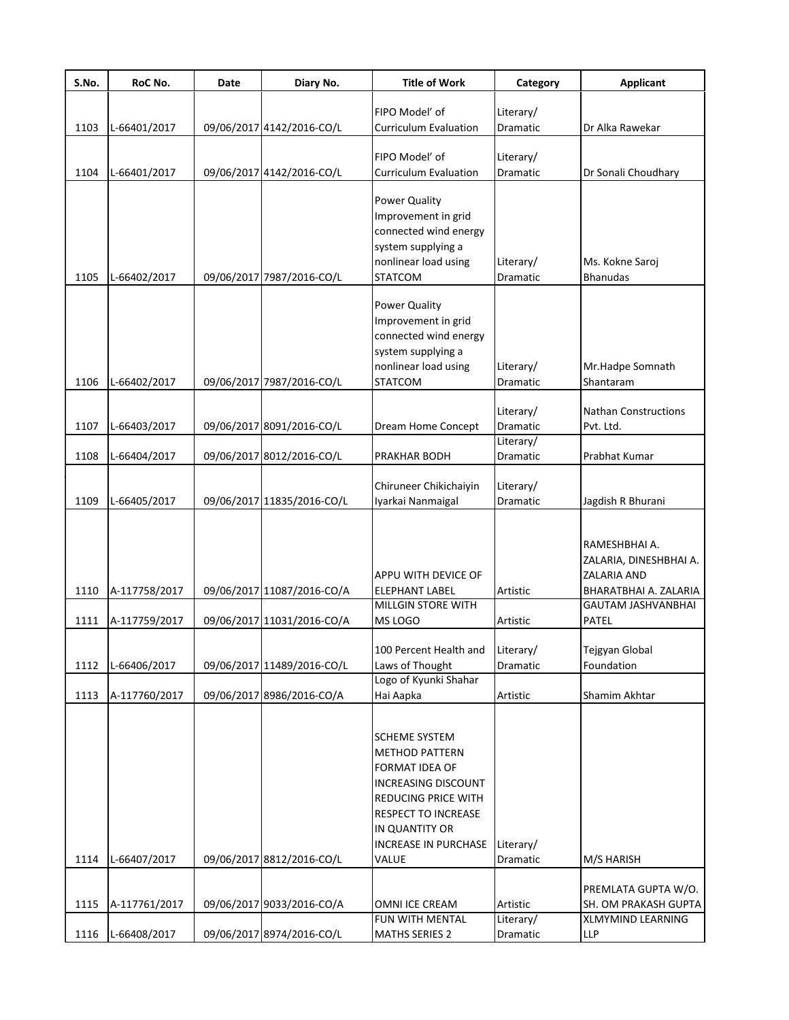| S.No. | RoC No.       | Date | Diary No.                  | <b>Title of Work</b>                        | Category              | <b>Applicant</b>          |
|-------|---------------|------|----------------------------|---------------------------------------------|-----------------------|---------------------------|
|       |               |      |                            | FIPO Model' of                              |                       |                           |
| 1103  | L-66401/2017  |      | 09/06/2017 4142/2016-CO/L  | <b>Curriculum Evaluation</b>                | Literary/<br>Dramatic | Dr Alka Rawekar           |
|       |               |      |                            |                                             |                       |                           |
|       |               |      |                            | FIPO Model' of                              | Literary/             |                           |
| 1104  | L-66401/2017  |      | 09/06/2017 4142/2016-CO/L  | <b>Curriculum Evaluation</b>                | <b>Dramatic</b>       | Dr Sonali Choudhary       |
|       |               |      |                            |                                             |                       |                           |
|       |               |      |                            | Power Quality                               |                       |                           |
|       |               |      |                            | Improvement in grid                         |                       |                           |
|       |               |      |                            | connected wind energy                       |                       |                           |
|       |               |      |                            | system supplying a                          |                       |                           |
|       |               |      |                            | nonlinear load using                        | Literary/             | Ms. Kokne Saroj           |
| 1105  | L-66402/2017  |      | 09/06/2017 7987/2016-CO/L  | <b>STATCOM</b>                              | <b>Dramatic</b>       | <b>Bhanudas</b>           |
|       |               |      |                            | Power Quality                               |                       |                           |
|       |               |      |                            | Improvement in grid                         |                       |                           |
|       |               |      |                            | connected wind energy                       |                       |                           |
|       |               |      |                            | system supplying a                          |                       |                           |
|       |               |      |                            | nonlinear load using                        | Literary/             | Mr.Hadpe Somnath          |
| 1106  | L-66402/2017  |      | 09/06/2017 7987/2016-CO/L  | <b>STATCOM</b>                              | <b>Dramatic</b>       | Shantaram                 |
|       |               |      |                            |                                             |                       |                           |
|       |               |      |                            |                                             | Literary/             | Nathan Constructions      |
| 1107  | L-66403/2017  |      | 09/06/2017 8091/2016-CO/L  | Dream Home Concept                          | Dramatic              | Pvt. Ltd.                 |
|       |               |      |                            |                                             | Literary/             |                           |
| 1108  | L-66404/2017  |      | 09/06/2017 8012/2016-CO/L  | PRAKHAR BODH                                | Dramatic              | Prabhat Kumar             |
|       |               |      |                            |                                             |                       |                           |
| 1109  | L-66405/2017  |      | 09/06/2017 11835/2016-CO/L | Chiruneer Chikichaiyin<br>Iyarkai Nanmaigal | Literary/<br>Dramatic | Jagdish R Bhurani         |
|       |               |      |                            |                                             |                       |                           |
|       |               |      |                            |                                             |                       |                           |
|       |               |      |                            |                                             |                       | RAMESHBHAI A.             |
|       |               |      |                            |                                             |                       | ZALARIA, DINESHBHAI A.    |
|       |               |      |                            | APPU WITH DEVICE OF                         |                       | ZALARIA AND               |
| 1110  | A-117758/2017 |      | 09/06/2017 11087/2016-CO/A | <b>ELEPHANT LABEL</b>                       | Artistic              | BHARATBHAI A. ZALARIA     |
|       |               |      |                            | <b>MILLGIN STORE WITH</b>                   |                       | <b>GAUTAM JASHVANBHAI</b> |
| 1111  | A-117759/2017 |      | 09/06/2017 11031/2016-CO/A | MS LOGO                                     | Artistic              | PATEL                     |
|       |               |      |                            |                                             |                       |                           |
|       |               |      |                            | 100 Percent Health and                      | Literary/             | Tejgyan Global            |
| 1112  | L-66406/2017  |      | 09/06/2017 11489/2016-CO/L | Laws of Thought<br>Logo of Kyunki Shahar    | Dramatic              | Foundation                |
| 1113  | A-117760/2017 |      | 09/06/2017 8986/2016-CO/A  | Hai Aapka                                   | Artistic              | Shamim Akhtar             |
|       |               |      |                            |                                             |                       |                           |
|       |               |      |                            |                                             |                       |                           |
|       |               |      |                            | <b>SCHEME SYSTEM</b>                        |                       |                           |
|       |               |      |                            | <b>METHOD PATTERN</b>                       |                       |                           |
|       |               |      |                            | FORMAT IDEA OF                              |                       |                           |
|       |               |      |                            | <b>INCREASING DISCOUNT</b>                  |                       |                           |
|       |               |      |                            | REDUCING PRICE WITH                         |                       |                           |
|       |               |      |                            | RESPECT TO INCREASE                         |                       |                           |
|       |               |      |                            | IN QUANTITY OR                              |                       |                           |
|       |               |      |                            | <b>INCREASE IN PURCHASE</b>                 | Literary/             |                           |
| 1114  | L-66407/2017  |      | 09/06/2017 8812/2016-CO/L  | VALUE                                       | Dramatic              | M/S HARISH                |
|       |               |      |                            |                                             |                       | PREMLATA GUPTA W/O.       |
| 1115  | A-117761/2017 |      | 09/06/2017 9033/2016-CO/A  | OMNI ICE CREAM                              | Artistic              | SH. OM PRAKASH GUPTA      |
|       |               |      |                            | FUN WITH MENTAL                             | Literary/             | XLMYMIND LEARNING         |
| 1116  | L-66408/2017  |      | 09/06/2017 8974/2016-CO/L  | <b>MATHS SERIES 2</b>                       | Dramatic              | LLP                       |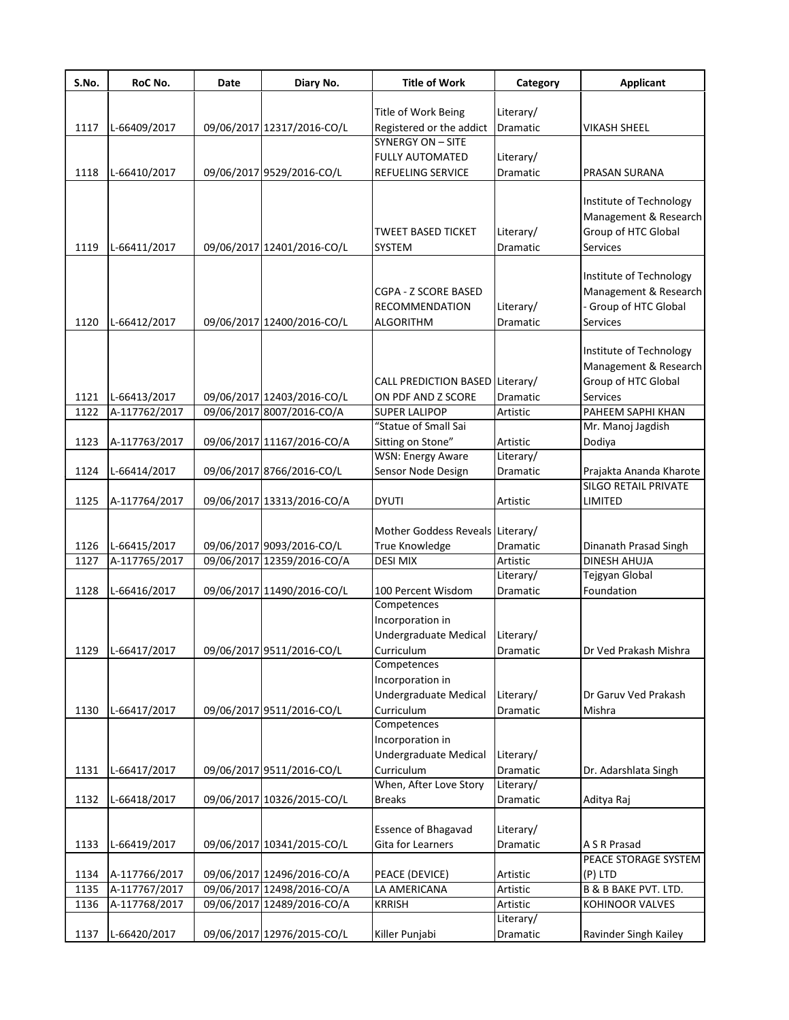| S.No. | RoC No.       | Date | Diary No.                  | <b>Title of Work</b>                          | Category  | <b>Applicant</b>                                 |
|-------|---------------|------|----------------------------|-----------------------------------------------|-----------|--------------------------------------------------|
|       |               |      |                            |                                               |           |                                                  |
|       |               |      |                            | Title of Work Being                           | Literary/ |                                                  |
| 1117  | L-66409/2017  |      | 09/06/2017 12317/2016-CO/L | Registered or the addict<br>SYNERGY ON - SITE | Dramatic  | <b>VIKASH SHEEL</b>                              |
|       |               |      |                            |                                               |           |                                                  |
|       |               |      |                            | <b>FULLY AUTOMATED</b>                        | Literary/ |                                                  |
| 1118  | L-66410/2017  |      | 09/06/2017 9529/2016-CO/L  | REFUELING SERVICE                             | Dramatic  | PRASAN SURANA                                    |
|       |               |      |                            |                                               |           | Institute of Technology<br>Management & Research |
|       |               |      |                            | <b>TWEET BASED TICKET</b>                     | Literary/ | Group of HTC Global                              |
| 1119  | L-66411/2017  |      | 09/06/2017 12401/2016-CO/L | <b>SYSTEM</b>                                 | Dramatic  | Services                                         |
|       |               |      |                            |                                               |           |                                                  |
|       |               |      |                            |                                               |           | Institute of Technology                          |
|       |               |      |                            | CGPA - Z SCORE BASED                          |           | Management & Research                            |
|       |               |      |                            | <b>RECOMMENDATION</b>                         | Literary/ | - Group of HTC Global                            |
| 1120  | L-66412/2017  |      | 09/06/2017 12400/2016-CO/L | ALGORITHM                                     | Dramatic  | <b>Services</b>                                  |
|       |               |      |                            |                                               |           |                                                  |
|       |               |      |                            |                                               |           | Institute of Technology                          |
|       |               |      |                            |                                               |           | Management & Research                            |
|       |               |      |                            | CALL PREDICTION BASED Literary/               |           | Group of HTC Global                              |
| 1121  | L-66413/2017  |      | 09/06/2017 12403/2016-CO/L | ON PDF AND Z SCORE                            | Dramatic  | Services                                         |
| 1122  | A-117762/2017 |      | 09/06/2017 8007/2016-CO/A  | <b>SUPER LALIPOP</b>                          | Artistic  | PAHEEM SAPHI KHAN                                |
|       |               |      |                            | "Statue of Small Sai                          |           | Mr. Manoj Jagdish                                |
| 1123  | A-117763/2017 |      | 09/06/2017 11167/2016-CO/A | Sitting on Stone"                             | Artistic  | Dodiya                                           |
|       |               |      |                            | <b>WSN: Energy Aware</b>                      | Literary/ |                                                  |
| 1124  | L-66414/2017  |      | 09/06/2017 8766/2016-CO/L  | Sensor Node Design                            | Dramatic  | Prajakta Ananda Kharote                          |
|       |               |      |                            |                                               |           | SILGO RETAIL PRIVATE                             |
| 1125  | A-117764/2017 |      | 09/06/2017 13313/2016-CO/A | <b>DYUTI</b>                                  | Artistic  | LIMITED                                          |
|       |               |      |                            |                                               |           |                                                  |
|       |               |      |                            | Mother Goddess Reveals Literary/              |           |                                                  |
| 1126  | L-66415/2017  |      | 09/06/2017 9093/2016-CO/L  | True Knowledge                                | Dramatic  | Dinanath Prasad Singh                            |
| 1127  | A-117765/2017 |      | 09/06/2017 12359/2016-CO/A | <b>DESI MIX</b>                               | Artistic  | DINESH AHUJA                                     |
|       |               |      |                            |                                               | Literary/ | Tejgyan Global                                   |
| 1128  | L-66416/2017  |      | 09/06/2017 11490/2016-CO/L | 100 Percent Wisdom                            | Dramatic  | Foundation                                       |
|       |               |      |                            | Competences                                   |           |                                                  |
|       |               |      |                            | Incorporation in                              |           |                                                  |
|       |               |      |                            | Undergraduate Medical                         | Literary/ |                                                  |
| 1129  | L-66417/2017  |      | 09/06/2017 9511/2016-CO/L  | Curriculum                                    | Dramatic  | Dr Ved Prakash Mishra                            |
|       |               |      |                            | Competences                                   |           |                                                  |
|       |               |      |                            | Incorporation in                              |           |                                                  |
|       |               |      |                            | Undergraduate Medical                         | Literary/ | Dr Garuv Ved Prakash                             |
| 1130  | L-66417/2017  |      | 09/06/2017 9511/2016-CO/L  | Curriculum                                    | Dramatic  | Mishra                                           |
|       |               |      |                            | Competences                                   |           |                                                  |
|       |               |      |                            | Incorporation in                              |           |                                                  |
|       |               |      |                            | Undergraduate Medical                         | Literary/ |                                                  |
| 1131  | L-66417/2017  |      | 09/06/2017 9511/2016-CO/L  | Curriculum                                    | Dramatic  | Dr. Adarshlata Singh                             |
|       |               |      |                            | When, After Love Story                        | Literary/ |                                                  |
| 1132  | L-66418/2017  |      | 09/06/2017 10326/2015-CO/L | <b>Breaks</b>                                 | Dramatic  | Aditya Raj                                       |
|       |               |      |                            |                                               |           |                                                  |
|       |               |      |                            | Essence of Bhagavad                           | Literary/ |                                                  |
| 1133  | L-66419/2017  |      | 09/06/2017 10341/2015-CO/L | Gita for Learners                             | Dramatic  | A S R Prasad                                     |
|       |               |      |                            |                                               |           | PEACE STORAGE SYSTEM                             |
| 1134  | A-117766/2017 |      | 09/06/2017 12496/2016-CO/A | PEACE (DEVICE)                                | Artistic  | (P) LTD                                          |
| 1135  | A-117767/2017 |      | 09/06/2017 12498/2016-CO/A | LA AMERICANA                                  | Artistic  | <b>B &amp; B BAKE PVT. LTD.</b>                  |
| 1136  | A-117768/2017 |      | 09/06/2017 12489/2016-CO/A | KRRISH                                        | Artistic  | KOHINOOR VALVES                                  |
|       |               |      |                            |                                               | Literary/ |                                                  |
| 1137  | L-66420/2017  |      | 09/06/2017 12976/2015-CO/L | Killer Punjabi                                | Dramatic  | Ravinder Singh Kailey                            |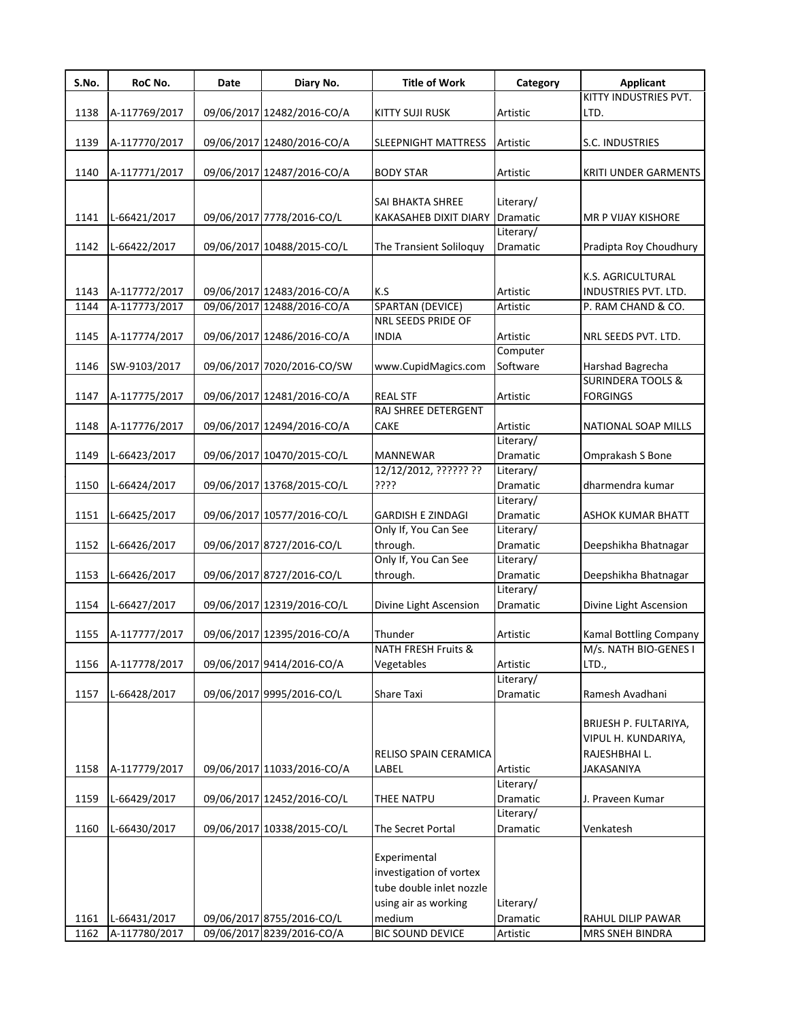| S.No. | RoC No.       | Date | Diary No.                  | <b>Title of Work</b>           | Category              | <b>Applicant</b>                                 |
|-------|---------------|------|----------------------------|--------------------------------|-----------------------|--------------------------------------------------|
|       |               |      |                            |                                |                       | KITTY INDUSTRIES PVT.                            |
| 1138  | A-117769/2017 |      | 09/06/2017 12482/2016-CO/A | <b>KITTY SUJI RUSK</b>         | Artistic              | LTD.                                             |
|       |               |      |                            |                                |                       |                                                  |
| 1139  | A-117770/2017 |      | 09/06/2017 12480/2016-CO/A | <b>SLEEPNIGHT MATTRESS</b>     | Artistic              | S.C. INDUSTRIES                                  |
|       |               |      |                            |                                |                       |                                                  |
| 1140  | A-117771/2017 |      | 09/06/2017 12487/2016-CO/A | <b>BODY STAR</b>               | Artistic              | <b>KRITI UNDER GARMENTS</b>                      |
|       |               |      |                            | SAI BHAKTA SHREE               | Literary/             |                                                  |
| 1141  | L-66421/2017  |      | 09/06/2017 7778/2016-CO/L  | KAKASAHEB DIXIT DIARY          | Dramatic              | MR P VIJAY KISHORE                               |
|       |               |      |                            |                                | Literary/             |                                                  |
| 1142  | L-66422/2017  |      | 09/06/2017 10488/2015-CO/L | The Transient Soliloquy        | Dramatic              | Pradipta Roy Choudhury                           |
|       |               |      |                            |                                |                       |                                                  |
|       |               |      |                            |                                |                       | K.S. AGRICULTURAL                                |
| 1143  | A-117772/2017 |      | 09/06/2017 12483/2016-CO/A | K.S                            | Artistic              | INDUSTRIES PVT. LTD.                             |
| 1144  | A-117773/2017 |      | 09/06/2017 12488/2016-CO/A | <b>SPARTAN (DEVICE)</b>        | Artistic              | P. RAM CHAND & CO.                               |
|       |               |      |                            | NRL SEEDS PRIDE OF             |                       |                                                  |
| 1145  | A-117774/2017 |      | 09/06/2017 12486/2016-CO/A | <b>INDIA</b>                   | Artistic              | NRL SEEDS PVT. LTD.                              |
|       |               |      |                            |                                | Computer              |                                                  |
| 1146  | SW-9103/2017  |      | 09/06/2017 7020/2016-CO/SW | www.CupidMagics.com            | Software              | Harshad Bagrecha<br><b>SURINDERA TOOLS &amp;</b> |
| 1147  | A-117775/2017 |      | 09/06/2017 12481/2016-CO/A | <b>REAL STF</b>                | Artistic              | <b>FORGINGS</b>                                  |
|       |               |      |                            | RAJ SHREE DETERGENT            |                       |                                                  |
| 1148  | A-117776/2017 |      | 09/06/2017 12494/2016-CO/A | CAKE                           | Artistic              | NATIONAL SOAP MILLS                              |
|       |               |      |                            |                                | Literary/             |                                                  |
| 1149  | L-66423/2017  |      | 09/06/2017 10470/2015-CO/L | MANNEWAR                       | Dramatic              | Omprakash S Bone                                 |
|       |               |      |                            | 12/12/2012, ?????? ??          | Literary/             |                                                  |
| 1150  | L-66424/2017  |      | 09/06/2017 13768/2015-CO/L | ????                           | Dramatic              | dharmendra kumar                                 |
|       |               |      |                            |                                | Literary/             |                                                  |
| 1151  | L-66425/2017  |      | 09/06/2017 10577/2016-CO/L | <b>GARDISH E ZINDAGI</b>       | Dramatic              | <b>ASHOK KUMAR BHATT</b>                         |
|       |               |      |                            | Only If, You Can See           | Literary/             |                                                  |
| 1152  | L-66426/2017  |      | 09/06/2017 8727/2016-CO/L  | through.                       | Dramatic              | Deepshikha Bhatnagar                             |
|       |               |      |                            | Only If, You Can See           | Literary/             |                                                  |
| 1153  | L-66426/2017  |      | 09/06/2017 8727/2016-CO/L  | through.                       | Dramatic              | Deepshikha Bhatnagar                             |
|       |               |      |                            |                                | Literary/             |                                                  |
| 1154  | L-66427/2017  |      | 09/06/2017 12319/2016-CO/L | Divine Light Ascension         | Dramatic              | Divine Light Ascension                           |
|       |               |      |                            |                                |                       |                                                  |
| 1155  | A-117777/2017 |      | 09/06/2017 12395/2016-CO/A | Thunder<br>NATH FRESH Fruits & | Artistic              | Kamal Bottling Company<br>M/s. NATH BIO-GENES I  |
| 1156  | A-117778/2017 |      | 09/06/2017 9414/2016-CO/A  | Vegetables                     | Artistic              | LTD.,                                            |
|       |               |      |                            |                                | Literary/             |                                                  |
| 1157  | L-66428/2017  |      | 09/06/2017 9995/2016-CO/L  | Share Taxi                     | Dramatic              | Ramesh Avadhani                                  |
|       |               |      |                            |                                |                       |                                                  |
|       |               |      |                            |                                |                       | BRIJESH P. FULTARIYA,                            |
|       |               |      |                            |                                |                       | VIPUL H. KUNDARIYA,                              |
|       |               |      |                            | RELISO SPAIN CERAMICA          |                       | RAJESHBHAI L.                                    |
| 1158  | A-117779/2017 |      | 09/06/2017 11033/2016-CO/A | LABEL                          | Artistic              | JAKASANIYA                                       |
|       |               |      |                            |                                | Literary/             |                                                  |
| 1159  | L-66429/2017  |      | 09/06/2017 12452/2016-CO/L | THEE NATPU                     | Dramatic              | J. Praveen Kumar                                 |
|       |               |      |                            |                                | Literary/             |                                                  |
| 1160  | L-66430/2017  |      | 09/06/2017 10338/2015-CO/L | The Secret Portal              | Dramatic              | Venkatesh                                        |
|       |               |      |                            |                                |                       |                                                  |
|       |               |      |                            | Experimental                   |                       |                                                  |
|       |               |      |                            | investigation of vortex        |                       |                                                  |
|       |               |      |                            | tube double inlet nozzle       |                       |                                                  |
| 1161  | L-66431/2017  |      | 09/06/2017 8755/2016-CO/L  | using air as working<br>medium | Literary/<br>Dramatic |                                                  |
| 1162  | A-117780/2017 |      | 09/06/2017 8239/2016-CO/A  | <b>BIC SOUND DEVICE</b>        | Artistic              | RAHUL DILIP PAWAR<br>MRS SNEH BINDRA             |
|       |               |      |                            |                                |                       |                                                  |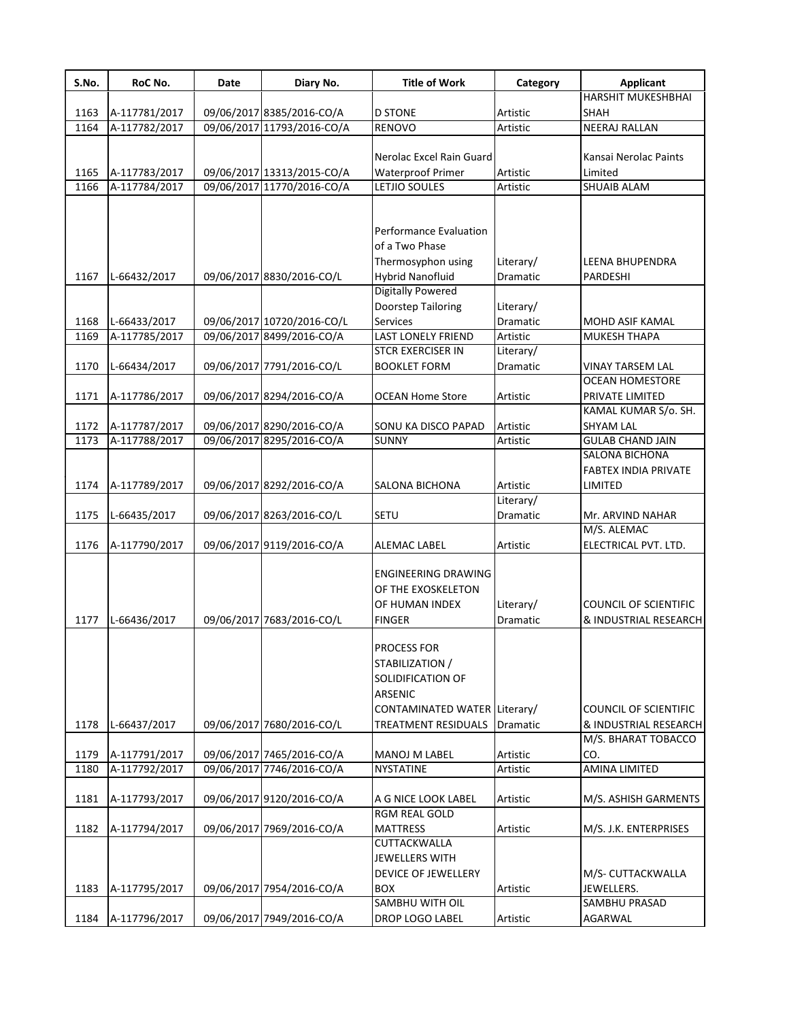| S.No. | RoC No.       | Date | Diary No.                                               | <b>Title of Work</b>                                                                                                                | Category              | <b>Applicant</b>                                                             |
|-------|---------------|------|---------------------------------------------------------|-------------------------------------------------------------------------------------------------------------------------------------|-----------------------|------------------------------------------------------------------------------|
|       |               |      |                                                         |                                                                                                                                     |                       | HARSHIT MUKESHBHAI                                                           |
| 1163  | A-117781/2017 |      | 09/06/2017 8385/2016-CO/A                               | <b>D STONE</b>                                                                                                                      | Artistic              | <b>SHAH</b>                                                                  |
| 1164  | A-117782/2017 |      | 09/06/2017 11793/2016-CO/A                              | <b>RENOVO</b>                                                                                                                       | Artistic              | <b>NEERAJ RALLAN</b>                                                         |
|       |               |      |                                                         |                                                                                                                                     |                       |                                                                              |
|       |               |      |                                                         | Nerolac Excel Rain Guard                                                                                                            |                       | Kansai Nerolac Paints                                                        |
| 1165  | A-117783/2017 |      | 09/06/2017 13313/2015-CO/A                              | <b>Waterproof Primer</b>                                                                                                            | Artistic              | Limited                                                                      |
| 1166  | A-117784/2017 |      | 09/06/2017 11770/2016-CO/A                              | LETJIO SOULES                                                                                                                       | Artistic              | <b>SHUAIB ALAM</b>                                                           |
|       |               |      |                                                         | Performance Evaluation<br>of a Two Phase<br>Thermosyphon using                                                                      | Literary/             | LEENA BHUPENDRA                                                              |
| 1167  | L-66432/2017  |      | 09/06/2017 8830/2016-CO/L                               | Hybrid Nanofluid                                                                                                                    | Dramatic              | PARDESHI                                                                     |
| 1168  | L-66433/2017  |      | 09/06/2017 10720/2016-CO/L<br>09/06/2017 8499/2016-CO/A | <b>Digitally Powered</b><br>Doorstep Tailoring<br>Services                                                                          | Literary/<br>Dramatic | MOHD ASIF KAMAL                                                              |
| 1169  | A-117785/2017 |      |                                                         | <b>LAST LONELY FRIEND</b><br><b>STCR EXERCISER IN</b>                                                                               | Artistic              | <b>MUKESH THAPA</b>                                                          |
| 1170  | L-66434/2017  |      | 09/06/2017 7791/2016-CO/L                               | <b>BOOKLET FORM</b>                                                                                                                 | Literary/<br>Dramatic | <b>VINAY TARSEM LAL</b>                                                      |
|       |               |      |                                                         |                                                                                                                                     |                       | <b>OCEAN HOMESTORE</b>                                                       |
| 1171  | A-117786/2017 |      | 09/06/2017 8294/2016-CO/A                               | <b>OCEAN Home Store</b>                                                                                                             | Artistic              | PRIVATE LIMITED                                                              |
|       |               |      |                                                         |                                                                                                                                     |                       | KAMAL KUMAR S/o. SH.                                                         |
| 1172  | A-117787/2017 |      | 09/06/2017 8290/2016-CO/A                               | SONU KA DISCO PAPAD                                                                                                                 | Artistic              | <b>SHYAM LAL</b>                                                             |
| 1173  | A-117788/2017 |      | 09/06/2017 8295/2016-CO/A                               | <b>SUNNY</b>                                                                                                                        | Artistic              | <b>GULAB CHAND JAIN</b>                                                      |
|       |               |      |                                                         |                                                                                                                                     |                       | SALONA BICHONA                                                               |
|       |               |      |                                                         |                                                                                                                                     |                       | <b>FABTEX INDIA PRIVATE</b>                                                  |
| 1174  | A-117789/2017 |      | 09/06/2017 8292/2016-CO/A                               | <b>SALONA BICHONA</b>                                                                                                               | Artistic              | LIMITED                                                                      |
|       |               |      |                                                         |                                                                                                                                     | Literary/             |                                                                              |
| 1175  | L-66435/2017  |      | 09/06/2017 8263/2016-CO/L                               | SETU                                                                                                                                | Dramatic              | Mr. ARVIND NAHAR                                                             |
|       |               |      |                                                         |                                                                                                                                     |                       | M/S. ALEMAC                                                                  |
| 1176  | A-117790/2017 |      | 09/06/2017 9119/2016-CO/A                               | <b>ALEMAC LABEL</b>                                                                                                                 | Artistic              | ELECTRICAL PVT. LTD.                                                         |
| 1177  | L-66436/2017  |      | 09/06/2017 7683/2016-CO/L                               | ENGINEERING DRAWING<br>OF THE EXOSKELETON<br>OF HUMAN INDEX<br><b>FINGER</b>                                                        | Literary/<br>Dramatic | <b>COUNCIL OF SCIENTIFIC</b><br>& INDUSTRIAL RESEARCH                        |
| 1178  | L-66437/2017  |      | 09/06/2017 7680/2016-CO/L                               | PROCESS FOR<br>STABILIZATION /<br>SOLIDIFICATION OF<br><b>ARSENIC</b><br>CONTAMINATED WATER Literary/<br><b>TREATMENT RESIDUALS</b> | Dramatic              | <b>COUNCIL OF SCIENTIFIC</b><br>& INDUSTRIAL RESEARCH<br>M/S. BHARAT TOBACCO |
| 1179  | A-117791/2017 |      | 09/06/2017 7465/2016-CO/A                               | MANOJ M LABEL                                                                                                                       | Artistic              | CO.                                                                          |
| 1180  | A-117792/2017 |      | 09/06/2017 7746/2016-CO/A                               | NYSTATINE                                                                                                                           | Artistic              | <b>AMINA LIMITED</b>                                                         |
|       |               |      |                                                         |                                                                                                                                     |                       |                                                                              |
| 1181  | A-117793/2017 |      | 09/06/2017 9120/2016-CO/A                               | A G NICE LOOK LABEL                                                                                                                 | Artistic              | M/S. ASHISH GARMENTS                                                         |
|       |               |      |                                                         | <b>RGM REAL GOLD</b>                                                                                                                |                       |                                                                              |
| 1182  | A-117794/2017 |      | 09/06/2017 7969/2016-CO/A                               | <b>MATTRESS</b>                                                                                                                     | Artistic              | M/S. J.K. ENTERPRISES                                                        |
| 1183  | A-117795/2017 |      | 09/06/2017 7954/2016-CO/A                               | CUTTACKWALLA<br><b>JEWELLERS WITH</b><br><b>DEVICE OF JEWELLERY</b><br><b>BOX</b>                                                   | Artistic              | M/S- CUTTACKWALLA<br>JEWELLERS.                                              |
|       |               |      |                                                         | SAMBHU WITH OIL                                                                                                                     |                       | SAMBHU PRASAD                                                                |
| 1184  | A-117796/2017 |      | 09/06/2017 7949/2016-CO/A                               | DROP LOGO LABEL                                                                                                                     | Artistic              | AGARWAL                                                                      |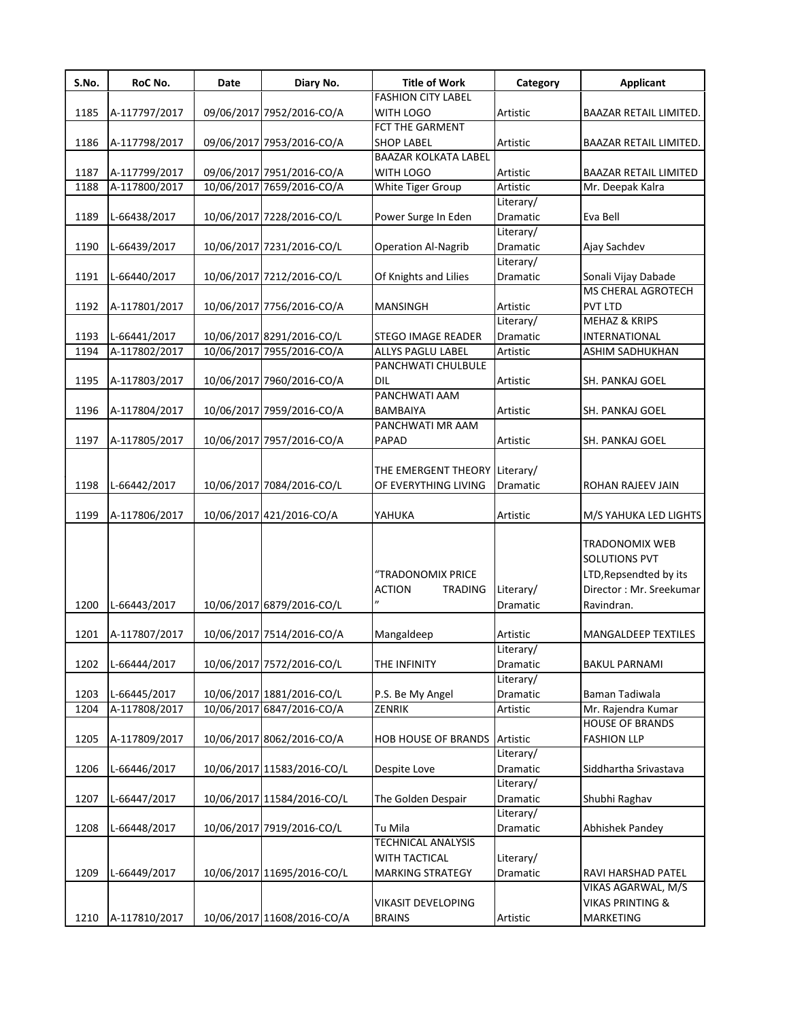| S.No. | RoC No.       | Date | Diary No.                  | <b>Title of Work</b>                | Category              | <b>Applicant</b>             |
|-------|---------------|------|----------------------------|-------------------------------------|-----------------------|------------------------------|
|       |               |      |                            | <b>FASHION CITY LABEL</b>           |                       |                              |
| 1185  | A-117797/2017 |      | 09/06/2017 7952/2016-CO/A  | WITH LOGO                           | Artistic              | BAAZAR RETAIL LIMITED.       |
|       |               |      |                            | FCT THE GARMENT                     |                       |                              |
| 1186  | A-117798/2017 |      | 09/06/2017 7953/2016-CO/A  | <b>SHOP LABEL</b>                   | Artistic              | BAAZAR RETAIL LIMITED.       |
|       |               |      |                            | <b>BAAZAR KOLKATA LABEL</b>         |                       |                              |
| 1187  | A-117799/2017 |      | 09/06/2017 7951/2016-CO/A  | WITH LOGO                           | Artistic              | <b>BAAZAR RETAIL LIMITED</b> |
| 1188  | A-117800/2017 |      | 10/06/2017 7659/2016-CO/A  | White Tiger Group                   | Artistic              | Mr. Deepak Kalra             |
|       |               |      |                            |                                     | Literary/             |                              |
| 1189  | L-66438/2017  |      | 10/06/2017 7228/2016-CO/L  | Power Surge In Eden                 | Dramatic              | Eva Bell                     |
|       |               |      |                            |                                     | Literary/             |                              |
| 1190  | L-66439/2017  |      | 10/06/2017 7231/2016-CO/L  | <b>Operation Al-Nagrib</b>          | Dramatic              | Ajay Sachdev                 |
|       |               |      |                            |                                     | Literary/             |                              |
| 1191  | L-66440/2017  |      | 10/06/2017 7212/2016-CO/L  | Of Knights and Lilies               | Dramatic              | Sonali Vijay Dabade          |
|       |               |      |                            |                                     |                       | MS CHERAL AGROTECH           |
| 1192  | A-117801/2017 |      | 10/06/2017 7756/2016-CO/A  | <b>MANSINGH</b>                     | Artistic              | PVT LTD                      |
|       |               |      |                            |                                     | Literary/             | <b>MEHAZ &amp; KRIPS</b>     |
| 1193  | L-66441/2017  |      | 10/06/2017 8291/2016-CO/L  | <b>STEGO IMAGE READER</b>           | Dramatic              | INTERNATIONAL                |
| 1194  | A-117802/2017 |      | 10/06/2017 7955/2016-CO/A  | <b>ALLYS PAGLU LABEL</b>            | Artistic              | <b>ASHIM SADHUKHAN</b>       |
|       |               |      |                            | PANCHWATI CHULBULE                  |                       |                              |
| 1195  | A-117803/2017 |      | 10/06/2017 7960/2016-CO/A  | DIL                                 | Artistic              | SH. PANKAJ GOEL              |
|       |               |      |                            | PANCHWATI AAM                       |                       |                              |
| 1196  | A-117804/2017 |      | 10/06/2017 7959/2016-CO/A  | BAMBAIYA                            | Artistic              | SH. PANKAJ GOEL              |
|       |               |      |                            | PANCHWATI MR AAM                    |                       |                              |
| 1197  | A-117805/2017 |      | 10/06/2017 7957/2016-CO/A  | PAPAD                               | Artistic              | SH. PANKAJ GOEL              |
|       |               |      |                            |                                     |                       |                              |
|       |               |      |                            | THE EMERGENT THEORY Literary/       |                       |                              |
| 1198  | L-66442/2017  |      | 10/06/2017 7084/2016-CO/L  | OF EVERYTHING LIVING                | Dramatic              | ROHAN RAJEEV JAIN            |
|       |               |      |                            |                                     |                       |                              |
| 1199  | A-117806/2017 |      | 10/06/2017 421/2016-CO/A   | YAHUKA                              | Artistic              | M/S YAHUKA LED LIGHTS        |
|       |               |      |                            |                                     |                       | TRADONOMIX WEB               |
|       |               |      |                            |                                     |                       | <b>SOLUTIONS PVT</b>         |
|       |               |      |                            | "TRADONOMIX PRICE                   |                       | LTD, Repsendted by its       |
|       |               |      |                            | <b>ACTION</b><br><b>TRADING</b>     | Literary/             | Director: Mr. Sreekumar      |
| 1200  | L-66443/2017  |      | 10/06/2017 6879/2016-CO/L  |                                     | Dramatic              | Ravindran.                   |
|       |               |      |                            |                                     |                       |                              |
| 1201  | A-117807/2017 |      | 10/06/2017 7514/2016-CO/A  | Mangaldeep                          | Artistic              | <b>MANGALDEEP TEXTILES</b>   |
|       |               |      |                            |                                     |                       |                              |
| 1202  | L-66444/2017  |      | 10/06/2017 7572/2016-CO/L  | THE INFINITY                        | Literary/<br>Dramatic | <b>BAKUL PARNAMI</b>         |
|       |               |      |                            |                                     | Literary/             |                              |
| 1203  | L-66445/2017  |      | 10/06/2017 1881/2016-CO/L  | P.S. Be My Angel                    | Dramatic              | Baman Tadiwala               |
| 1204  | A-117808/2017 |      | 10/06/2017 6847/2016-CO/A  | ZENRIK                              | Artistic              | Mr. Rajendra Kumar           |
|       |               |      |                            |                                     |                       | <b>HOUSE OF BRANDS</b>       |
| 1205  | A-117809/2017 |      | 10/06/2017 8062/2016-CO/A  | <b>HOB HOUSE OF BRANDS Artistic</b> |                       | <b>FASHION LLP</b>           |
|       |               |      |                            |                                     | Literary/             |                              |
| 1206  | L-66446/2017  |      | 10/06/2017 11583/2016-CO/L | Despite Love                        | Dramatic              | Siddhartha Srivastava        |
|       |               |      |                            |                                     | Literary/             |                              |
| 1207  | L-66447/2017  |      | 10/06/2017 11584/2016-CO/L | The Golden Despair                  | Dramatic              | Shubhi Raghav                |
|       |               |      |                            |                                     | Literary/             |                              |
| 1208  | L-66448/2017  |      | 10/06/2017 7919/2016-CO/L  | Tu Mila                             | Dramatic              | Abhishek Pandey              |
|       |               |      |                            | <b>TECHNICAL ANALYSIS</b>           |                       |                              |
|       |               |      |                            | WITH TACTICAL                       | Literary/             |                              |
| 1209  | L-66449/2017  |      | 10/06/2017 11695/2016-CO/L | MARKING STRATEGY                    | Dramatic              | RAVI HARSHAD PATEL           |
|       |               |      |                            |                                     |                       | VIKAS AGARWAL, M/S           |
|       |               |      |                            | <b>VIKASIT DEVELOPING</b>           |                       | <b>VIKAS PRINTING &amp;</b>  |
| 1210  | A-117810/2017 |      | 10/06/2017 11608/2016-CO/A | <b>BRAINS</b>                       | Artistic              | MARKETING                    |
|       |               |      |                            |                                     |                       |                              |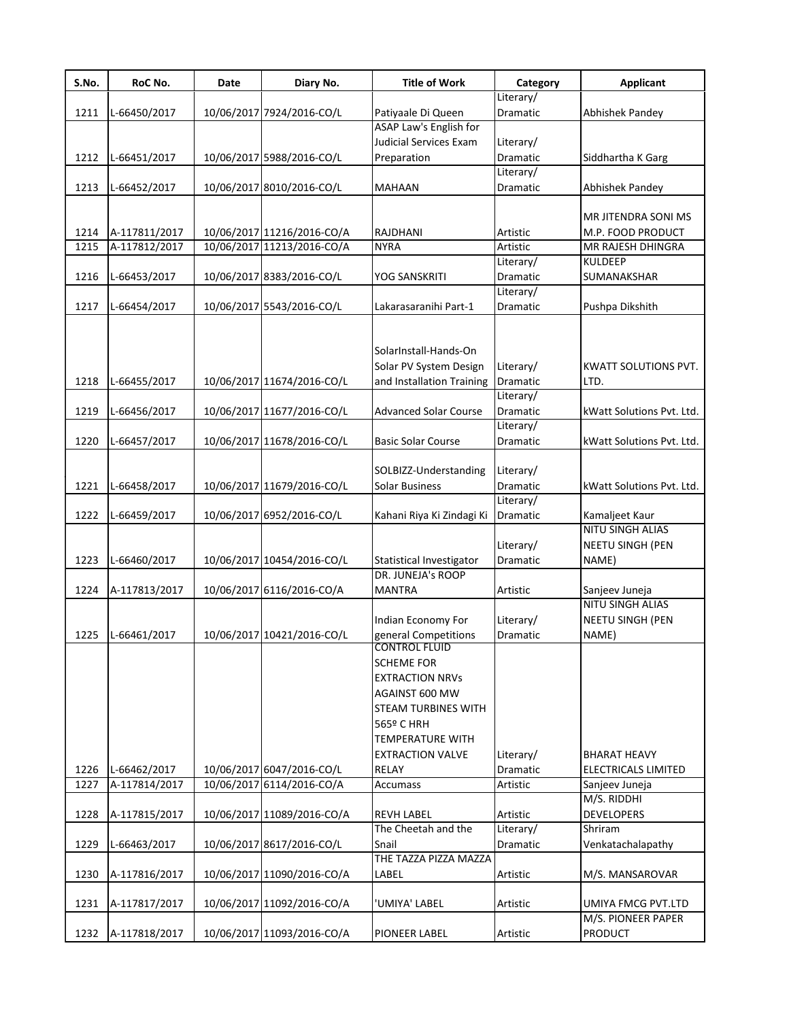| S.No. | RoC No.       | Date | Diary No.                  | <b>Title of Work</b>                             | Category              | <b>Applicant</b>            |
|-------|---------------|------|----------------------------|--------------------------------------------------|-----------------------|-----------------------------|
|       |               |      |                            |                                                  | Literary/             |                             |
| 1211  | L-66450/2017  |      | 10/06/2017 7924/2016-CO/L  | Patiyaale Di Queen                               | Dramatic              | Abhishek Pandey             |
|       |               |      |                            | ASAP Law's English for<br>Judicial Services Exam |                       |                             |
|       |               |      |                            |                                                  | Literary/             |                             |
| 1212  | L-66451/2017  |      | 10/06/2017 5988/2016-CO/L  | Preparation                                      | Dramatic<br>Literary/ | Siddhartha K Garg           |
| 1213  |               |      | 10/06/2017 8010/2016-CO/L  | <b>MAHAAN</b>                                    | Dramatic              | Abhishek Pandey             |
|       | L-66452/2017  |      |                            |                                                  |                       |                             |
|       |               |      |                            |                                                  |                       | MR JITENDRA SONI MS         |
| 1214  | A-117811/2017 |      | 10/06/2017 11216/2016-CO/A | RAJDHANI                                         | Artistic              | M.P. FOOD PRODUCT           |
| 1215  | A-117812/2017 |      | 10/06/2017 11213/2016-CO/A | <b>NYRA</b>                                      | Artistic              | MR RAJESH DHINGRA           |
|       |               |      |                            |                                                  | Literary/             | <b>KULDEEP</b>              |
| 1216  | L-66453/2017  |      | 10/06/2017 8383/2016-CO/L  | YOG SANSKRITI                                    | Dramatic              | SUMANAKSHAR                 |
|       |               |      |                            |                                                  | Literary/             |                             |
| 1217  | L-66454/2017  |      | 10/06/2017 5543/2016-CO/L  | Lakarasaranihi Part-1                            | Dramatic              | Pushpa Dikshith             |
|       |               |      |                            |                                                  |                       |                             |
|       |               |      |                            |                                                  |                       |                             |
|       |               |      |                            | SolarInstall-Hands-On                            |                       |                             |
|       |               |      |                            | Solar PV System Design                           | Literary/             | <b>KWATT SOLUTIONS PVT.</b> |
| 1218  | L-66455/2017  |      | 10/06/2017 11674/2016-CO/L | and Installation Training                        | Dramatic              | LTD.                        |
|       |               |      |                            |                                                  | Literary/             |                             |
| 1219  | L-66456/2017  |      | 10/06/2017 11677/2016-CO/L | <b>Advanced Solar Course</b>                     | Dramatic              | kWatt Solutions Pvt. Ltd.   |
|       |               |      |                            |                                                  | Literary/             |                             |
| 1220  | L-66457/2017  |      | 10/06/2017 11678/2016-CO/L | <b>Basic Solar Course</b>                        | Dramatic              | kWatt Solutions Pvt. Ltd.   |
|       |               |      |                            |                                                  |                       |                             |
|       |               |      |                            | SOLBIZZ-Understanding                            | Literary/             |                             |
| 1221  | L-66458/2017  |      | 10/06/2017 11679/2016-CO/L | Solar Business                                   | Dramatic              | kWatt Solutions Pvt. Ltd.   |
|       |               |      |                            |                                                  | Literary/             |                             |
| 1222  | L-66459/2017  |      | 10/06/2017 6952/2016-CO/L  | Kahani Riya Ki Zindagi Ki                        | Dramatic              | Kamaljeet Kaur              |
|       |               |      |                            |                                                  |                       | NITU SINGH ALIAS            |
|       |               |      |                            |                                                  | Literary/             | NEETU SINGH (PEN            |
| 1223  | L-66460/2017  |      | 10/06/2017 10454/2016-CO/L | Statistical Investigator                         | Dramatic              | NAME)                       |
|       |               |      |                            | DR. JUNEJA's ROOP                                |                       |                             |
| 1224  | A-117813/2017 |      | 10/06/2017 6116/2016-CO/A  | <b>MANTRA</b>                                    | Artistic              | Sanjeev Juneja              |
|       |               |      |                            |                                                  |                       | NITU SINGH ALIAS            |
|       |               |      |                            | Indian Economy For                               | Literary/             | NEETU SINGH (PEN            |
| 1225  | L-66461/2017  |      | 10/06/2017 10421/2016-CO/L | general Competitions                             | Dramatic              | NAME)                       |
|       |               |      |                            | CONTROL FLUID                                    |                       |                             |
|       |               |      |                            | <b>SCHEME FOR</b>                                |                       |                             |
|       |               |      |                            | <b>EXTRACTION NRVs</b>                           |                       |                             |
|       |               |      |                            | AGAINST 600 MW                                   |                       |                             |
|       |               |      |                            | <b>STEAM TURBINES WITH</b>                       |                       |                             |
|       |               |      |                            | 565º C HRH                                       |                       |                             |
|       |               |      |                            | <b>TEMPERATURE WITH</b>                          |                       |                             |
|       |               |      |                            | <b>EXTRACTION VALVE</b>                          | Literary/             | <b>BHARAT HEAVY</b>         |
| 1226  | L-66462/2017  |      | 10/06/2017 6047/2016-CO/L  | RELAY                                            | Dramatic              | ELECTRICALS LIMITED         |
| 1227  | A-117814/2017 |      | 10/06/2017 6114/2016-CO/A  | Accumass                                         | Artistic              | Sanjeev Juneja              |
|       |               |      |                            |                                                  |                       | M/S. RIDDHI                 |
| 1228  | A-117815/2017 |      | 10/06/2017 11089/2016-CO/A | <b>REVH LABEL</b>                                | Artistic              | <b>DEVELOPERS</b>           |
|       |               |      |                            | The Cheetah and the                              | Literary/             | Shriram                     |
| 1229  | L-66463/2017  |      | 10/06/2017 8617/2016-CO/L  | Snail                                            | Dramatic              | Venkatachalapathy           |
|       |               |      |                            | THE TAZZA PIZZA MAZZA                            |                       |                             |
| 1230  | A-117816/2017 |      | 10/06/2017 11090/2016-CO/A | LABEL                                            | Artistic              | M/S. MANSAROVAR             |
|       |               |      |                            |                                                  |                       |                             |
| 1231  | A-117817/2017 |      | 10/06/2017 11092/2016-CO/A | 'UMIYA' LABEL                                    | Artistic              | UMIYA FMCG PVT.LTD          |
|       |               |      |                            |                                                  |                       | M/S. PIONEER PAPER          |
| 1232  | A-117818/2017 |      | 10/06/2017 11093/2016-CO/A | PIONEER LABEL                                    | Artistic              | PRODUCT                     |
|       |               |      |                            |                                                  |                       |                             |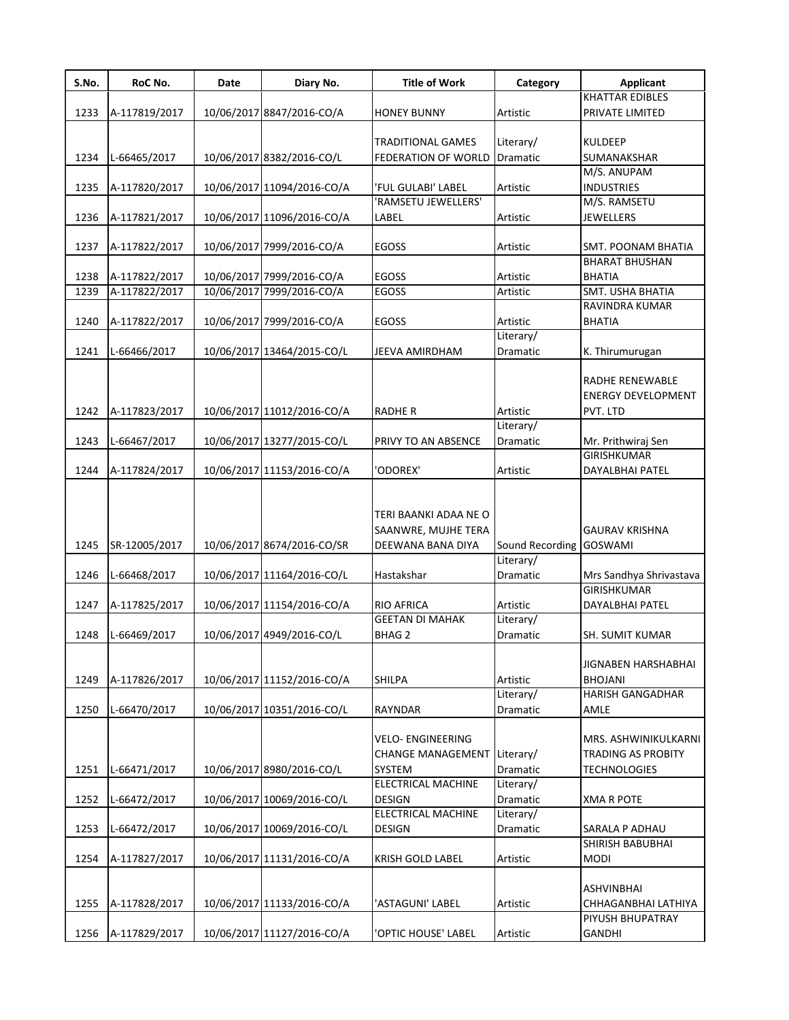| S.No. | RoC No.       | Date | Diary No.                  | <b>Title of Work</b>                                                  | Category              | <b>Applicant</b>                                                         |
|-------|---------------|------|----------------------------|-----------------------------------------------------------------------|-----------------------|--------------------------------------------------------------------------|
|       |               |      |                            |                                                                       |                       | <b>KHATTAR EDIBLES</b>                                                   |
| 1233  | A-117819/2017 |      | 10/06/2017 8847/2016-CO/A  | <b>HONEY BUNNY</b>                                                    | Artistic              | PRIVATE LIMITED                                                          |
|       |               |      |                            |                                                                       |                       |                                                                          |
|       |               |      |                            | <b>TRADITIONAL GAMES</b>                                              | Literary/             | <b>KULDEEP</b>                                                           |
| 1234  | L-66465/2017  |      | 10/06/2017 8382/2016-CO/L  | FEDERATION OF WORLD                                                   | <b>Dramatic</b>       | SUMANAKSHAR                                                              |
|       |               |      |                            |                                                                       |                       | M/S. ANUPAM                                                              |
| 1235  | A-117820/2017 |      | 10/06/2017 11094/2016-CO/A | 'FUL GULABI' LABEL                                                    | Artistic              | <b>INDUSTRIES</b>                                                        |
|       |               |      |                            | 'RAMSETU JEWELLERS'                                                   |                       | M/S. RAMSETU                                                             |
| 1236  | A-117821/2017 |      | 10/06/2017 11096/2016-CO/A | LABEL                                                                 | Artistic              | <b>JEWELLERS</b>                                                         |
|       |               |      |                            |                                                                       |                       |                                                                          |
| 1237  | A-117822/2017 |      | 10/06/2017 7999/2016-CO/A  | EGOSS                                                                 | Artistic              | SMT. POONAM BHATIA                                                       |
|       |               |      |                            |                                                                       |                       | <b>BHARAT BHUSHAN</b>                                                    |
| 1238  | A-117822/2017 |      | 10/06/2017 7999/2016-CO/A  | <b>EGOSS</b>                                                          | Artistic              | <b>BHATIA</b>                                                            |
| 1239  | A-117822/2017 |      | 10/06/2017 7999/2016-CO/A  | <b>EGOSS</b>                                                          | Artistic              | SMT. USHA BHATIA                                                         |
|       |               |      |                            |                                                                       |                       | RAVINDRA KUMAR                                                           |
| 1240  | A-117822/2017 |      | 10/06/2017 7999/2016-CO/A  | <b>EGOSS</b>                                                          | Artistic              | <b>BHATIA</b>                                                            |
|       |               |      |                            |                                                                       | Literary/             |                                                                          |
| 1241  | L-66466/2017  |      | 10/06/2017 13464/2015-CO/L | JEEVA AMIRDHAM                                                        | Dramatic              | K. Thirumurugan                                                          |
|       |               |      |                            |                                                                       |                       |                                                                          |
|       |               |      |                            |                                                                       |                       | <b>RADHE RENEWABLE</b>                                                   |
|       |               |      |                            |                                                                       |                       | <b>ENERGY DEVELOPMENT</b>                                                |
| 1242  | A-117823/2017 |      | 10/06/2017 11012/2016-CO/A | <b>RADHER</b>                                                         | Artistic              | PVT. LTD                                                                 |
|       |               |      |                            |                                                                       | Literary/             |                                                                          |
| 1243  | L-66467/2017  |      | 10/06/2017 13277/2015-CO/L | PRIVY TO AN ABSENCE                                                   | Dramatic              | Mr. Prithwiraj Sen                                                       |
|       |               |      |                            |                                                                       |                       | GIRISHKUMAR                                                              |
| 1244  | A-117824/2017 |      | 10/06/2017 11153/2016-CO/A | ODOREX'                                                               | Artistic              | DAYALBHAI PATEL                                                          |
| 1245  | SR-12005/2017 |      | 10/06/2017 8674/2016-CO/SR | TERI BAANKI ADAA NE O<br>SAANWRE, MUJHE TERA<br>DEEWANA BANA DIYA     | Sound Recording       | <b>GAURAV KRISHNA</b><br><b>GOSWAMI</b>                                  |
|       |               |      |                            |                                                                       | Literary/             |                                                                          |
| 1246  | L-66468/2017  |      | 10/06/2017 11164/2016-CO/L | Hastakshar                                                            | Dramatic              | Mrs Sandhya Shrivastava                                                  |
|       |               |      |                            |                                                                       |                       | <b>GIRISHKUMAR</b>                                                       |
| 1247  | A-117825/2017 |      | 10/06/2017 11154/2016-CO/A | <b>RIO AFRICA</b>                                                     | Artistic              | DAYALBHAI PATEL                                                          |
|       |               |      |                            | <b>GEETAN DI MAHAK</b>                                                | Literary/             |                                                                          |
| 1248  | L-66469/2017  |      | 10/06/2017 4949/2016-CO/L  | <b>BHAG 2</b>                                                         | Dramatic              | SH. SUMIT KUMAR                                                          |
|       |               |      |                            |                                                                       |                       |                                                                          |
|       |               |      |                            |                                                                       |                       | JIGNABEN HARSHABHAI                                                      |
| 1249  | A-117826/2017 |      | 10/06/2017 11152/2016-CO/A | <b>SHILPA</b>                                                         | Artistic              | <b>BHOJANI</b>                                                           |
|       |               |      |                            |                                                                       | Literary/             | <b>HARISH GANGADHAR</b>                                                  |
| 1250  | L-66470/2017  |      | 10/06/2017 10351/2016-CO/L | RAYNDAR                                                               | Dramatic              | AMLE                                                                     |
| 1251  | L-66471/2017  |      | 10/06/2017 8980/2016-CO/L  | <b>VELO- ENGINEERING</b><br><b>CHANGE MANAGEMENT</b><br><b>SYSTEM</b> | Literary/<br>Dramatic | MRS. ASHWINIKULKARNI<br><b>TRADING AS PROBITY</b><br><b>TECHNOLOGIES</b> |
|       |               |      |                            | <b>ELECTRICAL MACHINE</b>                                             | Literary/             |                                                                          |
| 1252  | L-66472/2017  |      | 10/06/2017 10069/2016-CO/L | <b>DESIGN</b>                                                         | Dramatic              | <b>XMA R POTE</b>                                                        |
|       |               |      |                            | <b>ELECTRICAL MACHINE</b>                                             | Literary/             |                                                                          |
| 1253  | L-66472/2017  |      | 10/06/2017 10069/2016-CO/L | <b>DESIGN</b>                                                         | Dramatic              | SARALA P ADHAU                                                           |
|       |               |      |                            |                                                                       |                       | SHIRISH BABUBHAI                                                         |
| 1254  | A-117827/2017 |      | 10/06/2017 11131/2016-CO/A |                                                                       | Artistic              | <b>MODI</b>                                                              |
|       |               |      |                            | KRISH GOLD LABEL                                                      |                       |                                                                          |
| 1255  | A-117828/2017 |      | 10/06/2017 11133/2016-CO/A | 'ASTAGUNI' LABEL                                                      | Artistic              | ASHVINBHAI<br>CHHAGANBHAI LATHIYA<br>PIYUSH BHUPATRAY                    |
| 1256  | A-117829/2017 |      | 10/06/2017 11127/2016-CO/A | 'OPTIC HOUSE' LABEL                                                   | Artistic              | <b>GANDHI</b>                                                            |
|       |               |      |                            |                                                                       |                       |                                                                          |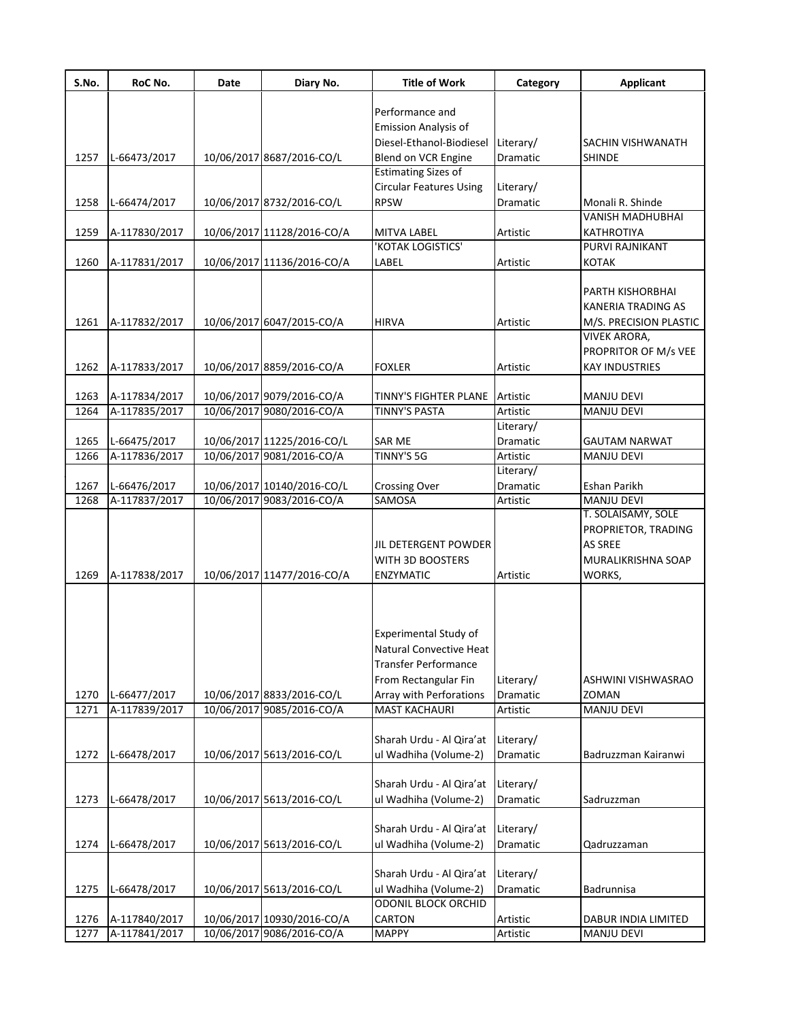| S.No. | RoC No.       | Date | Diary No.                  | <b>Title of Work</b>                            | Category              | <b>Applicant</b>          |
|-------|---------------|------|----------------------------|-------------------------------------------------|-----------------------|---------------------------|
|       |               |      |                            | Performance and                                 |                       |                           |
|       |               |      |                            | <b>Emission Analysis of</b>                     |                       |                           |
|       |               |      |                            | Diesel-Ethanol-Biodiesel                        | Literary/             | SACHIN VISHWANATH         |
| 1257  | L-66473/2017  |      | 10/06/2017 8687/2016-CO/L  | Blend on VCR Engine                             | Dramatic              | <b>SHINDE</b>             |
|       |               |      |                            | <b>Estimating Sizes of</b>                      |                       |                           |
|       |               |      |                            | <b>Circular Features Using</b>                  | Literary/             |                           |
| 1258  | L-66474/2017  |      | 10/06/2017 8732/2016-CO/L  | <b>RPSW</b>                                     | Dramatic              | Monali R. Shinde          |
|       |               |      |                            |                                                 |                       | <b>VANISH MADHUBHAI</b>   |
| 1259  | A-117830/2017 |      | 10/06/2017 11128/2016-CO/A | <b>MITVA LABEL</b>                              | Artistic              | KATHROTIYA                |
|       |               |      |                            | 'KOTAK LOGISTICS'                               |                       | PURVI RAJNIKANT           |
| 1260  | A-117831/2017 |      | 10/06/2017 11136/2016-CO/A | LABEL                                           | Artistic              | <b>KOTAK</b>              |
|       |               |      |                            |                                                 |                       | PARTH KISHORBHAI          |
|       |               |      |                            |                                                 |                       | <b>KANERIA TRADING AS</b> |
| 1261  | A-117832/2017 |      | 10/06/2017 6047/2015-CO/A  | <b>HIRVA</b>                                    | Artistic              | M/S. PRECISION PLASTIC    |
|       |               |      |                            |                                                 |                       | <b>VIVEK ARORA,</b>       |
|       |               |      |                            |                                                 |                       | PROPRITOR OF M/s VEE      |
| 1262  | A-117833/2017 |      | 10/06/2017 8859/2016-CO/A  | <b>FOXLER</b>                                   | Artistic              | <b>KAY INDUSTRIES</b>     |
| 1263  | A-117834/2017 |      | 10/06/2017 9079/2016-CO/A  | TINNY'S FIGHTER PLANE                           | Artistic              | <b>MANJU DEVI</b>         |
| 1264  | A-117835/2017 |      | 10/06/2017 9080/2016-CO/A  | <b>TINNY'S PASTA</b>                            | Artistic              | <b>MANJU DEVI</b>         |
|       |               |      |                            |                                                 | Literary/             |                           |
| 1265  | L-66475/2017  |      | 10/06/2017 11225/2016-CO/L | <b>SAR ME</b>                                   | Dramatic              | <b>GAUTAM NARWAT</b>      |
| 1266  | A-117836/2017 |      | 10/06/2017 9081/2016-CO/A  | <b>TINNY'S 5G</b>                               | Artistic              | <b>MANJU DEVI</b>         |
|       |               |      |                            |                                                 | Literary/             |                           |
| 1267  | L-66476/2017  |      | 10/06/2017 10140/2016-CO/L | <b>Crossing Over</b>                            | Dramatic              | Eshan Parikh              |
| 1268  | A-117837/2017 |      | 10/06/2017 9083/2016-CO/A  | SAMOSA                                          | Artistic              | <b>MANJU DEVI</b>         |
|       |               |      |                            |                                                 |                       | T. SOLAISAMY, SOLE        |
|       |               |      |                            |                                                 |                       | PROPRIETOR, TRADING       |
|       |               |      |                            | JIL DETERGENT POWDER                            |                       | <b>AS SREE</b>            |
|       |               |      |                            | WITH 3D BOOSTERS                                |                       | MURALIKRISHNA SOAP        |
| 1269  | A-117838/2017 |      | 10/06/2017 11477/2016-CO/A | <b>ENZYMATIC</b>                                | Artistic              | WORKS,                    |
|       |               |      |                            |                                                 |                       |                           |
|       |               |      |                            |                                                 |                       |                           |
|       |               |      |                            | <b>Experimental Study of</b>                    |                       |                           |
|       |               |      |                            | Natural Convective Heat                         |                       |                           |
|       |               |      |                            | <b>Transfer Performance</b>                     |                       |                           |
|       |               |      |                            |                                                 |                       | ASHWINI VISHWASRAO        |
| 1270  | L-66477/2017  |      | 10/06/2017 8833/2016-CO/L  | From Rectangular Fin<br>Array with Perforations | Literary/<br>Dramatic | ZOMAN                     |
| 1271  | A-117839/2017 |      | 10/06/2017 9085/2016-CO/A  | <b>MAST KACHAURI</b>                            | Artistic              | MANJU DEVI                |
|       |               |      |                            |                                                 |                       |                           |
|       |               |      |                            | Sharah Urdu - Al Qira'at                        | Literary/             |                           |
| 1272  | L-66478/2017  |      | 10/06/2017 5613/2016-CO/L  | ul Wadhiha (Volume-2)                           | Dramatic              | Badruzzman Kairanwi       |
|       |               |      |                            |                                                 |                       |                           |
|       |               |      |                            | Sharah Urdu - Al Qira'at                        | Literary/             |                           |
| 1273  | L-66478/2017  |      | 10/06/2017 5613/2016-CO/L  | ul Wadhiha (Volume-2)                           | Dramatic              | Sadruzzman                |
|       |               |      |                            |                                                 |                       |                           |
|       |               |      |                            | Sharah Urdu - Al Qira'at                        | Literary/             |                           |
| 1274  | L-66478/2017  |      | 10/06/2017 5613/2016-CO/L  | ul Wadhiha (Volume-2)                           | Dramatic              | Qadruzzaman               |
|       |               |      |                            |                                                 |                       |                           |
|       |               |      |                            | Sharah Urdu - Al Qira'at                        | Literary/             |                           |
| 1275  | L-66478/2017  |      | 10/06/2017 5613/2016-CO/L  | ul Wadhiha (Volume-2)                           | Dramatic              | Badrunnisa                |
|       |               |      |                            | <b>ODONIL BLOCK ORCHID</b>                      |                       |                           |
| 1276  | A-117840/2017 |      | 10/06/2017 10930/2016-CO/A | CARTON                                          | Artistic              | DABUR INDIA LIMITED       |
| 1277  | A-117841/2017 |      | 10/06/2017 9086/2016-CO/A  | <b>MAPPY</b>                                    | Artistic              | MANJU DEVI                |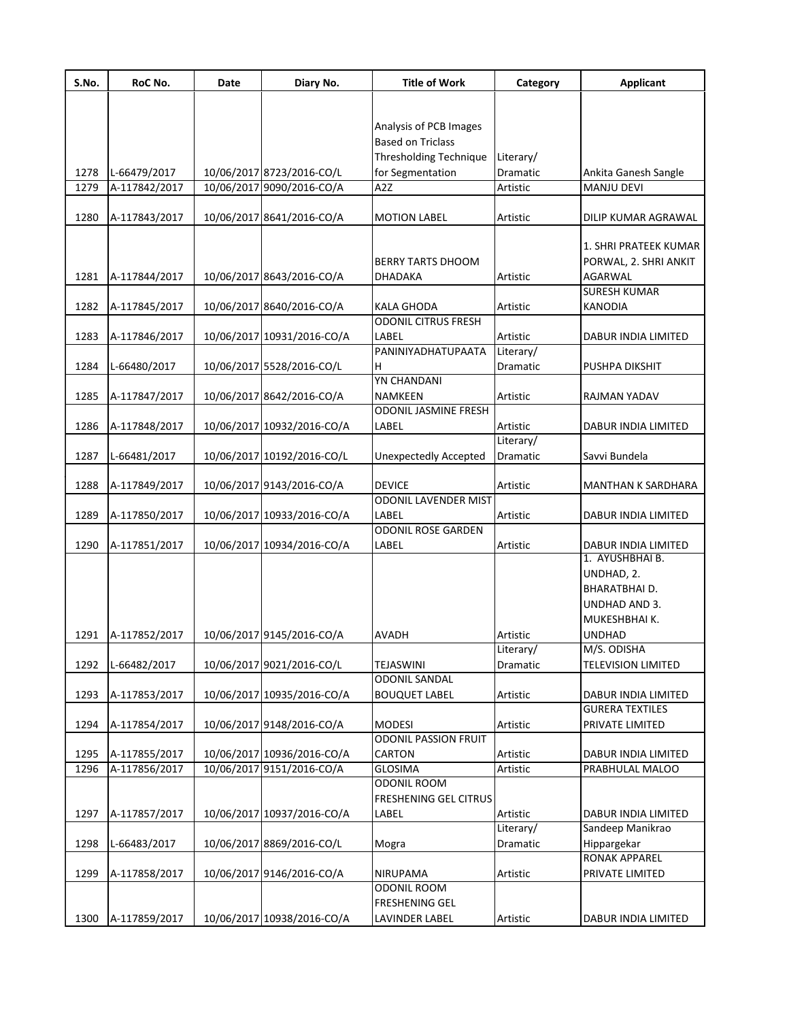| S.No. | RoC No.       | Date | Diary No.                  | <b>Title of Work</b>                 | Category              | <b>Applicant</b>                |
|-------|---------------|------|----------------------------|--------------------------------------|-----------------------|---------------------------------|
|       |               |      |                            |                                      |                       |                                 |
|       |               |      |                            | Analysis of PCB Images               |                       |                                 |
|       |               |      |                            | <b>Based on Triclass</b>             |                       |                                 |
|       |               |      |                            | Thresholding Technique               | Literary/             |                                 |
| 1278  | L-66479/2017  |      | 10/06/2017 8723/2016-CO/L  | for Segmentation                     | Dramatic              | Ankita Ganesh Sangle            |
| 1279  | A-117842/2017 |      | 10/06/2017 9090/2016-CO/A  | A <sub>2</sub> Z                     | Artistic              | <b>MANJU DEVI</b>               |
|       |               |      |                            |                                      |                       |                                 |
| 1280  | A-117843/2017 |      | 10/06/2017 8641/2016-CO/A  | <b>MOTION LABEL</b>                  | Artistic              | DILIP KUMAR AGRAWAL             |
|       |               |      |                            |                                      |                       | 1. SHRI PRATEEK KUMAR           |
|       |               |      |                            | <b>BERRY TARTS DHOOM</b>             |                       | PORWAL, 2. SHRI ANKIT           |
| 1281  | A-117844/2017 |      | 10/06/2017 8643/2016-CO/A  | DHADAKA                              | Artistic              | AGARWAL                         |
|       |               |      |                            |                                      |                       | <b>SURESH KUMAR</b>             |
| 1282  | A-117845/2017 |      | 10/06/2017 8640/2016-CO/A  | KALA GHODA                           | Artistic              | <b>KANODIA</b>                  |
|       |               |      |                            | <b>ODONIL CITRUS FRESH</b>           |                       |                                 |
| 1283  | A-117846/2017 |      | 10/06/2017 10931/2016-CO/A | LABEL                                | Artistic              | DABUR INDIA LIMITED             |
|       |               |      |                            | PANINIYADHATUPAATA                   | Literary/             |                                 |
| 1284  | L-66480/2017  |      | 10/06/2017 5528/2016-CO/L  | н                                    | Dramatic              | PUSHPA DIKSHIT                  |
|       |               |      |                            | <b>YN CHANDANI</b>                   |                       |                                 |
| 1285  | A-117847/2017 |      | 10/06/2017 8642/2016-CO/A  | NAMKEEN                              | Artistic              | RAJMAN YADAV                    |
|       |               |      |                            | ODONIL JASMINE FRESH                 |                       |                                 |
| 1286  | A-117848/2017 |      | 10/06/2017 10932/2016-CO/A | LABEL                                | Artistic              | DABUR INDIA LIMITED             |
|       |               |      |                            |                                      | Literary/             |                                 |
| 1287  | L-66481/2017  |      | 10/06/2017 10192/2016-CO/L | <b>Unexpectedly Accepted</b>         | Dramatic              | Savvi Bundela                   |
|       |               |      |                            | <b>DEVICE</b>                        |                       |                                 |
| 1288  | A-117849/2017 |      | 10/06/2017 9143/2016-CO/A  |                                      | Artistic              | MANTHAN K SARDHARA              |
|       |               |      |                            | ODONIL LAVENDER MIST                 | Artistic              |                                 |
| 1289  | A-117850/2017 |      | 10/06/2017 10933/2016-CO/A | LABEL<br><b>ODONIL ROSE GARDEN</b>   |                       | DABUR INDIA LIMITED             |
| 1290  | A-117851/2017 |      | 10/06/2017 10934/2016-CO/A | LABEL                                | Artistic              | DABUR INDIA LIMITED             |
|       |               |      |                            |                                      |                       | 1. AYUSHBHAI B.                 |
|       |               |      |                            |                                      |                       | UNDHAD, 2.                      |
|       |               |      |                            |                                      |                       | BHARATBHAI D.                   |
|       |               |      |                            |                                      |                       | UNDHAD AND 3.                   |
|       |               |      |                            |                                      |                       | MUKESHBHAI K.                   |
| 1291  | A-117852/2017 |      | 10/06/2017 9145/2016-CO/A  | <b>AVADH</b>                         | Artistic              | UNDHAD                          |
|       |               |      |                            |                                      | Literary/             | M/S. ODISHA                     |
| 1292  | L-66482/2017  |      | 10/06/2017 9021/2016-CO/L  | <b>TEJASWINI</b>                     | Dramatic              | <b>TELEVISION LIMITED</b>       |
|       |               |      |                            | <b>ODONIL SANDAL</b>                 |                       |                                 |
| 1293  | A-117853/2017 |      | 10/06/2017 10935/2016-CO/A | <b>BOUQUET LABEL</b>                 | Artistic              | DABUR INDIA LIMITED             |
|       |               |      |                            |                                      |                       | <b>GURERA TEXTILES</b>          |
| 1294  | A-117854/2017 |      | 10/06/2017 9148/2016-CO/A  | <b>MODESI</b>                        | Artistic              | PRIVATE LIMITED                 |
|       |               |      |                            | <b>ODONIL PASSION FRUIT</b>          |                       |                                 |
| 1295  | A-117855/2017 |      | 10/06/2017 10936/2016-CO/A | <b>CARTON</b>                        | Artistic              | DABUR INDIA LIMITED             |
| 1296  | A-117856/2017 |      | 10/06/2017 9151/2016-CO/A  | <b>GLOSIMA</b><br><b>ODONIL ROOM</b> | Artistic              | PRABHULAL MALOO                 |
|       |               |      |                            |                                      |                       |                                 |
|       |               |      |                            | FRESHENING GEL CITRUS<br>LABEL       |                       |                                 |
| 1297  | A-117857/2017 |      | 10/06/2017 10937/2016-CO/A |                                      | Artistic<br>Literary/ | DABUR INDIA LIMITED             |
| 1298  |               |      | 10/06/2017 8869/2016-CO/L  |                                      | Dramatic              | Sandeep Manikrao<br>Hippargekar |
|       | L-66483/2017  |      |                            | Mogra                                |                       | RONAK APPAREL                   |
| 1299  | A-117858/2017 |      | 10/06/2017 9146/2016-CO/A  | NIRUPAMA                             | Artistic              | PRIVATE LIMITED                 |
|       |               |      |                            | <b>ODONIL ROOM</b>                   |                       |                                 |
|       |               |      |                            | FRESHENING GEL                       |                       |                                 |
| 1300  | A-117859/2017 |      | 10/06/2017 10938/2016-CO/A | LAVINDER LABEL                       | Artistic              | DABUR INDIA LIMITED             |
|       |               |      |                            |                                      |                       |                                 |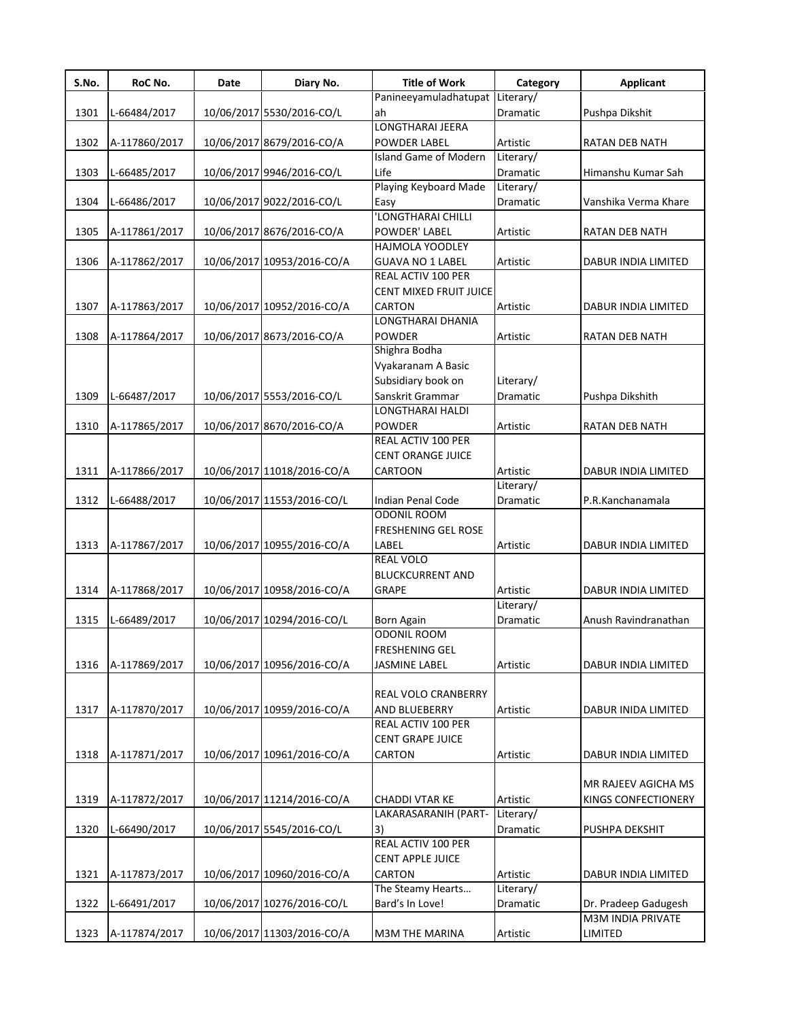| S.No. | RoC No.       | Date | Diary No.                  | <b>Title of Work</b>            | Category        | <b>Applicant</b>      |
|-------|---------------|------|----------------------------|---------------------------------|-----------------|-----------------------|
|       |               |      |                            | Panineeyamuladhatupat Literary/ |                 |                       |
| 1301  | L-66484/2017  |      | 10/06/2017 5530/2016-CO/L  | ah                              | <b>Dramatic</b> | Pushpa Dikshit        |
|       |               |      |                            | LONGTHARAI JEERA                |                 |                       |
| 1302  | A-117860/2017 |      | 10/06/2017 8679/2016-CO/A  | <b>POWDER LABEL</b>             | Artistic        | <b>RATAN DEB NATH</b> |
|       |               |      |                            | Island Game of Modern           | Literary/       |                       |
| 1303  | L-66485/2017  |      | 10/06/2017 9946/2016-CO/L  | Life<br>Playing Keyboard Made   | Dramatic        | Himanshu Kumar Sah    |
|       |               |      |                            |                                 | Literary/       |                       |
| 1304  | L-66486/2017  |      | 10/06/2017 9022/2016-CO/L  | Easy                            | Dramatic        | Vanshika Verma Khare  |
|       |               |      |                            | 'LONGTHARAI CHILLI              |                 |                       |
| 1305  | A-117861/2017 |      | 10/06/2017 8676/2016-CO/A  | POWDER' LABEL                   | Artistic        | RATAN DEB NATH        |
|       |               |      |                            | <b>HAJMOLA YOODLEY</b>          |                 |                       |
| 1306  | A-117862/2017 |      | 10/06/2017 10953/2016-CO/A | <b>GUAVA NO 1 LABEL</b>         | Artistic        | DABUR INDIA LIMITED   |
|       |               |      |                            | REAL ACTIV 100 PER              |                 |                       |
|       |               |      |                            | CENT MIXED FRUIT JUICE          |                 |                       |
| 1307  | A-117863/2017 |      | 10/06/2017 10952/2016-CO/A | CARTON                          | Artistic        | DABUR INDIA LIMITED   |
|       |               |      |                            | LONGTHARAI DHANIA               |                 |                       |
| 1308  | A-117864/2017 |      | 10/06/2017 8673/2016-CO/A  | <b>POWDER</b>                   | Artistic        | RATAN DEB NATH        |
|       |               |      |                            | Shighra Bodha                   |                 |                       |
|       |               |      |                            | Vyakaranam A Basic              |                 |                       |
|       |               |      |                            | Subsidiary book on              | Literary/       |                       |
| 1309  | L-66487/2017  |      | 10/06/2017 5553/2016-CO/L  | Sanskrit Grammar                | Dramatic        | Pushpa Dikshith       |
|       |               |      |                            | LONGTHARAI HALDI                |                 |                       |
| 1310  | A-117865/2017 |      | 10/06/2017 8670/2016-CO/A  | <b>POWDER</b>                   | Artistic        | RATAN DEB NATH        |
|       |               |      |                            | REAL ACTIV 100 PER              |                 |                       |
|       |               |      |                            | CENT ORANGE JUICE               |                 |                       |
| 1311  | A-117866/2017 |      | 10/06/2017 11018/2016-CO/A | CARTOON                         | Artistic        | DABUR INDIA LIMITED   |
|       |               |      |                            |                                 | Literary/       |                       |
| 1312  | L-66488/2017  |      | 10/06/2017 11553/2016-CO/L | Indian Penal Code               | Dramatic        | P.R.Kanchanamala      |
|       |               |      |                            | <b>ODONIL ROOM</b>              |                 |                       |
|       |               |      |                            | FRESHENING GEL ROSE             |                 |                       |
| 1313  | A-117867/2017 |      | 10/06/2017 10955/2016-CO/A | LABEL                           | Artistic        | DABUR INDIA LIMITED   |
|       |               |      |                            | REAL VOLO                       |                 |                       |
|       |               |      |                            | <b>BLUCKCURRENT AND</b>         |                 |                       |
| 1314  | A-117868/2017 |      | 10/06/2017 10958/2016-CO/A | <b>GRAPE</b>                    | Artistic        | DABUR INDIA LIMITED   |
|       |               |      |                            |                                 | Literary/       |                       |
| 1315  | L-66489/2017  |      | 10/06/2017 10294/2016-CO/L | Born Again                      | Dramatic        | Anush Ravindranathan  |
|       |               |      |                            | <b>ODONIL ROOM</b>              |                 |                       |
|       |               |      |                            | <b>FRESHENING GEL</b>           |                 |                       |
| 1316  | A-117869/2017 |      | 10/06/2017 10956/2016-CO/A | JASMINE LABEL                   | Artistic        | DABUR INDIA LIMITED   |
|       |               |      |                            |                                 |                 |                       |
|       |               |      |                            | REAL VOLO CRANBERRY             |                 |                       |
| 1317  | A-117870/2017 |      | 10/06/2017 10959/2016-CO/A | AND BLUEBERRY                   | Artistic        | DABUR INIDA LIMITED   |
|       |               |      |                            | REAL ACTIV 100 PER              |                 |                       |
|       |               |      |                            | <b>CENT GRAPE JUICE</b>         |                 |                       |
| 1318  | A-117871/2017 |      | 10/06/2017 10961/2016-CO/A | CARTON                          | Artistic        | DABUR INDIA LIMITED   |
|       |               |      |                            |                                 |                 |                       |
|       |               |      |                            |                                 |                 | MR RAJEEV AGICHA MS   |
| 1319  | A-117872/2017 |      | 10/06/2017 11214/2016-CO/A | <b>CHADDI VTAR KE</b>           | Artistic        | KINGS CONFECTIONERY   |
|       |               |      |                            | LAKARASARANIH (PART-            | Literary/       |                       |
| 1320  | L-66490/2017  |      | 10/06/2017 5545/2016-CO/L  | 3)                              | Dramatic        | PUSHPA DEKSHIT        |
|       |               |      |                            | REAL ACTIV 100 PER              |                 |                       |
|       |               |      |                            | <b>CENT APPLE JUICE</b>         |                 |                       |
|       |               |      |                            |                                 |                 |                       |
| 1321  | A-117873/2017 |      | 10/06/2017 10960/2016-CO/A | CARTON                          | Artistic        | DABUR INDIA LIMITED   |
|       |               |      |                            | The Steamy Hearts               | Literary/       |                       |
| 1322  | L-66491/2017  |      | 10/06/2017 10276/2016-CO/L | Bard's In Love!                 | Dramatic        | Dr. Pradeep Gadugesh  |
|       |               |      |                            |                                 |                 | M3M INDIA PRIVATE     |
| 1323  | A-117874/2017 |      | 10/06/2017 11303/2016-CO/A | M3M THE MARINA                  | Artistic        | LIMITED               |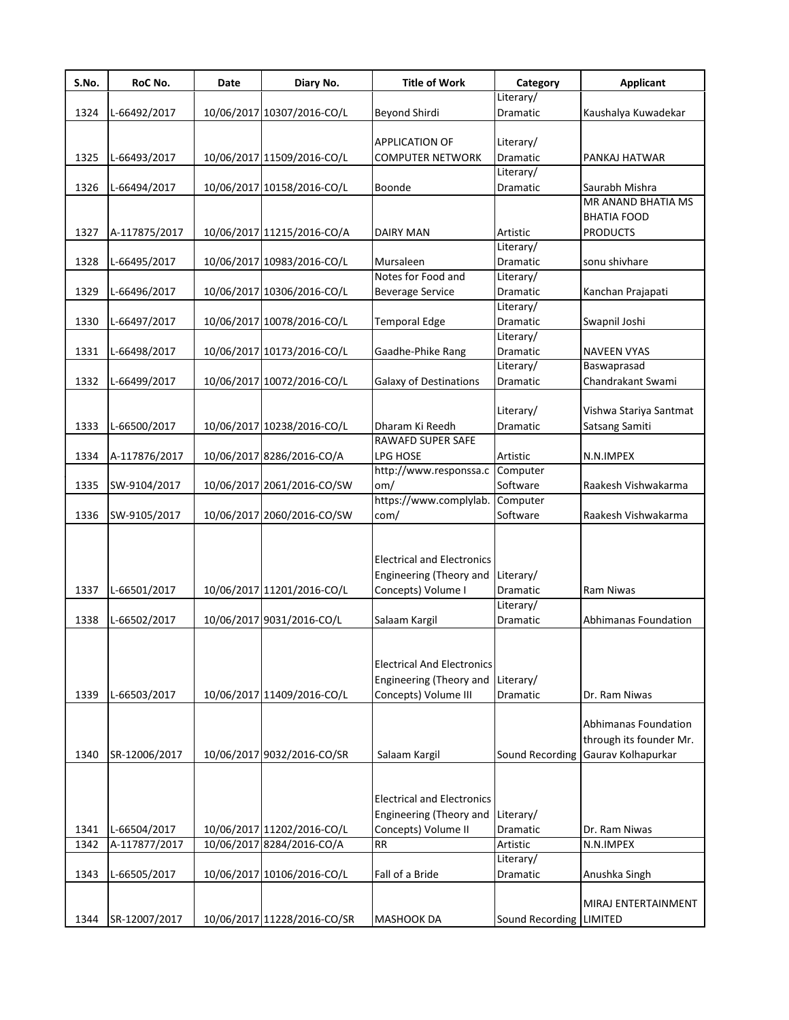| S.No. | RoC No.       | Date | Diary No.                   | <b>Title of Work</b>              | Category                | <b>Applicant</b>                     |
|-------|---------------|------|-----------------------------|-----------------------------------|-------------------------|--------------------------------------|
|       |               |      |                             |                                   | Literary/               |                                      |
| 1324  | L-66492/2017  |      | 10/06/2017 10307/2016-CO/L  | <b>Beyond Shirdi</b>              | Dramatic                | Kaushalya Kuwadekar                  |
|       |               |      |                             |                                   |                         |                                      |
|       |               |      |                             | APPLICATION OF                    | Literary/               |                                      |
| 1325  | L-66493/2017  |      | 10/06/2017 11509/2016-CO/L  | <b>COMPUTER NETWORK</b>           | Dramatic                | PANKAJ HATWAR                        |
|       |               |      |                             |                                   | Literary/               |                                      |
| 1326  | L-66494/2017  |      | 10/06/2017 10158/2016-CO/L  | Boonde                            | Dramatic                | Saurabh Mishra<br>MR ANAND BHATIA MS |
|       |               |      |                             |                                   |                         | BHATIA FOOD                          |
| 1327  |               |      |                             | <b>DAIRY MAN</b>                  | Artistic                | <b>PRODUCTS</b>                      |
|       | A-117875/2017 |      | 10/06/2017 11215/2016-CO/A  |                                   | Literary/               |                                      |
| 1328  | L-66495/2017  |      | 10/06/2017 10983/2016-CO/L  | Mursaleen                         | Dramatic                | sonu shivhare                        |
|       |               |      |                             | Notes for Food and                | Literary/               |                                      |
| 1329  | L-66496/2017  |      | 10/06/2017 10306/2016-CO/L  | <b>Beverage Service</b>           | Dramatic                | Kanchan Prajapati                    |
|       |               |      |                             |                                   | Literary/               |                                      |
| 1330  | L-66497/2017  |      | 10/06/2017 10078/2016-CO/L  | <b>Temporal Edge</b>              | Dramatic                | Swapnil Joshi                        |
|       |               |      |                             |                                   | Literary/               |                                      |
| 1331  | L-66498/2017  |      | 10/06/2017 10173/2016-CO/L  | Gaadhe-Phike Rang                 | Dramatic                | <b>NAVEEN VYAS</b>                   |
|       |               |      |                             |                                   | Literary/               | Baswaprasad                          |
| 1332  | L-66499/2017  |      | 10/06/2017 10072/2016-CO/L  | <b>Galaxy of Destinations</b>     | Dramatic                | Chandrakant Swami                    |
|       |               |      |                             |                                   |                         |                                      |
|       |               |      |                             |                                   | Literary/               | Vishwa Stariya Santmat               |
| 1333  | L-66500/2017  |      | 10/06/2017 10238/2016-CO/L  | Dharam Ki Reedh                   | Dramatic                | Satsang Samiti                       |
|       |               |      |                             | <b>RAWAFD SUPER SAFE</b>          |                         |                                      |
| 1334  | A-117876/2017 |      | 10/06/2017 8286/2016-CO/A   | LPG HOSE                          | Artistic                | N.N.IMPEX                            |
|       |               |      |                             | http://www.responssa.c            | Computer                |                                      |
| 1335  | SW-9104/2017  |      | 10/06/2017 2061/2016-CO/SW  | om/                               | Software                | Raakesh Vishwakarma                  |
|       |               |      |                             | https://www.complylab.            | Computer                |                                      |
| 1336  | SW-9105/2017  |      | 10/06/2017 2060/2016-CO/SW  | com/                              | Software                | Raakesh Vishwakarma                  |
|       |               |      |                             |                                   |                         |                                      |
|       |               |      |                             | <b>Electrical and Electronics</b> |                         |                                      |
|       |               |      |                             | Engineering (Theory and           | Literary/               |                                      |
| 1337  | L-66501/2017  |      | 10/06/2017 11201/2016-CO/L  | Concepts) Volume I                | Dramatic                | Ram Niwas                            |
|       |               |      |                             |                                   | Literary/               |                                      |
| 1338  | L-66502/2017  |      | 10/06/2017 9031/2016-CO/L   | Salaam Kargil                     | Dramatic                | Abhimanas Foundation                 |
|       |               |      |                             | <b>Electrical And Electronics</b> |                         |                                      |
|       |               |      |                             | Engineering (Theory and           | Literary/               |                                      |
| 1339  | L-66503/2017  |      | 10/06/2017 11409/2016-CO/L  | Concepts) Volume III              | Dramatic                | Dr. Ram Niwas                        |
|       |               |      |                             |                                   |                         |                                      |
|       |               |      |                             |                                   |                         | Abhimanas Foundation                 |
|       |               |      |                             |                                   |                         | through its founder Mr.              |
| 1340  | SR-12006/2017 |      | 10/06/2017 9032/2016-CO/SR  | Salaam Kargil                     |                         | Sound Recording Gaurav Kolhapurkar   |
|       |               |      |                             |                                   |                         |                                      |
|       |               |      |                             |                                   |                         |                                      |
|       |               |      |                             | <b>Electrical and Electronics</b> |                         |                                      |
|       |               |      |                             | Engineering (Theory and           | Literary/               |                                      |
| 1341  | L-66504/2017  |      | 10/06/2017 11202/2016-CO/L  | Concepts) Volume II               | Dramatic                | Dr. Ram Niwas                        |
| 1342  | A-117877/2017 |      | 10/06/2017 8284/2016-CO/A   | <b>RR</b>                         | Artistic                | N.N.IMPEX                            |
|       |               |      |                             |                                   | Literary/               |                                      |
| 1343  | L-66505/2017  |      | 10/06/2017 10106/2016-CO/L  | Fall of a Bride                   | Dramatic                | Anushka Singh                        |
|       |               |      |                             |                                   |                         |                                      |
|       |               |      |                             |                                   |                         | MIRAJ ENTERTAINMENT                  |
| 1344  | SR-12007/2017 |      | 10/06/2017 11228/2016-CO/SR | <b>MASHOOK DA</b>                 | Sound Recording LIMITED |                                      |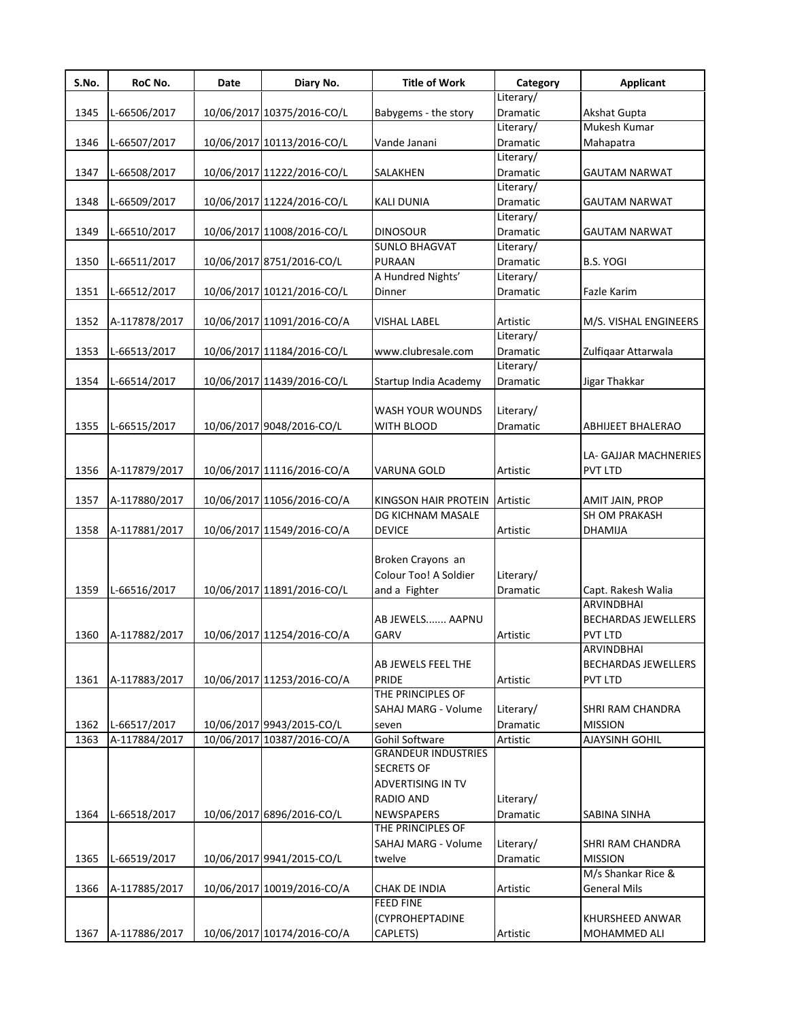| S.No. | RoC No.       | Date | Diary No.                  | <b>Title of Work</b>       | Category              | <b>Applicant</b>           |
|-------|---------------|------|----------------------------|----------------------------|-----------------------|----------------------------|
|       |               |      |                            |                            | Literary/             |                            |
| 1345  | L-66506/2017  |      | 10/06/2017 10375/2016-CO/L | Babygems - the story       | Dramatic              | Akshat Gupta               |
|       |               |      |                            |                            | Literary/             | Mukesh Kumar               |
| 1346  | L-66507/2017  |      | 10/06/2017 10113/2016-CO/L | Vande Janani               | Dramatic              | Mahapatra                  |
|       |               |      |                            |                            | Literary/             |                            |
| 1347  | L-66508/2017  |      | 10/06/2017 11222/2016-CO/L | SALAKHEN                   | Dramatic<br>Literary/ | GAUTAM NARWAT              |
|       |               |      |                            |                            |                       |                            |
| 1348  | L-66509/2017  |      | 10/06/2017 11224/2016-CO/L | <b>KALI DUNIA</b>          | Dramatic<br>Literary/ | <b>GAUTAM NARWAT</b>       |
| 1349  | L-66510/2017  |      | 10/06/2017 11008/2016-CO/L | <b>DINOSOUR</b>            | Dramatic              | GAUTAM NARWAT              |
|       |               |      |                            | <b>SUNLO BHAGVAT</b>       | Literary/             |                            |
| 1350  | L-66511/2017  |      | 10/06/2017 8751/2016-CO/L  | <b>PURAAN</b>              | Dramatic              | <b>B.S. YOGI</b>           |
|       |               |      |                            | A Hundred Nights'          | Literary/             |                            |
| 1351  | L-66512/2017  |      | 10/06/2017 10121/2016-CO/L | Dinner                     | Dramatic              | <b>Fazle Karim</b>         |
|       |               |      |                            |                            |                       |                            |
| 1352  | A-117878/2017 |      | 10/06/2017 11091/2016-CO/A | <b>VISHAL LABEL</b>        | Artistic              | M/S. VISHAL ENGINEERS      |
|       |               |      |                            |                            | Literary/             |                            |
| 1353  | L-66513/2017  |      | 10/06/2017 11184/2016-CO/L | www.clubresale.com         | Dramatic              | Zulfiqaar Attarwala        |
|       |               |      |                            |                            | Literary/             |                            |
| 1354  | L-66514/2017  |      | 10/06/2017 11439/2016-CO/L | Startup India Academy      | Dramatic              | Jigar Thakkar              |
|       |               |      |                            |                            |                       |                            |
|       |               |      |                            | WASH YOUR WOUNDS           | Literary/             |                            |
| 1355  | L-66515/2017  |      | 10/06/2017 9048/2016-CO/L  | WITH BLOOD                 | Dramatic              | <b>ABHIJEET BHALERAO</b>   |
|       |               |      |                            |                            |                       |                            |
|       |               |      |                            |                            |                       | LA- GAJJAR MACHNERIES      |
| 1356  | A-117879/2017 |      | 10/06/2017 11116/2016-CO/A | VARUNA GOLD                | Artistic              | <b>PVT LTD</b>             |
|       |               |      |                            |                            |                       |                            |
| 1357  | A-117880/2017 |      | 10/06/2017 11056/2016-CO/A | KINGSON HAIR PROTEIN       | Artistic              | AMIT JAIN, PROP            |
|       |               |      |                            | DG KICHNAM MASALE          |                       | SH OM PRAKASH              |
| 1358  | A-117881/2017 |      | 10/06/2017 11549/2016-CO/A | <b>DEVICE</b>              | Artistic              | <b>DHAMIJA</b>             |
|       |               |      |                            | Broken Crayons an          |                       |                            |
|       |               |      |                            | Colour Too! A Soldier      | Literary/             |                            |
| 1359  | L-66516/2017  |      | 10/06/2017 11891/2016-CO/L | and a Fighter              | Dramatic              | Capt. Rakesh Walia         |
|       |               |      |                            |                            |                       | <b>ARVINDBHAI</b>          |
|       |               |      |                            | AB JEWELS  AAPNU           |                       | <b>BECHARDAS JEWELLERS</b> |
| 1360  | A-117882/2017 |      | 10/06/2017 11254/2016-CO/A | GARV                       | Artistic              | PVT LTD                    |
|       |               |      |                            |                            |                       | ARVINDBHAI                 |
|       |               |      |                            | AB JEWELS FEEL THE         |                       | <b>BECHARDAS JEWELLERS</b> |
| 1361  | A-117883/2017 |      | 10/06/2017 11253/2016-CO/A | <b>PRIDE</b>               | Artistic              | <b>PVT LTD</b>             |
|       |               |      |                            | THE PRINCIPLES OF          |                       |                            |
|       |               |      |                            | SAHAJ MARG - Volume        | Literary/             | SHRI RAM CHANDRA           |
| 1362  | L-66517/2017  |      | 10/06/2017 9943/2015-CO/L  | seven                      | Dramatic              | <b>MISSION</b>             |
| 1363  | A-117884/2017 |      | 10/06/2017 10387/2016-CO/A | Gohil Software             | Artistic              | <b>AJAYSINH GOHIL</b>      |
|       |               |      |                            | <b>GRANDEUR INDUSTRIES</b> |                       |                            |
|       |               |      |                            | <b>SECRETS OF</b>          |                       |                            |
|       |               |      |                            | <b>ADVERTISING IN TV</b>   |                       |                            |
|       |               |      |                            | RADIO AND                  | Literary/             |                            |
| 1364  | L-66518/2017  |      | 10/06/2017 6896/2016-CO/L  | <b>NEWSPAPERS</b>          | Dramatic              | SABINA SINHA               |
|       |               |      |                            | THE PRINCIPLES OF          |                       |                            |
|       |               |      |                            | SAHAJ MARG - Volume        | Literary/             | SHRI RAM CHANDRA           |
| 1365  | L-66519/2017  |      | 10/06/2017 9941/2015-CO/L  | twelve                     | Dramatic              | <b>MISSION</b>             |
|       |               |      |                            |                            |                       | M/s Shankar Rice &         |
| 1366  | A-117885/2017 |      | 10/06/2017 10019/2016-CO/A | CHAK DE INDIA              | Artistic              | <b>General Mils</b>        |
|       |               |      |                            | <b>FEED FINE</b>           |                       |                            |
|       |               |      |                            | (CYPROHEPTADINE            |                       | KHURSHEED ANWAR            |
| 1367  | A-117886/2017 |      | 10/06/2017 10174/2016-CO/A | CAPLETS)                   | Artistic              | MOHAMMED ALI               |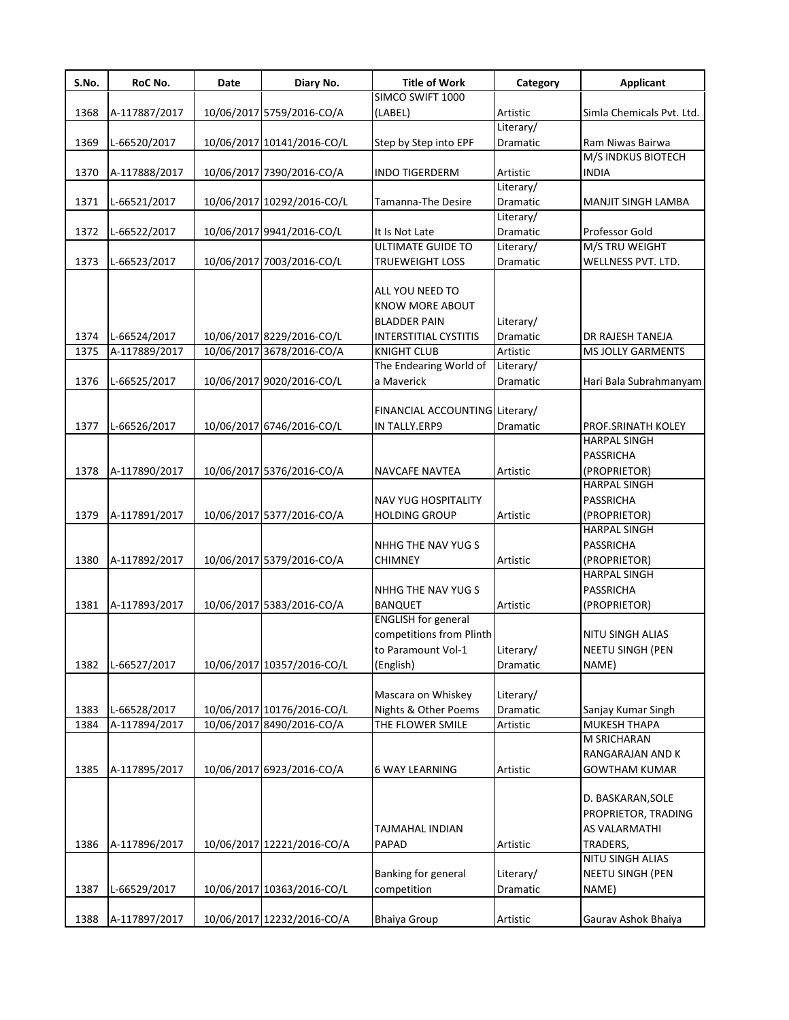| S.No. | RoC No.       | Date | Diary No.                  | <b>Title of Work</b>           | Category        | <b>Applicant</b>          |
|-------|---------------|------|----------------------------|--------------------------------|-----------------|---------------------------|
|       |               |      |                            | SIMCO SWIFT 1000               |                 |                           |
| 1368  | A-117887/2017 |      | 10/06/2017 5759/2016-CO/A  | (LABEL)                        | Artistic        | Simla Chemicals Pvt. Ltd. |
|       |               |      |                            |                                | Literary/       |                           |
| 1369  | L-66520/2017  |      | 10/06/2017 10141/2016-CO/L | Step by Step into EPF          | Dramatic        | Ram Niwas Bairwa          |
|       |               |      |                            |                                |                 | M/S INDKUS BIOTECH        |
| 1370  | A-117888/2017 |      | 10/06/2017 7390/2016-CO/A  | <b>INDO TIGERDERM</b>          | Artistic        | <b>INDIA</b>              |
|       |               |      |                            |                                | Literary/       |                           |
| 1371  | L-66521/2017  |      | 10/06/2017 10292/2016-CO/L | Tamanna-The Desire             | <b>Dramatic</b> | MANJIT SINGH LAMBA        |
|       |               |      |                            |                                | Literary/       |                           |
| 1372  | L-66522/2017  |      | 10/06/2017 9941/2016-CO/L  | It Is Not Late                 | Dramatic        | Professor Gold            |
|       |               |      |                            | <b>ULTIMATE GUIDE TO</b>       | Literary/       | M/S TRU WEIGHT            |
| 1373  | L-66523/2017  |      | 10/06/2017 7003/2016-CO/L  | <b>TRUEWEIGHT LOSS</b>         | Dramatic        | WELLNESS PVT. LTD.        |
|       |               |      |                            | ALL YOU NEED TO                |                 |                           |
|       |               |      |                            | <b>KNOW MORE ABOUT</b>         |                 |                           |
|       |               |      |                            | <b>BLADDER PAIN</b>            | Literary/       |                           |
| 1374  | L-66524/2017  |      | 10/06/2017 8229/2016-CO/L  | <b>INTERSTITIAL CYSTITIS</b>   | <b>Dramatic</b> | DR RAJESH TANEJA          |
| 1375  | A-117889/2017 |      | 10/06/2017 3678/2016-CO/A  | <b>KNIGHT CLUB</b>             | Artistic        | MS JOLLY GARMENTS         |
|       |               |      |                            | The Endearing World of         | Literary/       |                           |
| 1376  | L-66525/2017  |      | 10/06/2017 9020/2016-CO/L  | a Maverick                     | Dramatic        | Hari Bala Subrahmanyam    |
|       |               |      |                            |                                |                 |                           |
|       |               |      |                            | FINANCIAL ACCOUNTING Literary/ |                 |                           |
| 1377  | L-66526/2017  |      | 10/06/2017 6746/2016-CO/L  | IN TALLY.ERP9                  | Dramatic        | PROF.SRINATH KOLEY        |
|       |               |      |                            |                                |                 | <b>HARPAL SINGH</b>       |
|       |               |      |                            |                                |                 | PASSRICHA                 |
| 1378  | A-117890/2017 |      | 10/06/2017 5376/2016-CO/A  | <b>NAVCAFE NAVTEA</b>          | Artistic        | (PROPRIETOR)              |
|       |               |      |                            |                                |                 | <b>HARPAL SINGH</b>       |
|       |               |      |                            | NAV YUG HOSPITALITY            |                 | PASSRICHA                 |
| 1379  | A-117891/2017 |      | 10/06/2017 5377/2016-CO/A  | <b>HOLDING GROUP</b>           | Artistic        | (PROPRIETOR)              |
|       |               |      |                            |                                |                 | <b>HARPAL SINGH</b>       |
|       |               |      |                            | NHHG THE NAV YUG S             |                 | PASSRICHA                 |
| 1380  | A-117892/2017 |      | 10/06/2017 5379/2016-CO/A  | <b>CHIMNEY</b>                 | Artistic        | (PROPRIETOR)              |
|       |               |      |                            |                                |                 | <b>HARPAL SINGH</b>       |
|       |               |      |                            | NHHG THE NAV YUG S             |                 | PASSRICHA                 |
| 1381  | A-117893/2017 |      | 10/06/2017 5383/2016-CO/A  | <b>BANQUET</b>                 | Artistic        | (PROPRIETOR)              |
|       |               |      |                            | <b>ENGLISH</b> for general     |                 |                           |
|       |               |      |                            | competitions from Plinth       |                 | NITU SINGH ALIAS          |
|       |               |      |                            | to Paramount Vol-1             | Literary/       | NEETU SINGH (PEN          |
| 1382  | L-66527/2017  |      | 10/06/2017 10357/2016-CO/L | (English)                      | Dramatic        | NAME)                     |
|       |               |      |                            |                                |                 |                           |
|       |               |      |                            | Mascara on Whiskey             | Literary/       |                           |
| 1383  | L-66528/2017  |      | 10/06/2017 10176/2016-CO/L | Nights & Other Poems           | Dramatic        | Sanjay Kumar Singh        |
| 1384  | A-117894/2017 |      | 10/06/2017 8490/2016-CO/A  | THE FLOWER SMILE               | Artistic        | MUKESH THAPA              |
|       |               |      |                            |                                |                 | M SRICHARAN               |
|       |               |      |                            |                                |                 | RANGARAJAN AND K          |
| 1385  | A-117895/2017 |      | 10/06/2017 6923/2016-CO/A  | <b>6 WAY LEARNING</b>          | Artistic        | <b>GOWTHAM KUMAR</b>      |
|       |               |      |                            |                                |                 |                           |
|       |               |      |                            |                                |                 | D. BASKARAN, SOLE         |
|       |               |      |                            |                                |                 | PROPRIETOR, TRADING       |
|       |               |      |                            | TAJMAHAL INDIAN                |                 | AS VALARMATHI             |
| 1386  | A-117896/2017 |      | 10/06/2017 12221/2016-CO/A | <b>PAPAD</b>                   | Artistic        | TRADERS,                  |
|       |               |      |                            |                                |                 | NITU SINGH ALIAS          |
|       |               |      |                            | Banking for general            | Literary/       | NEETU SINGH (PEN          |
| 1387  | L-66529/2017  |      | 10/06/2017 10363/2016-CO/L | competition                    | Dramatic        | NAME)                     |
|       |               |      |                            |                                |                 |                           |
| 1388  | A-117897/2017 |      | 10/06/2017 12232/2016-CO/A | <b>Bhaiya Group</b>            | Artistic        | Gaurav Ashok Bhaiya       |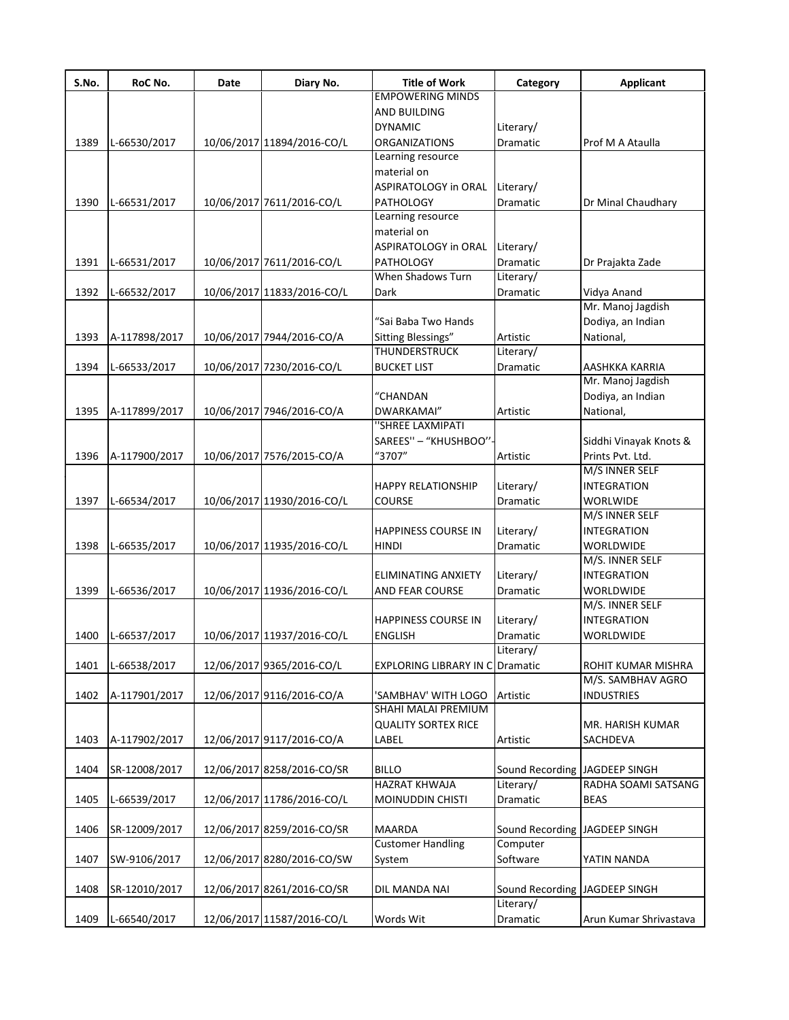| S.No. | RoC No.       | Date | Diary No.                  | <b>Title of Work</b>                   | Category                      | <b>Applicant</b>       |
|-------|---------------|------|----------------------------|----------------------------------------|-------------------------------|------------------------|
|       |               |      |                            | <b>EMPOWERING MINDS</b>                |                               |                        |
|       |               |      |                            | AND BUILDING                           |                               |                        |
|       |               |      |                            | <b>DYNAMIC</b>                         | Literary/                     |                        |
| 1389  | L-66530/2017  |      | 10/06/2017 11894/2016-CO/L | <b>ORGANIZATIONS</b>                   | Dramatic                      | Prof M A Ataulla       |
|       |               |      |                            | Learning resource                      |                               |                        |
|       |               |      |                            | material on                            |                               |                        |
|       |               |      |                            | ASPIRATOLOGY in ORAL                   | Literary/                     |                        |
| 1390  | L-66531/2017  |      | 10/06/2017 7611/2016-CO/L  | PATHOLOGY                              | Dramatic                      | Dr Minal Chaudhary     |
|       |               |      |                            | Learning resource                      |                               |                        |
|       |               |      |                            | material on                            |                               |                        |
|       |               |      |                            | ASPIRATOLOGY in ORAL                   | Literary/                     |                        |
| 1391  | L-66531/2017  |      | 10/06/2017 7611/2016-CO/L  | PATHOLOGY                              | Dramatic                      | Dr Prajakta Zade       |
|       |               |      |                            | When Shadows Turn                      | Literary/                     |                        |
| 1392  | L-66532/2017  |      | 10/06/2017 11833/2016-CO/L | Dark                                   | Dramatic                      | Vidya Anand            |
|       |               |      |                            |                                        |                               | Mr. Manoj Jagdish      |
|       |               |      |                            | "Sai Baba Two Hands                    |                               | Dodiya, an Indian      |
| 1393  | A-117898/2017 |      | 10/06/2017 7944/2016-CO/A  | Sitting Blessings"                     | Artistic                      | National,              |
|       |               |      |                            | THUNDERSTRUCK                          | Literary/                     |                        |
| 1394  | L-66533/2017  |      | 10/06/2017 7230/2016-CO/L  | <b>BUCKET LIST</b>                     | Dramatic                      | AASHKKA KARRIA         |
|       |               |      |                            |                                        |                               | Mr. Manoj Jagdish      |
|       |               |      |                            | "CHANDAN                               |                               | Dodiya, an Indian      |
| 1395  |               |      | 10/06/2017 7946/2016-CO/A  | DWARKAMAI"                             | Artistic                      | National,              |
|       | A-117899/2017 |      |                            | "SHREE LAXMIPATI                       |                               |                        |
|       |               |      |                            |                                        |                               |                        |
|       |               |      |                            | SAREES" - "KHUSHBOO"-                  |                               | Siddhi Vinayak Knots & |
| 1396  | A-117900/2017 |      | 10/06/2017 7576/2015-CO/A  | "3707"                                 | Artistic                      | Prints Pvt. Ltd.       |
|       |               |      |                            |                                        |                               | M/S INNER SELF         |
|       |               |      |                            | HAPPY RELATIONSHIP                     | Literary/                     | <b>INTEGRATION</b>     |
| 1397  | L-66534/2017  |      | 10/06/2017 11930/2016-CO/L | COURSE                                 | Dramatic                      | <b>WORLWIDE</b>        |
|       |               |      |                            |                                        |                               | M/S INNER SELF         |
|       |               |      |                            | <b>HAPPINESS COURSE IN</b>             | Literary/                     | <b>INTEGRATION</b>     |
| 1398  | L-66535/2017  |      | 10/06/2017 11935/2016-CO/L | <b>HINDI</b>                           | Dramatic                      | WORLDWIDE              |
|       |               |      |                            |                                        |                               | M/S. INNER SELF        |
|       |               |      |                            | ELIMINATING ANXIETY                    | Literary/                     | <b>INTEGRATION</b>     |
| 1399  | L-66536/2017  |      | 10/06/2017 11936/2016-CO/L | AND FEAR COURSE                        | Dramatic                      | WORLDWIDE              |
|       |               |      |                            |                                        |                               | M/S. INNER SELF        |
|       |               |      |                            | <b>HAPPINESS COURSE IN</b>             | Literary/                     | <b>INTEGRATION</b>     |
| 1400  | L-66537/2017  |      | 10/06/2017 11937/2016-CO/L | <b>ENGLISH</b>                         | Dramatic                      | WORLDWIDE              |
|       |               |      |                            |                                        | Literary/                     |                        |
| 1401  | L-66538/2017  |      | 12/06/2017 9365/2016-CO/L  | <b>EXPLORING LIBRARY IN CODramatic</b> |                               | ROHIT KUMAR MISHRA     |
|       |               |      |                            |                                        |                               | M/S. SAMBHAV AGRO      |
| 1402  | A-117901/2017 |      | 12/06/2017 9116/2016-CO/A  | 'SAMBHAV' WITH LOGO                    | Artistic                      | <b>INDUSTRIES</b>      |
|       |               |      |                            | SHAHI MALAI PREMIUM                    |                               |                        |
|       |               |      |                            | <b>QUALITY SORTEX RICE</b>             |                               | MR. HARISH KUMAR       |
| 1403  | A-117902/2017 |      | 12/06/2017 9117/2016-CO/A  | LABEL                                  | Artistic                      | SACHDEVA               |
|       |               |      |                            |                                        |                               |                        |
| 1404  | SR-12008/2017 |      | 12/06/2017 8258/2016-CO/SR | <b>BILLO</b>                           | Sound Recording JAGDEEP SINGH |                        |
|       |               |      |                            | <b>HAZRAT KHWAJA</b>                   | Literary/                     | RADHA SOAMI SATSANG    |
| 1405  | L-66539/2017  |      | 12/06/2017 11786/2016-CO/L | MOINUDDIN CHISTI                       | Dramatic                      | <b>BEAS</b>            |
|       |               |      |                            |                                        |                               |                        |
| 1406  | SR-12009/2017 |      | 12/06/2017 8259/2016-CO/SR | MAARDA                                 | Sound Recording               | JAGDEEP SINGH          |
|       |               |      |                            | <b>Customer Handling</b>               | Computer                      |                        |
| 1407  | SW-9106/2017  |      | 12/06/2017 8280/2016-CO/SW | System                                 | Software                      | YATIN NANDA            |
|       |               |      |                            |                                        |                               |                        |
| 1408  | SR-12010/2017 |      | 12/06/2017 8261/2016-CO/SR | DIL MANDA NAI                          | Sound Recording JAGDEEP SINGH |                        |
|       |               |      |                            |                                        | Literary/                     |                        |
|       |               |      |                            |                                        |                               |                        |
| 1409  | L-66540/2017  |      | 12/06/2017 11587/2016-CO/L | Words Wit                              | Dramatic                      | Arun Kumar Shrivastava |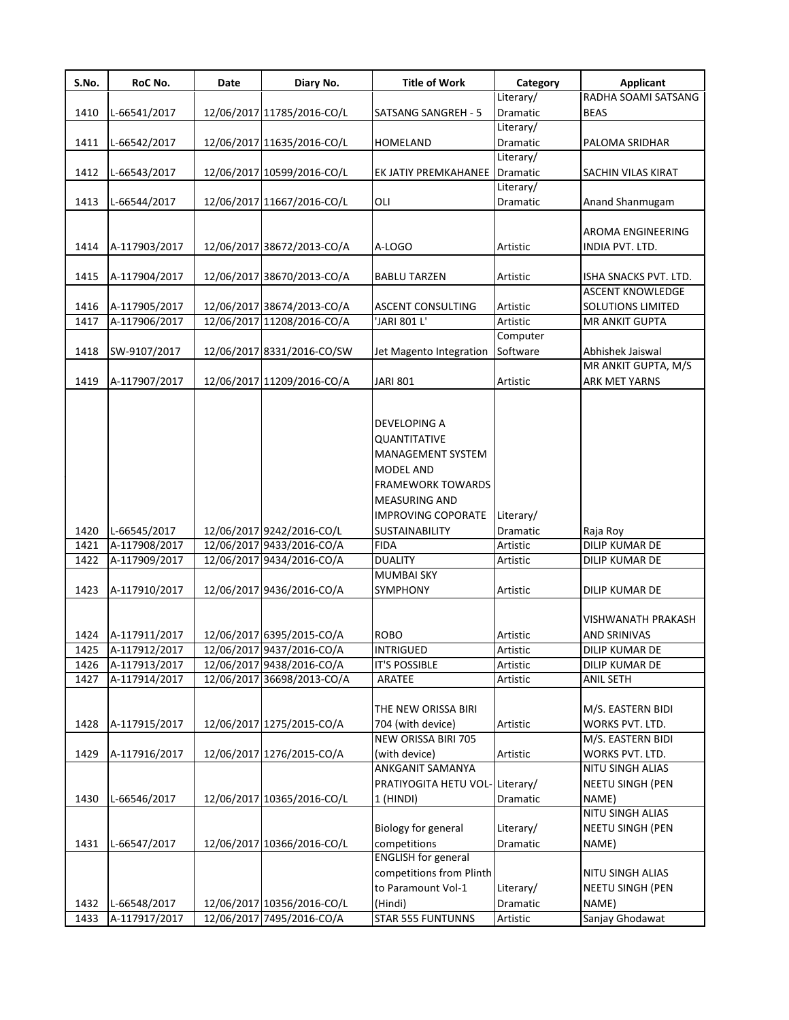| S.No.           | RoC No.       | Date | Diary No.                  | <b>Title of Work</b>                                                                                                      | Category  | <b>Applicant</b>                     |
|-----------------|---------------|------|----------------------------|---------------------------------------------------------------------------------------------------------------------------|-----------|--------------------------------------|
|                 |               |      |                            |                                                                                                                           | Literary/ | RADHA SOAMI SATSANG                  |
| 1410            | L-66541/2017  |      | 12/06/2017 11785/2016-CO/L | SATSANG SANGREH - 5                                                                                                       | Dramatic  | <b>BEAS</b>                          |
|                 |               |      |                            |                                                                                                                           | Literary/ |                                      |
| 1411            | L-66542/2017  |      | 12/06/2017 11635/2016-CO/L | <b>HOMELAND</b>                                                                                                           | Dramatic  | PALOMA SRIDHAR                       |
|                 |               |      |                            |                                                                                                                           | Literary/ |                                      |
| 1412            | L-66543/2017  |      | 12/06/2017 10599/2016-CO/L | EK JATIY PREMKAHANEE                                                                                                      | Dramatic  | SACHIN VILAS KIRAT                   |
|                 |               |      |                            |                                                                                                                           | Literary/ |                                      |
| 1413            | L-66544/2017  |      | 12/06/2017 11667/2016-CO/L | OLI                                                                                                                       | Dramatic  | Anand Shanmugam                      |
|                 |               |      |                            |                                                                                                                           |           |                                      |
|                 |               |      |                            |                                                                                                                           |           | AROMA ENGINEERING                    |
| 1414            | A-117903/2017 |      | 12/06/2017 38672/2013-CO/A | A-LOGO                                                                                                                    | Artistic  | INDIA PVT. LTD.                      |
|                 |               |      |                            |                                                                                                                           |           |                                      |
| 1415            | A-117904/2017 |      | 12/06/2017 38670/2013-CO/A | <b>BABLU TARZEN</b>                                                                                                       | Artistic  | ISHA SNACKS PVT. LTD.                |
|                 |               |      |                            |                                                                                                                           |           | <b>ASCENT KNOWLEDGE</b>              |
| 1416            | A-117905/2017 |      | 12/06/2017 38674/2013-CO/A | <b>ASCENT CONSULTING</b>                                                                                                  | Artistic  | SOLUTIONS LIMITED                    |
| 1417            | A-117906/2017 |      | 12/06/2017 11208/2016-CO/A | 'JARI 801 L'                                                                                                              | Artistic  | MR ANKIT GUPTA                       |
|                 |               |      |                            |                                                                                                                           |           |                                      |
|                 |               |      |                            |                                                                                                                           | Computer  |                                      |
| 1418            | SW-9107/2017  |      | 12/06/2017 8331/2016-CO/SW | Jet Magento Integration                                                                                                   | Software  | Abhishek Jaiswal                     |
|                 |               |      |                            |                                                                                                                           |           | MR ANKIT GUPTA, M/S                  |
| 1419            | A-117907/2017 |      | 12/06/2017 11209/2016-CO/A | <b>JARI 801</b>                                                                                                           | Artistic  | <b>ARK MET YARNS</b>                 |
|                 |               |      |                            | DEVELOPING A<br>QUANTITATIVE<br>MANAGEMENT SYSTEM<br><b>MODEL AND</b><br><b>FRAMEWORK TOWARDS</b><br><b>MEASURING AND</b> |           |                                      |
|                 |               |      |                            |                                                                                                                           |           |                                      |
|                 |               |      |                            | <b>IMPROVING COPORATE</b>                                                                                                 | Literary/ |                                      |
| 1420            | L-66545/2017  |      | 12/06/2017 9242/2016-CO/L  | <b>SUSTAINABILITY</b>                                                                                                     | Dramatic  | Raja Roy                             |
| 1421            | A-117908/2017 |      | 12/06/2017 9433/2016-CO/A  | <b>FIDA</b>                                                                                                               | Artistic  | DILIP KUMAR DE                       |
| 1422            | A-117909/2017 |      | 12/06/2017 9434/2016-CO/A  | <b>DUALITY</b>                                                                                                            | Artistic  | DILIP KUMAR DE                       |
|                 |               |      |                            | <b>MUMBAI SKY</b>                                                                                                         |           |                                      |
| 1423            | A-117910/2017 |      | 12/06/2017 9436/2016-CO/A  | SYMPHONY                                                                                                                  | Artistic  | DILIP KUMAR DE                       |
| 1424            | A-117911/2017 |      | 12/06/2017 6395/2015-CO/A  | <b>ROBO</b>                                                                                                               | Artistic  | VISHWANATH PRAKASH<br>AND SRINIVAS   |
| $\frac{1}{425}$ | A-117912/2017 |      | 12/06/2017 9437/2016-CO/A  | <b>INTRIGUED</b>                                                                                                          | Artistic  | <b>DILIP KUMAR DE</b>                |
| 1426            | A-117913/2017 |      | 12/06/2017 9438/2016-CO/A  | <b>IT'S POSSIBLE</b>                                                                                                      | Artistic  | DILIP KUMAR DE                       |
| 1427            | A-117914/2017 |      | 12/06/2017 36698/2013-CO/A | ARATEE                                                                                                                    | Artistic  | <b>ANIL SETH</b>                     |
| 1428            | A-117915/2017 |      | 12/06/2017 1275/2015-CO/A  | THE NEW ORISSA BIRI<br>704 (with device)<br>NEW ORISSA BIRI 705                                                           | Artistic  | M/S. EASTERN BIDI<br>WORKS PVT. LTD. |
|                 |               |      |                            |                                                                                                                           |           | M/S. EASTERN BIDI                    |
| 1429            | A-117916/2017 |      | 12/06/2017 1276/2015-CO/A  | (with device)                                                                                                             | Artistic  | WORKS PVT. LTD.                      |
|                 |               |      |                            | ANKGANIT SAMANYA                                                                                                          |           | NITU SINGH ALIAS                     |
|                 |               |      |                            | PRATIYOGITA HETU VOL-Literary/                                                                                            |           | NEETU SINGH (PEN                     |
| 1430            | L-66546/2017  |      | 12/06/2017 10365/2016-CO/L | 1 (HINDI)                                                                                                                 | Dramatic  | NAME)                                |
|                 |               |      |                            |                                                                                                                           |           | NITU SINGH ALIAS                     |
|                 |               |      |                            | <b>Biology for general</b>                                                                                                | Literary/ | NEETU SINGH (PEN                     |
| 1431            | L-66547/2017  |      | 12/06/2017 10366/2016-CO/L | competitions                                                                                                              | Dramatic  | NAME)                                |
|                 |               |      |                            | <b>ENGLISH for general</b>                                                                                                |           |                                      |
|                 |               |      |                            | competitions from Plinth                                                                                                  |           | NITU SINGH ALIAS                     |
|                 |               |      |                            | to Paramount Vol-1                                                                                                        | Literary/ | NEETU SINGH (PEN                     |
| 1432            | L-66548/2017  |      | 12/06/2017 10356/2016-CO/L | (Hindi)                                                                                                                   | Dramatic  | NAME)                                |
| 1433            | A-117917/2017 |      | 12/06/2017 7495/2016-CO/A  | STAR 555 FUNTUNNS                                                                                                         | Artistic  | Sanjay Ghodawat                      |
|                 |               |      |                            |                                                                                                                           |           |                                      |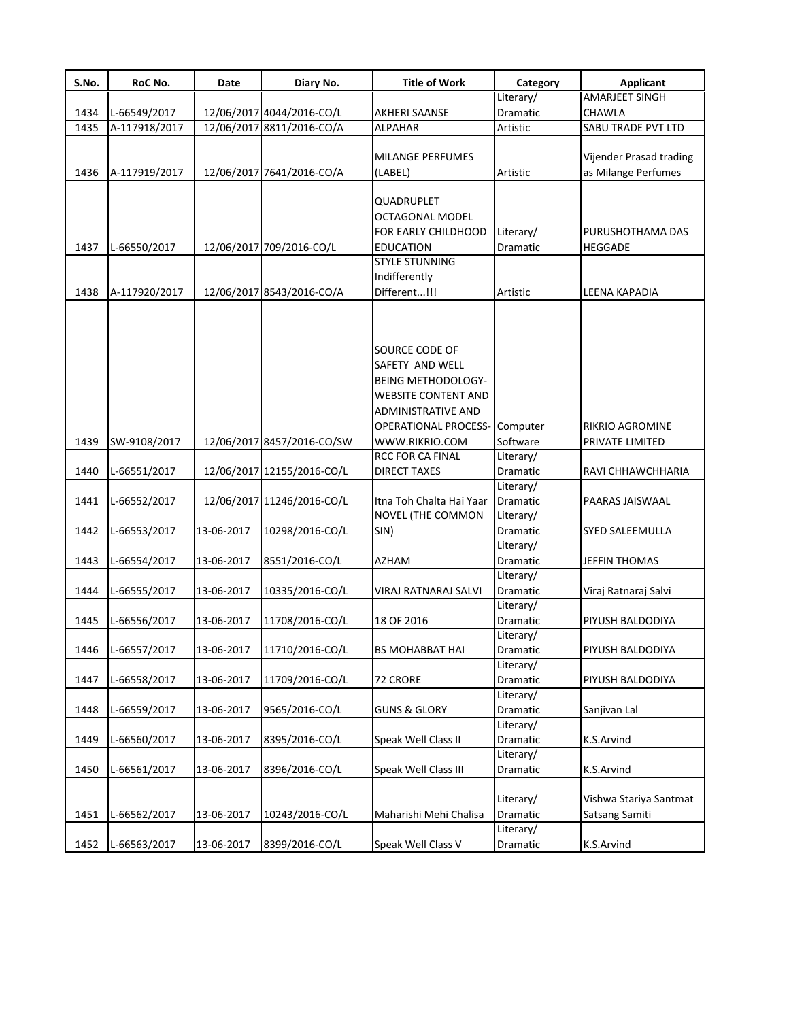| S.No. | RoC No.       | Date       | Diary No.                  | <b>Title of Work</b>                      | Category              | <b>Applicant</b>        |
|-------|---------------|------------|----------------------------|-------------------------------------------|-----------------------|-------------------------|
|       |               |            |                            |                                           | Literary/             | AMARJEET SINGH          |
| 1434  | L-66549/2017  |            | 12/06/2017 4044/2016-CO/L  | <b>AKHERI SAANSE</b>                      | Dramatic              | CHAWLA                  |
| 1435  | A-117918/2017 |            | 12/06/2017 8811/2016-CO/A  | <b>ALPAHAR</b>                            | Artistic              | SABU TRADE PVT LTD      |
|       |               |            |                            |                                           |                       |                         |
|       |               |            |                            | MILANGE PERFUMES                          |                       | Vijender Prasad trading |
| 1436  | A-117919/2017 |            | 12/06/2017 7641/2016-CO/A  | (LABEL)                                   | Artistic              | as Milange Perfumes     |
|       |               |            |                            | QUADRUPLET                                |                       |                         |
|       |               |            |                            | OCTAGONAL MODEL                           |                       |                         |
|       |               |            |                            | FOR EARLY CHILDHOOD                       | Literary/             | PURUSHOTHAMA DAS        |
| 1437  | L-66550/2017  |            | 12/06/2017 709/2016-CO/L   | <b>EDUCATION</b>                          | Dramatic              | <b>HEGGADE</b>          |
|       |               |            |                            | <b>STYLE STUNNING</b>                     |                       |                         |
|       |               |            |                            | Indifferently                             |                       |                         |
| 1438  | A-117920/2017 |            | 12/06/2017 8543/2016-CO/A  | Different!!!                              | Artistic              | LEENA KAPADIA           |
|       |               |            |                            |                                           |                       |                         |
|       |               |            |                            |                                           |                       |                         |
|       |               |            |                            | <b>SOURCE CODE OF</b>                     |                       |                         |
|       |               |            |                            | SAFETY AND WELL                           |                       |                         |
|       |               |            |                            | <b>BEING METHODOLOGY-</b>                 |                       |                         |
|       |               |            |                            | <b>WEBSITE CONTENT AND</b>                |                       |                         |
|       |               |            |                            | <b>ADMINISTRATIVE AND</b>                 |                       |                         |
|       |               |            |                            | <b>OPERATIONAL PROCESS-</b>               | Computer              | RIKRIO AGROMINE         |
|       |               |            |                            |                                           | Software              |                         |
| 1439  | SW-9108/2017  |            | 12/06/2017 8457/2016-CO/SW | WWW.RIKRIO.COM<br><b>RCC FOR CA FINAL</b> |                       | PRIVATE LIMITED         |
|       |               |            |                            |                                           | Literary/             |                         |
| 1440  | L-66551/2017  |            | 12/06/2017 12155/2016-CO/L | <b>DIRECT TAXES</b>                       | Dramatic<br>Literary/ | RAVI CHHAWCHHARIA       |
| 1441  |               |            | 12/06/2017 11246/2016-CO/L | Itna Toh Chalta Hai Yaar                  | <b>Dramatic</b>       | PAARAS JAISWAAL         |
|       | L-66552/2017  |            |                            | <b>NOVEL (THE COMMON</b>                  | Literary/             |                         |
| 1442  | L-66553/2017  | 13-06-2017 | 10298/2016-CO/L            | SIN)                                      | Dramatic              | SYED SALEEMULLA         |
|       |               |            |                            |                                           | Literary/             |                         |
| 1443  | L-66554/2017  | 13-06-2017 | 8551/2016-CO/L             | AZHAM                                     | Dramatic              | JEFFIN THOMAS           |
|       |               |            |                            |                                           | Literary/             |                         |
| 1444  | L-66555/2017  | 13-06-2017 | 10335/2016-CO/L            | VIRAJ RATNARAJ SALVI                      | Dramatic              | Viraj Ratnaraj Salvi    |
|       |               |            |                            |                                           | Literary/             |                         |
| 1445  | L-66556/2017  | 13-06-2017 | 11708/2016-CO/L            | 18 OF 2016                                | Dramatic              | PIYUSH BALDODIYA        |
|       |               |            |                            |                                           | Literary/             |                         |
| 1446  | L-66557/2017  | 13-06-2017 | 11710/2016-CO/L            | <b>BS MOHABBAT HAI</b>                    | Dramatic              | PIYUSH BALDODIYA        |
|       |               |            |                            |                                           | Literary/             |                         |
| 1447  | L-66558/2017  | 13-06-2017 | 11709/2016-CO/L            | 72 CRORE                                  | Dramatic              | PIYUSH BALDODIYA        |
|       |               |            |                            |                                           | Literary/             |                         |
| 1448  | L-66559/2017  | 13-06-2017 | 9565/2016-CO/L             | <b>GUNS &amp; GLORY</b>                   | Dramatic              | Sanjivan Lal            |
|       |               |            |                            |                                           | Literary/             |                         |
| 1449  | L-66560/2017  | 13-06-2017 | 8395/2016-CO/L             | Speak Well Class II                       | Dramatic              | K.S.Arvind              |
|       |               |            |                            |                                           | Literary/             |                         |
| 1450  | L-66561/2017  | 13-06-2017 | 8396/2016-CO/L             | Speak Well Class III                      | Dramatic              | K.S.Arvind              |
|       |               |            |                            |                                           |                       |                         |
|       |               |            |                            |                                           | Literary/             | Vishwa Stariya Santmat  |
| 1451  | L-66562/2017  | 13-06-2017 | 10243/2016-CO/L            | Maharishi Mehi Chalisa                    | Dramatic              | Satsang Samiti          |
|       |               |            |                            |                                           | Literary/             |                         |
|       |               |            |                            |                                           |                       |                         |
| 1452  | L-66563/2017  | 13-06-2017 | 8399/2016-CO/L             | Speak Well Class V                        | Dramatic              | K.S.Arvind              |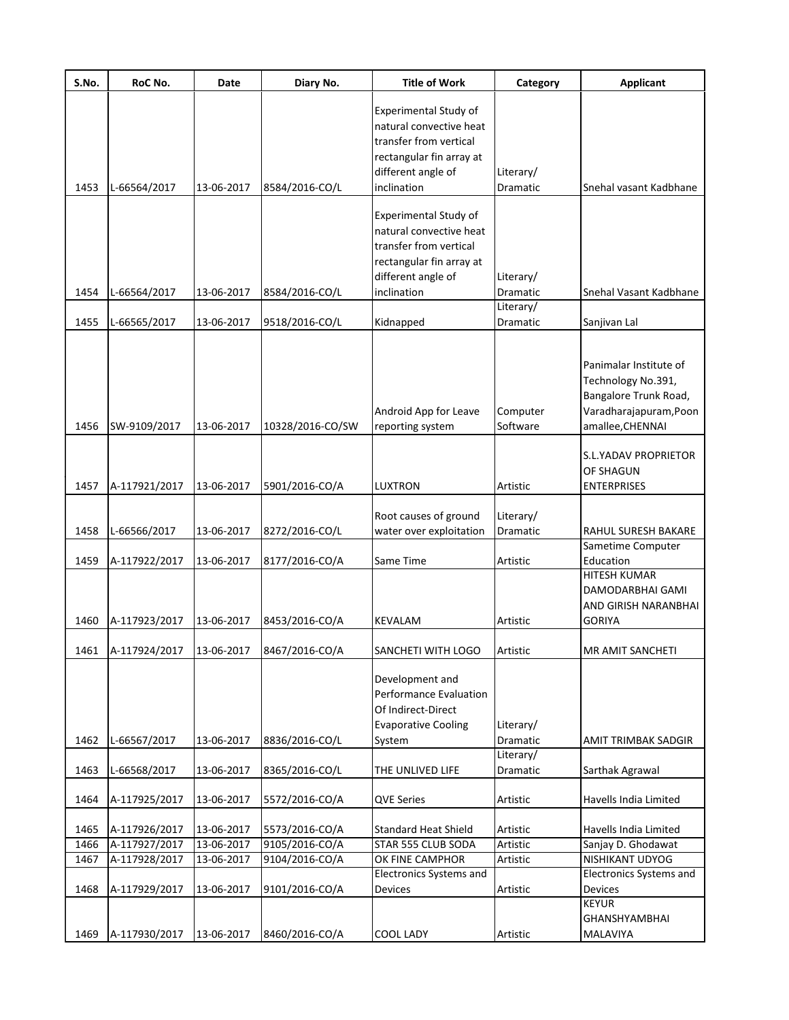| S.No. | RoC No.       | Date       | Diary No.        | <b>Title of Work</b>                                                                                                                        | Category              | <b>Applicant</b>                                                                                                    |
|-------|---------------|------------|------------------|---------------------------------------------------------------------------------------------------------------------------------------------|-----------------------|---------------------------------------------------------------------------------------------------------------------|
|       |               |            |                  | <b>Experimental Study of</b><br>natural convective heat<br>transfer from vertical<br>rectangular fin array at                               |                       |                                                                                                                     |
| 1453  | L-66564/2017  | 13-06-2017 | 8584/2016-CO/L   | different angle of<br>inclination                                                                                                           | Literary/<br>Dramatic | Snehal vasant Kadbhane                                                                                              |
| 1454  | L-66564/2017  | 13-06-2017 | 8584/2016-CO/L   | Experimental Study of<br>natural convective heat<br>transfer from vertical<br>rectangular fin array at<br>different angle of<br>inclination | Literary/<br>Dramatic | Snehal Vasant Kadbhane                                                                                              |
|       |               |            |                  |                                                                                                                                             | Literary/             |                                                                                                                     |
| 1455  | L-66565/2017  | 13-06-2017 | 9518/2016-CO/L   | Kidnapped                                                                                                                                   | Dramatic              | Sanjivan Lal                                                                                                        |
| 1456  | SW-9109/2017  | 13-06-2017 | 10328/2016-CO/SW | Android App for Leave<br>reporting system                                                                                                   | Computer<br>Software  | Panimalar Institute of<br>Technology No.391,<br>Bangalore Trunk Road,<br>Varadharajapuram, Poon<br>amallee, CHENNAI |
| 1457  | A-117921/2017 | 13-06-2017 | 5901/2016-CO/A   | LUXTRON                                                                                                                                     | Artistic              | S.L.YADAV PROPRIETOR<br><b>OF SHAGUN</b><br><b>ENTERPRISES</b>                                                      |
|       |               |            |                  | Root causes of ground                                                                                                                       | Literary/             |                                                                                                                     |
| 1458  | L-66566/2017  | 13-06-2017 | 8272/2016-CO/L   | water over exploitation                                                                                                                     | Dramatic              | RAHUL SURESH BAKARE                                                                                                 |
| 1459  | A-117922/2017 | 13-06-2017 | 8177/2016-CO/A   | Same Time                                                                                                                                   | Artistic              | Sametime Computer<br>Education                                                                                      |
| 1460  | A-117923/2017 | 13-06-2017 | 8453/2016-CO/A   | KEVALAM                                                                                                                                     | Artistic              | <b>HITESH KUMAR</b><br>DAMODARBHAI GAMI<br>AND GIRISH NARANBHAI<br><b>GORIYA</b>                                    |
| 1461  | A-117924/2017 | 13-06-2017 | 8467/2016-CO/A   | SANCHETI WITH LOGO                                                                                                                          | Artistic              | <b>MR AMIT SANCHETI</b>                                                                                             |
| 1462  | L-66567/2017  | 13-06-2017 | 8836/2016-CO/L   | Development and<br>Performance Evaluation<br>Of Indirect-Direct<br><b>Evaporative Cooling</b><br>System                                     | Literary/<br>Dramatic | AMIT TRIMBAK SADGIR                                                                                                 |
| 1463  | L-66568/2017  | 13-06-2017 | 8365/2016-CO/L   | THE UNLIVED LIFE                                                                                                                            | Literary/<br>Dramatic | Sarthak Agrawal                                                                                                     |
|       |               |            |                  |                                                                                                                                             |                       |                                                                                                                     |
| 1464  | A-117925/2017 | 13-06-2017 | 5572/2016-CO/A   | <b>QVE Series</b>                                                                                                                           | Artistic              | Havells India Limited                                                                                               |
| 1465  | A-117926/2017 | 13-06-2017 | 5573/2016-CO/A   | <b>Standard Heat Shield</b>                                                                                                                 | Artistic              | Havells India Limited                                                                                               |
| 1466  | A-117927/2017 | 13-06-2017 | 9105/2016-CO/A   | STAR 555 CLUB SODA                                                                                                                          | Artistic              | Sanjay D. Ghodawat                                                                                                  |
| 1467  | A-117928/2017 | 13-06-2017 | 9104/2016-CO/A   | OK FINE CAMPHOR                                                                                                                             | Artistic              | NISHIKANT UDYOG                                                                                                     |
| 1468  | A-117929/2017 | 13-06-2017 | 9101/2016-CO/A   | Electronics Systems and<br>Devices                                                                                                          | Artistic              | Electronics Systems and<br>Devices                                                                                  |
|       |               |            |                  |                                                                                                                                             |                       | <b>KEYUR</b><br><b>GHANSHYAMBHAI</b>                                                                                |
| 1469  | A-117930/2017 | 13-06-2017 | 8460/2016-CO/A   | COOL LADY                                                                                                                                   | Artistic              | MALAVIYA                                                                                                            |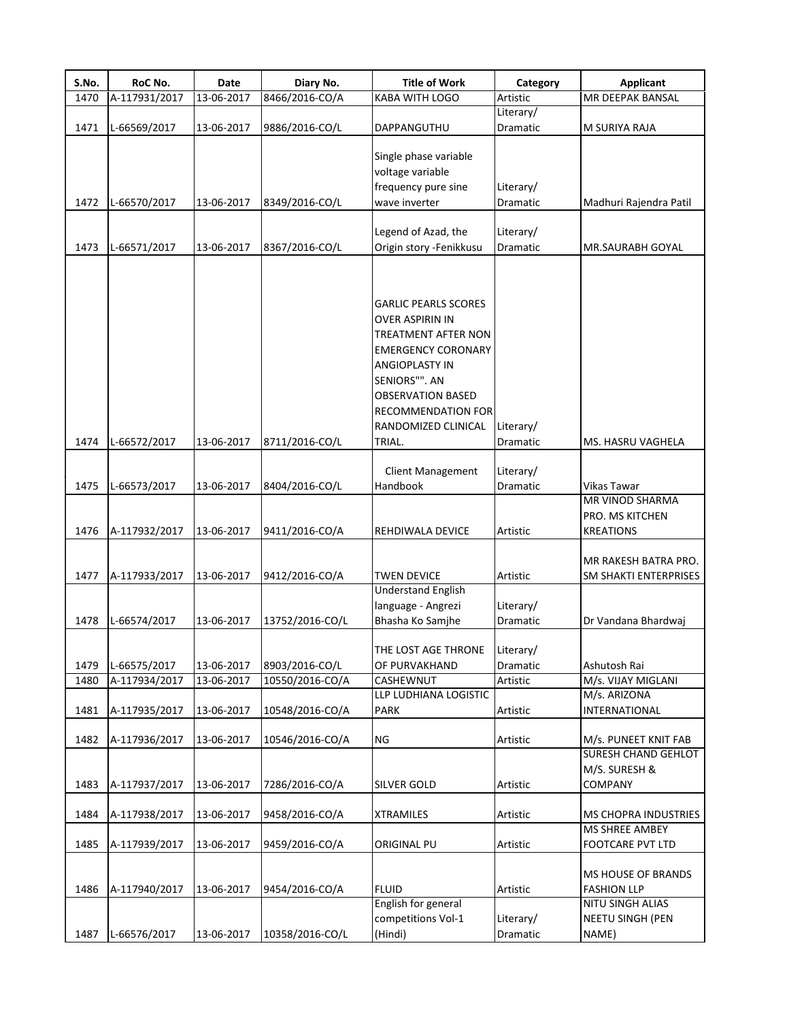| S.No. | RoC No.       | Date       | Diary No.       | <b>Title of Work</b>                           | Category                     | <b>Applicant</b>                              |
|-------|---------------|------------|-----------------|------------------------------------------------|------------------------------|-----------------------------------------------|
| 1470  | A-117931/2017 | 13-06-2017 | 8466/2016-CO/A  | KABA WITH LOGO                                 | Artistic                     | MR DEEPAK BANSAL                              |
|       |               |            |                 |                                                | Literary/                    |                                               |
| 1471  | L-66569/2017  | 13-06-2017 | 9886/2016-CO/L  | DAPPANGUTHU                                    | Dramatic                     | M SURIYA RAJA                                 |
|       |               |            |                 |                                                |                              |                                               |
|       |               |            |                 | Single phase variable                          |                              |                                               |
|       |               |            |                 | voltage variable                               |                              |                                               |
|       |               |            |                 | frequency pure sine                            | Literary/                    |                                               |
| 1472  | L-66570/2017  | 13-06-2017 | 8349/2016-CO/L  | wave inverter                                  | <b>Dramatic</b>              | Madhuri Rajendra Patil                        |
|       |               |            |                 |                                                |                              |                                               |
| 1473  |               | 13-06-2017 |                 | Legend of Azad, the<br>Origin story -Fenikkusu | Literary/<br><b>Dramatic</b> | MR.SAURABH GOYAL                              |
|       | L-66571/2017  |            | 8367/2016-CO/L  |                                                |                              |                                               |
|       |               |            |                 |                                                |                              |                                               |
|       |               |            |                 |                                                |                              |                                               |
|       |               |            |                 | <b>GARLIC PEARLS SCORES</b>                    |                              |                                               |
|       |               |            |                 | <b>OVER ASPIRIN IN</b>                         |                              |                                               |
|       |               |            |                 | <b>TREATMENT AFTER NON</b>                     |                              |                                               |
|       |               |            |                 | <b>EMERGENCY CORONARY</b>                      |                              |                                               |
|       |               |            |                 | ANGIOPLASTY IN                                 |                              |                                               |
|       |               |            |                 | SENIORS"". AN                                  |                              |                                               |
|       |               |            |                 | <b>OBSERVATION BASED</b>                       |                              |                                               |
|       |               |            |                 | <b>RECOMMENDATION FOR</b>                      |                              |                                               |
|       |               |            |                 | RANDOMIZED CLINICAL                            | Literary/                    |                                               |
| 1474  | L-66572/2017  | 13-06-2017 | 8711/2016-CO/L  | TRIAL.                                         | Dramatic                     | <b>MS. HASRU VAGHELA</b>                      |
|       |               |            |                 |                                                |                              |                                               |
|       |               |            |                 | <b>Client Management</b>                       | Literary/                    |                                               |
| 1475  | L-66573/2017  | 13-06-2017 | 8404/2016-CO/L  | Handbook                                       | Dramatic                     | Vikas Tawar                                   |
|       |               |            |                 |                                                |                              | MR VINOD SHARMA                               |
|       |               |            |                 |                                                |                              | PRO. MS KITCHEN                               |
| 1476  | A-117932/2017 | 13-06-2017 | 9411/2016-CO/A  | REHDIWALA DEVICE                               | Artistic                     | <b>KREATIONS</b>                              |
|       |               |            |                 |                                                |                              |                                               |
| 1477  | A-117933/2017 | 13-06-2017 | 9412/2016-CO/A  | <b>TWEN DEVICE</b>                             | Artistic                     | MR RAKESH BATRA PRO.<br>SM SHAKTI ENTERPRISES |
|       |               |            |                 | <b>Understand English</b>                      |                              |                                               |
|       |               |            |                 | language - Angrezi                             | Literary/                    |                                               |
| 1478  | L-66574/2017  | 13-06-2017 | 13752/2016-CO/L | Bhasha Ko Samjhe                               | Dramatic                     | Dr Vandana Bhardwaj                           |
|       |               |            |                 |                                                |                              |                                               |
|       |               |            |                 | THE LOST AGE THRONE                            | Literary/                    |                                               |
| 1479  | L-66575/2017  | 13-06-2017 | 8903/2016-CO/L  | OF PURVAKHAND                                  | Dramatic                     | Ashutosh Rai                                  |
| 1480  | A-117934/2017 | 13-06-2017 | 10550/2016-CO/A | CASHEWNUT                                      | Artistic                     | M/s. VIJAY MIGLANI                            |
|       |               |            |                 | LLP LUDHIANA LOGISTIC                          |                              | M/s. ARIZONA                                  |
| 1481  | A-117935/2017 | 13-06-2017 | 10548/2016-CO/A | PARK                                           | Artistic                     | <b>INTERNATIONAL</b>                          |
|       |               |            |                 |                                                |                              |                                               |
| 1482  | A-117936/2017 | 13-06-2017 | 10546/2016-CO/A | ΝG                                             | Artistic                     | M/s. PUNEET KNIT FAB                          |
|       |               |            |                 |                                                |                              | <b>SURESH CHAND GEHLOT</b>                    |
|       |               |            |                 |                                                |                              | M/S. SURESH &                                 |
| 1483  | A-117937/2017 | 13-06-2017 | 7286/2016-CO/A  | SILVER GOLD                                    | Artistic                     | <b>COMPANY</b>                                |
|       |               |            |                 |                                                |                              |                                               |
| 1484  | A-117938/2017 | 13-06-2017 | 9458/2016-CO/A  | <b>XTRAMILES</b>                               | Artistic                     | <b>MS CHOPRA INDUSTRIES</b>                   |
|       |               |            |                 |                                                |                              | MS SHREE AMBEY                                |
| 1485  | A-117939/2017 | 13-06-2017 | 9459/2016-CO/A  | ORIGINAL PU                                    | Artistic                     | <b>FOOTCARE PVT LTD</b>                       |
|       |               |            |                 |                                                |                              |                                               |
|       |               |            |                 |                                                |                              | <b>MS HOUSE OF BRANDS</b>                     |
| 1486  | A-117940/2017 | 13-06-2017 | 9454/2016-CO/A  | <b>FLUID</b><br>English for general            | Artistic                     | <b>FASHION LLP</b><br>NITU SINGH ALIAS        |
|       |               |            |                 | competitions Vol-1                             | Literary/                    | <b>NEETU SINGH (PEN</b>                       |
| 1487  | L-66576/2017  | 13-06-2017 | 10358/2016-CO/L | (Hindi)                                        | Dramatic                     | NAME)                                         |
|       |               |            |                 |                                                |                              |                                               |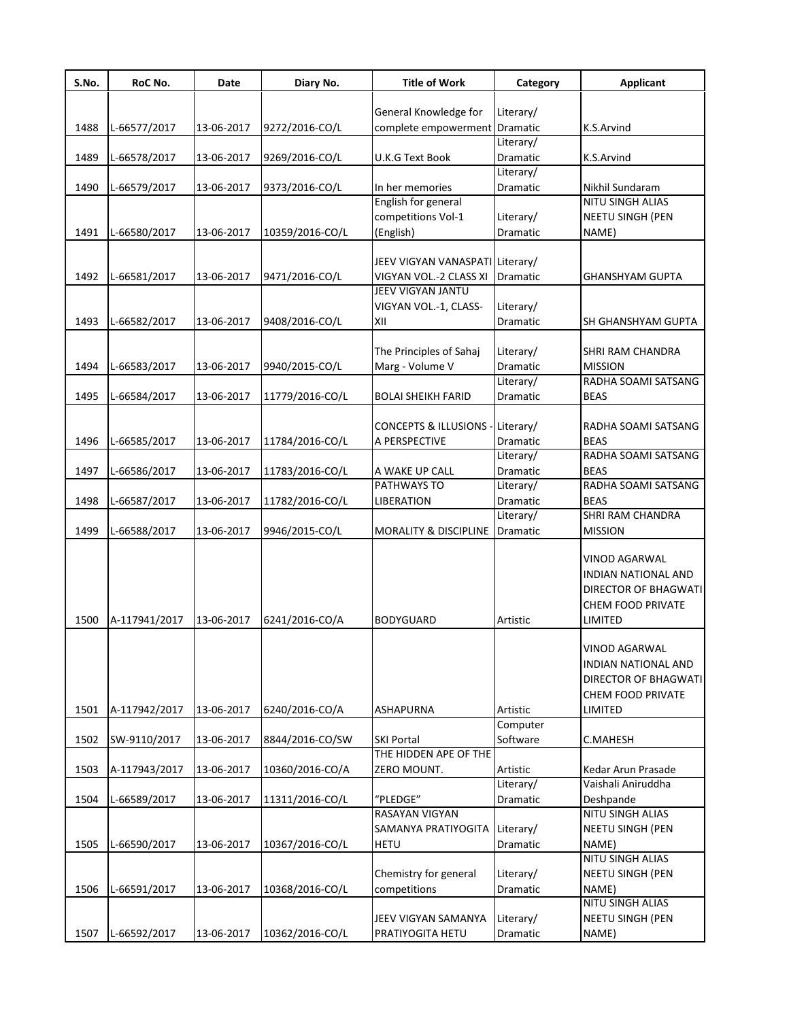| S.No. | RoC No.       | Date       | Diary No.       | <b>Title of Work</b>            | Category              | <b>Applicant</b>            |
|-------|---------------|------------|-----------------|---------------------------------|-----------------------|-----------------------------|
|       |               |            |                 |                                 |                       |                             |
|       |               |            |                 | General Knowledge for           | Literary/             |                             |
| 1488  | L-66577/2017  | 13-06-2017 | 9272/2016-CO/L  | complete empowerment            | Dramatic              | K.S.Arvind                  |
|       |               | 13-06-2017 |                 |                                 | Literary/             | K.S.Arvind                  |
| 1489  | L-66578/2017  |            | 9269/2016-CO/L  | U.K.G Text Book                 | Dramatic<br>Literary/ |                             |
| 1490  | L-66579/2017  | 13-06-2017 | 9373/2016-CO/L  | In her memories                 | Dramatic              | Nikhil Sundaram             |
|       |               |            |                 | English for general             |                       | <b>NITU SINGH ALIAS</b>     |
|       |               |            |                 | competitions Vol-1              | Literary/             | NEETU SINGH (PEN            |
| 1491  |               | 13-06-2017 | 10359/2016-CO/L | (English)                       | Dramatic              | NAME)                       |
|       | L-66580/2017  |            |                 |                                 |                       |                             |
|       |               |            |                 | JEEV VIGYAN VANASPATI Literary/ |                       |                             |
| 1492  | L-66581/2017  | 13-06-2017 | 9471/2016-CO/L  | VIGYAN VOL.-2 CLASS XI          | Dramatic              | <b>GHANSHYAM GUPTA</b>      |
|       |               |            |                 | JEEV VIGYAN JANTU               |                       |                             |
|       |               |            |                 | VIGYAN VOL.-1, CLASS-           | Literary/             |                             |
| 1493  | L-66582/2017  | 13-06-2017 | 9408/2016-CO/L  | XII                             | Dramatic              | SH GHANSHYAM GUPTA          |
|       |               |            |                 |                                 |                       |                             |
|       |               |            |                 | The Principles of Sahaj         | Literary/             | <b>SHRI RAM CHANDRA</b>     |
| 1494  | L-66583/2017  | 13-06-2017 |                 |                                 | Dramatic              | <b>MISSION</b>              |
|       |               |            | 9940/2015-CO/L  | Marg - Volume V                 | Literary/             | RADHA SOAMI SATSANG         |
|       |               |            |                 |                                 |                       |                             |
| 1495  | L-66584/2017  | 13-06-2017 | 11779/2016-CO/L | <b>BOLAI SHEIKH FARID</b>       | Dramatic              | <b>BEAS</b>                 |
|       |               |            |                 |                                 |                       |                             |
|       |               |            |                 | <b>CONCEPTS &amp; ILLUSIONS</b> | -Literary/            | RADHA SOAMI SATSANG         |
| 1496  | L-66585/2017  | 13-06-2017 | 11784/2016-CO/L | A PERSPECTIVE                   | Dramatic              | <b>BEAS</b>                 |
|       |               |            |                 |                                 | Literary/             | RADHA SOAMI SATSANG         |
| 1497  | L-66586/2017  | 13-06-2017 | 11783/2016-CO/L | A WAKE UP CALL                  | Dramatic              | <b>BEAS</b>                 |
|       |               |            |                 | PATHWAYS TO                     | Literary/             | RADHA SOAMI SATSANG         |
| 1498  | L-66587/2017  | 13-06-2017 | 11782/2016-CO/L | <b>LIBERATION</b>               | Dramatic              | <b>BEAS</b>                 |
|       |               |            |                 |                                 | Literary/             | <b>SHRI RAM CHANDRA</b>     |
| 1499  | L-66588/2017  | 13-06-2017 | 9946/2015-CO/L  | MORALITY & DISCIPLINE           | Dramatic              | <b>MISSION</b>              |
|       |               |            |                 |                                 |                       | VINOD AGARWAL               |
|       |               |            |                 |                                 |                       | <b>INDIAN NATIONAL AND</b>  |
|       |               |            |                 |                                 |                       | DIRECTOR OF BHAGWATI        |
|       |               |            |                 |                                 |                       | <b>CHEM FOOD PRIVATE</b>    |
| 1500  | A-117941/2017 | 13-06-2017 | 6241/2016-CO/A  | <b>BODYGUARD</b>                | Artistic              | LIMITED                     |
|       |               |            |                 |                                 |                       |                             |
|       |               |            |                 |                                 |                       | VINOD AGARWAL               |
|       |               |            |                 |                                 |                       | INDIAN NATIONAL AND         |
|       |               |            |                 |                                 |                       | <b>DIRECTOR OF BHAGWATI</b> |
|       |               |            |                 |                                 |                       | CHEM FOOD PRIVATE           |
| 1501  | A-117942/2017 | 13-06-2017 | 6240/2016-CO/A  | <b>ASHAPURNA</b>                | Artistic              | LIMITED                     |
|       |               |            |                 |                                 | Computer              |                             |
| 1502  | SW-9110/2017  | 13-06-2017 | 8844/2016-CO/SW | <b>SKI Portal</b>               | Software              | C.MAHESH                    |
|       |               |            |                 | THE HIDDEN APE OF THE           |                       |                             |
| 1503  | A-117943/2017 | 13-06-2017 | 10360/2016-CO/A | ZERO MOUNT.                     | Artistic              | Kedar Arun Prasade          |
|       |               |            |                 |                                 | Literary/             | Vaishali Aniruddha          |
| 1504  | L-66589/2017  | 13-06-2017 | 11311/2016-CO/L | "PLEDGE"                        | Dramatic              | Deshpande                   |
|       |               |            |                 | RASAYAN VIGYAN                  |                       | NITU SINGH ALIAS            |
|       |               |            |                 | SAMANYA PRATIYOGITA             | Literary/             | NEETU SINGH (PEN            |
| 1505  |               |            |                 |                                 |                       |                             |
|       | L-66590/2017  | 13-06-2017 | 10367/2016-CO/L | <b>HETU</b>                     | Dramatic              | NAME)<br>NITU SINGH ALIAS   |
|       |               |            |                 |                                 |                       |                             |
|       |               |            |                 | Chemistry for general           | Literary/             | NEETU SINGH (PEN            |
| 1506  | L-66591/2017  | 13-06-2017 | 10368/2016-CO/L | competitions                    | Dramatic              | NAME)                       |
|       |               |            |                 |                                 |                       | NITU SINGH ALIAS            |
|       |               |            |                 | JEEV VIGYAN SAMANYA             | Literary/             | NEETU SINGH (PEN            |
| 1507  | L-66592/2017  | 13-06-2017 | 10362/2016-CO/L | PRATIYOGITA HETU                | Dramatic              | NAME)                       |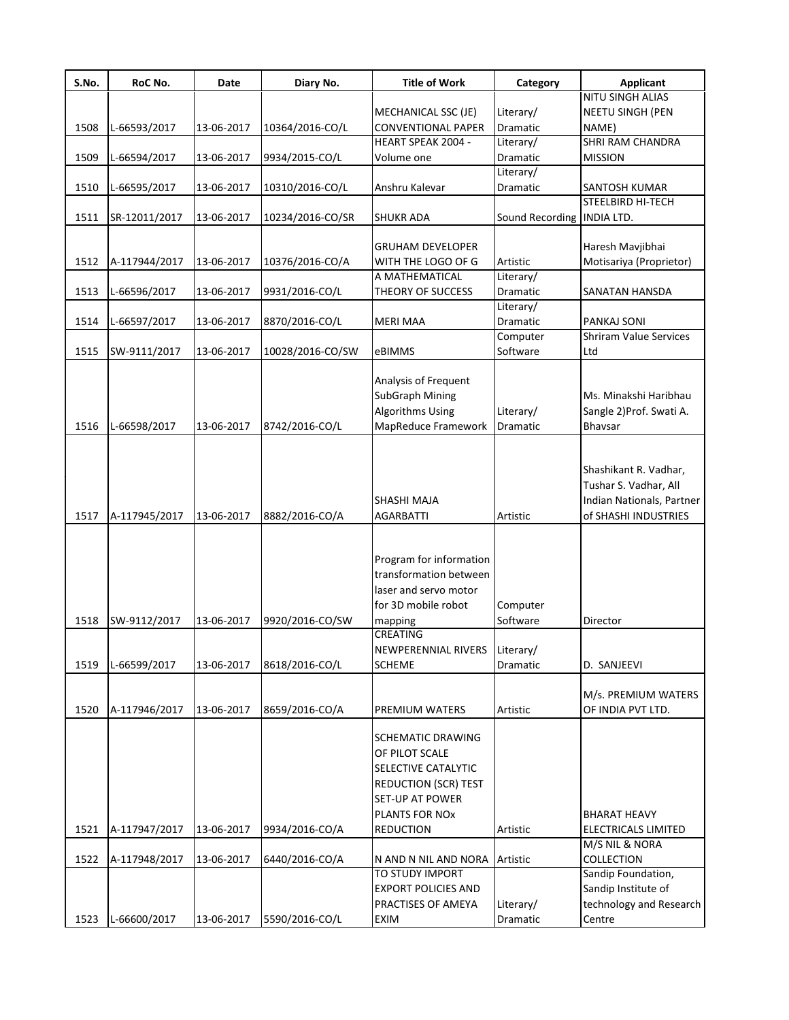| S.No. | RoC No.       | Date       | Diary No.        | <b>Title of Work</b>        | Category                   | <b>Applicant</b>              |
|-------|---------------|------------|------------------|-----------------------------|----------------------------|-------------------------------|
|       |               |            |                  |                             |                            | NITU SINGH ALIAS              |
|       |               |            |                  | MECHANICAL SSC (JE)         | Literary/                  | <b>NEETU SINGH (PEN</b>       |
| 1508  | L-66593/2017  | 13-06-2017 | 10364/2016-CO/L  | <b>CONVENTIONAL PAPER</b>   | <b>Dramatic</b>            | NAME)                         |
|       |               |            |                  | <b>HEART SPEAK 2004 -</b>   | Literary/                  | <b>SHRI RAM CHANDRA</b>       |
| 1509  | L-66594/2017  | 13-06-2017 | 9934/2015-CO/L   | Volume one                  | <b>Dramatic</b>            | <b>MISSION</b>                |
|       |               |            |                  |                             | Literary/                  |                               |
| 1510  | L-66595/2017  | 13-06-2017 | 10310/2016-CO/L  | Anshru Kalevar              | Dramatic                   | SANTOSH KUMAR                 |
|       |               |            |                  |                             |                            | <b>STEELBIRD HI-TECH</b>      |
| 1511  | SR-12011/2017 | 13-06-2017 | 10234/2016-CO/SR | <b>SHUKR ADA</b>            | Sound Recording INDIA LTD. |                               |
|       |               |            |                  |                             |                            |                               |
|       |               |            |                  | <b>GRUHAM DEVELOPER</b>     |                            | Haresh Mavjibhai              |
| 1512  | A-117944/2017 | 13-06-2017 | 10376/2016-CO/A  | WITH THE LOGO OF G          | Artistic                   | Motisariya (Proprietor)       |
|       |               |            |                  | A MATHEMATICAL              | Literary/                  |                               |
| 1513  | L-66596/2017  | 13-06-2017 | 9931/2016-CO/L   | THEORY OF SUCCESS           | Dramatic                   | SANATAN HANSDA                |
|       |               |            |                  |                             | Literary/                  |                               |
| 1514  | L-66597/2017  | 13-06-2017 | 8870/2016-CO/L   | <b>MERI MAA</b>             | Dramatic                   | <b>PANKAJ SONI</b>            |
|       |               |            |                  |                             | Computer                   | <b>Shriram Value Services</b> |
| 1515  | SW-9111/2017  | 13-06-2017 | 10028/2016-CO/SW | eBIMMS                      | Software                   | Ltd                           |
|       |               |            |                  |                             |                            |                               |
|       |               |            |                  | Analysis of Frequent        |                            |                               |
|       |               |            |                  | <b>SubGraph Mining</b>      |                            | Ms. Minakshi Haribhau         |
|       |               |            |                  |                             |                            |                               |
|       |               |            |                  | <b>Algorithms Using</b>     | Literary/                  | Sangle 2) Prof. Swati A.      |
| 1516  | L-66598/2017  | 13-06-2017 | 8742/2016-CO/L   | MapReduce Framework         | Dramatic                   | Bhavsar                       |
|       |               |            |                  |                             |                            |                               |
|       |               |            |                  |                             |                            |                               |
|       |               |            |                  |                             |                            | Shashikant R. Vadhar,         |
|       |               |            |                  |                             |                            | Tushar S. Vadhar, All         |
|       |               |            |                  | <b>SHASHI MAJA</b>          |                            | Indian Nationals, Partner     |
| 1517  | A-117945/2017 | 13-06-2017 | 8882/2016-CO/A   | <b>AGARBATTI</b>            | Artistic                   | of SHASHI INDUSTRIES          |
|       |               |            |                  |                             |                            |                               |
|       |               |            |                  |                             |                            |                               |
|       |               |            |                  | Program for information     |                            |                               |
|       |               |            |                  | transformation between      |                            |                               |
|       |               |            |                  | laser and servo motor       |                            |                               |
|       |               |            |                  |                             |                            |                               |
|       |               |            |                  | for 3D mobile robot         | Computer                   |                               |
| 1518  | SW-9112/2017  | 13-06-2017 | 9920/2016-CO/SW  | mapping                     | Software                   | Director                      |
|       |               |            |                  | <b>CREATING</b>             |                            |                               |
|       |               |            |                  | NEWPERENNIAL RIVERS         | Literary/                  |                               |
| 1519  | L-66599/2017  | 13-06-2017 | 8618/2016-CO/L   | <b>SCHEME</b>               | Dramatic                   | D. SANJEEVI                   |
|       |               |            |                  |                             |                            |                               |
|       |               |            |                  |                             |                            | M/s. PREMIUM WATERS           |
| 1520  | A-117946/2017 | 13-06-2017 | 8659/2016-CO/A   | <b>PREMIUM WATERS</b>       | Artistic                   | OF INDIA PVT LTD.             |
|       |               |            |                  |                             |                            |                               |
|       |               |            |                  | <b>SCHEMATIC DRAWING</b>    |                            |                               |
|       |               |            |                  | OF PILOT SCALE              |                            |                               |
|       |               |            |                  | SELECTIVE CATALYTIC         |                            |                               |
|       |               |            |                  | <b>REDUCTION (SCR) TEST</b> |                            |                               |
|       |               |            |                  | <b>SET-UP AT POWER</b>      |                            |                               |
|       |               |            |                  | PLANTS FOR NOx              |                            | <b>BHARAT HEAVY</b>           |
|       |               |            |                  |                             |                            |                               |
| 1521  | A-117947/2017 | 13-06-2017 | 9934/2016-CO/A   | <b>REDUCTION</b>            | Artistic                   | <b>ELECTRICALS LIMITED</b>    |
|       |               |            |                  |                             |                            | M/S NIL & NORA                |
| 1522  | A-117948/2017 | 13-06-2017 | 6440/2016-CO/A   | N AND N NIL AND NORA        | Artistic                   | <b>COLLECTION</b>             |
|       |               |            |                  | TO STUDY IMPORT             |                            | Sandip Foundation,            |
|       |               |            |                  | <b>EXPORT POLICIES AND</b>  |                            | Sandip Institute of           |
|       |               |            |                  | PRACTISES OF AMEYA          | Literary/                  | technology and Research       |
| 1523  | L-66600/2017  | 13-06-2017 | 5590/2016-CO/L   | <b>EXIM</b>                 | Dramatic                   | Centre                        |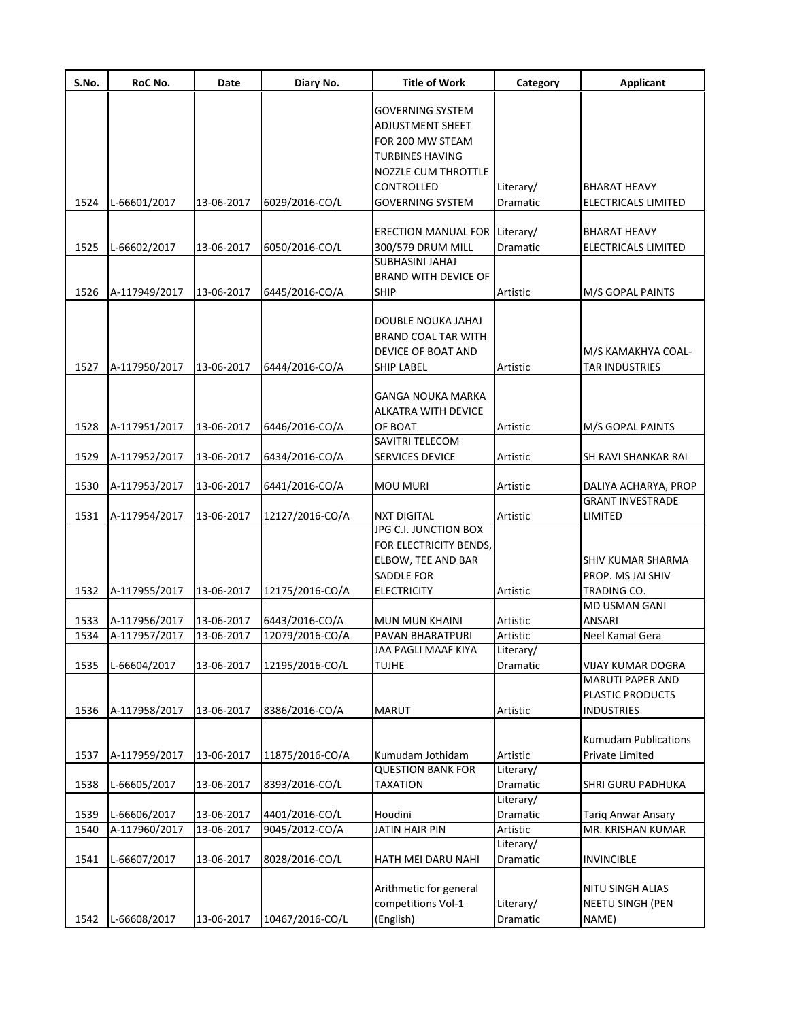| S.No. | RoC No.       | <b>Date</b> | Diary No.       | <b>Title of Work</b>                             | Category  | <b>Applicant</b>                            |
|-------|---------------|-------------|-----------------|--------------------------------------------------|-----------|---------------------------------------------|
|       |               |             |                 | <b>GOVERNING SYSTEM</b>                          |           |                                             |
|       |               |             |                 | ADJUSTMENT SHEET                                 |           |                                             |
|       |               |             |                 | FOR 200 MW STEAM                                 |           |                                             |
|       |               |             |                 | <b>TURBINES HAVING</b>                           |           |                                             |
|       |               |             |                 | <b>NOZZLE CUM THROTTLE</b>                       |           |                                             |
|       |               |             |                 | CONTROLLED                                       | Literary/ | <b>BHARAT HEAVY</b>                         |
| 1524  | L-66601/2017  | 13-06-2017  | 6029/2016-CO/L  | <b>GOVERNING SYSTEM</b>                          | Dramatic  | <b>ELECTRICALS LIMITED</b>                  |
|       |               |             |                 | <b>ERECTION MANUAL FOR</b>                       | Literary/ | <b>BHARAT HEAVY</b>                         |
| 1525  | L-66602/2017  | 13-06-2017  | 6050/2016-CO/L  | 300/579 DRUM MILL                                | Dramatic  | ELECTRICALS LIMITED                         |
|       |               |             |                 | SUBHASINI JAHAJ                                  |           |                                             |
|       |               |             |                 | <b>BRAND WITH DEVICE OF</b>                      |           |                                             |
| 1526  | A-117949/2017 | 13-06-2017  | 6445/2016-CO/A  | <b>SHIP</b>                                      | Artistic  | M/S GOPAL PAINTS                            |
|       |               |             |                 |                                                  |           |                                             |
|       |               |             |                 | DOUBLE NOUKA JAHAJ<br><b>BRAND COAL TAR WITH</b> |           |                                             |
|       |               |             |                 |                                                  |           |                                             |
| 1527  |               | 13-06-2017  |                 | DEVICE OF BOAT AND<br><b>SHIP LABEL</b>          | Artistic  | M/S KAMAKHYA COAL-<br><b>TAR INDUSTRIES</b> |
|       | A-117950/2017 |             | 6444/2016-CO/A  |                                                  |           |                                             |
|       |               |             |                 | <b>GANGA NOUKA MARKA</b>                         |           |                                             |
|       |               |             |                 | ALKATRA WITH DEVICE                              |           |                                             |
| 1528  | A-117951/2017 | 13-06-2017  | 6446/2016-CO/A  | OF BOAT                                          | Artistic  | M/S GOPAL PAINTS                            |
|       |               |             |                 | <b>SAVITRI TELECOM</b>                           |           |                                             |
| 1529  | A-117952/2017 | 13-06-2017  | 6434/2016-CO/A  | SERVICES DEVICE                                  | Artistic  | SH RAVI SHANKAR RAI                         |
| 1530  | A-117953/2017 | 13-06-2017  | 6441/2016-CO/A  | <b>MOU MURI</b>                                  | Artistic  | DALIYA ACHARYA, PROP                        |
|       |               |             |                 |                                                  |           | <b>GRANT INVESTRADE</b>                     |
| 1531  | A-117954/2017 | 13-06-2017  | 12127/2016-CO/A | <b>NXT DIGITAL</b>                               | Artistic  | LIMITED                                     |
|       |               |             |                 | JPG C.I. JUNCTION BOX<br>FOR ELECTRICITY BENDS,  |           |                                             |
|       |               |             |                 | ELBOW, TEE AND BAR                               |           | SHIV KUMAR SHARMA                           |
|       |               |             |                 | <b>SADDLE FOR</b>                                |           | PROP. MS JAI SHIV                           |
| 1532  | A-117955/2017 | 13-06-2017  | 12175/2016-CO/A | <b>ELECTRICITY</b>                               | Artistic  | TRADING CO.                                 |
|       |               |             |                 |                                                  |           | <b>MD USMAN GANI</b>                        |
| 1533  | A-117956/2017 | 13-06-2017  | 6443/2016-CO/A  | MUN MUN KHAINI                                   | Artistic  | ANSARI                                      |
| 1534  | A-117957/2017 | 13-06-2017  | 12079/2016-CO/A | PAVAN BHARATPURI                                 | Artistic  | Neel Kamal Gera                             |
|       |               |             |                 | JAA PAGLI MAAF KIYA                              | Literary/ |                                             |
| 1535  | L-66604/2017  | 13-06-2017  | 12195/2016-CO/L | <b>TUJHE</b>                                     | Dramatic  | <b>VIJAY KUMAR DOGRA</b>                    |
|       |               |             |                 |                                                  |           | MARUTI PAPER AND                            |
|       |               |             |                 |                                                  |           | PLASTIC PRODUCTS                            |
| 1536  | A-117958/2017 | 13-06-2017  | 8386/2016-CO/A  | <b>MARUT</b>                                     | Artistic  | <b>INDUSTRIES</b>                           |
|       |               |             |                 |                                                  |           | <b>Kumudam Publications</b>                 |
| 1537  | A-117959/2017 | 13-06-2017  | 11875/2016-CO/A | Kumudam Jothidam                                 | Artistic  | Private Limited                             |
|       |               |             |                 | <b>QUESTION BANK FOR</b>                         | Literary/ |                                             |
| 1538  | L-66605/2017  | 13-06-2017  | 8393/2016-CO/L  | <b>TAXATION</b>                                  | Dramatic  | SHRI GURU PADHUKA                           |
|       |               |             |                 |                                                  | Literary/ |                                             |
| 1539  | L-66606/2017  | 13-06-2017  | 4401/2016-CO/L  | Houdini                                          | Dramatic  | Tariq Anwar Ansary                          |
| 1540  | A-117960/2017 | 13-06-2017  | 9045/2012-CO/A  | <b>JATIN HAIR PIN</b>                            | Artistic  | MR. KRISHAN KUMAR                           |
|       |               |             |                 |                                                  | Literary/ |                                             |
| 1541  | L-66607/2017  | 13-06-2017  | 8028/2016-CO/L  | HATH MEI DARU NAHI                               | Dramatic  | <b>INVINCIBLE</b>                           |
|       |               |             |                 |                                                  |           |                                             |
|       |               |             |                 | Arithmetic for general                           |           | NITU SINGH ALIAS                            |
|       |               |             |                 | competitions Vol-1                               | Literary/ | NEETU SINGH (PEN                            |
| 1542  | L-66608/2017  | 13-06-2017  | 10467/2016-CO/L | (English)                                        | Dramatic  | NAME)                                       |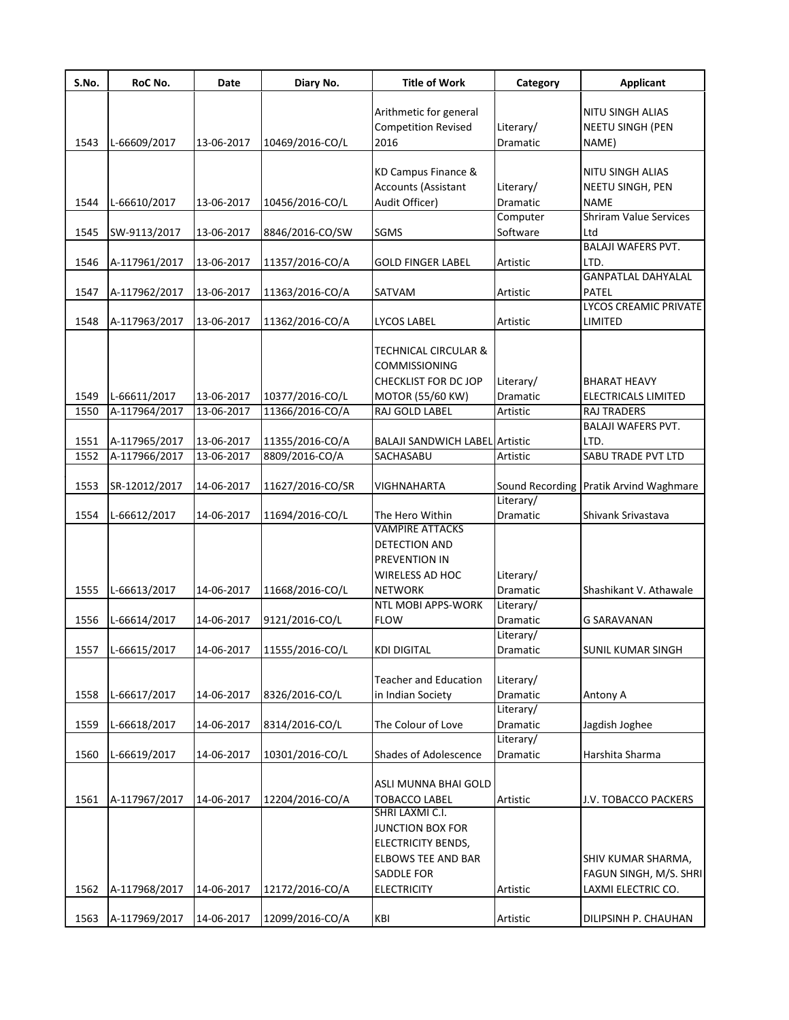| S.No. | RoC No.       | Date       | Diary No.        | <b>Title of Work</b>                                 | Category              | <b>Applicant</b>                            |
|-------|---------------|------------|------------------|------------------------------------------------------|-----------------------|---------------------------------------------|
|       |               |            |                  | Arithmetic for general<br><b>Competition Revised</b> | Literary/             | <b>NITU SINGH ALIAS</b><br>NEETU SINGH (PEN |
| 1543  | L-66609/2017  | 13-06-2017 | 10469/2016-CO/L  | 2016                                                 | Dramatic              | NAME)                                       |
|       |               |            |                  | KD Campus Finance &                                  |                       | NITU SINGH ALIAS                            |
|       |               |            |                  | Accounts (Assistant                                  | Literary/             | NEETU SINGH, PEN                            |
| 1544  | L-66610/2017  | 13-06-2017 | 10456/2016-CO/L  | Audit Officer)                                       | Dramatic              | NAME                                        |
|       |               |            |                  |                                                      | Computer              | <b>Shriram Value Services</b>               |
| 1545  | SW-9113/2017  | 13-06-2017 | 8846/2016-CO/SW  | <b>SGMS</b>                                          | Software              | Ltd                                         |
|       |               |            |                  |                                                      |                       | <b>BALAJI WAFERS PVT.</b>                   |
| 1546  | A-117961/2017 | 13-06-2017 | 11357/2016-CO/A  | GOLD FINGER LABEL                                    | Artistic              | LTD.                                        |
|       |               |            |                  |                                                      |                       | <b>GANPATLAL DAHYALAL</b>                   |
| 1547  | A-117962/2017 | 13-06-2017 | 11363/2016-CO/A  | SATVAM                                               | Artistic              | <b>PATEL</b>                                |
|       |               |            |                  |                                                      |                       | LYCOS CREAMIC PRIVATE                       |
| 1548  | A-117963/2017 | 13-06-2017 | 11362/2016-CO/A  | LYCOS LABEL                                          | Artistic              | LIMITED                                     |
|       |               |            |                  | <b>TECHNICAL CIRCULAR &amp;</b>                      |                       |                                             |
|       |               |            |                  | <b>COMMISSIONING</b>                                 |                       |                                             |
|       |               |            |                  | CHECKLIST FOR DC JOP                                 | Literary/             | <b>BHARAT HEAVY</b>                         |
| 1549  | L-66611/2017  | 13-06-2017 | 10377/2016-CO/L  | MOTOR (55/60 KW)                                     | Dramatic              | <b>ELECTRICALS LIMITED</b>                  |
| 1550  | A-117964/2017 | 13-06-2017 | 11366/2016-CO/A  | RAJ GOLD LABEL                                       | Artistic              | <b>RAJ TRADERS</b>                          |
|       |               |            |                  |                                                      |                       | <b>BALAJI WAFERS PVT.</b>                   |
| 1551  | A-117965/2017 | 13-06-2017 | 11355/2016-CO/A  | <b>BALAJI SANDWICH LABEL Artistic</b>                |                       | LTD.                                        |
| 1552  | A-117966/2017 | 13-06-2017 | 8809/2016-CO/A   | SACHASABU                                            | Artistic              | SABU TRADE PVT LTD                          |
|       |               |            |                  |                                                      |                       |                                             |
| 1553  | SR-12012/2017 | 14-06-2017 | 11627/2016-CO/SR | VIGHNAHARTA                                          |                       | Sound Recording Pratik Arvind Waghmare      |
|       |               |            |                  |                                                      | Literary/             |                                             |
| 1554  | L-66612/2017  | 14-06-2017 | 11694/2016-CO/L  | The Hero Within<br><b>VAMPIRE ATTACKS</b>            | Dramatic              | Shivank Srivastava                          |
|       |               |            |                  | DETECTION AND                                        |                       |                                             |
|       |               |            |                  | PREVENTION IN                                        |                       |                                             |
|       |               |            |                  | <b>WIRELESS AD HOC</b>                               | Literary/             |                                             |
| 1555  | L-66613/2017  | 14-06-2017 | 11668/2016-CO/L  | <b>NETWORK</b>                                       | Dramatic              | Shashikant V. Athawale                      |
|       |               |            |                  | NTL MOBI APPS-WORK                                   | Literary/             |                                             |
| 1556  | L-66614/2017  | 14-06-2017 | 9121/2016-CO/L   | <b>FLOW</b>                                          | Dramatic              | <b>G SARAVANAN</b>                          |
|       |               |            |                  |                                                      | Literary/             |                                             |
| 1557  | L-66615/2017  | 14-06-2017 | 11555/2016-CO/L  | KDI DIGITAL                                          | Dramatic              | SUNIL KUMAR SINGH                           |
|       |               |            |                  |                                                      |                       |                                             |
|       |               |            |                  | <b>Teacher and Education</b>                         | Literary/             |                                             |
| 1558  | L-66617/2017  | 14-06-2017 | 8326/2016-CO/L   | in Indian Society                                    | Dramatic              | Antony A                                    |
|       |               |            |                  |                                                      | Literary/             |                                             |
| 1559  | L-66618/2017  | 14-06-2017 | 8314/2016-CO/L   | The Colour of Love                                   | Dramatic              | Jagdish Joghee                              |
| 1560  | L-66619/2017  | 14-06-2017 | 10301/2016-CO/L  | Shades of Adolescence                                | Literary/<br>Dramatic | Harshita Sharma                             |
|       |               |            |                  |                                                      |                       |                                             |
|       |               |            |                  | ASLI MUNNA BHAI GOLD                                 |                       |                                             |
| 1561  | A-117967/2017 | 14-06-2017 | 12204/2016-CO/A  | <b>TOBACCO LABEL</b>                                 | Artistic              | J.V. TOBACCO PACKERS                        |
|       |               |            |                  | SHRI LAXMI C.I.                                      |                       |                                             |
|       |               |            |                  | <b>JUNCTION BOX FOR</b>                              |                       |                                             |
|       |               |            |                  | <b>ELECTRICITY BENDS,</b>                            |                       |                                             |
|       |               |            |                  | <b>ELBOWS TEE AND BAR</b>                            |                       | SHIV KUMAR SHARMA,                          |
|       |               |            |                  | <b>SADDLE FOR</b>                                    |                       | FAGUN SINGH, M/S. SHRI                      |
| 1562  | A-117968/2017 | 14-06-2017 | 12172/2016-CO/A  | <b>ELECTRICITY</b>                                   | Artistic              | LAXMI ELECTRIC CO.                          |
|       |               |            |                  |                                                      |                       |                                             |
| 1563  | A-117969/2017 | 14-06-2017 | 12099/2016-CO/A  | KBI                                                  | Artistic              | DILIPSINH P. CHAUHAN                        |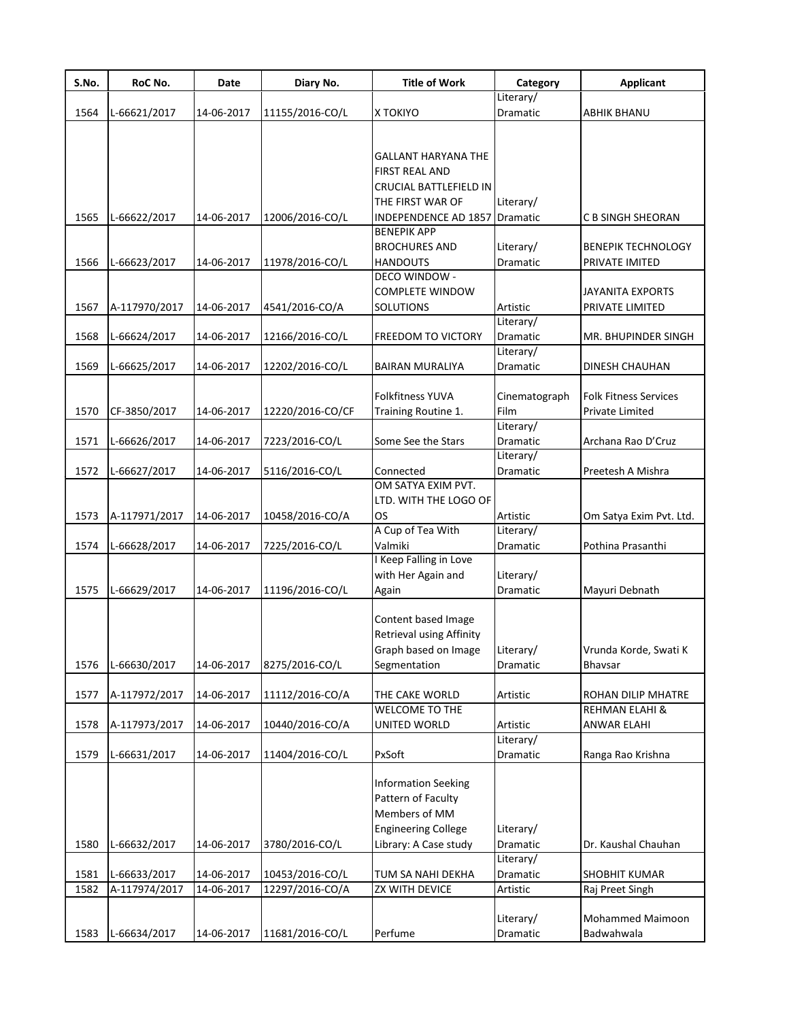| S.No. | RoC No.       | Date       | Diary No.        | <b>Title of Work</b>              | Category              | <b>Applicant</b>             |
|-------|---------------|------------|------------------|-----------------------------------|-----------------------|------------------------------|
|       |               |            |                  |                                   | Literary/             |                              |
| 1564  | L-66621/2017  | 14-06-2017 | 11155/2016-CO/L  | X TOKIYO                          | Dramatic              | <b>ABHIK BHANU</b>           |
|       |               |            |                  |                                   |                       |                              |
|       |               |            |                  | <b>GALLANT HARYANA THE</b>        |                       |                              |
|       |               |            |                  | FIRST REAL AND                    |                       |                              |
|       |               |            |                  | CRUCIAL BATTLEFIELD IN            |                       |                              |
|       |               |            |                  | THE FIRST WAR OF                  | Literary/             |                              |
| 1565  | L-66622/2017  | 14-06-2017 | 12006/2016-CO/L  | INDEPENDENCE AD 1857              | Dramatic              | C B SINGH SHEORAN            |
|       |               |            |                  | <b>BENEPIK APP</b>                |                       |                              |
|       |               |            |                  | <b>BROCHURES AND</b>              | Literary/             | <b>BENEPIK TECHNOLOGY</b>    |
| 1566  | L-66623/2017  | 14-06-2017 | 11978/2016-CO/L  | <b>HANDOUTS</b>                   | Dramatic              | PRIVATE IMITED               |
|       |               |            |                  | <b>DECO WINDOW -</b>              |                       |                              |
|       |               |            |                  | <b>COMPLETE WINDOW</b>            |                       | <b>JAYANITA EXPORTS</b>      |
| 1567  | A-117970/2017 | 14-06-2017 | 4541/2016-CO/A   | <b>SOLUTIONS</b>                  | Artistic              | PRIVATE LIMITED              |
|       |               |            |                  |                                   | Literary/             |                              |
| 1568  | L-66624/2017  | 14-06-2017 | 12166/2016-CO/L  | <b>FREEDOM TO VICTORY</b>         | Dramatic              | MR. BHUPINDER SINGH          |
|       |               |            |                  |                                   | Literary/             |                              |
| 1569  | L-66625/2017  | 14-06-2017 | 12202/2016-CO/L  | <b>BAIRAN MURALIYA</b>            | Dramatic              | <b>DINESH CHAUHAN</b>        |
|       |               |            |                  |                                   |                       |                              |
|       |               |            |                  | <b>Folkfitness YUVA</b>           | Cinematograph         | <b>Folk Fitness Services</b> |
| 1570  | CF-3850/2017  | 14-06-2017 | 12220/2016-CO/CF | Training Routine 1.               | Film                  | Private Limited              |
|       |               |            |                  |                                   | Literary/             |                              |
| 1571  | L-66626/2017  | 14-06-2017 | 7223/2016-CO/L   | Some See the Stars                | Dramatic              | Archana Rao D'Cruz           |
|       |               |            |                  |                                   | Literary/             |                              |
| 1572  | L-66627/2017  | 14-06-2017 | 5116/2016-CO/L   | Connected                         | Dramatic              | Preetesh A Mishra            |
|       |               |            |                  | OM SATYA EXIM PVT.                |                       |                              |
|       |               |            |                  | LTD. WITH THE LOGO OF             |                       |                              |
| 1573  | A-117971/2017 | 14-06-2017 | 10458/2016-CO/A  | OS                                | Artistic              | Om Satya Exim Pvt. Ltd.      |
|       |               |            |                  | A Cup of Tea With                 | Literary/             |                              |
| 1574  | L-66628/2017  | 14-06-2017 | 7225/2016-CO/L   | Valmiki<br>I Keep Falling in Love | Dramatic              | Pothina Prasanthi            |
|       |               |            |                  |                                   |                       |                              |
| 1575  | L-66629/2017  |            |                  | with Her Again and                | Literary/<br>Dramatic |                              |
|       |               | 14-06-2017 | 11196/2016-CO/L  | Again                             |                       | Mayuri Debnath               |
|       |               |            |                  | Content based Image               |                       |                              |
|       |               |            |                  | Retrieval using Affinity          |                       |                              |
|       |               |            |                  | Graph based on Image              | Literary/             | Vrunda Korde, Swati K        |
| 1576  | L-66630/2017  | 14-06-2017 | 8275/2016-CO/L   | Segmentation                      | Dramatic              | Bhavsar                      |
|       |               |            |                  |                                   |                       |                              |
| 1577  | A-117972/2017 | 14-06-2017 | 11112/2016-CO/A  | THE CAKE WORLD                    | Artistic              | ROHAN DILIP MHATRE           |
|       |               |            |                  | WELCOME TO THE                    |                       | <b>REHMAN ELAHI &amp;</b>    |
| 1578  | A-117973/2017 | 14-06-2017 | 10440/2016-CO/A  | UNITED WORLD                      | Artistic              | ANWAR ELAHI                  |
|       |               |            |                  |                                   | Literary/             |                              |
| 1579  | L-66631/2017  | 14-06-2017 | 11404/2016-CO/L  | PxSoft                            | Dramatic              | Ranga Rao Krishna            |
|       |               |            |                  |                                   |                       |                              |
|       |               |            |                  | <b>Information Seeking</b>        |                       |                              |
|       |               |            |                  | Pattern of Faculty                |                       |                              |
|       |               |            |                  | Members of MM                     |                       |                              |
|       |               |            |                  | <b>Engineering College</b>        | Literary/             |                              |
| 1580  | L-66632/2017  | 14-06-2017 | 3780/2016-CO/L   | Library: A Case study             | Dramatic              | Dr. Kaushal Chauhan          |
|       |               |            |                  |                                   | Literary/             |                              |
| 1581  | L-66633/2017  | 14-06-2017 | 10453/2016-CO/L  | TUM SA NAHI DEKHA                 | Dramatic              | SHOBHIT KUMAR                |
| 1582  | A-117974/2017 | 14-06-2017 | 12297/2016-CO/A  | ZX WITH DEVICE                    | Artistic              | Raj Preet Singh              |
|       |               |            |                  |                                   |                       |                              |
|       |               |            |                  |                                   | Literary/             | Mohammed Maimoon             |
| 1583  | L-66634/2017  | 14-06-2017 | 11681/2016-CO/L  | Perfume                           | Dramatic              | Badwahwala                   |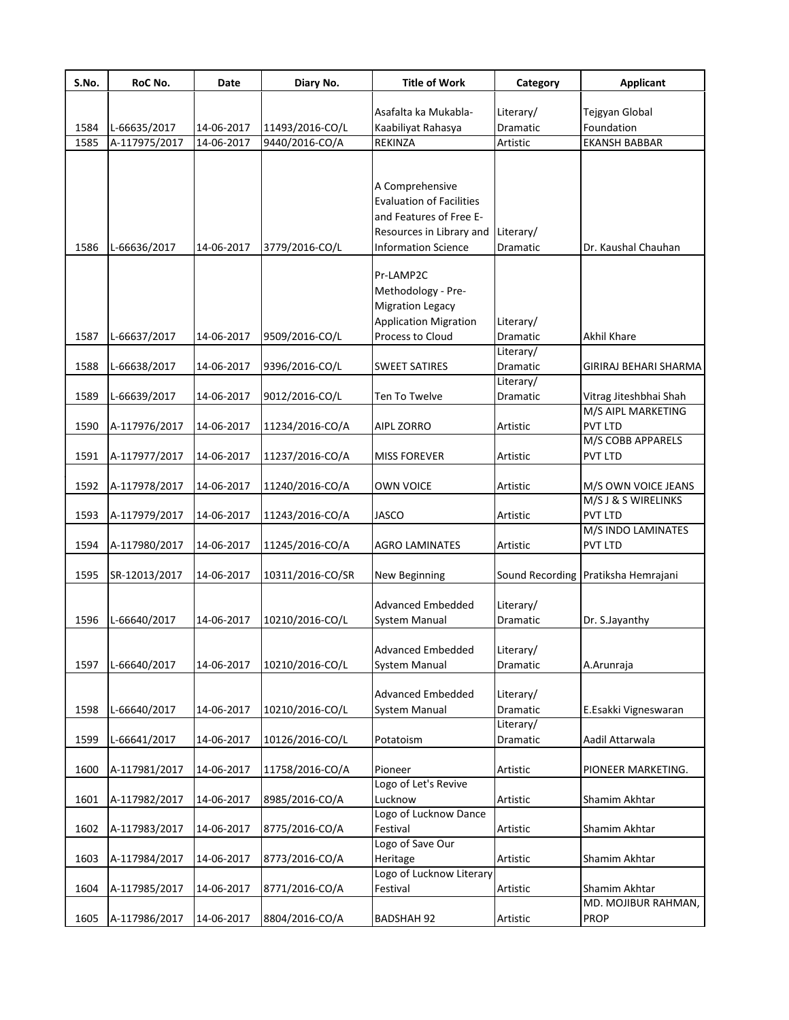| S.No. | RoC No.       | Date       | Diary No.        | <b>Title of Work</b>               | Category  | <b>Applicant</b>                    |
|-------|---------------|------------|------------------|------------------------------------|-----------|-------------------------------------|
|       |               |            |                  | Asafalta ka Mukabla-               | Literary/ | Tejgyan Global                      |
| 1584  | L-66635/2017  | 14-06-2017 | 11493/2016-CO/L  | Kaabiliyat Rahasya                 | Dramatic  | Foundation                          |
| 1585  | A-117975/2017 | 14-06-2017 | 9440/2016-CO/A   | REKINZA                            | Artistic  | <b>EKANSH BABBAR</b>                |
|       |               |            |                  |                                    |           |                                     |
|       |               |            |                  | A Comprehensive                    |           |                                     |
|       |               |            |                  | <b>Evaluation of Facilities</b>    |           |                                     |
|       |               |            |                  | and Features of Free E-            |           |                                     |
|       |               |            |                  | Resources in Library and Literary/ |           |                                     |
| 1586  | L-66636/2017  | 14-06-2017 | 3779/2016-CO/L   | <b>Information Science</b>         | Dramatic  | Dr. Kaushal Chauhan                 |
|       |               |            |                  |                                    |           |                                     |
|       |               |            |                  | Pr-LAMP2C                          |           |                                     |
|       |               |            |                  | Methodology - Pre-                 |           |                                     |
|       |               |            |                  | <b>Migration Legacy</b>            |           |                                     |
|       |               |            |                  | <b>Application Migration</b>       | Literary/ |                                     |
| 1587  | L-66637/2017  | 14-06-2017 | 9509/2016-CO/L   | Process to Cloud                   | Dramatic  | <b>Akhil Khare</b>                  |
|       |               |            |                  |                                    | Literary/ |                                     |
| 1588  | L-66638/2017  | 14-06-2017 | 9396/2016-CO/L   | <b>SWEET SATIRES</b>               | Dramatic  | GIRIRAJ BEHARI SHARMA               |
|       |               |            |                  |                                    | Literary/ |                                     |
| 1589  | L-66639/2017  | 14-06-2017 | 9012/2016-CO/L   | Ten To Twelve                      | Dramatic  | Vitrag Jiteshbhai Shah              |
|       |               |            |                  |                                    |           | M/S AIPL MARKETING                  |
| 1590  | A-117976/2017 | 14-06-2017 | 11234/2016-CO/A  | AIPL ZORRO                         | Artistic  | <b>PVT LTD</b>                      |
|       |               |            |                  |                                    |           | M/S COBB APPARELS                   |
| 1591  | A-117977/2017 | 14-06-2017 | 11237/2016-CO/A  | <b>MISS FOREVER</b>                | Artistic  | PVT LTD                             |
| 1592  | A-117978/2017 | 14-06-2017 | 11240/2016-CO/A  | <b>OWN VOICE</b>                   | Artistic  | M/S OWN VOICE JEANS                 |
|       |               |            |                  |                                    |           | M/S J & S WIRELINKS                 |
| 1593  | A-117979/2017 | 14-06-2017 | 11243/2016-CO/A  | <b>JASCO</b>                       | Artistic  | PVT LTD                             |
|       |               |            |                  |                                    |           | M/S INDO LAMINATES                  |
| 1594  | A-117980/2017 | 14-06-2017 | 11245/2016-CO/A  | <b>AGRO LAMINATES</b>              | Artistic  | PVT LTD                             |
| 1595  | SR-12013/2017 | 14-06-2017 | 10311/2016-CO/SR | New Beginning                      |           | Sound Recording Pratiksha Hemrajani |
|       |               |            |                  |                                    |           |                                     |
|       |               |            |                  | <b>Advanced Embedded</b>           | Literary/ |                                     |
| 1596  | L-66640/2017  | 14-06-2017 | 10210/2016-CO/L  | System Manual                      | Dramatic  | Dr. S.Jayanthy                      |
|       |               |            |                  |                                    |           |                                     |
|       |               |            |                  | Advanced Embedded                  | Literary/ |                                     |
| 1597  | L-66640/2017  | 14-06-2017 | 10210/2016-CO/L  | <b>System Manual</b>               | Dramatic  | A.Arunraja                          |
|       |               |            |                  |                                    |           |                                     |
|       |               |            |                  | Advanced Embedded                  | Literary/ |                                     |
| 1598  | L-66640/2017  | 14-06-2017 | 10210/2016-CO/L  | System Manual                      | Dramatic  | E.Esakki Vigneswaran                |
| 1599  | L-66641/2017  | 14-06-2017 | 10126/2016-CO/L  | Potatoism                          | Literary/ | Aadil Attarwala                     |
|       |               |            |                  |                                    | Dramatic  |                                     |
| 1600  | A-117981/2017 | 14-06-2017 | 11758/2016-CO/A  | Pioneer                            | Artistic  | PIONEER MARKETING.                  |
|       |               |            |                  | Logo of Let's Revive               |           |                                     |
| 1601  | A-117982/2017 | 14-06-2017 | 8985/2016-CO/A   | Lucknow                            | Artistic  | Shamim Akhtar                       |
|       |               |            |                  | Logo of Lucknow Dance              |           |                                     |
| 1602  | A-117983/2017 | 14-06-2017 | 8775/2016-CO/A   | Festival                           | Artistic  | Shamim Akhtar                       |
|       |               |            |                  | Logo of Save Our                   |           |                                     |
| 1603  | A-117984/2017 | 14-06-2017 | 8773/2016-CO/A   | Heritage                           | Artistic  | Shamim Akhtar                       |
|       |               |            |                  | Logo of Lucknow Literary           |           |                                     |
| 1604  | A-117985/2017 | 14-06-2017 | 8771/2016-CO/A   | Festival                           | Artistic  | Shamim Akhtar                       |
|       |               |            |                  |                                    |           | MD. MOJIBUR RAHMAN,                 |
| 1605  | A-117986/2017 | 14-06-2017 | 8804/2016-CO/A   | <b>BADSHAH 92</b>                  | Artistic  | PROP                                |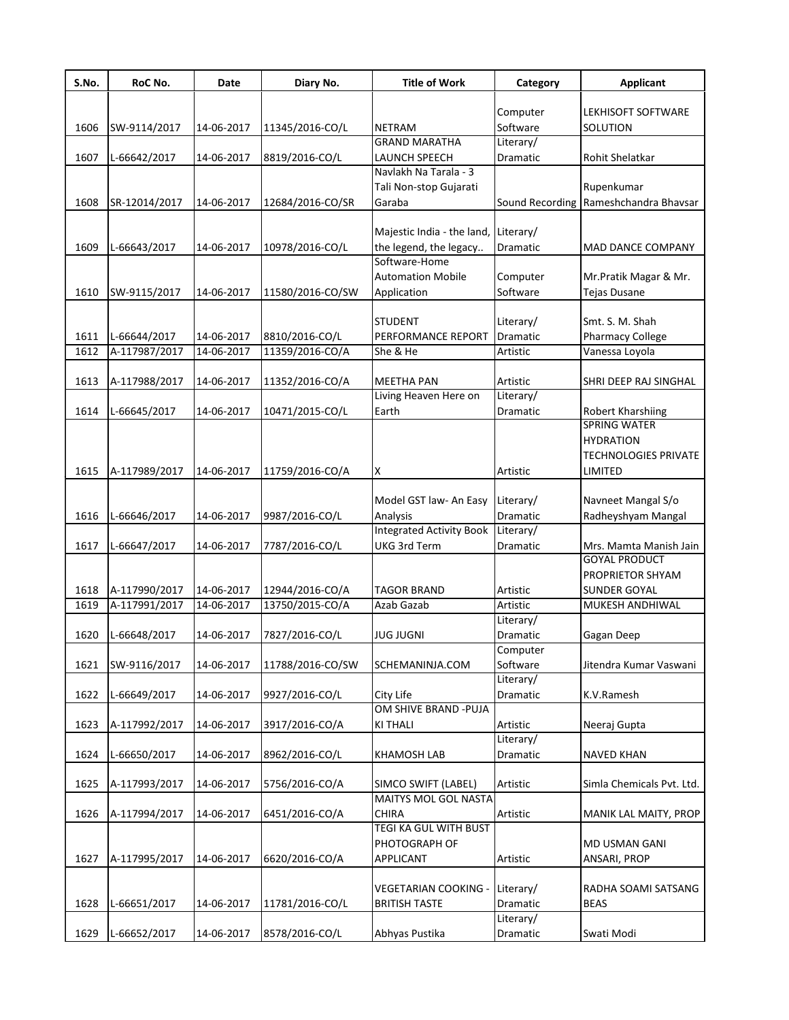| Computer                                                                                                          | LEKHISOFT SOFTWARE          |
|-------------------------------------------------------------------------------------------------------------------|-----------------------------|
| Software<br><b>NETRAM</b><br>1606<br>SW-9114/2017<br>14-06-2017<br>11345/2016-CO/L<br>SOLUTION                    |                             |
| <b>GRAND MARATHA</b><br>Literary/<br>Dramatic                                                                     |                             |
| 1607<br>L-66642/2017<br>14-06-2017<br>8819/2016-CO/L<br>LAUNCH SPEECH<br>Rohit Shelatkar<br>Navlakh Na Tarala - 3 |                             |
| Tali Non-stop Gujarati<br>Rupenkumar                                                                              |                             |
| 1608<br>Garaba<br>Sound Recording<br>SR-12014/2017<br>14-06-2017<br>12684/2016-CO/SR                              | Rameshchandra Bhavsar       |
|                                                                                                                   |                             |
| Majestic India - the land,<br>Literary/                                                                           |                             |
| 1609<br>L-66643/2017<br>14-06-2017<br>10978/2016-CO/L<br>the legend, the legacy<br>Dramatic                       | MAD DANCE COMPANY           |
| Software-Home                                                                                                     |                             |
| <b>Automation Mobile</b><br>Computer                                                                              | Mr.Pratik Magar & Mr.       |
| Software<br>1610<br>SW-9115/2017<br>14-06-2017<br>11580/2016-CO/SW<br>Application<br><b>Tejas Dusane</b>          |                             |
|                                                                                                                   |                             |
| <b>STUDENT</b><br>Literary/<br>Smt. S. M. Shah                                                                    |                             |
| 14-06-2017<br>PERFORMANCE REPORT<br>Dramatic<br>1611<br>L-66644/2017<br>8810/2016-CO/L<br>Pharmacy College        |                             |
| A-117987/2017<br>11359/2016-CO/A<br>1612<br>14-06-2017<br>She & He<br>Artistic<br>Vanessa Loyola                  |                             |
|                                                                                                                   |                             |
| 1613<br>A-117988/2017<br>14-06-2017<br>11352/2016-CO/A<br><b>MEETHA PAN</b><br>Artistic                           | SHRI DEEP RAJ SINGHAL       |
| Living Heaven Here on<br>Literary/                                                                                |                             |
| Earth<br>1614<br>L-66645/2017<br>14-06-2017<br>10471/2015-CO/L<br>Robert Kharshiing<br>Dramatic                   |                             |
| <b>SPRING WATER</b>                                                                                               |                             |
| <b>HYDRATION</b>                                                                                                  |                             |
|                                                                                                                   | <b>TECHNOLOGIES PRIVATE</b> |
| A-117989/2017<br>14-06-2017<br>1615<br>11759/2016-CO/A<br>X<br>Artistic<br>LIMITED                                |                             |
|                                                                                                                   |                             |
| Model GST law- An Easy<br>Literary/                                                                               | Navneet Mangal S/o          |
| L-66646/2017<br>14-06-2017<br>Analysis<br>1616<br>9987/2016-CO/L<br>Dramatic                                      | Radheyshyam Mangal          |
| <b>Integrated Activity Book</b><br>Literary/                                                                      |                             |
| <b>UKG 3rd Term</b><br>1617<br>L-66647/2017<br>14-06-2017<br>7787/2016-CO/L<br>Dramatic                           | Mrs. Mamta Manish Jain      |
| <b>GOYAL PRODUCT</b>                                                                                              |                             |
|                                                                                                                   | PROPRIETOR SHYAM            |
| 1618<br>A-117990/2017<br>14-06-2017<br>12944/2016-CO/A<br><b>TAGOR BRAND</b><br>Artistic<br><b>SUNDER GOYAL</b>   |                             |
| A-117991/2017<br>13750/2015-CO/A<br>1619<br>14-06-2017<br>Azab Gazab<br>Artistic                                  | MUKESH ANDHIWAL             |
| Literary/                                                                                                         |                             |
| 1620<br>L-66648/2017<br>14-06-2017<br>7827/2016-CO/L<br><b>JUG JUGNI</b><br>Dramatic<br>Gagan Deep                |                             |
| Computer<br>1621<br>Software<br>SW-9116/2017<br>14-06-2017<br>11788/2016-CO/SW<br>SCHEMANINJA.COM                 | Jitendra Kumar Vaswani      |
| Literary/                                                                                                         |                             |
| 1622<br>L-66649/2017<br>14-06-2017<br>9927/2016-CO/L<br>City Life<br>Dramatic<br>K.V.Ramesh                       |                             |
| OM SHIVE BRAND - PUJA                                                                                             |                             |
| 1623<br>A-117992/2017<br>Artistic<br>14-06-2017<br>3917/2016-CO/A<br><b>KITHALI</b><br>Neeraj Gupta               |                             |
| Literary/                                                                                                         |                             |
| 1624<br>L-66650/2017<br>14-06-2017<br>8962/2016-CO/L<br><b>KHAMOSH LAB</b><br>Dramatic<br><b>NAVED KHAN</b>       |                             |
|                                                                                                                   |                             |
| 1625<br>A-117993/2017<br>14-06-2017<br>5756/2016-CO/A<br>SIMCO SWIFT (LABEL)<br>Artistic                          | Simla Chemicals Pvt. Ltd.   |
| <b>MAITYS MOL GOL NASTA</b>                                                                                       |                             |
| 1626<br>A-117994/2017<br>14-06-2017<br>6451/2016-CO/A<br>CHIRA<br>Artistic                                        | MANIK LAL MAITY, PROP       |
| <b>TEGI KA GUL WITH BUST</b>                                                                                      |                             |
| PHOTOGRAPH OF<br>MD USMAN GANI                                                                                    |                             |
| 1627<br>14-06-2017<br>6620/2016-CO/A<br>Artistic<br>ANSARI, PROP<br>A-117995/2017<br><b>APPLICANT</b>             |                             |
|                                                                                                                   |                             |
| VEGETARIAN COOKING -<br>Literary/                                                                                 | RADHA SOAMI SATSANG         |
| 1628<br>L-66651/2017<br>14-06-2017<br>11781/2016-CO/L<br><b>BRITISH TASTE</b><br>Dramatic<br><b>BEAS</b>          |                             |
| Literary/                                                                                                         |                             |
| 1629<br>L-66652/2017<br>8578/2016-CO/L<br>Abhyas Pustika<br>14-06-2017<br>Dramatic<br>Swati Modi                  |                             |